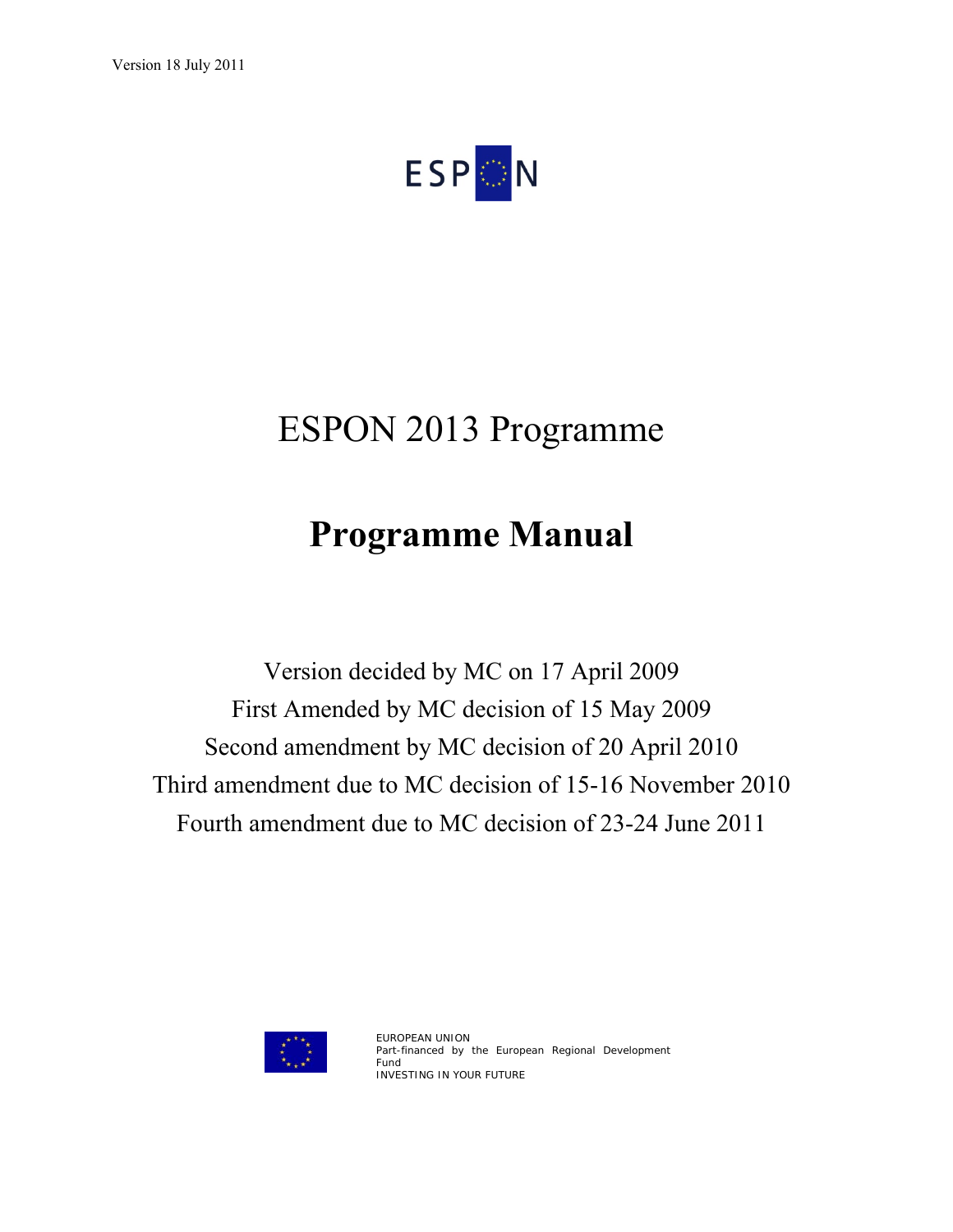**ESPON** 

# ESPON 2013 Programme

# **Programme Manual**

Version decided by MC on 17 April 2009 First Amended by MC decision of 15 May 2009 Second amendment by MC decision of 20 April 2010 Third amendment due to MC decision of 15-16 November 2010 Fourth amendment due to MC decision of 23-24 June 2011



EUROPEAN UNION Part-financed by the European Regional Development Fund INVESTING IN YOUR FUTURE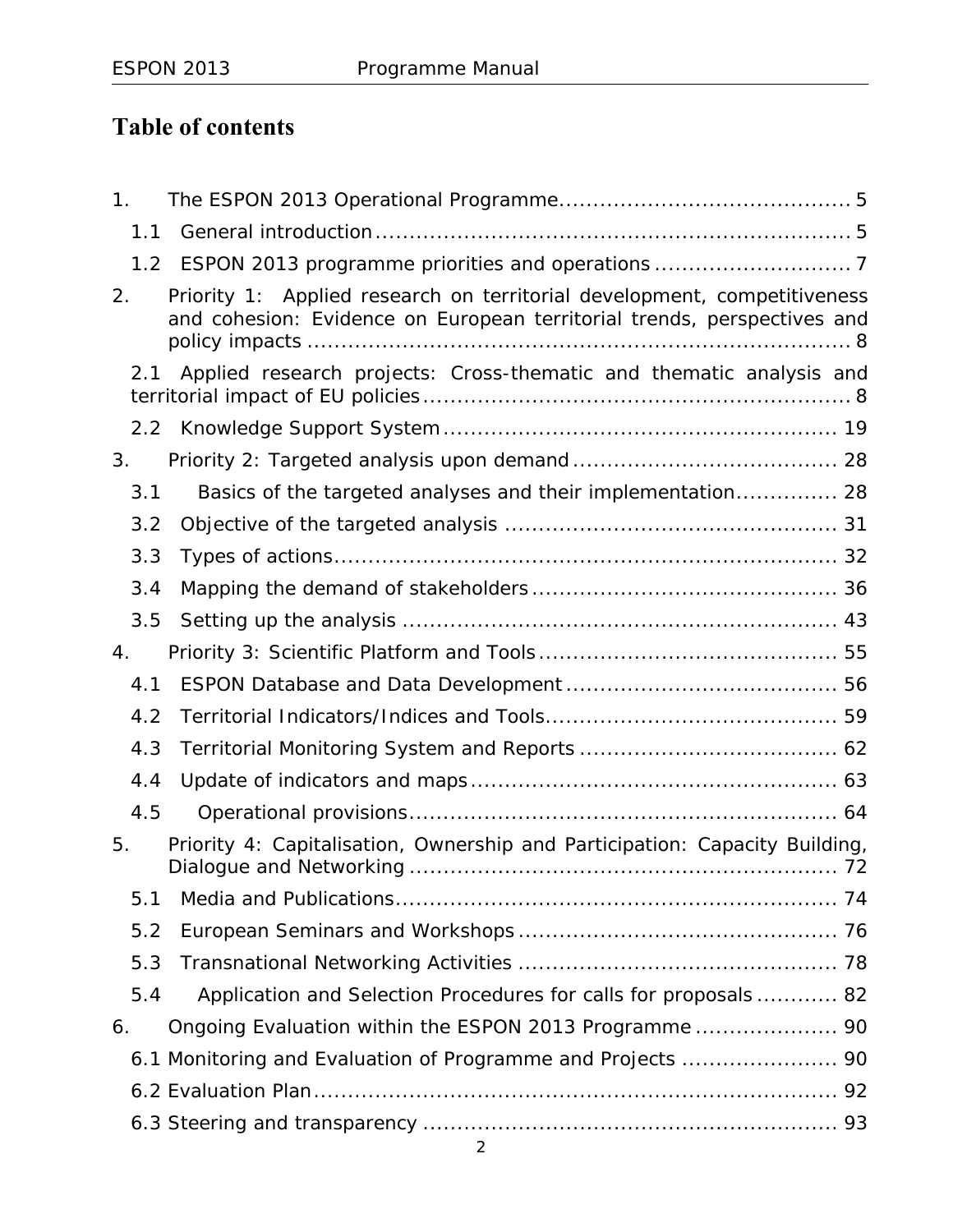# **Table of contents**

| 1.  |                                                                                                                                                     |
|-----|-----------------------------------------------------------------------------------------------------------------------------------------------------|
| 1.1 |                                                                                                                                                     |
|     |                                                                                                                                                     |
| 2.  | Priority 1: Applied research on territorial development, competitiveness<br>and cohesion: Evidence on European territorial trends, perspectives and |
| 2.1 | Applied research projects: Cross-thematic and thematic analysis and                                                                                 |
|     |                                                                                                                                                     |
| 3.  |                                                                                                                                                     |
| 3.1 | Basics of the targeted analyses and their implementation 28                                                                                         |
| 3.2 |                                                                                                                                                     |
| 3.3 |                                                                                                                                                     |
| 3.4 |                                                                                                                                                     |
| 3.5 |                                                                                                                                                     |
| 4.  |                                                                                                                                                     |
| 4.1 |                                                                                                                                                     |
| 4.2 |                                                                                                                                                     |
| 4.3 |                                                                                                                                                     |
| 4.4 |                                                                                                                                                     |
| 4.5 |                                                                                                                                                     |
| 5.  | Priority 4: Capitalisation, Ownership and Participation: Capacity Building,                                                                         |
| 5.1 |                                                                                                                                                     |
| 5.2 |                                                                                                                                                     |
| 5.3 |                                                                                                                                                     |
| 5.4 | Application and Selection Procedures for calls for proposals 82                                                                                     |
| 6.  | Ongoing Evaluation within the ESPON 2013 Programme 90                                                                                               |
|     | 6.1 Monitoring and Evaluation of Programme and Projects  90                                                                                         |
|     |                                                                                                                                                     |
|     |                                                                                                                                                     |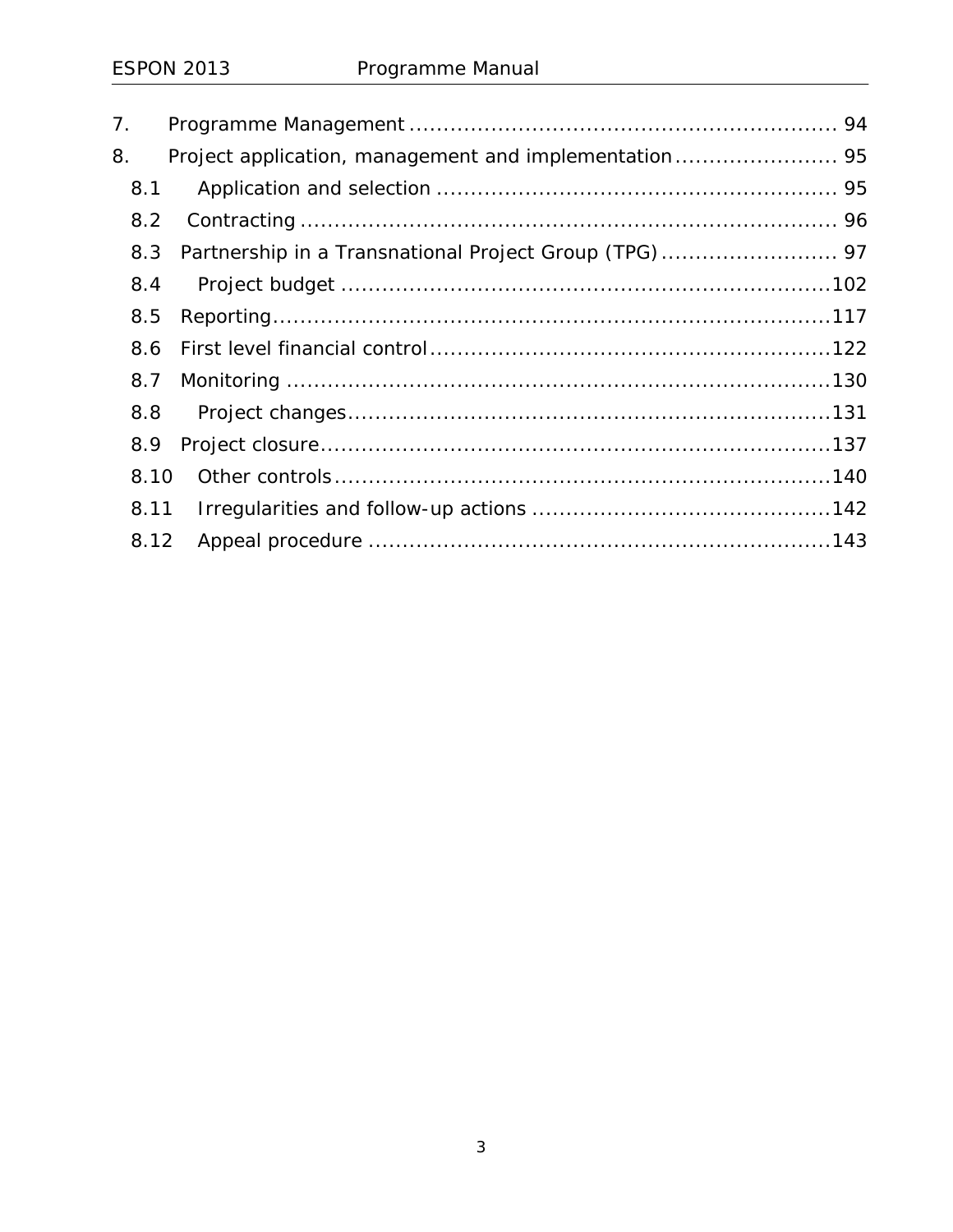| 7.   |  |  |
|------|--|--|
| 8.   |  |  |
| 8.1  |  |  |
| 8.2  |  |  |
| 8.3  |  |  |
| 8.4  |  |  |
| 8.5  |  |  |
| 8.6  |  |  |
| 8.7  |  |  |
| 8.8  |  |  |
| 8.9  |  |  |
| 8.10 |  |  |
| 8.11 |  |  |
| 8.12 |  |  |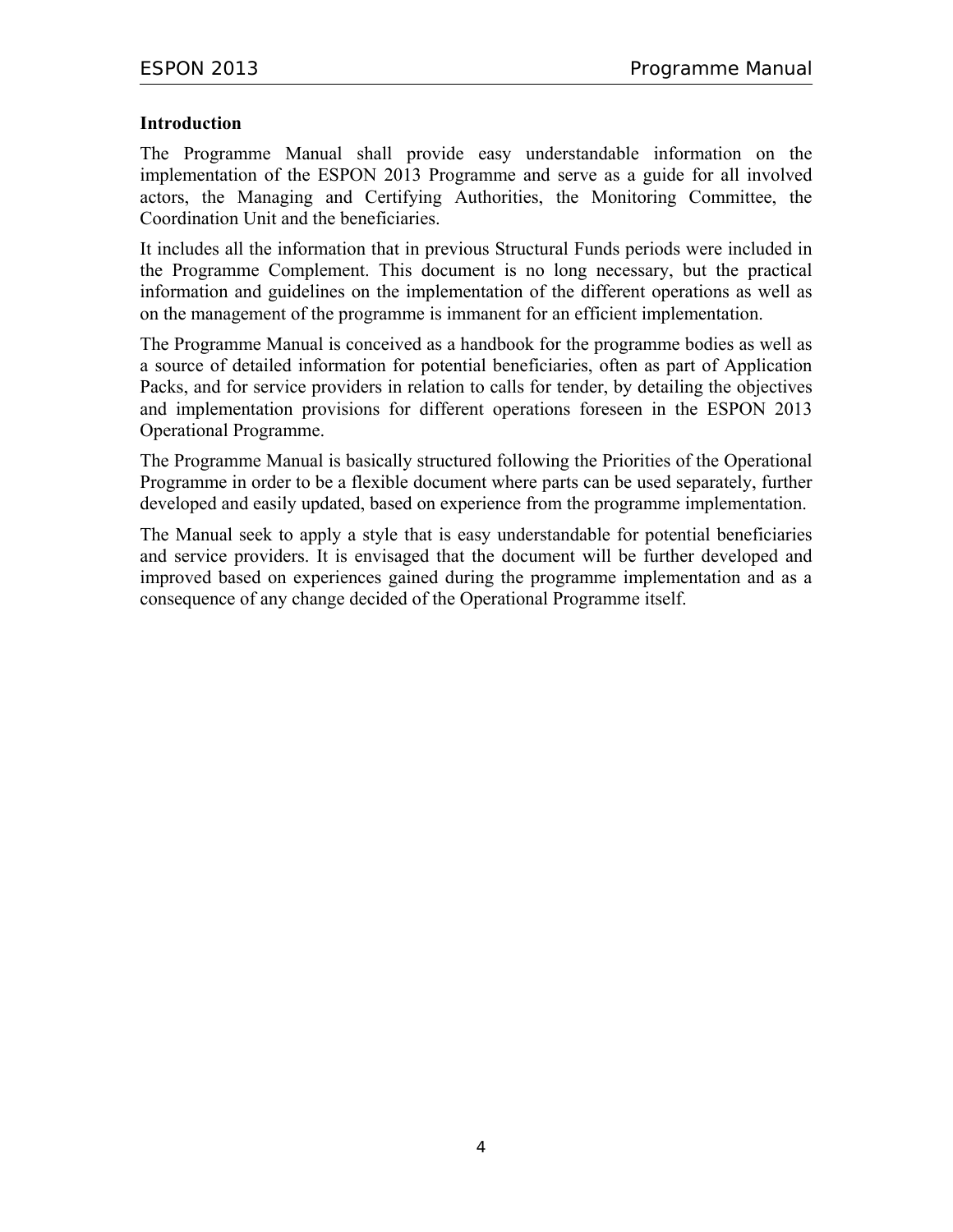#### **Introduction**

The Programme Manual shall provide easy understandable information on the implementation of the ESPON 2013 Programme and serve as a guide for all involved actors, the Managing and Certifying Authorities, the Monitoring Committee, the Coordination Unit and the beneficiaries.

It includes all the information that in previous Structural Funds periods were included in the Programme Complement. This document is no long necessary, but the practical information and guidelines on the implementation of the different operations as well as on the management of the programme is immanent for an efficient implementation.

The Programme Manual is conceived as a handbook for the programme bodies as well as a source of detailed information for potential beneficiaries, often as part of Application Packs, and for service providers in relation to calls for tender, by detailing the objectives and implementation provisions for different operations foreseen in the ESPON 2013 Operational Programme.

The Programme Manual is basically structured following the Priorities of the Operational Programme in order to be a flexible document where parts can be used separately, further developed and easily updated, based on experience from the programme implementation.

The Manual seek to apply a style that is easy understandable for potential beneficiaries and service providers. It is envisaged that the document will be further developed and improved based on experiences gained during the programme implementation and as a consequence of any change decided of the Operational Programme itself.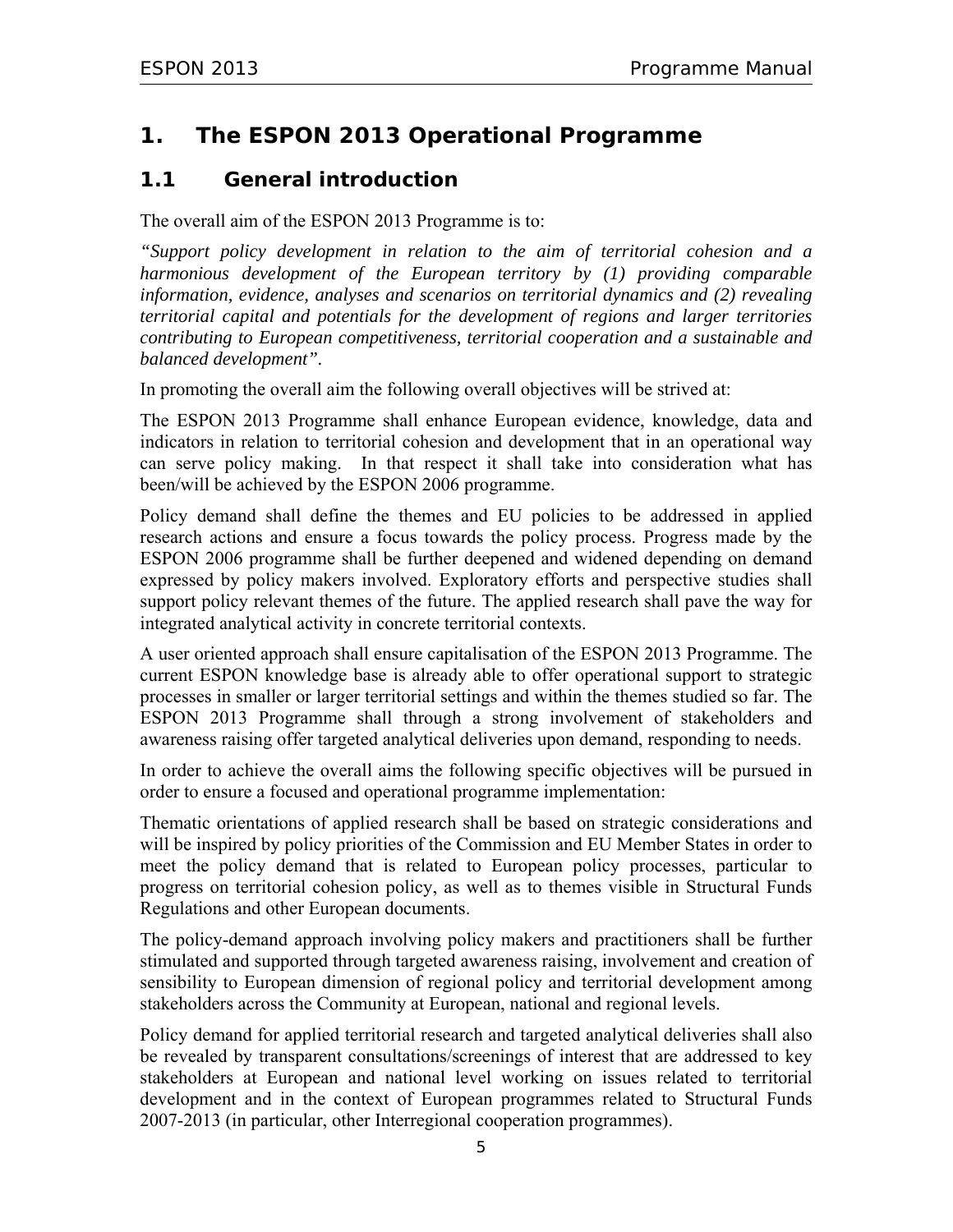# **1. The ESPON 2013 Operational Programme**

## **1.1 General introduction**

The overall aim of the ESPON 2013 Programme is to:

*"Support policy development in relation to the aim of territorial cohesion and a harmonious development of the European territory by (1) providing comparable information, evidence, analyses and scenarios on territorial dynamics and (2) revealing territorial capital and potentials for the development of regions and larger territories contributing to European competitiveness, territorial cooperation and a sustainable and balanced development".*

In promoting the overall aim the following overall objectives will be strived at:

The ESPON 2013 Programme shall enhance European evidence, knowledge, data and indicators in relation to territorial cohesion and development that in an operational way can serve policy making. In that respect it shall take into consideration what has been/will be achieved by the ESPON 2006 programme.

Policy demand shall define the themes and EU policies to be addressed in applied research actions and ensure a focus towards the policy process. Progress made by the ESPON 2006 programme shall be further deepened and widened depending on demand expressed by policy makers involved. Exploratory efforts and perspective studies shall support policy relevant themes of the future. The applied research shall pave the way for integrated analytical activity in concrete territorial contexts.

A user oriented approach shall ensure capitalisation of the ESPON 2013 Programme. The current ESPON knowledge base is already able to offer operational support to strategic processes in smaller or larger territorial settings and within the themes studied so far. The ESPON 2013 Programme shall through a strong involvement of stakeholders and awareness raising offer targeted analytical deliveries upon demand, responding to needs.

In order to achieve the overall aims the following specific objectives will be pursued in order to ensure a focused and operational programme implementation:

Thematic orientations of applied research shall be based on strategic considerations and will be inspired by policy priorities of the Commission and EU Member States in order to meet the policy demand that is related to European policy processes, particular to progress on territorial cohesion policy, as well as to themes visible in Structural Funds Regulations and other European documents.

The policy-demand approach involving policy makers and practitioners shall be further stimulated and supported through targeted awareness raising, involvement and creation of sensibility to European dimension of regional policy and territorial development among stakeholders across the Community at European, national and regional levels.

Policy demand for applied territorial research and targeted analytical deliveries shall also be revealed by transparent consultations/screenings of interest that are addressed to key stakeholders at European and national level working on issues related to territorial development and in the context of European programmes related to Structural Funds 2007-2013 (in particular, other Interregional cooperation programmes).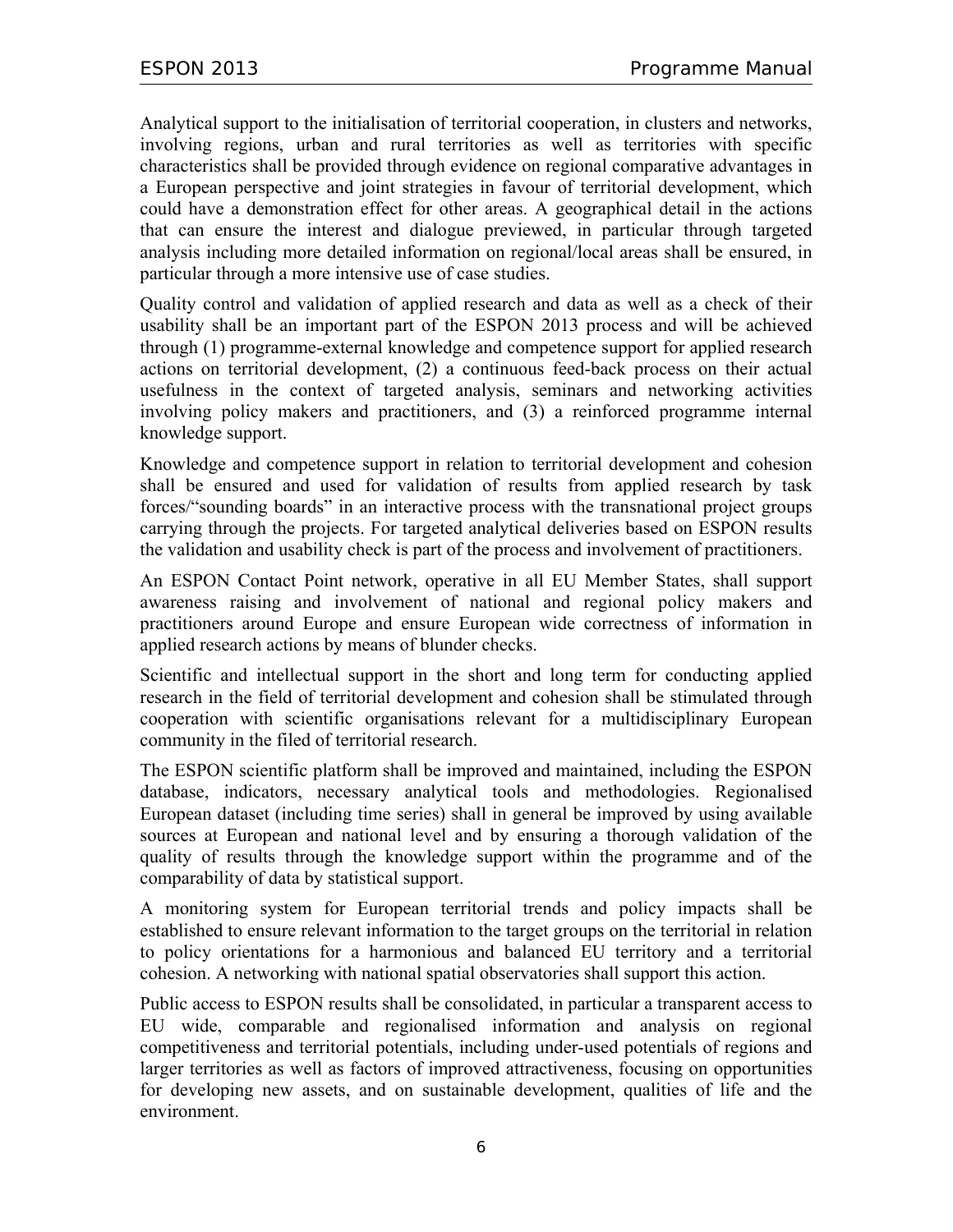Analytical support to the initialisation of territorial cooperation, in clusters and networks, involving regions, urban and rural territories as well as territories with specific characteristics shall be provided through evidence on regional comparative advantages in a European perspective and joint strategies in favour of territorial development, which could have a demonstration effect for other areas. A geographical detail in the actions that can ensure the interest and dialogue previewed, in particular through targeted analysis including more detailed information on regional/local areas shall be ensured, in particular through a more intensive use of case studies.

Quality control and validation of applied research and data as well as a check of their usability shall be an important part of the ESPON 2013 process and will be achieved through (1) programme-external knowledge and competence support for applied research actions on territorial development, (2) a continuous feed-back process on their actual usefulness in the context of targeted analysis, seminars and networking activities involving policy makers and practitioners, and (3) a reinforced programme internal knowledge support.

Knowledge and competence support in relation to territorial development and cohesion shall be ensured and used for validation of results from applied research by task forces/"sounding boards" in an interactive process with the transnational project groups carrying through the projects. For targeted analytical deliveries based on ESPON results the validation and usability check is part of the process and involvement of practitioners.

An ESPON Contact Point network, operative in all EU Member States, shall support awareness raising and involvement of national and regional policy makers and practitioners around Europe and ensure European wide correctness of information in applied research actions by means of blunder checks.

Scientific and intellectual support in the short and long term for conducting applied research in the field of territorial development and cohesion shall be stimulated through cooperation with scientific organisations relevant for a multidisciplinary European community in the filed of territorial research.

The ESPON scientific platform shall be improved and maintained, including the ESPON database, indicators, necessary analytical tools and methodologies. Regionalised European dataset (including time series) shall in general be improved by using available sources at European and national level and by ensuring a thorough validation of the quality of results through the knowledge support within the programme and of the comparability of data by statistical support.

A monitoring system for European territorial trends and policy impacts shall be established to ensure relevant information to the target groups on the territorial in relation to policy orientations for a harmonious and balanced EU territory and a territorial cohesion. A networking with national spatial observatories shall support this action.

Public access to ESPON results shall be consolidated, in particular a transparent access to EU wide, comparable and regionalised information and analysis on regional competitiveness and territorial potentials, including under-used potentials of regions and larger territories as well as factors of improved attractiveness, focusing on opportunities for developing new assets, and on sustainable development, qualities of life and the environment.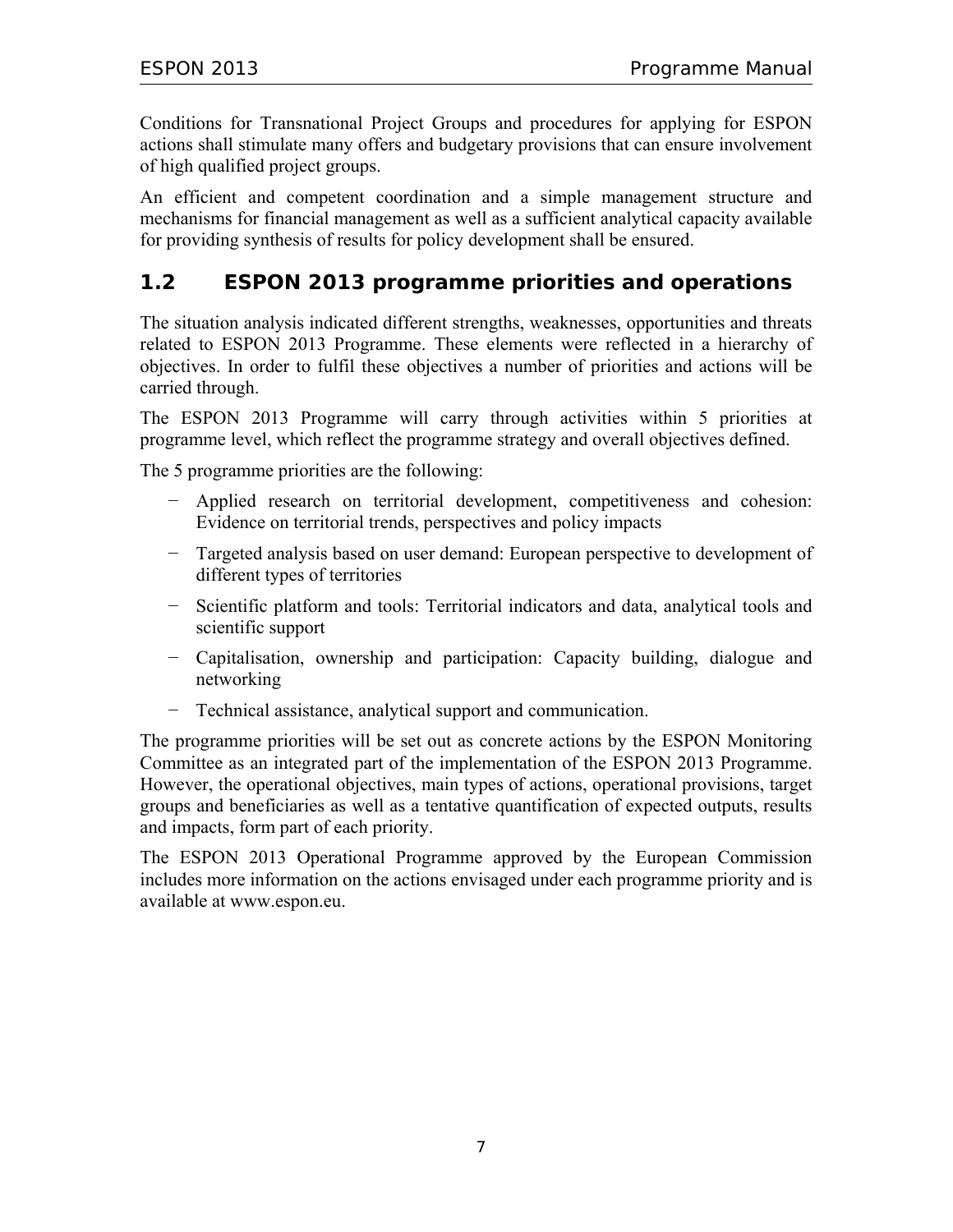Conditions for Transnational Project Groups and procedures for applying for ESPON actions shall stimulate many offers and budgetary provisions that can ensure involvement of high qualified project groups.

An efficient and competent coordination and a simple management structure and mechanisms for financial management as well as a sufficient analytical capacity available for providing synthesis of results for policy development shall be ensured.

## **1.2 ESPON 2013 programme priorities and operations**

The situation analysis indicated different strengths, weaknesses, opportunities and threats related to ESPON 2013 Programme. These elements were reflected in a hierarchy of objectives. In order to fulfil these objectives a number of priorities and actions will be carried through.

The ESPON 2013 Programme will carry through activities within 5 priorities at programme level, which reflect the programme strategy and overall objectives defined.

The 5 programme priorities are the following:

- − Applied research on territorial development, competitiveness and cohesion: Evidence on territorial trends, perspectives and policy impacts
- − Targeted analysis based on user demand: European perspective to development of different types of territories
- − Scientific platform and tools: Territorial indicators and data, analytical tools and scientific support
- − Capitalisation, ownership and participation: Capacity building, dialogue and networking
- − Technical assistance, analytical support and communication.

The programme priorities will be set out as concrete actions by the ESPON Monitoring Committee as an integrated part of the implementation of the ESPON 2013 Programme. However, the operational objectives, main types of actions, operational provisions, target groups and beneficiaries as well as a tentative quantification of expected outputs, results and impacts, form part of each priority.

The ESPON 2013 Operational Programme approved by the European Commission includes more information on the actions envisaged under each programme priority and is available at www.espon.eu.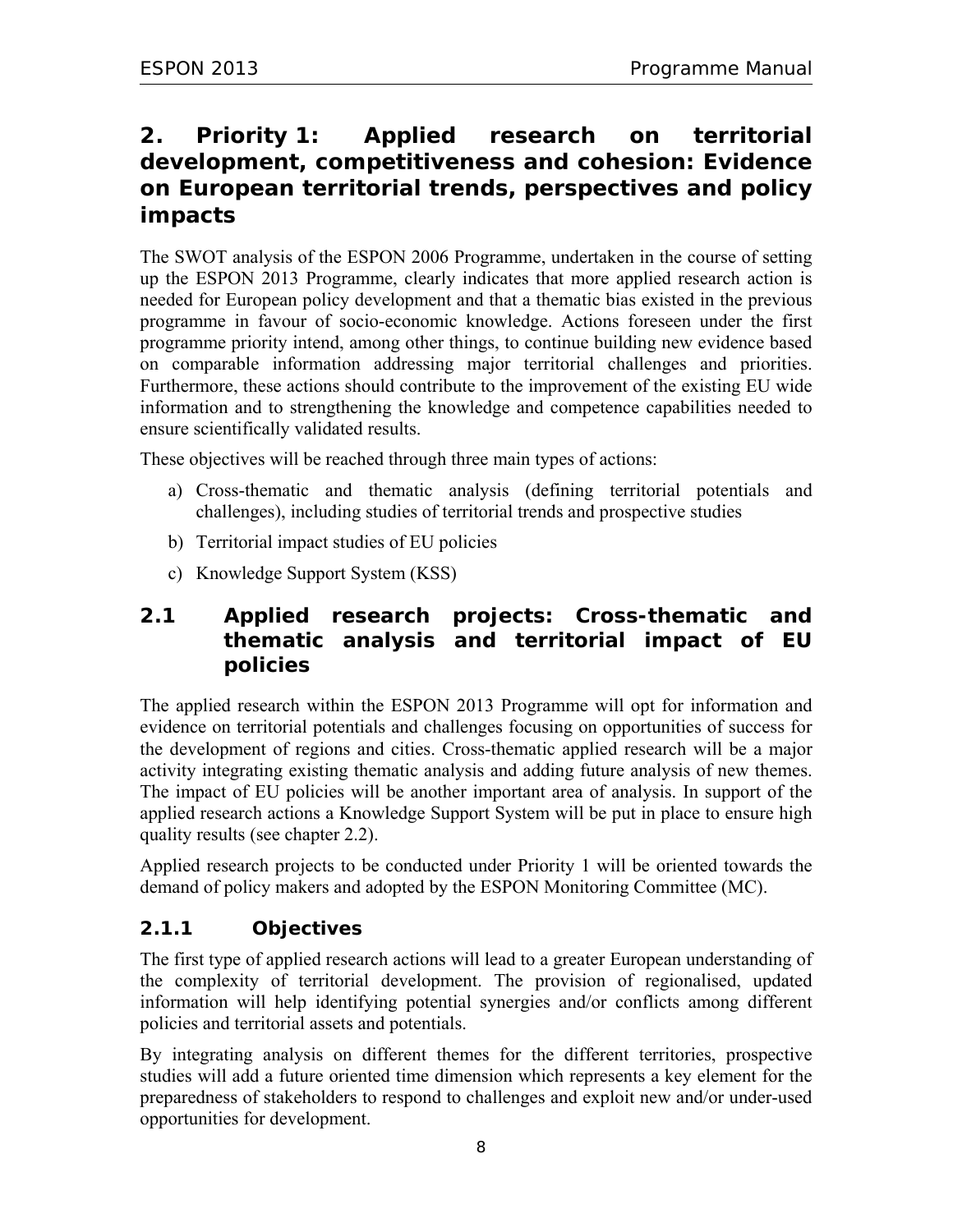# **2. Priority 1: Applied research on territorial development, competitiveness and cohesion: Evidence on European territorial trends, perspectives and policy impacts**

The SWOT analysis of the ESPON 2006 Programme, undertaken in the course of setting up the ESPON 2013 Programme, clearly indicates that more applied research action is needed for European policy development and that a thematic bias existed in the previous programme in favour of socio-economic knowledge. Actions foreseen under the first programme priority intend, among other things, to continue building new evidence based on comparable information addressing major territorial challenges and priorities. Furthermore, these actions should contribute to the improvement of the existing EU wide information and to strengthening the knowledge and competence capabilities needed to ensure scientifically validated results.

These objectives will be reached through three main types of actions:

- a) Cross-thematic and thematic analysis (defining territorial potentials and challenges), including studies of territorial trends and prospective studies
- b) Territorial impact studies of EU policies
- c) Knowledge Support System (KSS)

## **2.1 Applied research projects: Cross-thematic and thematic analysis and territorial impact of EU policies**

The applied research within the ESPON 2013 Programme will opt for information and evidence on territorial potentials and challenges focusing on opportunities of success for the development of regions and cities. Cross-thematic applied research will be a major activity integrating existing thematic analysis and adding future analysis of new themes. The impact of EU policies will be another important area of analysis. In support of the applied research actions a Knowledge Support System will be put in place to ensure high quality results (see chapter 2.2).

Applied research projects to be conducted under Priority 1 will be oriented towards the demand of policy makers and adopted by the ESPON Monitoring Committee (MC).

## **2.1.1 Objectives**

The first type of applied research actions will lead to a greater European understanding of the complexity of territorial development. The provision of regionalised, updated information will help identifying potential synergies and/or conflicts among different policies and territorial assets and potentials.

By integrating analysis on different themes for the different territories, prospective studies will add a future oriented time dimension which represents a key element for the preparedness of stakeholders to respond to challenges and exploit new and/or under-used opportunities for development.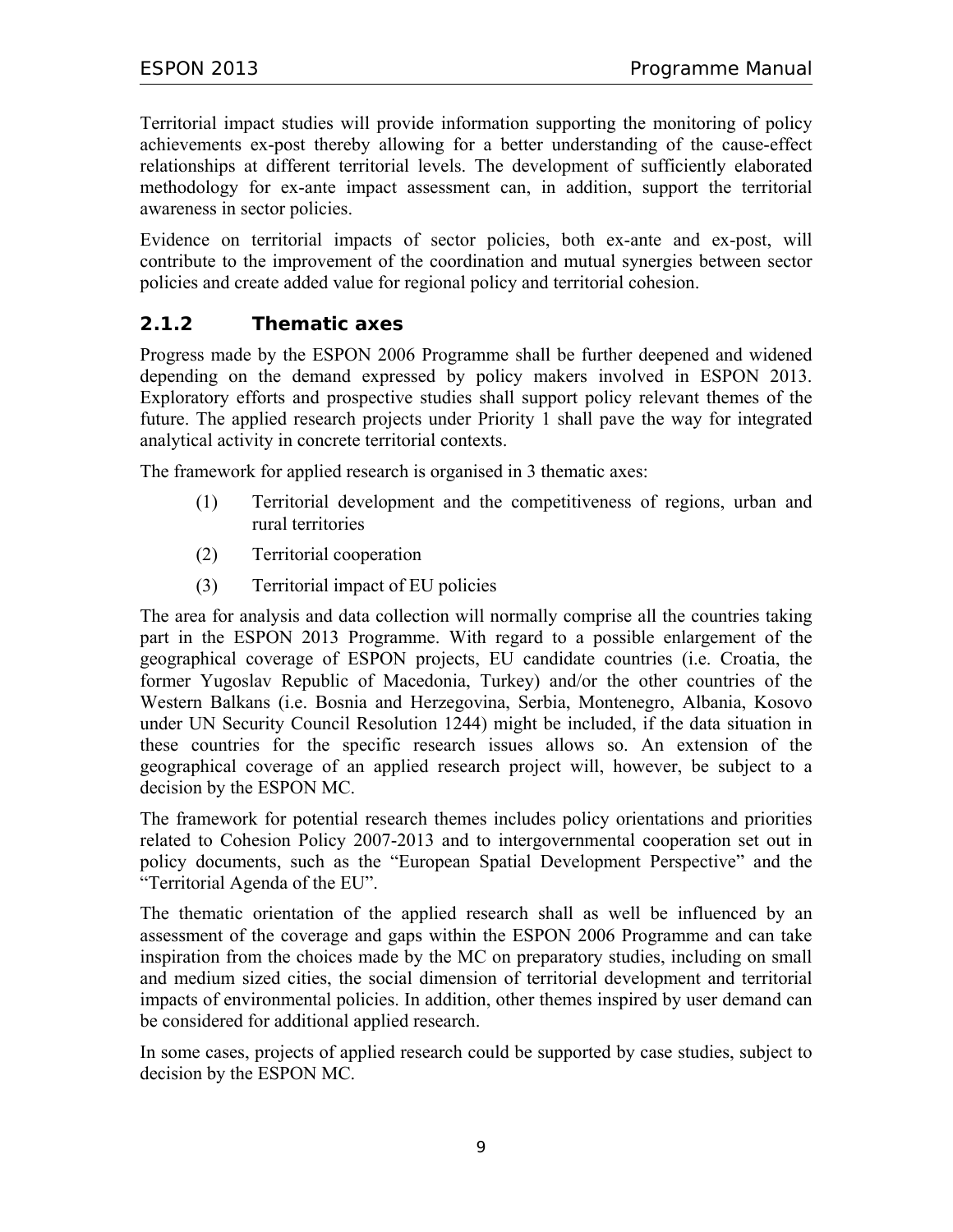Territorial impact studies will provide information supporting the monitoring of policy achievements ex-post thereby allowing for a better understanding of the cause-effect relationships at different territorial levels. The development of sufficiently elaborated methodology for ex-ante impact assessment can, in addition, support the territorial awareness in sector policies.

Evidence on territorial impacts of sector policies, both ex-ante and ex-post, will contribute to the improvement of the coordination and mutual synergies between sector policies and create added value for regional policy and territorial cohesion.

## **2.1.2 Thematic axes**

Progress made by the ESPON 2006 Programme shall be further deepened and widened depending on the demand expressed by policy makers involved in ESPON 2013. Exploratory efforts and prospective studies shall support policy relevant themes of the future. The applied research projects under Priority 1 shall pave the way for integrated analytical activity in concrete territorial contexts.

The framework for applied research is organised in 3 thematic axes:

- (1) Territorial development and the competitiveness of regions, urban and rural territories
- (2) Territorial cooperation
- (3) Territorial impact of EU policies

The area for analysis and data collection will normally comprise all the countries taking part in the ESPON 2013 Programme. With regard to a possible enlargement of the geographical coverage of ESPON projects, EU candidate countries (i.e. Croatia, the former Yugoslav Republic of Macedonia, Turkey) and/or the other countries of the Western Balkans (i.e. Bosnia and Herzegovina, Serbia, Montenegro, Albania, Kosovo under UN Security Council Resolution 1244) might be included, if the data situation in these countries for the specific research issues allows so. An extension of the geographical coverage of an applied research project will, however, be subject to a decision by the ESPON MC.

The framework for potential research themes includes policy orientations and priorities related to Cohesion Policy 2007-2013 and to intergovernmental cooperation set out in policy documents, such as the "European Spatial Development Perspective" and the "Territorial Agenda of the EU".

The thematic orientation of the applied research shall as well be influenced by an assessment of the coverage and gaps within the ESPON 2006 Programme and can take inspiration from the choices made by the MC on preparatory studies, including on small and medium sized cities, the social dimension of territorial development and territorial impacts of environmental policies. In addition, other themes inspired by user demand can be considered for additional applied research.

In some cases, projects of applied research could be supported by case studies, subject to decision by the ESPON MC.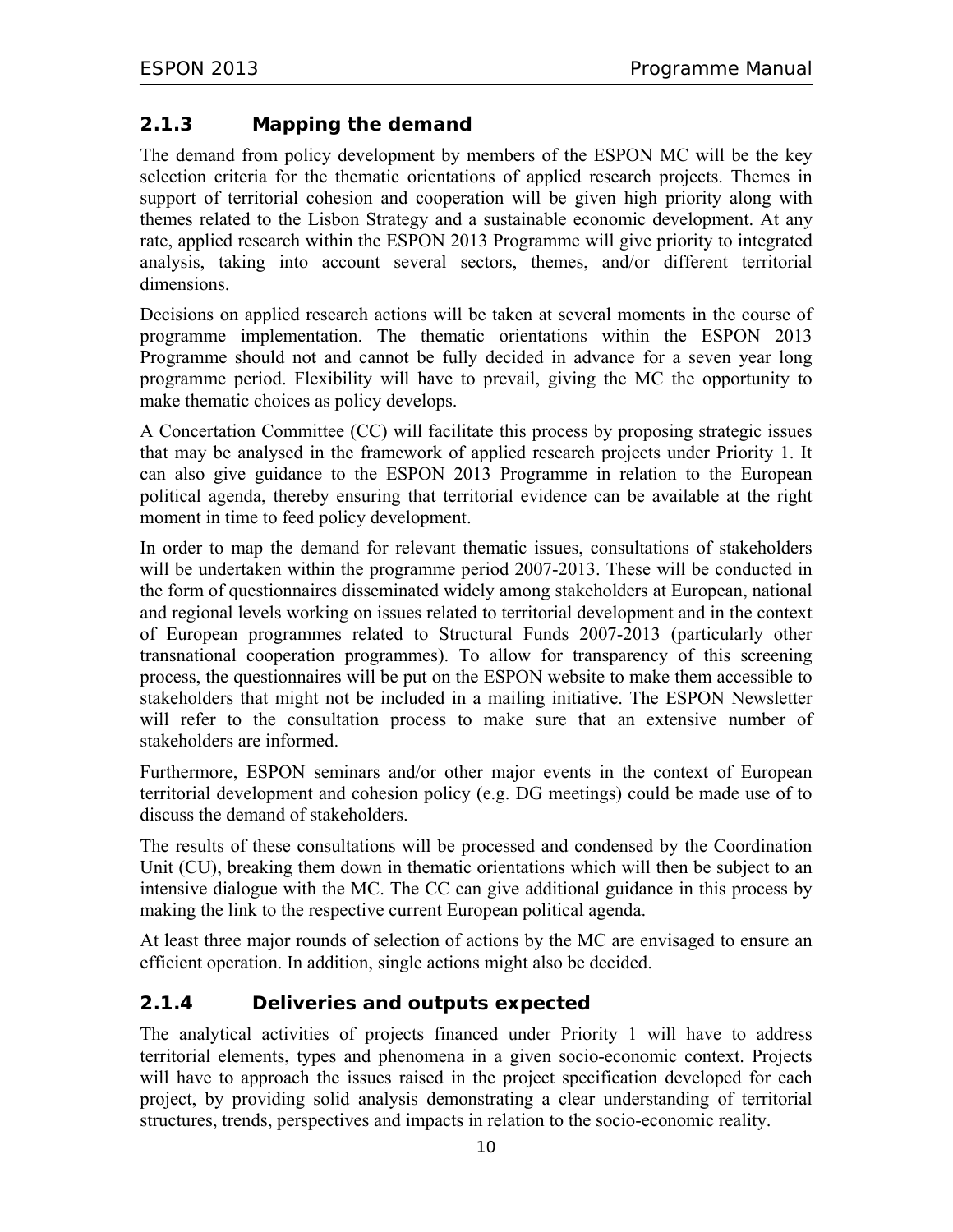## **2.1.3 Mapping the demand**

The demand from policy development by members of the ESPON MC will be the key selection criteria for the thematic orientations of applied research projects. Themes in support of territorial cohesion and cooperation will be given high priority along with themes related to the Lisbon Strategy and a sustainable economic development. At any rate, applied research within the ESPON 2013 Programme will give priority to integrated analysis, taking into account several sectors, themes, and/or different territorial dimensions.

Decisions on applied research actions will be taken at several moments in the course of programme implementation. The thematic orientations within the ESPON 2013 Programme should not and cannot be fully decided in advance for a seven year long programme period. Flexibility will have to prevail, giving the MC the opportunity to make thematic choices as policy develops.

A Concertation Committee (CC) will facilitate this process by proposing strategic issues that may be analysed in the framework of applied research projects under Priority 1. It can also give guidance to the ESPON 2013 Programme in relation to the European political agenda, thereby ensuring that territorial evidence can be available at the right moment in time to feed policy development.

In order to map the demand for relevant thematic issues, consultations of stakeholders will be undertaken within the programme period 2007-2013. These will be conducted in the form of questionnaires disseminated widely among stakeholders at European, national and regional levels working on issues related to territorial development and in the context of European programmes related to Structural Funds 2007-2013 (particularly other transnational cooperation programmes). To allow for transparency of this screening process, the questionnaires will be put on the ESPON website to make them accessible to stakeholders that might not be included in a mailing initiative. The ESPON Newsletter will refer to the consultation process to make sure that an extensive number of stakeholders are informed.

Furthermore, ESPON seminars and/or other major events in the context of European territorial development and cohesion policy (e.g. DG meetings) could be made use of to discuss the demand of stakeholders.

The results of these consultations will be processed and condensed by the Coordination Unit (CU), breaking them down in thematic orientations which will then be subject to an intensive dialogue with the MC. The CC can give additional guidance in this process by making the link to the respective current European political agenda.

At least three major rounds of selection of actions by the MC are envisaged to ensure an efficient operation. In addition, single actions might also be decided.

## **2.1.4 Deliveries and outputs expected**

The analytical activities of projects financed under Priority 1 will have to address territorial elements, types and phenomena in a given socio-economic context. Projects will have to approach the issues raised in the project specification developed for each project, by providing solid analysis demonstrating a clear understanding of territorial structures, trends, perspectives and impacts in relation to the socio-economic reality.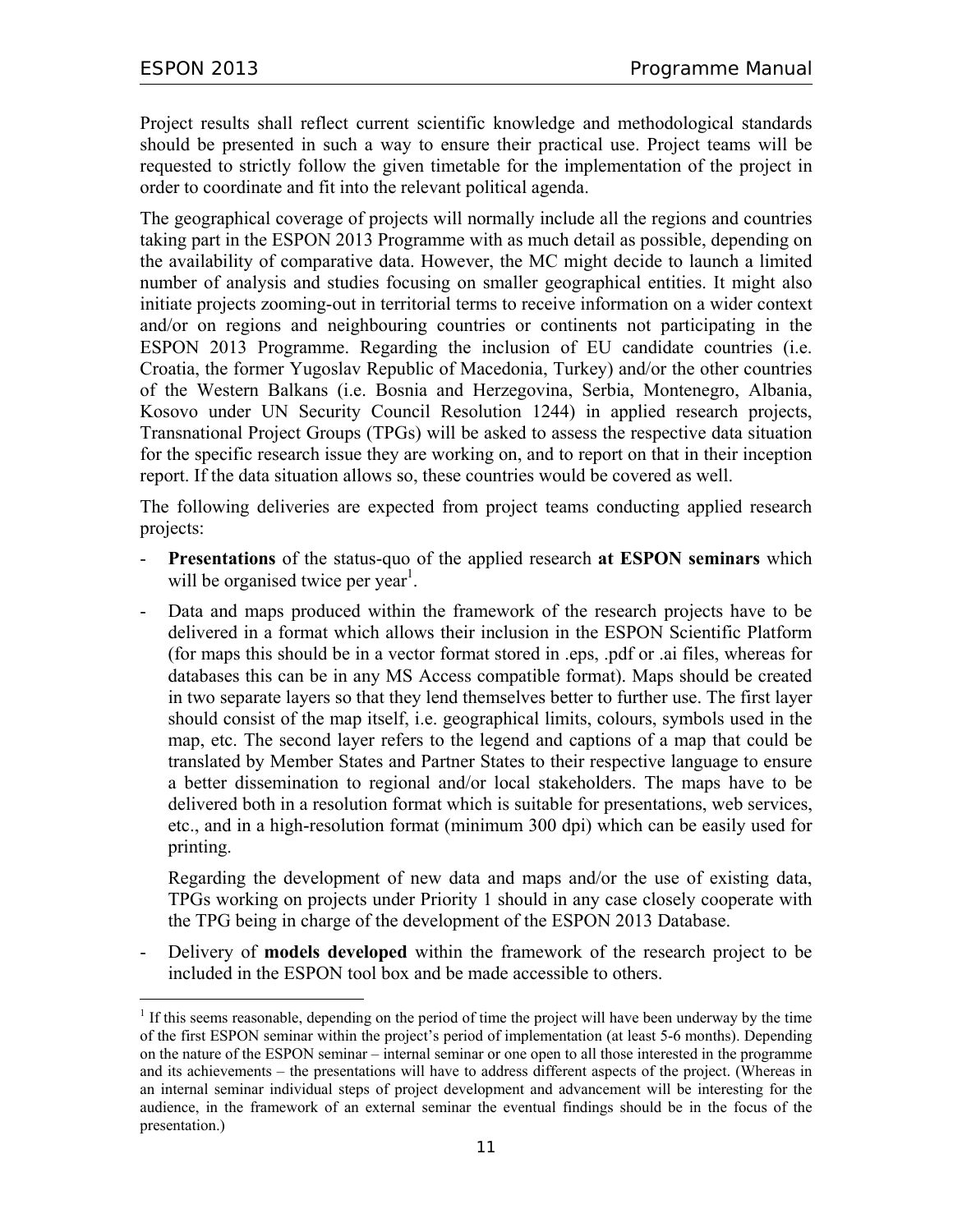-

Project results shall reflect current scientific knowledge and methodological standards should be presented in such a way to ensure their practical use. Project teams will be requested to strictly follow the given timetable for the implementation of the project in order to coordinate and fit into the relevant political agenda.

The geographical coverage of projects will normally include all the regions and countries taking part in the ESPON 2013 Programme with as much detail as possible, depending on the availability of comparative data. However, the MC might decide to launch a limited number of analysis and studies focusing on smaller geographical entities. It might also initiate projects zooming-out in territorial terms to receive information on a wider context and/or on regions and neighbouring countries or continents not participating in the ESPON 2013 Programme. Regarding the inclusion of EU candidate countries (i.e. Croatia, the former Yugoslav Republic of Macedonia, Turkey) and/or the other countries of the Western Balkans (i.e. Bosnia and Herzegovina, Serbia, Montenegro, Albania, Kosovo under UN Security Council Resolution 1244) in applied research projects, Transnational Project Groups (TPGs) will be asked to assess the respective data situation for the specific research issue they are working on, and to report on that in their inception report. If the data situation allows so, these countries would be covered as well.

The following deliveries are expected from project teams conducting applied research projects:

- **Presentations** of the status-quo of the applied research **at ESPON seminars** which will be organised twice per year<sup>1</sup>.
- Data and maps produced within the framework of the research projects have to be delivered in a format which allows their inclusion in the ESPON Scientific Platform (for maps this should be in a vector format stored in .eps, .pdf or .ai files, whereas for databases this can be in any MS Access compatible format). Maps should be created in two separate layers so that they lend themselves better to further use. The first layer should consist of the map itself, i.e. geographical limits, colours, symbols used in the map, etc. The second layer refers to the legend and captions of a map that could be translated by Member States and Partner States to their respective language to ensure a better dissemination to regional and/or local stakeholders. The maps have to be delivered both in a resolution format which is suitable for presentations, web services, etc., and in a high-resolution format (minimum 300 dpi) which can be easily used for printing.

Regarding the development of new data and maps and/or the use of existing data, TPGs working on projects under Priority 1 should in any case closely cooperate with the TPG being in charge of the development of the ESPON 2013 Database.

- Delivery of **models developed** within the framework of the research project to be included in the ESPON tool box and be made accessible to others.

 $<sup>1</sup>$  If this seems reasonable, depending on the period of time the project will have been underway by the time</sup> of the first ESPON seminar within the project's period of implementation (at least 5-6 months). Depending on the nature of the ESPON seminar – internal seminar or one open to all those interested in the programme and its achievements – the presentations will have to address different aspects of the project. (Whereas in an internal seminar individual steps of project development and advancement will be interesting for the audience, in the framework of an external seminar the eventual findings should be in the focus of the presentation.)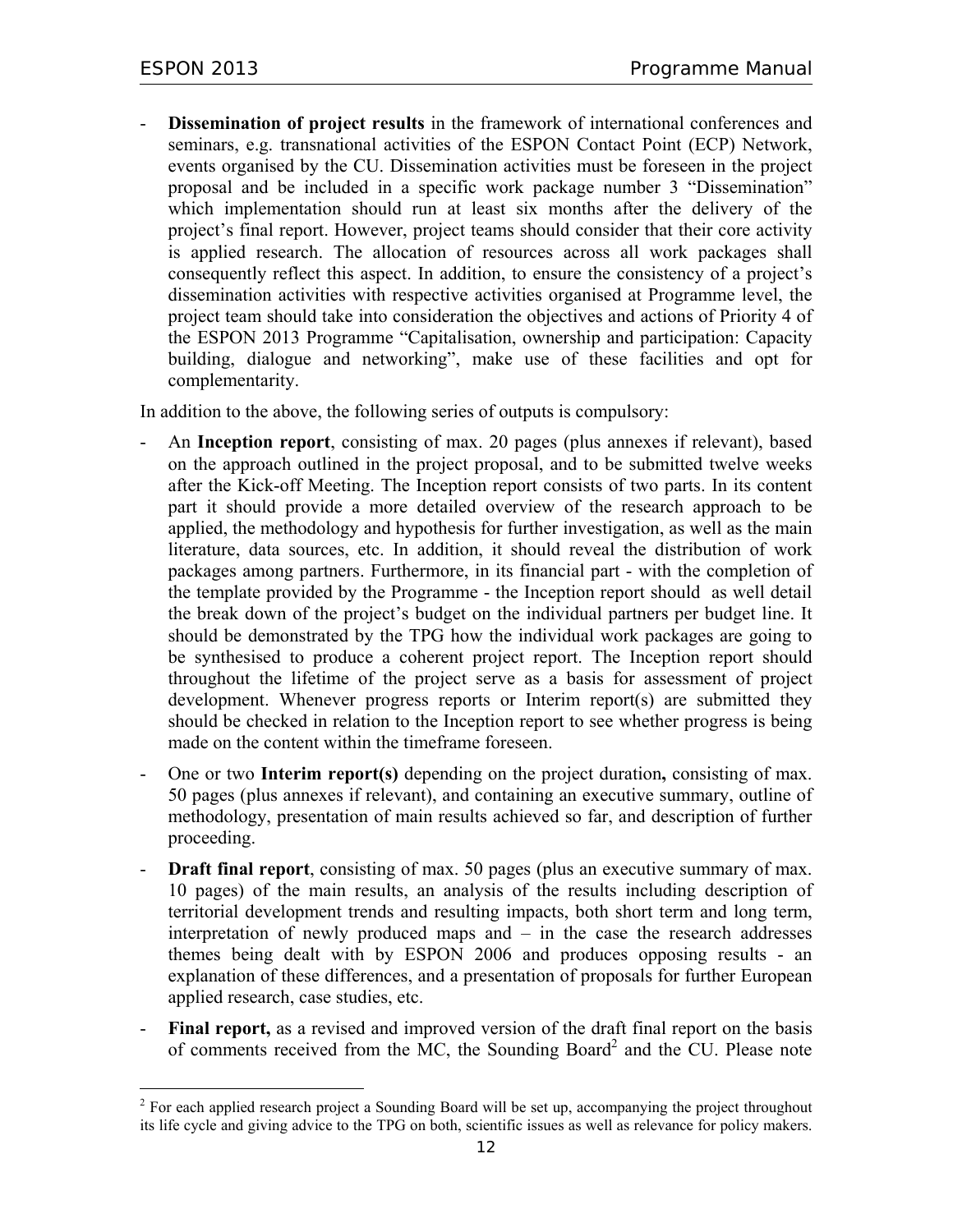$\overline{a}$ 

Dissemination of project results in the framework of international conferences and seminars, e.g. transnational activities of the ESPON Contact Point (ECP) Network, events organised by the CU. Dissemination activities must be foreseen in the project proposal and be included in a specific work package number 3 "Dissemination" which implementation should run at least six months after the delivery of the project's final report. However, project teams should consider that their core activity is applied research. The allocation of resources across all work packages shall consequently reflect this aspect. In addition, to ensure the consistency of a project's dissemination activities with respective activities organised at Programme level, the project team should take into consideration the objectives and actions of Priority 4 of the ESPON 2013 Programme "Capitalisation, ownership and participation: Capacity building, dialogue and networking", make use of these facilities and opt for complementarity.

In addition to the above, the following series of outputs is compulsory:

- An **Inception report**, consisting of max. 20 pages (plus annexes if relevant), based on the approach outlined in the project proposal, and to be submitted twelve weeks after the Kick-off Meeting. The Inception report consists of two parts. In its content part it should provide a more detailed overview of the research approach to be applied, the methodology and hypothesis for further investigation, as well as the main literature, data sources, etc. In addition, it should reveal the distribution of work packages among partners. Furthermore, in its financial part - with the completion of the template provided by the Programme - the Inception report should as well detail the break down of the project's budget on the individual partners per budget line. It should be demonstrated by the TPG how the individual work packages are going to be synthesised to produce a coherent project report. The Inception report should throughout the lifetime of the project serve as a basis for assessment of project development. Whenever progress reports or Interim report(s) are submitted they should be checked in relation to the Inception report to see whether progress is being made on the content within the timeframe foreseen.
- One or two **Interim report(s)** depending on the project duration**,** consisting of max. 50 pages (plus annexes if relevant), and containing an executive summary, outline of methodology, presentation of main results achieved so far, and description of further proceeding.
- **Draft final report**, consisting of max. 50 pages (plus an executive summary of max. 10 pages) of the main results, an analysis of the results including description of territorial development trends and resulting impacts, both short term and long term, interpretation of newly produced maps and – in the case the research addresses themes being dealt with by ESPON 2006 and produces opposing results - an explanation of these differences, and a presentation of proposals for further European applied research, case studies, etc.
- **Final report,** as a revised and improved version of the draft final report on the basis of comments received from the MC, the Sounding Board<sup>2</sup> and the CU. Please note

 $2^2$  For each applied research project a Sounding Board will be set up, accompanying the project throughout its life cycle and giving advice to the TPG on both, scientific issues as well as relevance for policy makers.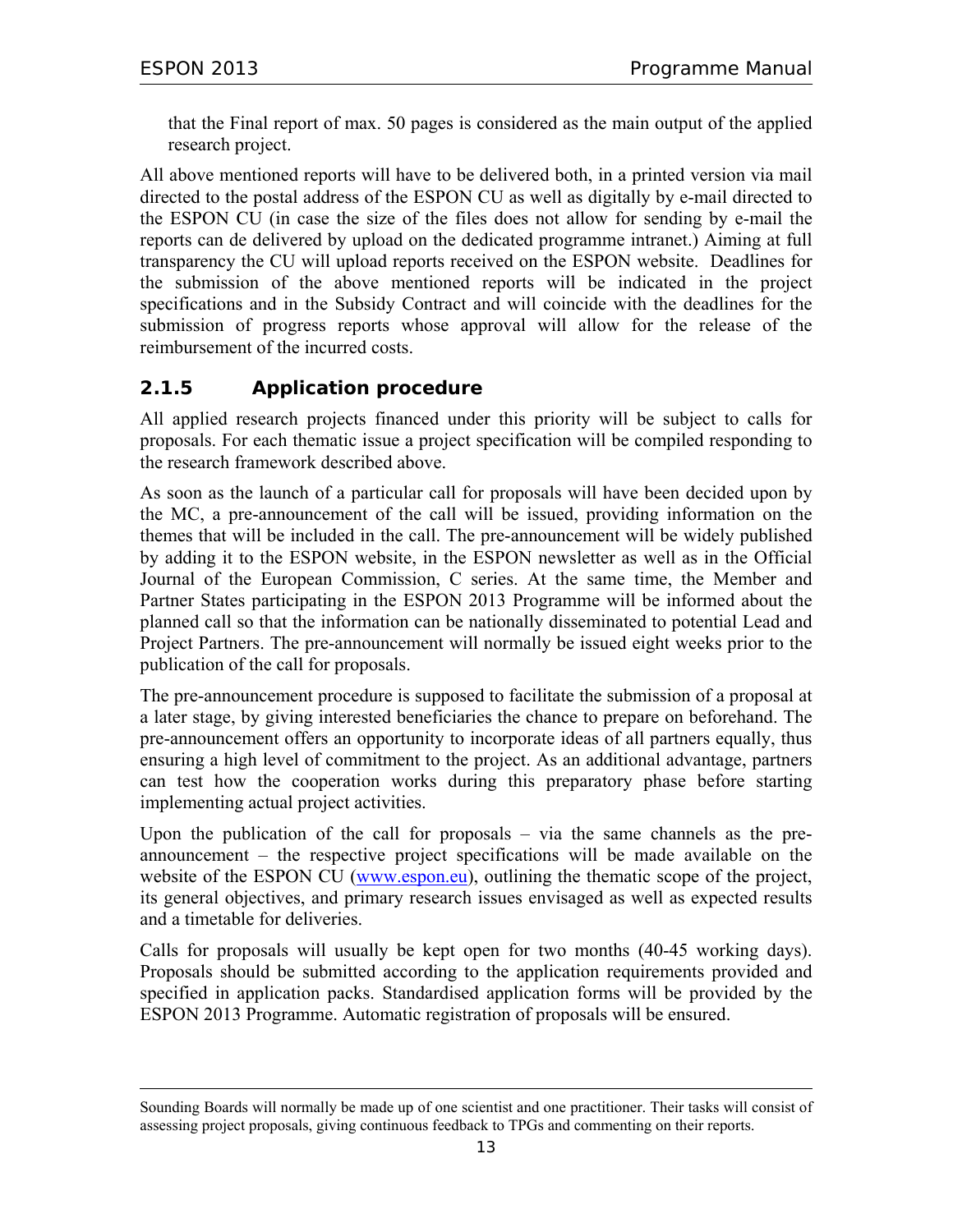-

that the Final report of max. 50 pages is considered as the main output of the applied research project.

All above mentioned reports will have to be delivered both, in a printed version via mail directed to the postal address of the ESPON CU as well as digitally by e-mail directed to the ESPON CU (in case the size of the files does not allow for sending by e-mail the reports can de delivered by upload on the dedicated programme intranet.) Aiming at full transparency the CU will upload reports received on the ESPON website. Deadlines for the submission of the above mentioned reports will be indicated in the project specifications and in the Subsidy Contract and will coincide with the deadlines for the submission of progress reports whose approval will allow for the release of the reimbursement of the incurred costs.

## **2.1.5 Application procedure**

All applied research projects financed under this priority will be subject to calls for proposals. For each thematic issue a project specification will be compiled responding to the research framework described above.

As soon as the launch of a particular call for proposals will have been decided upon by the MC, a pre-announcement of the call will be issued, providing information on the themes that will be included in the call. The pre-announcement will be widely published by adding it to the ESPON website, in the ESPON newsletter as well as in the Official Journal of the European Commission, C series. At the same time, the Member and Partner States participating in the ESPON 2013 Programme will be informed about the planned call so that the information can be nationally disseminated to potential Lead and Project Partners. The pre-announcement will normally be issued eight weeks prior to the publication of the call for proposals.

The pre-announcement procedure is supposed to facilitate the submission of a proposal at a later stage, by giving interested beneficiaries the chance to prepare on beforehand. The pre-announcement offers an opportunity to incorporate ideas of all partners equally, thus ensuring a high level of commitment to the project. As an additional advantage, partners can test how the cooperation works during this preparatory phase before starting implementing actual project activities.

Upon the publication of the call for proposals – via the same channels as the preannouncement – the respective project specifications will be made available on the website of the ESPON CU (www.espon.eu), outlining the thematic scope of the project, its general objectives, and primary research issues envisaged as well as expected results and a timetable for deliveries.

Calls for proposals will usually be kept open for two months (40-45 working days). Proposals should be submitted according to the application requirements provided and specified in application packs. Standardised application forms will be provided by the ESPON 2013 Programme. Automatic registration of proposals will be ensured.

Sounding Boards will normally be made up of one scientist and one practitioner. Their tasks will consist of assessing project proposals, giving continuous feedback to TPGs and commenting on their reports.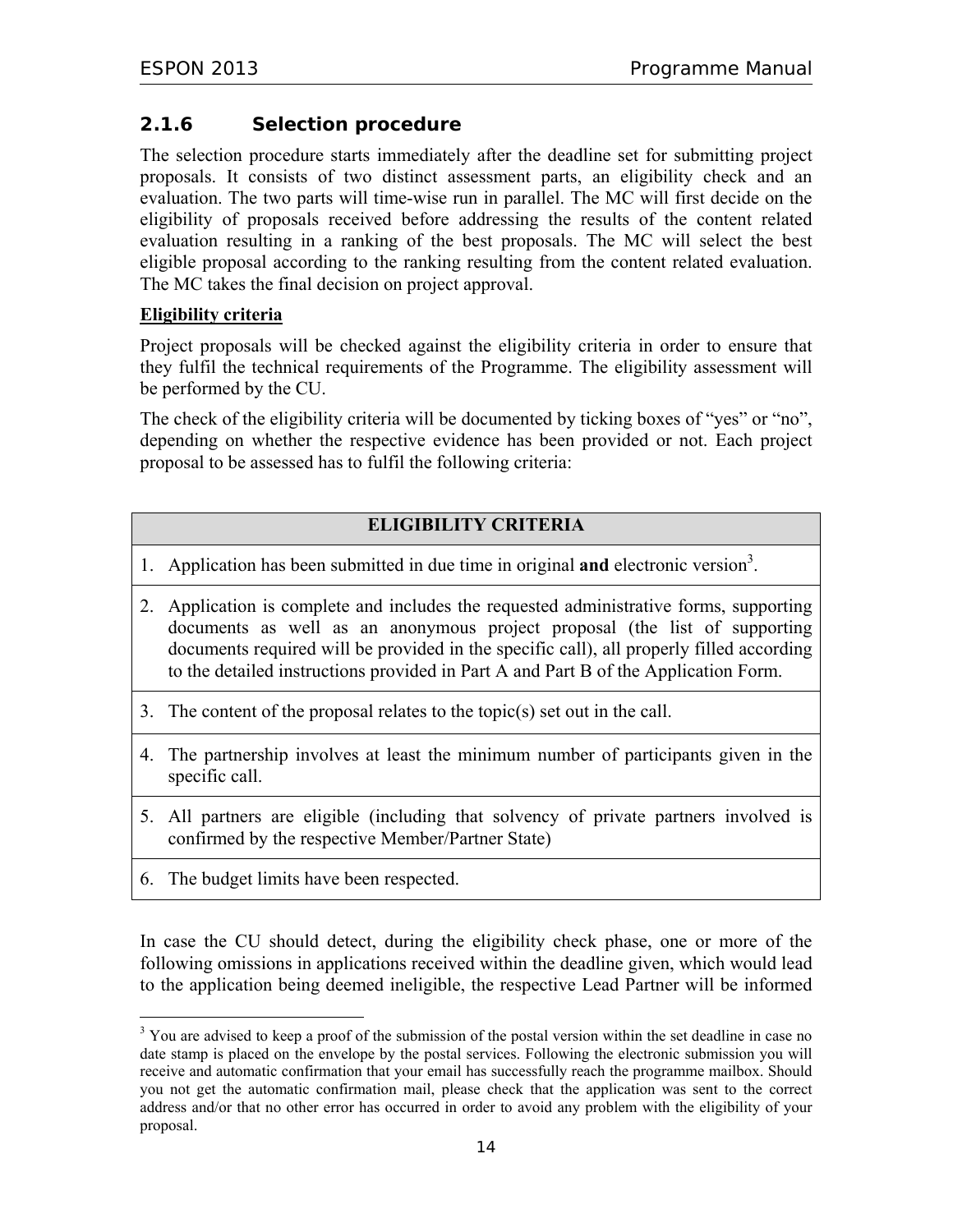## **2.1.6 Selection procedure**

The selection procedure starts immediately after the deadline set for submitting project proposals. It consists of two distinct assessment parts, an eligibility check and an evaluation. The two parts will time-wise run in parallel. The MC will first decide on the eligibility of proposals received before addressing the results of the content related evaluation resulting in a ranking of the best proposals. The MC will select the best eligible proposal according to the ranking resulting from the content related evaluation. The MC takes the final decision on project approval.

#### **Eligibility criteria**

Project proposals will be checked against the eligibility criteria in order to ensure that they fulfil the technical requirements of the Programme. The eligibility assessment will be performed by the CU.

The check of the eligibility criteria will be documented by ticking boxes of "yes" or "no", depending on whether the respective evidence has been provided or not. Each project proposal to be assessed has to fulfil the following criteria:

#### **ELIGIBILITY CRITERIA**

- 1. Application has been submitted in due time in original **and** electronic version<sup>3</sup>.
- 2. Application is complete and includes the requested administrative forms, supporting documents as well as an anonymous project proposal (the list of supporting documents required will be provided in the specific call), all properly filled according to the detailed instructions provided in Part A and Part B of the Application Form.
- 3. The content of the proposal relates to the topic(s) set out in the call.
- 4. The partnership involves at least the minimum number of participants given in the specific call.
- 5. All partners are eligible (including that solvency of private partners involved is confirmed by the respective Member/Partner State)
- 6. The budget limits have been respected.

 $\overline{a}$ 

In case the CU should detect, during the eligibility check phase, one or more of the following omissions in applications received within the deadline given, which would lead to the application being deemed ineligible, the respective Lead Partner will be informed

<sup>&</sup>lt;sup>3</sup> You are advised to keep a proof of the submission of the postal version within the set deadline in case no date stamp is placed on the envelope by the postal services. Following the electronic submission you will receive and automatic confirmation that your email has successfully reach the programme mailbox. Should you not get the automatic confirmation mail, please check that the application was sent to the correct address and/or that no other error has occurred in order to avoid any problem with the eligibility of your proposal.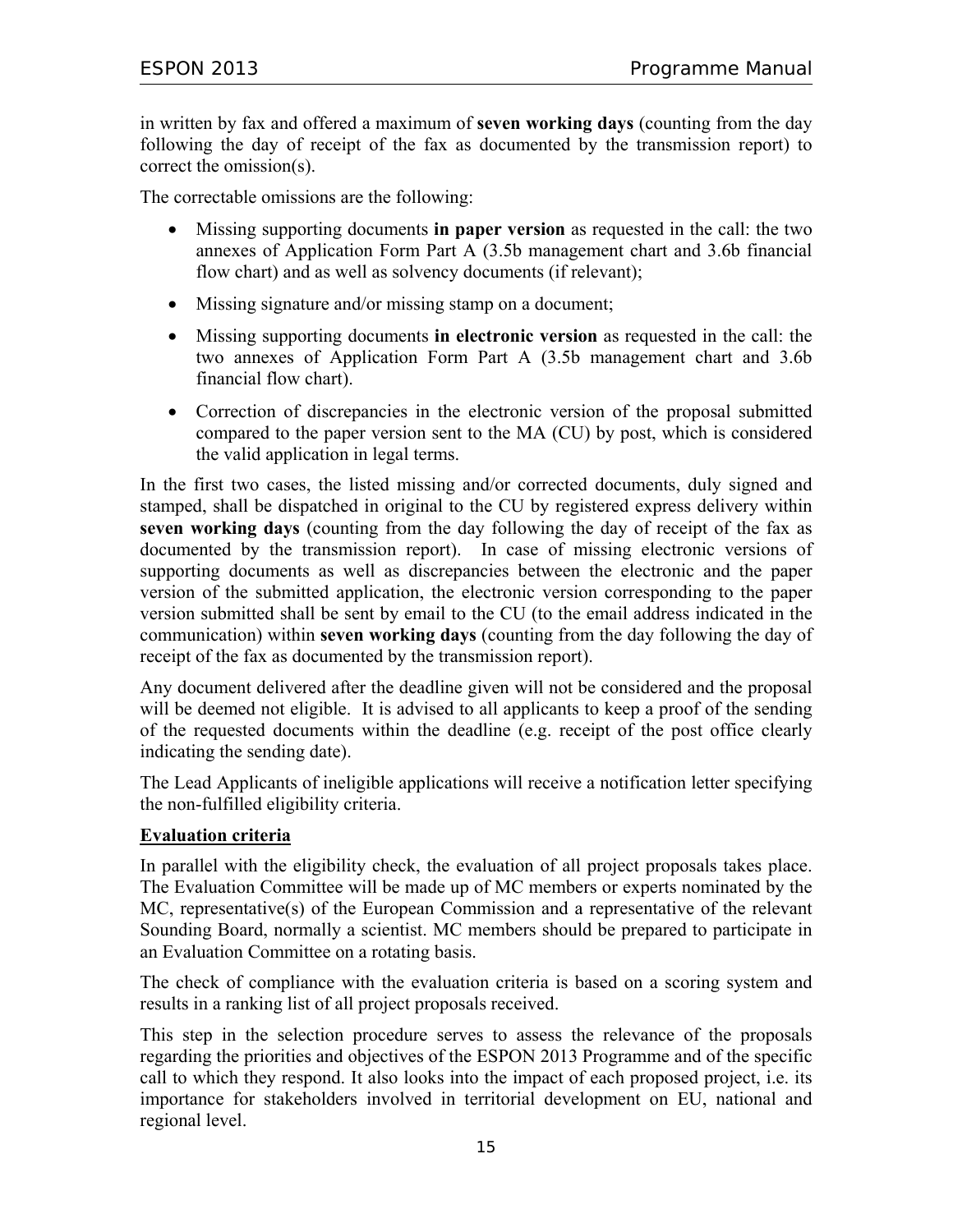in written by fax and offered a maximum of **seven working days** (counting from the day following the day of receipt of the fax as documented by the transmission report) to correct the omission(s).

The correctable omissions are the following:

- Missing supporting documents **in paper version** as requested in the call: the two annexes of Application Form Part A (3.5b management chart and 3.6b financial flow chart) and as well as solvency documents (if relevant);
- Missing signature and/or missing stamp on a document;
- Missing supporting documents **in electronic version** as requested in the call: the two annexes of Application Form Part A (3.5b management chart and 3.6b financial flow chart).
- Correction of discrepancies in the electronic version of the proposal submitted compared to the paper version sent to the MA (CU) by post, which is considered the valid application in legal terms.

In the first two cases, the listed missing and/or corrected documents, duly signed and stamped, shall be dispatched in original to the CU by registered express delivery within **seven working days** (counting from the day following the day of receipt of the fax as documented by the transmission report). In case of missing electronic versions of supporting documents as well as discrepancies between the electronic and the paper version of the submitted application, the electronic version corresponding to the paper version submitted shall be sent by email to the CU (to the email address indicated in the communication) within **seven working days** (counting from the day following the day of receipt of the fax as documented by the transmission report).

Any document delivered after the deadline given will not be considered and the proposal will be deemed not eligible. It is advised to all applicants to keep a proof of the sending of the requested documents within the deadline (e.g. receipt of the post office clearly indicating the sending date).

The Lead Applicants of ineligible applications will receive a notification letter specifying the non-fulfilled eligibility criteria.

#### **Evaluation criteria**

In parallel with the eligibility check, the evaluation of all project proposals takes place. The Evaluation Committee will be made up of MC members or experts nominated by the MC, representative(s) of the European Commission and a representative of the relevant Sounding Board, normally a scientist. MC members should be prepared to participate in an Evaluation Committee on a rotating basis.

The check of compliance with the evaluation criteria is based on a scoring system and results in a ranking list of all project proposals received.

This step in the selection procedure serves to assess the relevance of the proposals regarding the priorities and objectives of the ESPON 2013 Programme and of the specific call to which they respond. It also looks into the impact of each proposed project, i.e. its importance for stakeholders involved in territorial development on EU, national and regional level.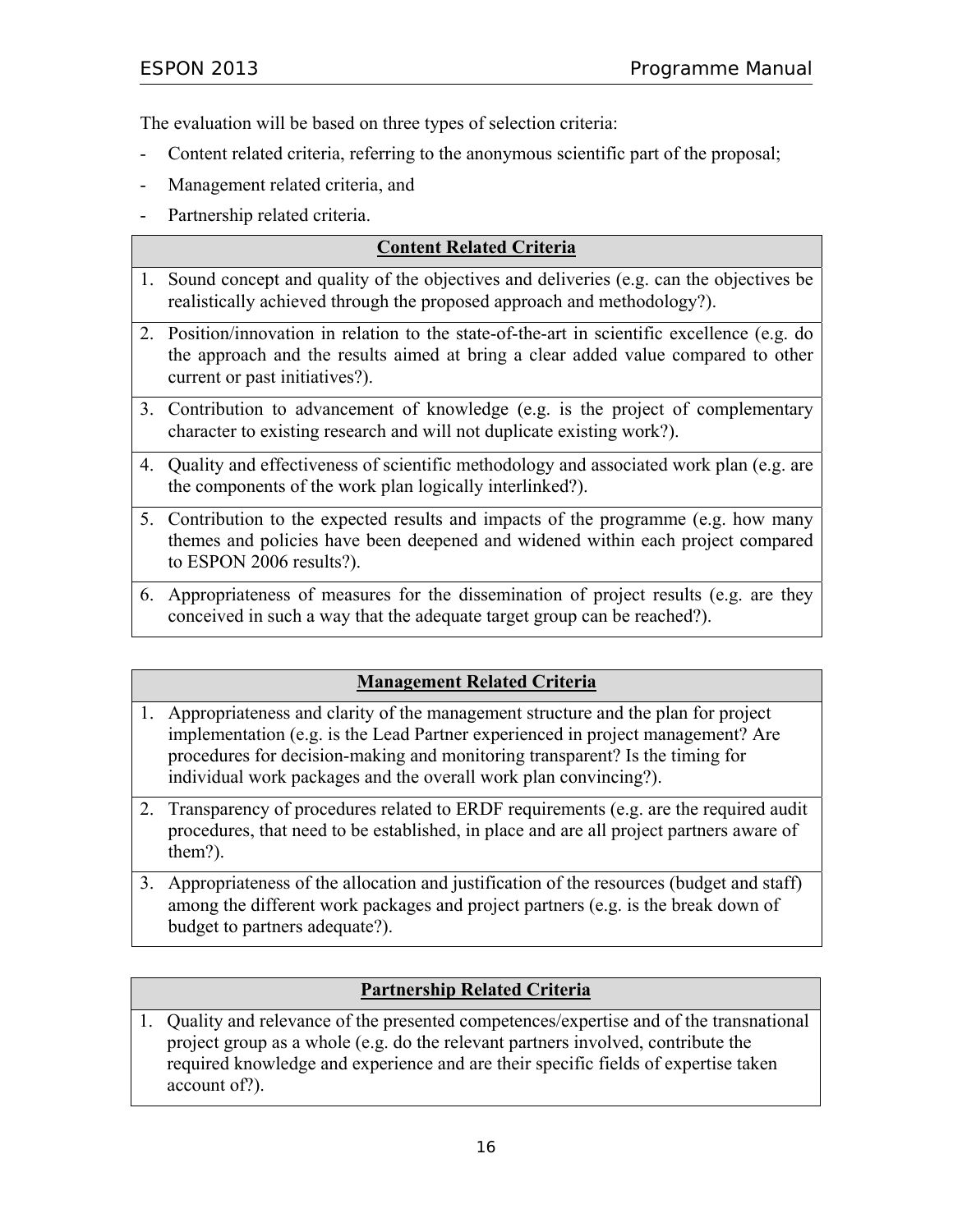The evaluation will be based on three types of selection criteria:

- Content related criteria, referring to the anonymous scientific part of the proposal;
- Management related criteria, and
- Partnership related criteria.

| <b>Content Related Criteria</b>                                                                                                                                                                                     |
|---------------------------------------------------------------------------------------------------------------------------------------------------------------------------------------------------------------------|
| 1. Sound concept and quality of the objectives and deliveries (e.g. can the objectives be<br>realistically achieved through the proposed approach and methodology?).                                                |
| 2. Position/innovation in relation to the state-of-the-art in scientific excellence (e.g. do<br>the approach and the results aimed at bring a clear added value compared to other<br>current or past initiatives?). |
| 3. Contribution to advancement of knowledge (e.g. is the project of complementary<br>character to existing research and will not duplicate existing work?).                                                         |
| 4. Quality and effectiveness of scientific methodology and associated work plan (e.g. are<br>the components of the work plan logically interlinked?).                                                               |
| 5. Contribution to the expected results and impacts of the programme (e.g. how many<br>themes and policies have been deepened and widened within each project compared<br>to ESPON 2006 results?).                  |
| 6. Appropriateness of measures for the dissemination of project results (e.g. are they                                                                                                                              |

conceived in such a way that the adequate target group can be reached?).

#### **Management Related Criteria**

- 1. Appropriateness and clarity of the management structure and the plan for project implementation (e.g. is the Lead Partner experienced in project management? Are procedures for decision-making and monitoring transparent? Is the timing for individual work packages and the overall work plan convincing?).
- 2. Transparency of procedures related to ERDF requirements (e.g. are the required audit procedures, that need to be established, in place and are all project partners aware of them?).
- 3. Appropriateness of the allocation and justification of the resources (budget and staff) among the different work packages and project partners (e.g. is the break down of budget to partners adequate?).

#### **Partnership Related Criteria**

1. Quality and relevance of the presented competences/expertise and of the transnational project group as a whole (e.g. do the relevant partners involved, contribute the required knowledge and experience and are their specific fields of expertise taken account of?).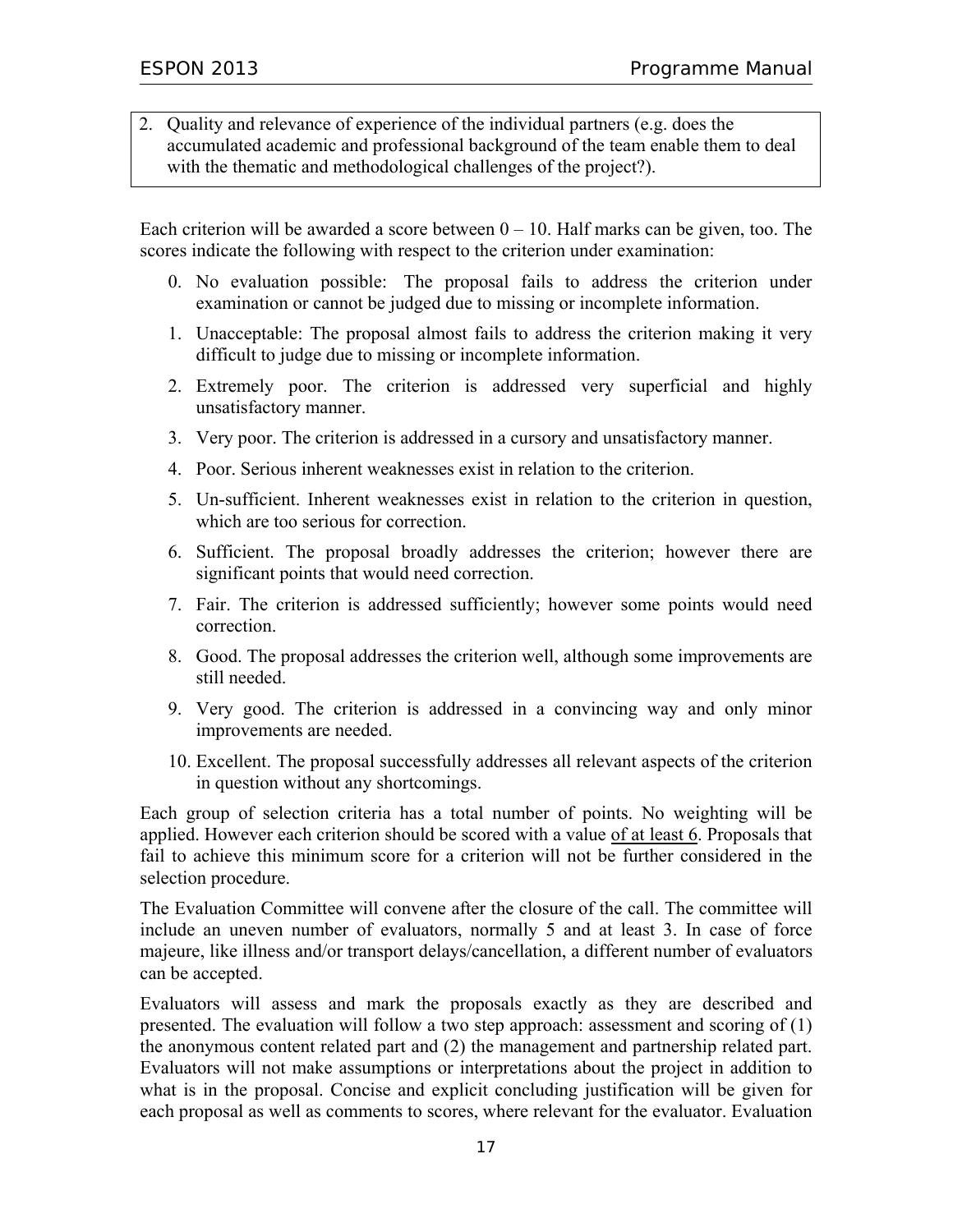2. Quality and relevance of experience of the individual partners (e.g. does the accumulated academic and professional background of the team enable them to deal with the thematic and methodological challenges of the project?).

Each criterion will be awarded a score between  $0 - 10$ . Half marks can be given, too. The scores indicate the following with respect to the criterion under examination:

- 0. No evaluation possible: The proposal fails to address the criterion under examination or cannot be judged due to missing or incomplete information.
- 1. Unacceptable: The proposal almost fails to address the criterion making it very difficult to judge due to missing or incomplete information.
- 2. Extremely poor. The criterion is addressed very superficial and highly unsatisfactory manner.
- 3. Very poor. The criterion is addressed in a cursory and unsatisfactory manner.
- 4. Poor. Serious inherent weaknesses exist in relation to the criterion.
- 5. Un-sufficient. Inherent weaknesses exist in relation to the criterion in question, which are too serious for correction.
- 6. Sufficient. The proposal broadly addresses the criterion; however there are significant points that would need correction.
- 7. Fair. The criterion is addressed sufficiently; however some points would need correction.
- 8. Good. The proposal addresses the criterion well, although some improvements are still needed.
- 9. Very good. The criterion is addressed in a convincing way and only minor improvements are needed.
- 10. Excellent. The proposal successfully addresses all relevant aspects of the criterion in question without any shortcomings.

Each group of selection criteria has a total number of points. No weighting will be applied. However each criterion should be scored with a value of at least 6. Proposals that fail to achieve this minimum score for a criterion will not be further considered in the selection procedure.

The Evaluation Committee will convene after the closure of the call. The committee will include an uneven number of evaluators, normally 5 and at least 3. In case of force majeure, like illness and/or transport delays/cancellation, a different number of evaluators can be accepted.

Evaluators will assess and mark the proposals exactly as they are described and presented. The evaluation will follow a two step approach: assessment and scoring of (1) the anonymous content related part and (2) the management and partnership related part. Evaluators will not make assumptions or interpretations about the project in addition to what is in the proposal. Concise and explicit concluding justification will be given for each proposal as well as comments to scores, where relevant for the evaluator. Evaluation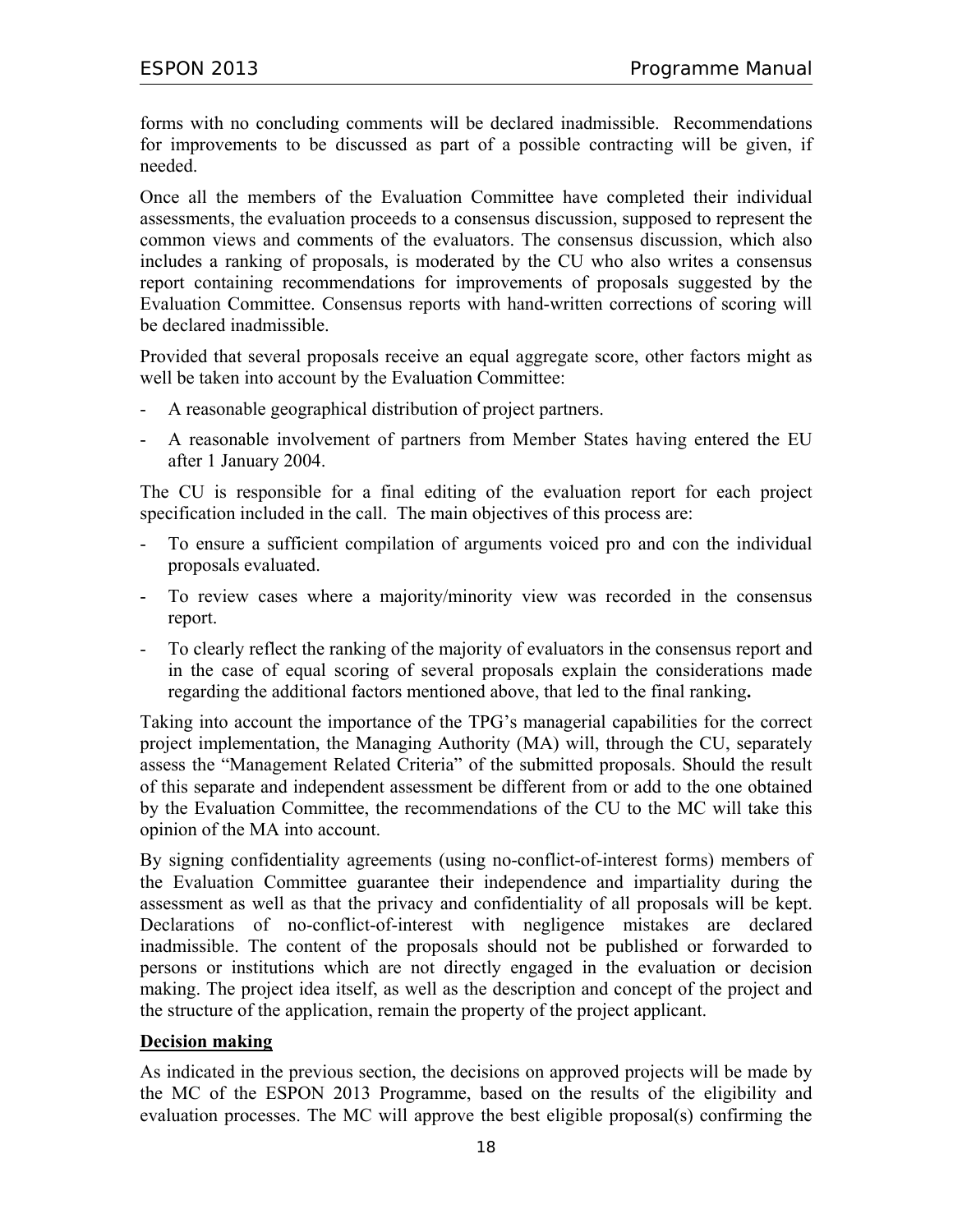forms with no concluding comments will be declared inadmissible. Recommendations for improvements to be discussed as part of a possible contracting will be given, if needed.

Once all the members of the Evaluation Committee have completed their individual assessments, the evaluation proceeds to a consensus discussion, supposed to represent the common views and comments of the evaluators. The consensus discussion, which also includes a ranking of proposals, is moderated by the CU who also writes a consensus report containing recommendations for improvements of proposals suggested by the Evaluation Committee. Consensus reports with hand-written corrections of scoring will be declared inadmissible.

Provided that several proposals receive an equal aggregate score, other factors might as well be taken into account by the Evaluation Committee:

- A reasonable geographical distribution of project partners.
- A reasonable involvement of partners from Member States having entered the EU after 1 January 2004.

The CU is responsible for a final editing of the evaluation report for each project specification included in the call. The main objectives of this process are:

- To ensure a sufficient compilation of arguments voiced pro and con the individual proposals evaluated.
- To review cases where a majority/minority view was recorded in the consensus report.
- To clearly reflect the ranking of the majority of evaluators in the consensus report and in the case of equal scoring of several proposals explain the considerations made regarding the additional factors mentioned above, that led to the final ranking**.**

Taking into account the importance of the TPG's managerial capabilities for the correct project implementation, the Managing Authority (MA) will, through the CU, separately assess the "Management Related Criteria" of the submitted proposals. Should the result of this separate and independent assessment be different from or add to the one obtained by the Evaluation Committee, the recommendations of the CU to the MC will take this opinion of the MA into account.

By signing confidentiality agreements (using no-conflict-of-interest forms) members of the Evaluation Committee guarantee their independence and impartiality during the assessment as well as that the privacy and confidentiality of all proposals will be kept. Declarations of no-conflict-of-interest with negligence mistakes are declared inadmissible. The content of the proposals should not be published or forwarded to persons or institutions which are not directly engaged in the evaluation or decision making. The project idea itself, as well as the description and concept of the project and the structure of the application, remain the property of the project applicant.

#### **Decision making**

As indicated in the previous section, the decisions on approved projects will be made by the MC of the ESPON 2013 Programme, based on the results of the eligibility and evaluation processes. The MC will approve the best eligible proposal(s) confirming the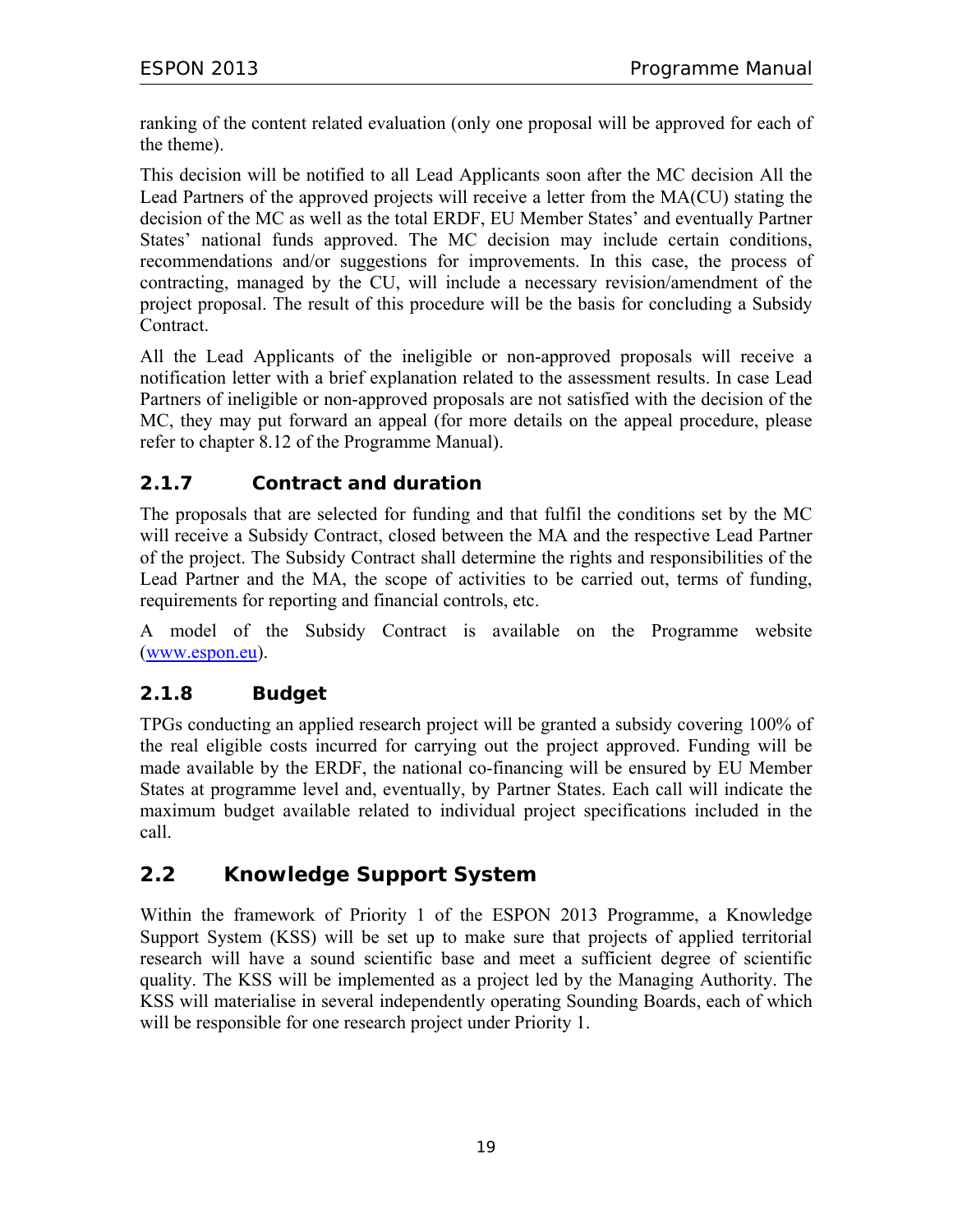ranking of the content related evaluation (only one proposal will be approved for each of the theme).

This decision will be notified to all Lead Applicants soon after the MC decision All the Lead Partners of the approved projects will receive a letter from the MA(CU) stating the decision of the MC as well as the total ERDF, EU Member States' and eventually Partner States' national funds approved. The MC decision may include certain conditions, recommendations and/or suggestions for improvements. In this case, the process of contracting, managed by the CU, will include a necessary revision/amendment of the project proposal. The result of this procedure will be the basis for concluding a Subsidy Contract.

All the Lead Applicants of the ineligible or non-approved proposals will receive a notification letter with a brief explanation related to the assessment results. In case Lead Partners of ineligible or non-approved proposals are not satisfied with the decision of the MC, they may put forward an appeal (for more details on the appeal procedure, please refer to chapter 8.12 of the Programme Manual).

## **2.1.7 Contract and duration**

The proposals that are selected for funding and that fulfil the conditions set by the MC will receive a Subsidy Contract, closed between the MA and the respective Lead Partner of the project. The Subsidy Contract shall determine the rights and responsibilities of the Lead Partner and the MA, the scope of activities to be carried out, terms of funding, requirements for reporting and financial controls, etc.

A model of the Subsidy Contract is available on the Programme website (www.espon.eu).

## **2.1.8 Budget**

TPGs conducting an applied research project will be granted a subsidy covering 100% of the real eligible costs incurred for carrying out the project approved. Funding will be made available by the ERDF, the national co-financing will be ensured by EU Member States at programme level and, eventually, by Partner States. Each call will indicate the maximum budget available related to individual project specifications included in the call.

## **2.2 Knowledge Support System**

Within the framework of Priority 1 of the ESPON 2013 Programme, a Knowledge Support System (KSS) will be set up to make sure that projects of applied territorial research will have a sound scientific base and meet a sufficient degree of scientific quality. The KSS will be implemented as a project led by the Managing Authority. The KSS will materialise in several independently operating Sounding Boards, each of which will be responsible for one research project under Priority 1.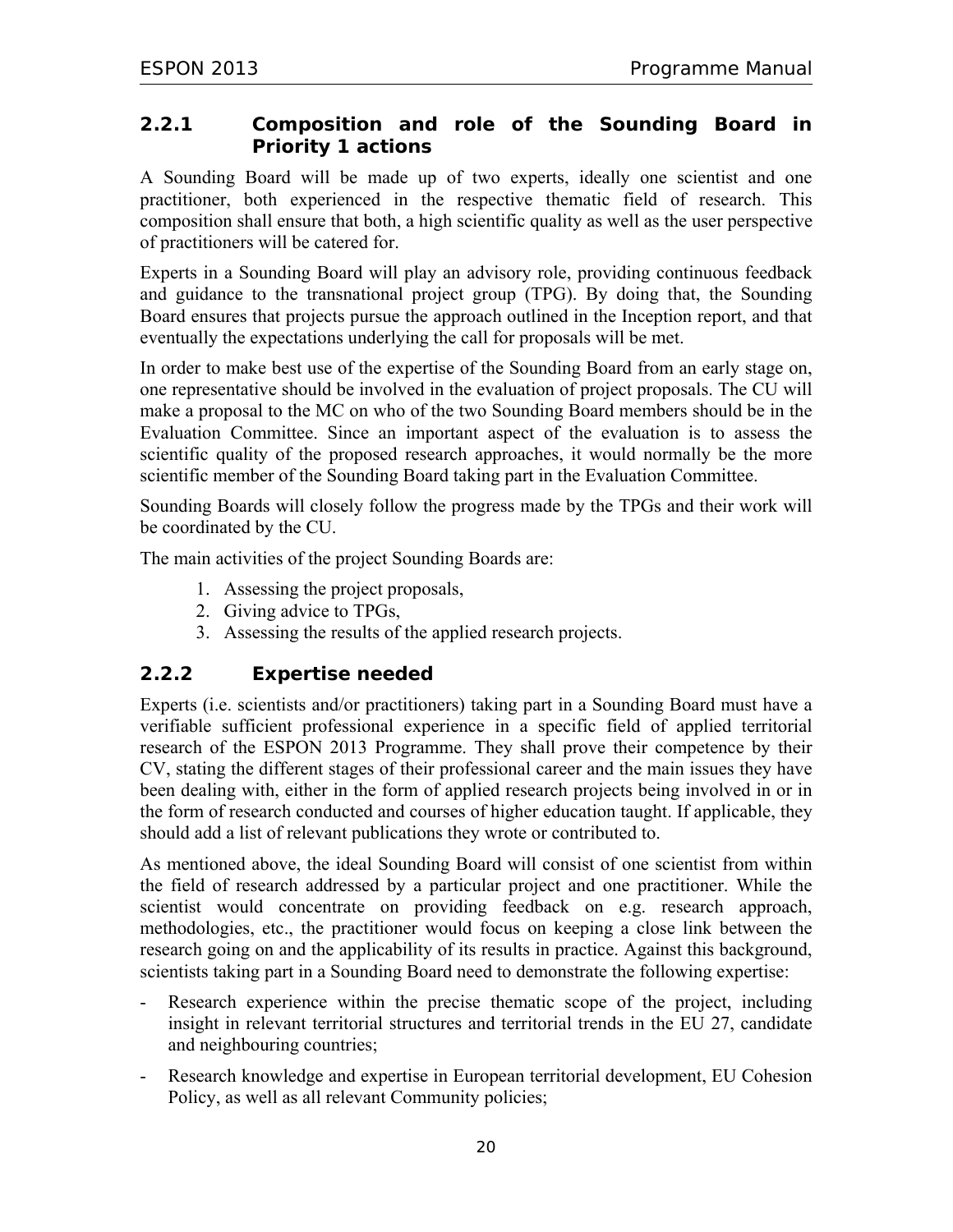## **2.2.1 Composition and role of the Sounding Board in Priority 1 actions**

A Sounding Board will be made up of two experts, ideally one scientist and one practitioner, both experienced in the respective thematic field of research. This composition shall ensure that both, a high scientific quality as well as the user perspective of practitioners will be catered for.

Experts in a Sounding Board will play an advisory role, providing continuous feedback and guidance to the transnational project group (TPG). By doing that, the Sounding Board ensures that projects pursue the approach outlined in the Inception report, and that eventually the expectations underlying the call for proposals will be met.

In order to make best use of the expertise of the Sounding Board from an early stage on, one representative should be involved in the evaluation of project proposals. The CU will make a proposal to the MC on who of the two Sounding Board members should be in the Evaluation Committee. Since an important aspect of the evaluation is to assess the scientific quality of the proposed research approaches, it would normally be the more scientific member of the Sounding Board taking part in the Evaluation Committee.

Sounding Boards will closely follow the progress made by the TPGs and their work will be coordinated by the CU.

The main activities of the project Sounding Boards are:

- 1. Assessing the project proposals,
- 2. Giving advice to TPGs,
- 3. Assessing the results of the applied research projects.

## **2.2.2 Expertise needed**

Experts (i.e. scientists and/or practitioners) taking part in a Sounding Board must have a verifiable sufficient professional experience in a specific field of applied territorial research of the ESPON 2013 Programme. They shall prove their competence by their CV, stating the different stages of their professional career and the main issues they have been dealing with, either in the form of applied research projects being involved in or in the form of research conducted and courses of higher education taught. If applicable, they should add a list of relevant publications they wrote or contributed to.

As mentioned above, the ideal Sounding Board will consist of one scientist from within the field of research addressed by a particular project and one practitioner. While the scientist would concentrate on providing feedback on e.g. research approach, methodologies, etc., the practitioner would focus on keeping a close link between the research going on and the applicability of its results in practice. Against this background, scientists taking part in a Sounding Board need to demonstrate the following expertise:

- Research experience within the precise thematic scope of the project, including insight in relevant territorial structures and territorial trends in the EU 27, candidate and neighbouring countries;
- Research knowledge and expertise in European territorial development, EU Cohesion Policy, as well as all relevant Community policies;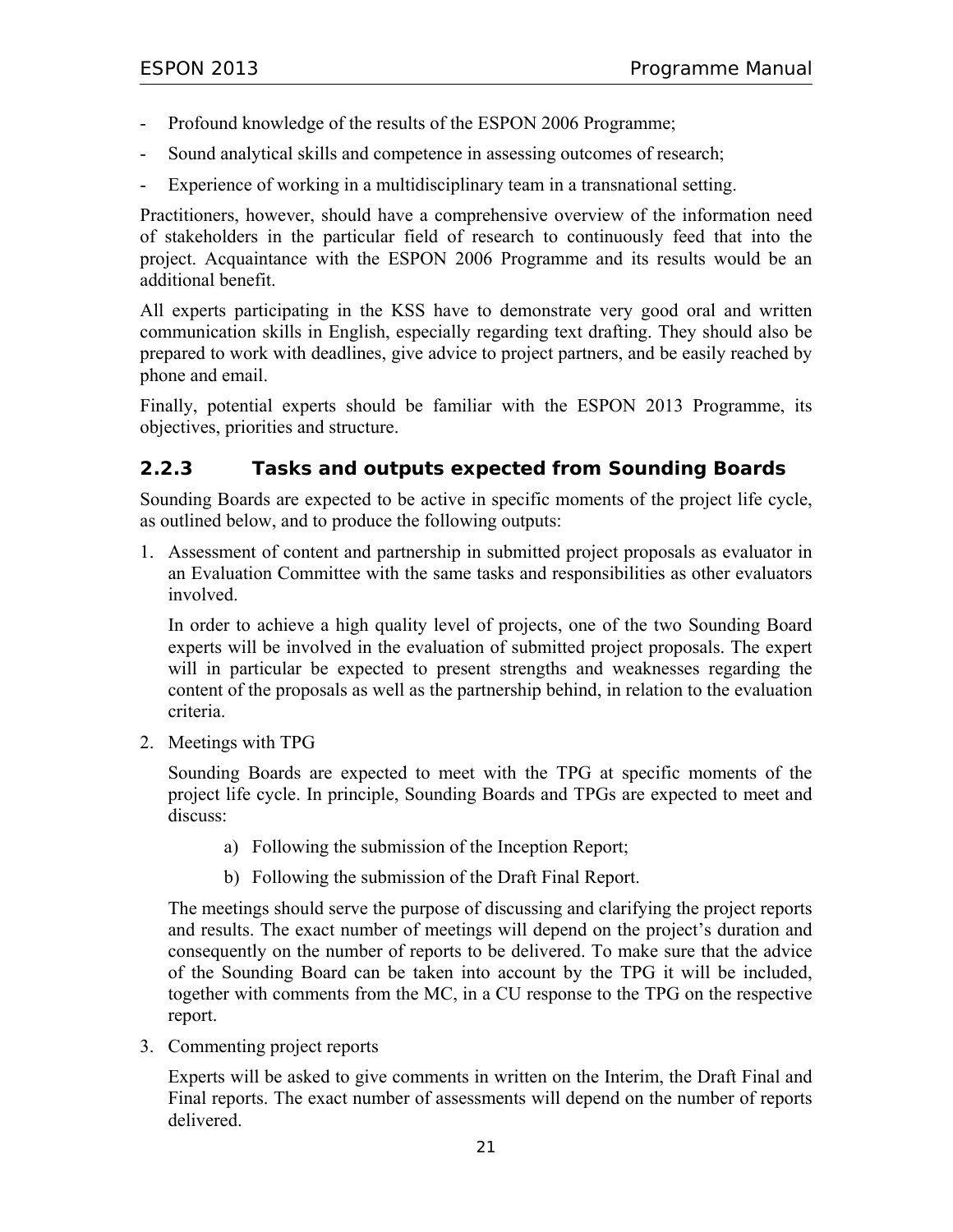- Profound knowledge of the results of the ESPON 2006 Programme;
- Sound analytical skills and competence in assessing outcomes of research;
- Experience of working in a multidisciplinary team in a transnational setting.

Practitioners, however, should have a comprehensive overview of the information need of stakeholders in the particular field of research to continuously feed that into the project. Acquaintance with the ESPON 2006 Programme and its results would be an additional benefit.

All experts participating in the KSS have to demonstrate very good oral and written communication skills in English, especially regarding text drafting. They should also be prepared to work with deadlines, give advice to project partners, and be easily reached by phone and email.

Finally, potential experts should be familiar with the ESPON 2013 Programme, its objectives, priorities and structure.

#### **2.2.3 Tasks and outputs expected from Sounding Boards**

Sounding Boards are expected to be active in specific moments of the project life cycle, as outlined below, and to produce the following outputs:

1. Assessment of content and partnership in submitted project proposals as evaluator in an Evaluation Committee with the same tasks and responsibilities as other evaluators involved.

In order to achieve a high quality level of projects, one of the two Sounding Board experts will be involved in the evaluation of submitted project proposals. The expert will in particular be expected to present strengths and weaknesses regarding the content of the proposals as well as the partnership behind, in relation to the evaluation criteria.

2. Meetings with TPG

Sounding Boards are expected to meet with the TPG at specific moments of the project life cycle. In principle, Sounding Boards and TPGs are expected to meet and discuss:

- a) Following the submission of the Inception Report;
- b) Following the submission of the Draft Final Report.

The meetings should serve the purpose of discussing and clarifying the project reports and results. The exact number of meetings will depend on the project's duration and consequently on the number of reports to be delivered. To make sure that the advice of the Sounding Board can be taken into account by the TPG it will be included, together with comments from the MC, in a CU response to the TPG on the respective report.

3. Commenting project reports

Experts will be asked to give comments in written on the Interim, the Draft Final and Final reports. The exact number of assessments will depend on the number of reports delivered.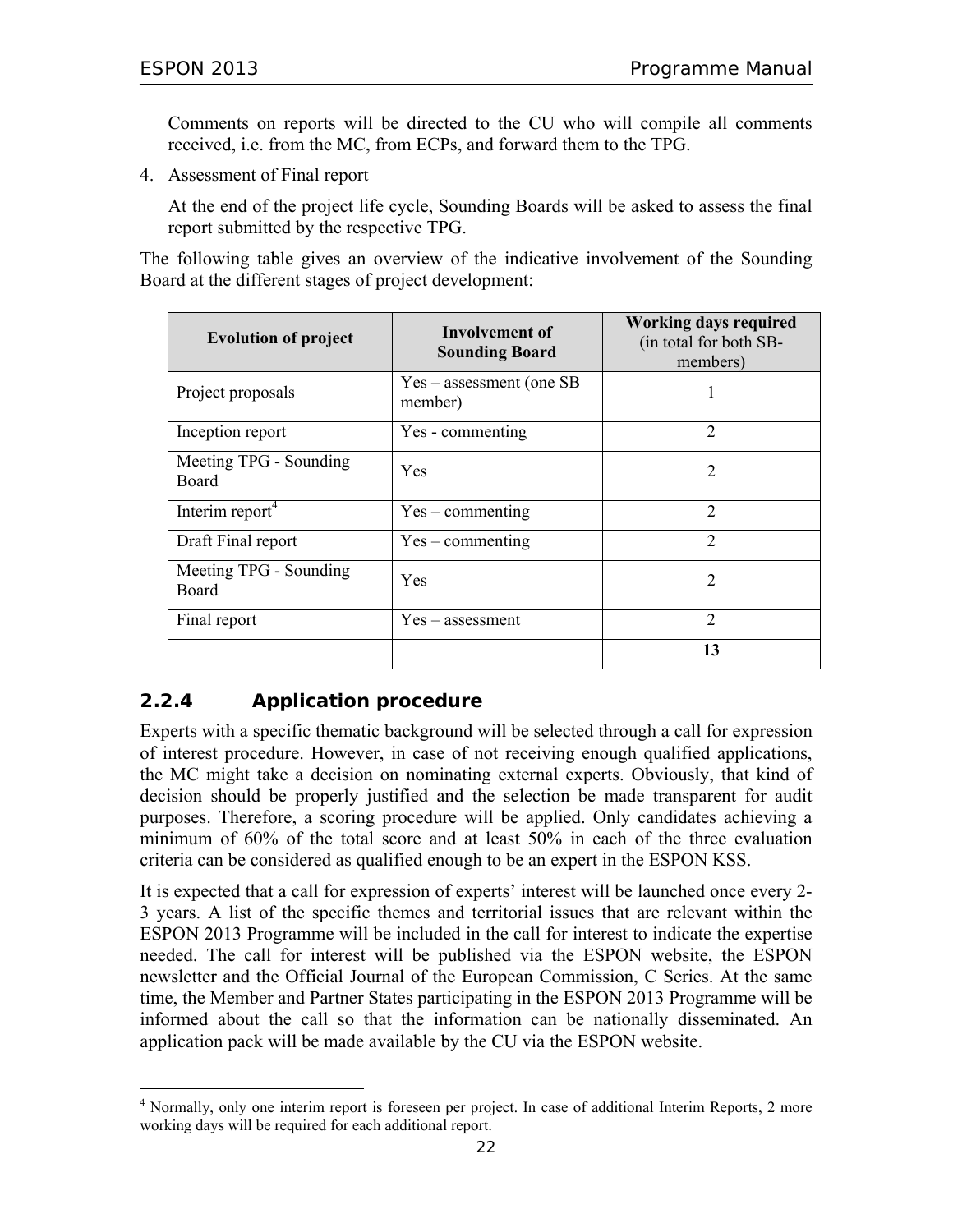Comments on reports will be directed to the CU who will compile all comments received, i.e. from the MC, from ECPs, and forward them to the TPG.

4. Assessment of Final report

At the end of the project life cycle, Sounding Boards will be asked to assess the final report submitted by the respective TPG.

The following table gives an overview of the indicative involvement of the Sounding Board at the different stages of project development:

| <b>Evolution of project</b>     | Involvement of<br><b>Sounding Board</b> | <b>Working days required</b><br>(in total for both SB-<br>members) |  |
|---------------------------------|-----------------------------------------|--------------------------------------------------------------------|--|
| Project proposals               | $Yes - assessment (one SB)$<br>member)  |                                                                    |  |
| Inception report                | Yes - commenting                        | $\overline{2}$                                                     |  |
| Meeting TPG - Sounding<br>Board | Yes                                     | 2                                                                  |  |
| Interim report <sup>4</sup>     | $Yes$ – commenting                      | $\overline{2}$                                                     |  |
| Draft Final report              | $Yes$ – commenting                      | $\overline{2}$                                                     |  |
| Meeting TPG - Sounding<br>Board | Yes                                     | 2                                                                  |  |
| Final report                    | $Yes - assessment$                      | $\mathcal{D}_{\mathcal{L}}$                                        |  |
|                                 |                                         | 13                                                                 |  |

## **2.2.4 Application procedure**

 $\overline{a}$ 

Experts with a specific thematic background will be selected through a call for expression of interest procedure. However, in case of not receiving enough qualified applications, the MC might take a decision on nominating external experts. Obviously, that kind of decision should be properly justified and the selection be made transparent for audit purposes. Therefore, a scoring procedure will be applied. Only candidates achieving a minimum of 60% of the total score and at least 50% in each of the three evaluation criteria can be considered as qualified enough to be an expert in the ESPON KSS.

It is expected that a call for expression of experts' interest will be launched once every 2- 3 years. A list of the specific themes and territorial issues that are relevant within the ESPON 2013 Programme will be included in the call for interest to indicate the expertise needed. The call for interest will be published via the ESPON website, the ESPON newsletter and the Official Journal of the European Commission, C Series. At the same time, the Member and Partner States participating in the ESPON 2013 Programme will be informed about the call so that the information can be nationally disseminated. An application pack will be made available by the CU via the ESPON website.

<sup>&</sup>lt;sup>4</sup> Normally, only one interim report is foreseen per project. In case of additional Interim Reports, 2 more working days will be required for each additional report.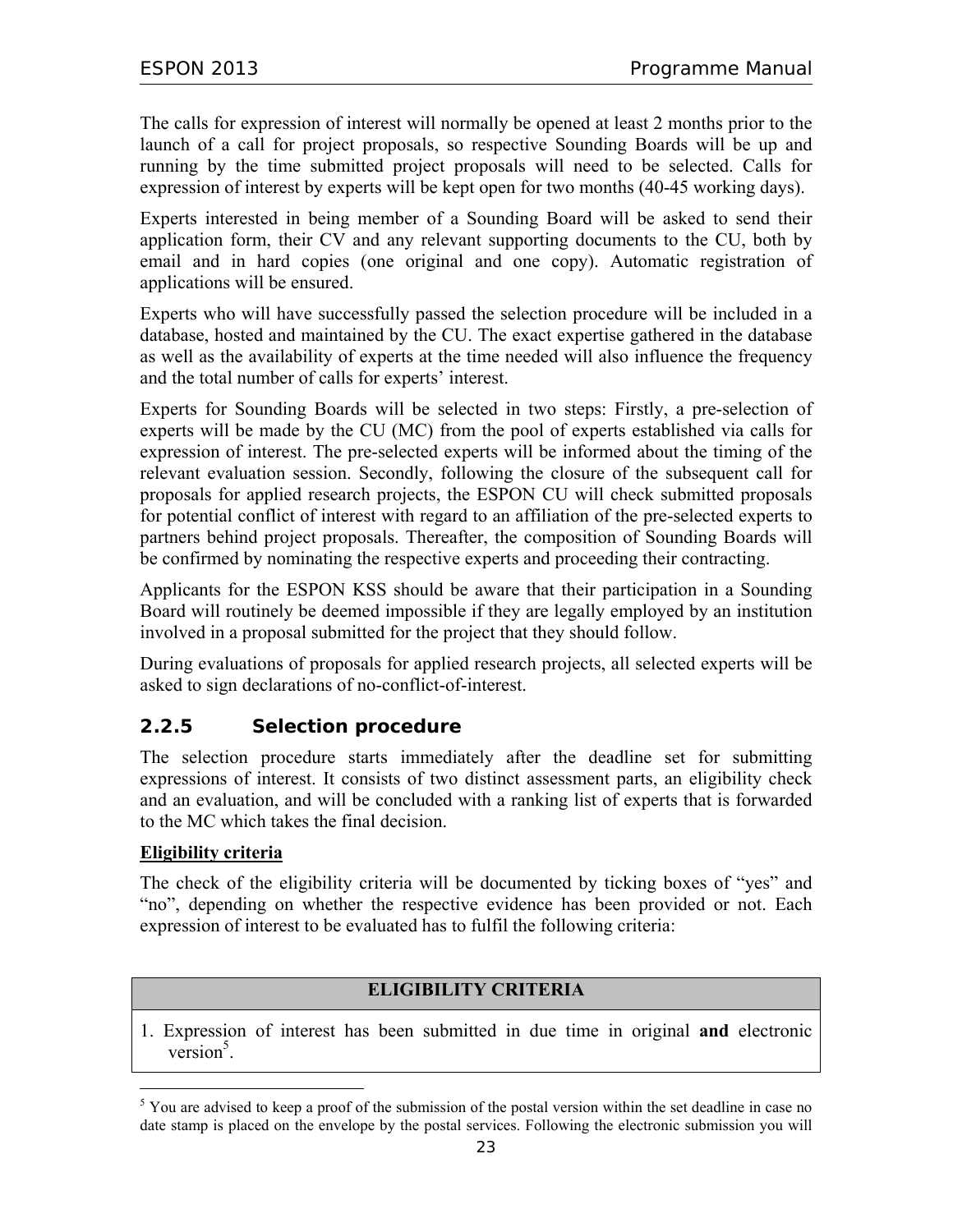The calls for expression of interest will normally be opened at least 2 months prior to the launch of a call for project proposals, so respective Sounding Boards will be up and running by the time submitted project proposals will need to be selected. Calls for expression of interest by experts will be kept open for two months (40-45 working days).

Experts interested in being member of a Sounding Board will be asked to send their application form, their CV and any relevant supporting documents to the CU, both by email and in hard copies (one original and one copy). Automatic registration of applications will be ensured.

Experts who will have successfully passed the selection procedure will be included in a database, hosted and maintained by the CU. The exact expertise gathered in the database as well as the availability of experts at the time needed will also influence the frequency and the total number of calls for experts' interest.

Experts for Sounding Boards will be selected in two steps: Firstly, a pre-selection of experts will be made by the CU (MC) from the pool of experts established via calls for expression of interest. The pre-selected experts will be informed about the timing of the relevant evaluation session. Secondly, following the closure of the subsequent call for proposals for applied research projects, the ESPON CU will check submitted proposals for potential conflict of interest with regard to an affiliation of the pre-selected experts to partners behind project proposals. Thereafter, the composition of Sounding Boards will be confirmed by nominating the respective experts and proceeding their contracting.

Applicants for the ESPON KSS should be aware that their participation in a Sounding Board will routinely be deemed impossible if they are legally employed by an institution involved in a proposal submitted for the project that they should follow.

During evaluations of proposals for applied research projects, all selected experts will be asked to sign declarations of no-conflict-of-interest.

## **2.2.5 Selection procedure**

The selection procedure starts immediately after the deadline set for submitting expressions of interest. It consists of two distinct assessment parts, an eligibility check and an evaluation, and will be concluded with a ranking list of experts that is forwarded to the MC which takes the final decision.

#### **Eligibility criteria**

 $\overline{a}$ 

The check of the eligibility criteria will be documented by ticking boxes of "yes" and "no", depending on whether the respective evidence has been provided or not. Each expression of interest to be evaluated has to fulfil the following criteria:

#### **ELIGIBILITY CRITERIA**

1. Expression of interest has been submitted in due time in original **and** electronic  $version<sup>5</sup>$ .

<sup>&</sup>lt;sup>5</sup> You are advised to keep a proof of the submission of the postal version within the set deadline in case no date stamp is placed on the envelope by the postal services. Following the electronic submission you will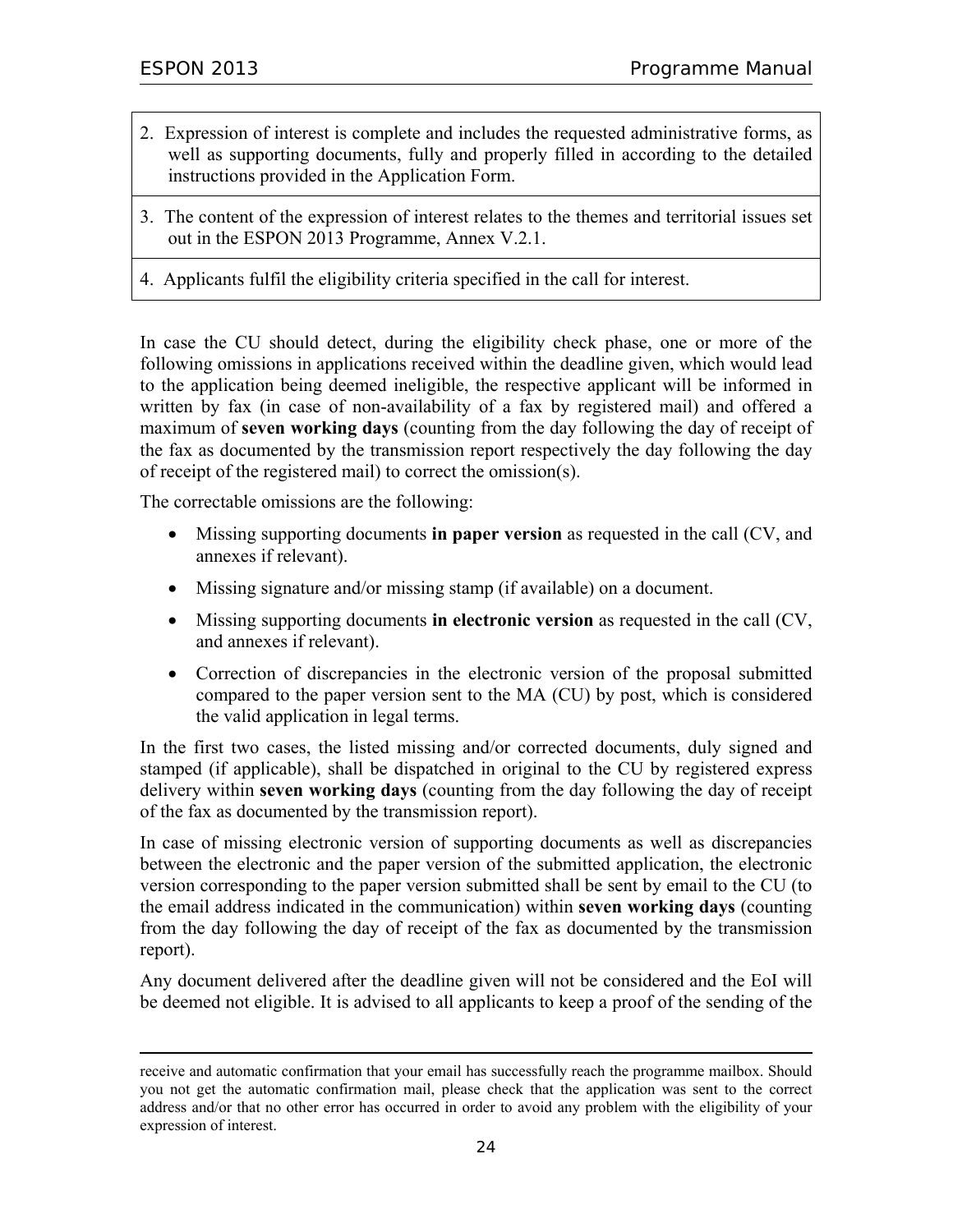$\overline{a}$ 

- 2. Expression of interest is complete and includes the requested administrative forms, as well as supporting documents, fully and properly filled in according to the detailed instructions provided in the Application Form.
- 3. The content of the expression of interest relates to the themes and territorial issues set out in the ESPON 2013 Programme, Annex V.2.1.
- 4. Applicants fulfil the eligibility criteria specified in the call for interest.

In case the CU should detect, during the eligibility check phase, one or more of the following omissions in applications received within the deadline given, which would lead to the application being deemed ineligible, the respective applicant will be informed in written by fax (in case of non-availability of a fax by registered mail) and offered a maximum of **seven working days** (counting from the day following the day of receipt of the fax as documented by the transmission report respectively the day following the day of receipt of the registered mail) to correct the omission(s).

The correctable omissions are the following:

- Missing supporting documents **in paper version** as requested in the call (CV, and annexes if relevant).
- Missing signature and/or missing stamp (if available) on a document.
- Missing supporting documents **in electronic version** as requested in the call (CV, and annexes if relevant).
- Correction of discrepancies in the electronic version of the proposal submitted compared to the paper version sent to the MA (CU) by post, which is considered the valid application in legal terms.

In the first two cases, the listed missing and/or corrected documents, duly signed and stamped (if applicable), shall be dispatched in original to the CU by registered express delivery within **seven working days** (counting from the day following the day of receipt of the fax as documented by the transmission report).

In case of missing electronic version of supporting documents as well as discrepancies between the electronic and the paper version of the submitted application, the electronic version corresponding to the paper version submitted shall be sent by email to the CU (to the email address indicated in the communication) within **seven working days** (counting from the day following the day of receipt of the fax as documented by the transmission report).

Any document delivered after the deadline given will not be considered and the EoI will be deemed not eligible. It is advised to all applicants to keep a proof of the sending of the

receive and automatic confirmation that your email has successfully reach the programme mailbox. Should you not get the automatic confirmation mail, please check that the application was sent to the correct address and/or that no other error has occurred in order to avoid any problem with the eligibility of your expression of interest.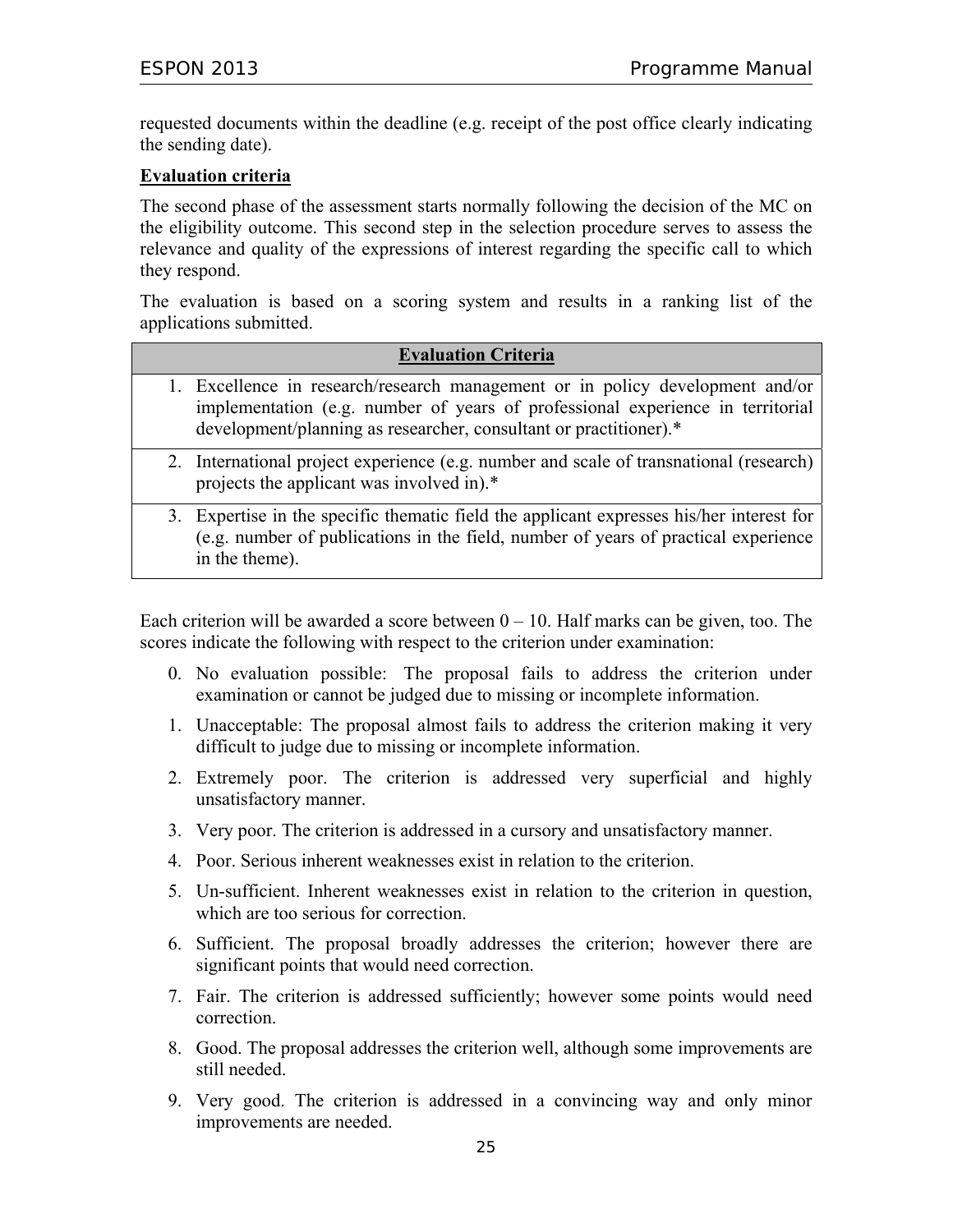requested documents within the deadline (e.g. receipt of the post office clearly indicating the sending date).

#### **Evaluation criteria**

The second phase of the assessment starts normally following the decision of the MC on the eligibility outcome. This second step in the selection procedure serves to assess the relevance and quality of the expressions of interest regarding the specific call to which they respond.

The evaluation is based on a scoring system and results in a ranking list of the applications submitted.

| <b>Evaluation Criteria</b>                                                                                                                                                                                                           |
|--------------------------------------------------------------------------------------------------------------------------------------------------------------------------------------------------------------------------------------|
| 1. Excellence in research/research management or in policy development and/or<br>implementation (e.g. number of years of professional experience in territorial<br>development/planning as researcher, consultant or practitioner).* |
| 2. International project experience (e.g. number and scale of transnational (research)<br>projects the applicant was involved in).*                                                                                                  |
| 3. Expertise in the specific thematic field the applicant expresses his/her interest for<br>(e.g. number of publications in the field, number of years of practical experience<br>in the theme).                                     |

Each criterion will be awarded a score between  $0 - 10$ . Half marks can be given, too. The scores indicate the following with respect to the criterion under examination:

- 0. No evaluation possible: The proposal fails to address the criterion under examination or cannot be judged due to missing or incomplete information.
- 1. Unacceptable: The proposal almost fails to address the criterion making it very difficult to judge due to missing or incomplete information.
- 2. Extremely poor. The criterion is addressed very superficial and highly unsatisfactory manner.
- 3. Very poor. The criterion is addressed in a cursory and unsatisfactory manner.
- 4. Poor. Serious inherent weaknesses exist in relation to the criterion.
- 5. Un-sufficient. Inherent weaknesses exist in relation to the criterion in question, which are too serious for correction.
- 6. Sufficient. The proposal broadly addresses the criterion; however there are significant points that would need correction.
- 7. Fair. The criterion is addressed sufficiently; however some points would need correction.
- 8. Good. The proposal addresses the criterion well, although some improvements are still needed.
- 9. Very good. The criterion is addressed in a convincing way and only minor improvements are needed.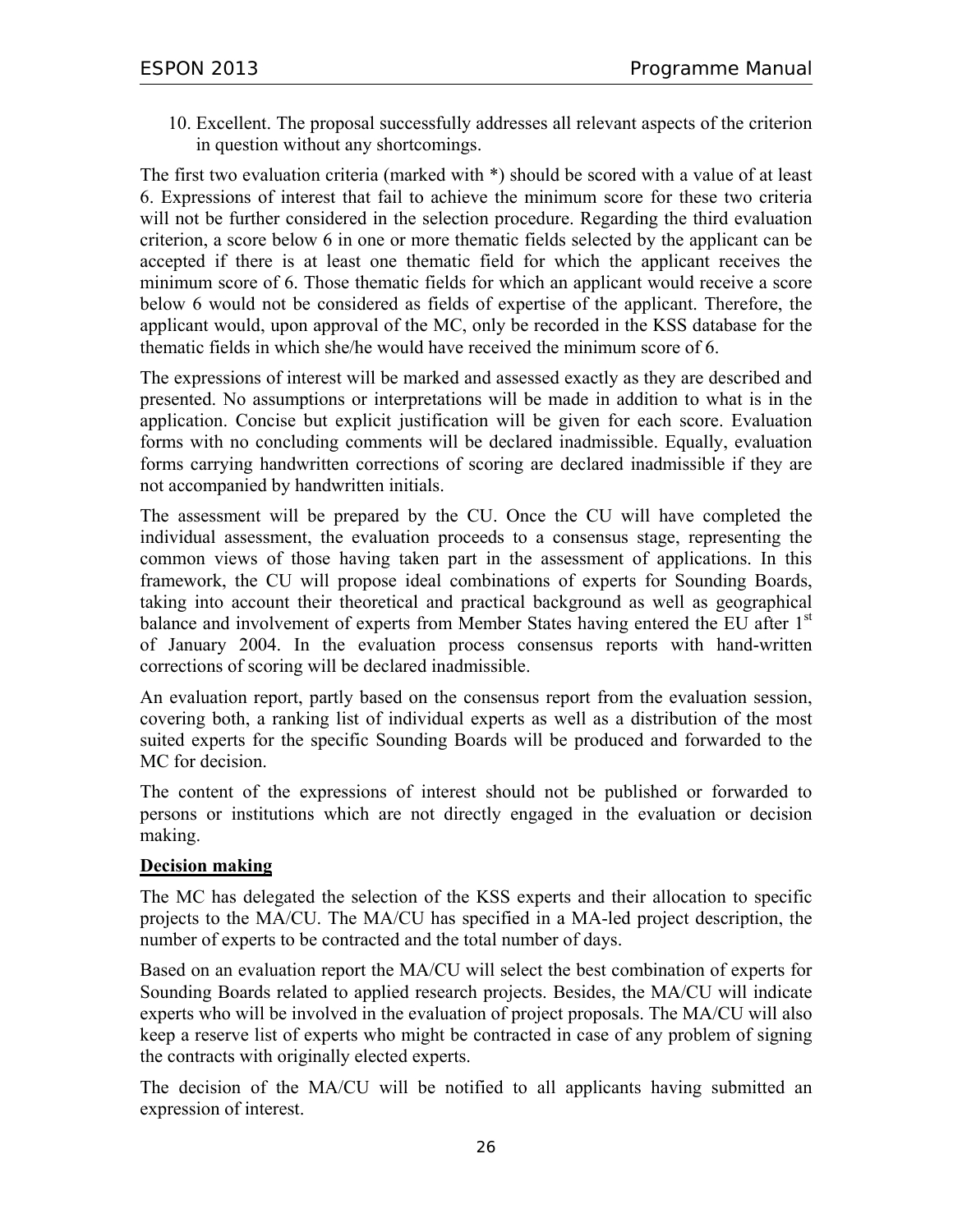10. Excellent. The proposal successfully addresses all relevant aspects of the criterion in question without any shortcomings.

The first two evaluation criteria (marked with \*) should be scored with a value of at least 6. Expressions of interest that fail to achieve the minimum score for these two criteria will not be further considered in the selection procedure. Regarding the third evaluation criterion, a score below 6 in one or more thematic fields selected by the applicant can be accepted if there is at least one thematic field for which the applicant receives the minimum score of 6. Those thematic fields for which an applicant would receive a score below 6 would not be considered as fields of expertise of the applicant. Therefore, the applicant would, upon approval of the MC, only be recorded in the KSS database for the thematic fields in which she/he would have received the minimum score of 6.

The expressions of interest will be marked and assessed exactly as they are described and presented. No assumptions or interpretations will be made in addition to what is in the application. Concise but explicit justification will be given for each score. Evaluation forms with no concluding comments will be declared inadmissible. Equally, evaluation forms carrying handwritten corrections of scoring are declared inadmissible if they are not accompanied by handwritten initials.

The assessment will be prepared by the CU. Once the CU will have completed the individual assessment, the evaluation proceeds to a consensus stage, representing the common views of those having taken part in the assessment of applications. In this framework, the CU will propose ideal combinations of experts for Sounding Boards, taking into account their theoretical and practical background as well as geographical balance and involvement of experts from Member States having entered the EU after 1<sup>st</sup> of January 2004. In the evaluation process consensus reports with hand-written corrections of scoring will be declared inadmissible.

An evaluation report, partly based on the consensus report from the evaluation session, covering both, a ranking list of individual experts as well as a distribution of the most suited experts for the specific Sounding Boards will be produced and forwarded to the MC for decision.

The content of the expressions of interest should not be published or forwarded to persons or institutions which are not directly engaged in the evaluation or decision making.

#### **Decision making**

The MC has delegated the selection of the KSS experts and their allocation to specific projects to the MA/CU. The MA/CU has specified in a MA-led project description, the number of experts to be contracted and the total number of days.

Based on an evaluation report the MA/CU will select the best combination of experts for Sounding Boards related to applied research projects. Besides, the MA/CU will indicate experts who will be involved in the evaluation of project proposals. The MA/CU will also keep a reserve list of experts who might be contracted in case of any problem of signing the contracts with originally elected experts.

The decision of the MA/CU will be notified to all applicants having submitted an expression of interest.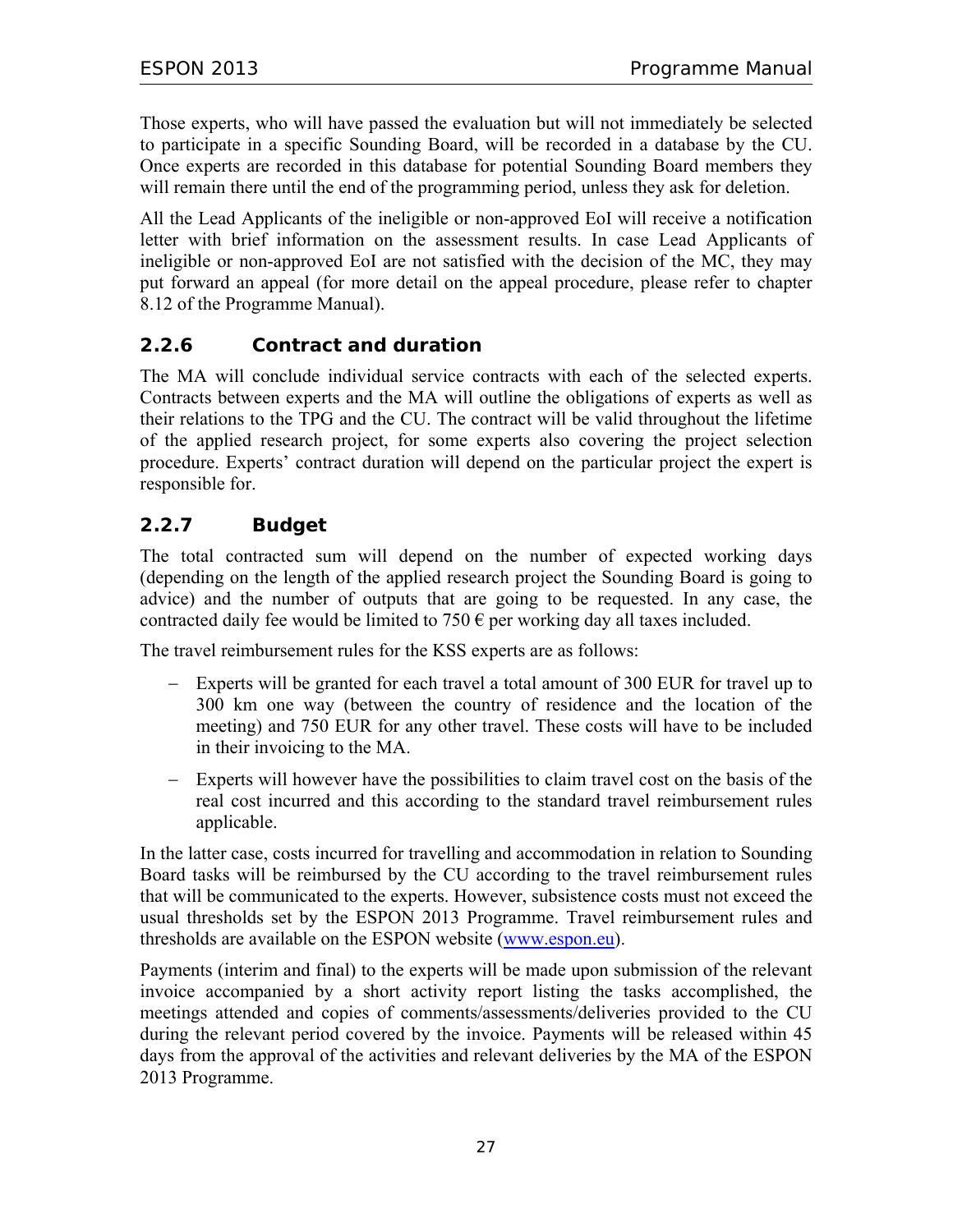Those experts, who will have passed the evaluation but will not immediately be selected to participate in a specific Sounding Board, will be recorded in a database by the CU. Once experts are recorded in this database for potential Sounding Board members they will remain there until the end of the programming period, unless they ask for deletion.

All the Lead Applicants of the ineligible or non-approved EoI will receive a notification letter with brief information on the assessment results. In case Lead Applicants of ineligible or non-approved EoI are not satisfied with the decision of the MC, they may put forward an appeal (for more detail on the appeal procedure, please refer to chapter 8.12 of the Programme Manual).

## **2.2.6 Contract and duration**

The MA will conclude individual service contracts with each of the selected experts. Contracts between experts and the MA will outline the obligations of experts as well as their relations to the TPG and the CU. The contract will be valid throughout the lifetime of the applied research project, for some experts also covering the project selection procedure. Experts' contract duration will depend on the particular project the expert is responsible for.

## **2.2.7 Budget**

The total contracted sum will depend on the number of expected working days (depending on the length of the applied research project the Sounding Board is going to advice) and the number of outputs that are going to be requested. In any case, the contracted daily fee would be limited to  $750 \text{ } \infty$  per working day all taxes included.

The travel reimbursement rules for the KSS experts are as follows:

- − Experts will be granted for each travel a total amount of 300 EUR for travel up to 300 km one way (between the country of residence and the location of the meeting) and 750 EUR for any other travel. These costs will have to be included in their invoicing to the MA.
- − Experts will however have the possibilities to claim travel cost on the basis of the real cost incurred and this according to the standard travel reimbursement rules applicable.

In the latter case, costs incurred for travelling and accommodation in relation to Sounding Board tasks will be reimbursed by the CU according to the travel reimbursement rules that will be communicated to the experts. However, subsistence costs must not exceed the usual thresholds set by the ESPON 2013 Programme. Travel reimbursement rules and thresholds are available on the ESPON website (www.espon.eu).

Payments (interim and final) to the experts will be made upon submission of the relevant invoice accompanied by a short activity report listing the tasks accomplished, the meetings attended and copies of comments/assessments/deliveries provided to the CU during the relevant period covered by the invoice. Payments will be released within 45 days from the approval of the activities and relevant deliveries by the MA of the ESPON 2013 Programme.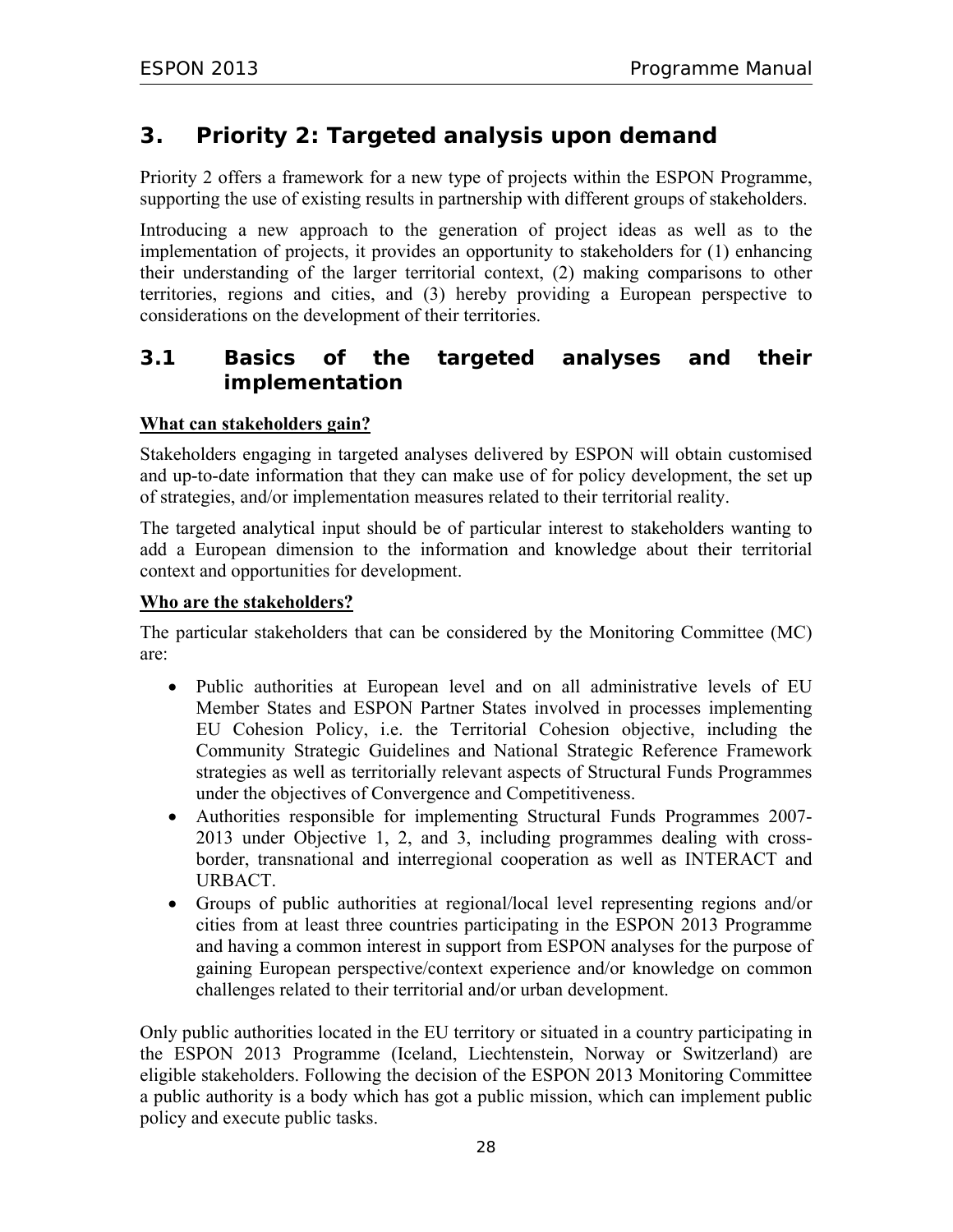# **3. Priority 2: Targeted analysis upon demand**

Priority 2 offers a framework for a new type of projects within the ESPON Programme, supporting the use of existing results in partnership with different groups of stakeholders.

Introducing a new approach to the generation of project ideas as well as to the implementation of projects, it provides an opportunity to stakeholders for (1) enhancing their understanding of the larger territorial context, (2) making comparisons to other territories, regions and cities, and (3) hereby providing a European perspective to considerations on the development of their territories.

## **3.1 Basics of the targeted analyses and their implementation**

#### **What can stakeholders gain?**

Stakeholders engaging in targeted analyses delivered by ESPON will obtain customised and up-to-date information that they can make use of for policy development, the set up of strategies, and/or implementation measures related to their territorial reality.

The targeted analytical input should be of particular interest to stakeholders wanting to add a European dimension to the information and knowledge about their territorial context and opportunities for development.

#### **Who are the stakeholders?**

The particular stakeholders that can be considered by the Monitoring Committee (MC) are:

- Public authorities at European level and on all administrative levels of EU Member States and ESPON Partner States involved in processes implementing EU Cohesion Policy, i.e. the Territorial Cohesion objective, including the Community Strategic Guidelines and National Strategic Reference Framework strategies as well as territorially relevant aspects of Structural Funds Programmes under the objectives of Convergence and Competitiveness.
- Authorities responsible for implementing Structural Funds Programmes 2007- 2013 under Objective 1, 2, and 3, including programmes dealing with crossborder, transnational and interregional cooperation as well as INTERACT and URBACT.
- Groups of public authorities at regional/local level representing regions and/or cities from at least three countries participating in the ESPON 2013 Programme and having a common interest in support from ESPON analyses for the purpose of gaining European perspective/context experience and/or knowledge on common challenges related to their territorial and/or urban development.

Only public authorities located in the EU territory or situated in a country participating in the ESPON 2013 Programme (Iceland, Liechtenstein, Norway or Switzerland) are eligible stakeholders. Following the decision of the ESPON 2013 Monitoring Committee a public authority is a body which has got a public mission, which can implement public policy and execute public tasks.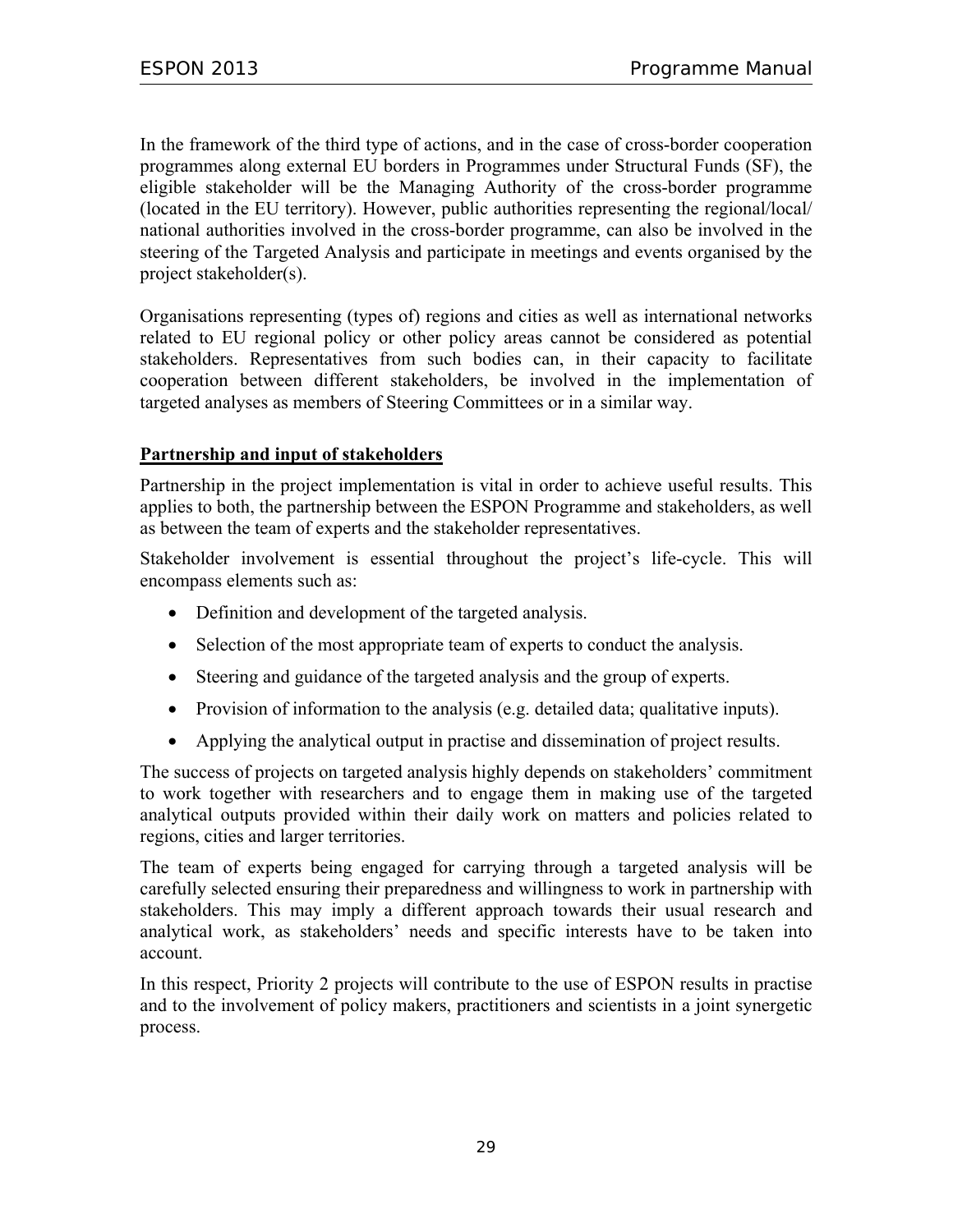In the framework of the third type of actions, and in the case of cross-border cooperation programmes along external EU borders in Programmes under Structural Funds (SF), the eligible stakeholder will be the Managing Authority of the cross-border programme (located in the EU territory). However, public authorities representing the regional/local/ national authorities involved in the cross-border programme, can also be involved in the steering of the Targeted Analysis and participate in meetings and events organised by the project stakeholder(s).

Organisations representing (types of) regions and cities as well as international networks related to EU regional policy or other policy areas cannot be considered as potential stakeholders. Representatives from such bodies can, in their capacity to facilitate cooperation between different stakeholders, be involved in the implementation of targeted analyses as members of Steering Committees or in a similar way.

#### **Partnership and input of stakeholders**

Partnership in the project implementation is vital in order to achieve useful results. This applies to both, the partnership between the ESPON Programme and stakeholders, as well as between the team of experts and the stakeholder representatives.

Stakeholder involvement is essential throughout the project's life-cycle. This will encompass elements such as:

- Definition and development of the targeted analysis.
- Selection of the most appropriate team of experts to conduct the analysis.
- Steering and guidance of the targeted analysis and the group of experts.
- Provision of information to the analysis (e.g. detailed data; qualitative inputs).
- Applying the analytical output in practise and dissemination of project results.

The success of projects on targeted analysis highly depends on stakeholders' commitment to work together with researchers and to engage them in making use of the targeted analytical outputs provided within their daily work on matters and policies related to regions, cities and larger territories.

The team of experts being engaged for carrying through a targeted analysis will be carefully selected ensuring their preparedness and willingness to work in partnership with stakeholders. This may imply a different approach towards their usual research and analytical work, as stakeholders' needs and specific interests have to be taken into account.

In this respect, Priority 2 projects will contribute to the use of ESPON results in practise and to the involvement of policy makers, practitioners and scientists in a joint synergetic process.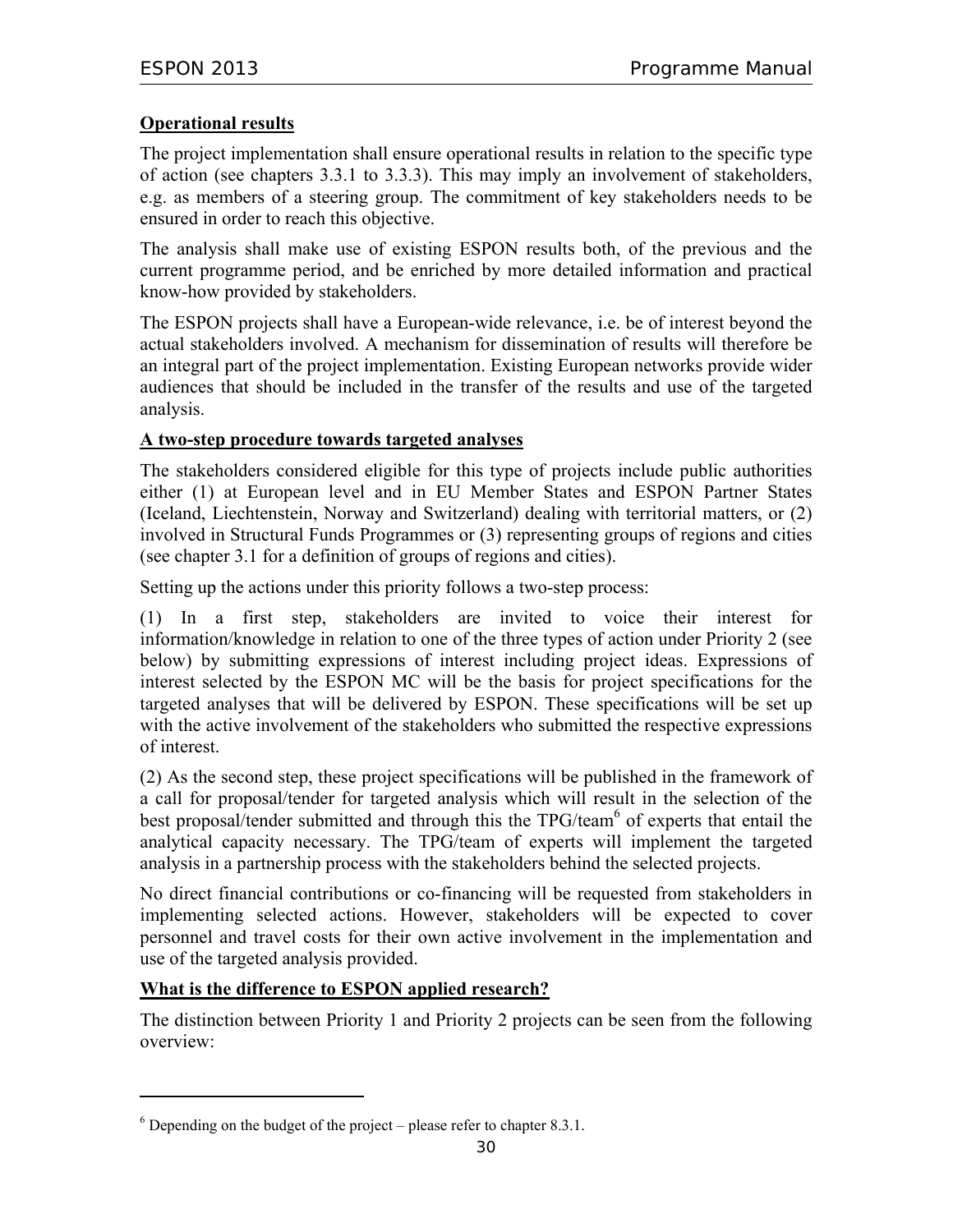#### **Operational results**

The project implementation shall ensure operational results in relation to the specific type of action (see chapters 3.3.1 to 3.3.3). This may imply an involvement of stakeholders, e.g. as members of a steering group. The commitment of key stakeholders needs to be ensured in order to reach this objective.

The analysis shall make use of existing ESPON results both, of the previous and the current programme period, and be enriched by more detailed information and practical know-how provided by stakeholders.

The ESPON projects shall have a European-wide relevance, i.e. be of interest beyond the actual stakeholders involved. A mechanism for dissemination of results will therefore be an integral part of the project implementation. Existing European networks provide wider audiences that should be included in the transfer of the results and use of the targeted analysis.

#### **A two-step procedure towards targeted analyses**

The stakeholders considered eligible for this type of projects include public authorities either (1) at European level and in EU Member States and ESPON Partner States (Iceland, Liechtenstein, Norway and Switzerland) dealing with territorial matters, or (2) involved in Structural Funds Programmes or (3) representing groups of regions and cities (see chapter 3.1 for a definition of groups of regions and cities).

Setting up the actions under this priority follows a two-step process:

(1) In a first step, stakeholders are invited to voice their interest for information/knowledge in relation to one of the three types of action under Priority 2 (see below) by submitting expressions of interest including project ideas. Expressions of interest selected by the ESPON MC will be the basis for project specifications for the targeted analyses that will be delivered by ESPON. These specifications will be set up with the active involvement of the stakeholders who submitted the respective expressions of interest.

(2) As the second step, these project specifications will be published in the framework of a call for proposal/tender for targeted analysis which will result in the selection of the best proposal/tender submitted and through this the TPG/team<sup>6</sup> of experts that entail the analytical capacity necessary. The TPG/team of experts will implement the targeted analysis in a partnership process with the stakeholders behind the selected projects.

No direct financial contributions or co-financing will be requested from stakeholders in implementing selected actions. However, stakeholders will be expected to cover personnel and travel costs for their own active involvement in the implementation and use of the targeted analysis provided.

#### **What is the difference to ESPON applied research?**

 $\overline{a}$ 

The distinction between Priority 1 and Priority 2 projects can be seen from the following overview:

 $6$  Depending on the budget of the project – please refer to chapter 8.3.1.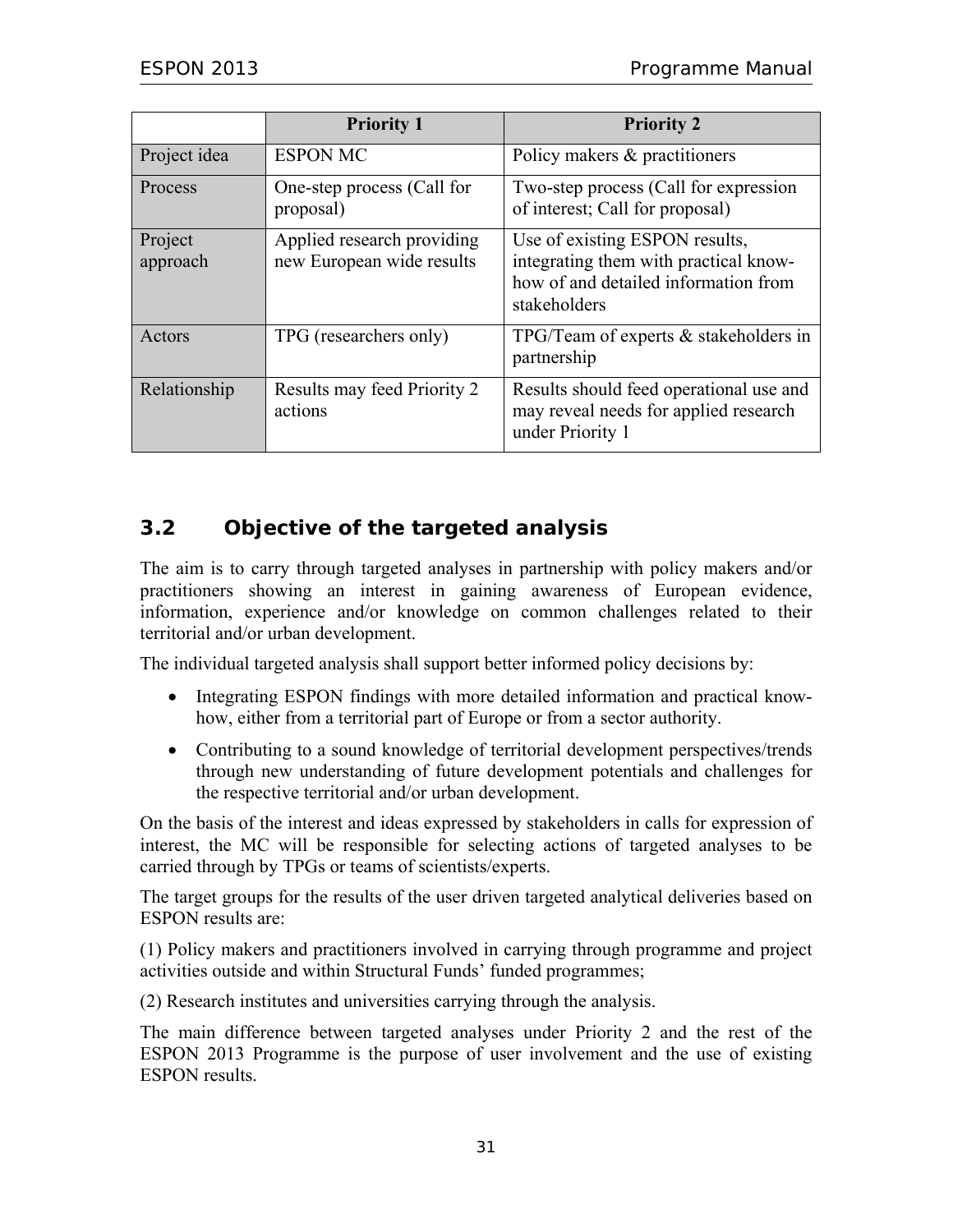|                     | <b>Priority 1</b>                                       | <b>Priority 2</b>                                                                                                               |
|---------------------|---------------------------------------------------------|---------------------------------------------------------------------------------------------------------------------------------|
| Project idea        | <b>ESPON MC</b>                                         | Policy makers & practitioners                                                                                                   |
| Process             | One-step process (Call for<br>proposal)                 | Two-step process (Call for expression<br>of interest; Call for proposal)                                                        |
| Project<br>approach | Applied research providing<br>new European wide results | Use of existing ESPON results,<br>integrating them with practical know-<br>how of and detailed information from<br>stakeholders |
| Actors              | TPG (researchers only)                                  | TPG/Team of experts $&$ stakeholders in<br>partnership                                                                          |
| Relationship        | Results may feed Priority 2<br>actions                  | Results should feed operational use and<br>may reveal needs for applied research<br>under Priority 1                            |

## **3.2 Objective of the targeted analysis**

The aim is to carry through targeted analyses in partnership with policy makers and/or practitioners showing an interest in gaining awareness of European evidence, information, experience and/or knowledge on common challenges related to their territorial and/or urban development.

The individual targeted analysis shall support better informed policy decisions by:

- Integrating ESPON findings with more detailed information and practical knowhow, either from a territorial part of Europe or from a sector authority.
- Contributing to a sound knowledge of territorial development perspectives/trends through new understanding of future development potentials and challenges for the respective territorial and/or urban development.

On the basis of the interest and ideas expressed by stakeholders in calls for expression of interest, the MC will be responsible for selecting actions of targeted analyses to be carried through by TPGs or teams of scientists/experts.

The target groups for the results of the user driven targeted analytical deliveries based on ESPON results are:

(1) Policy makers and practitioners involved in carrying through programme and project activities outside and within Structural Funds' funded programmes;

(2) Research institutes and universities carrying through the analysis.

The main difference between targeted analyses under Priority 2 and the rest of the ESPON 2013 Programme is the purpose of user involvement and the use of existing ESPON results.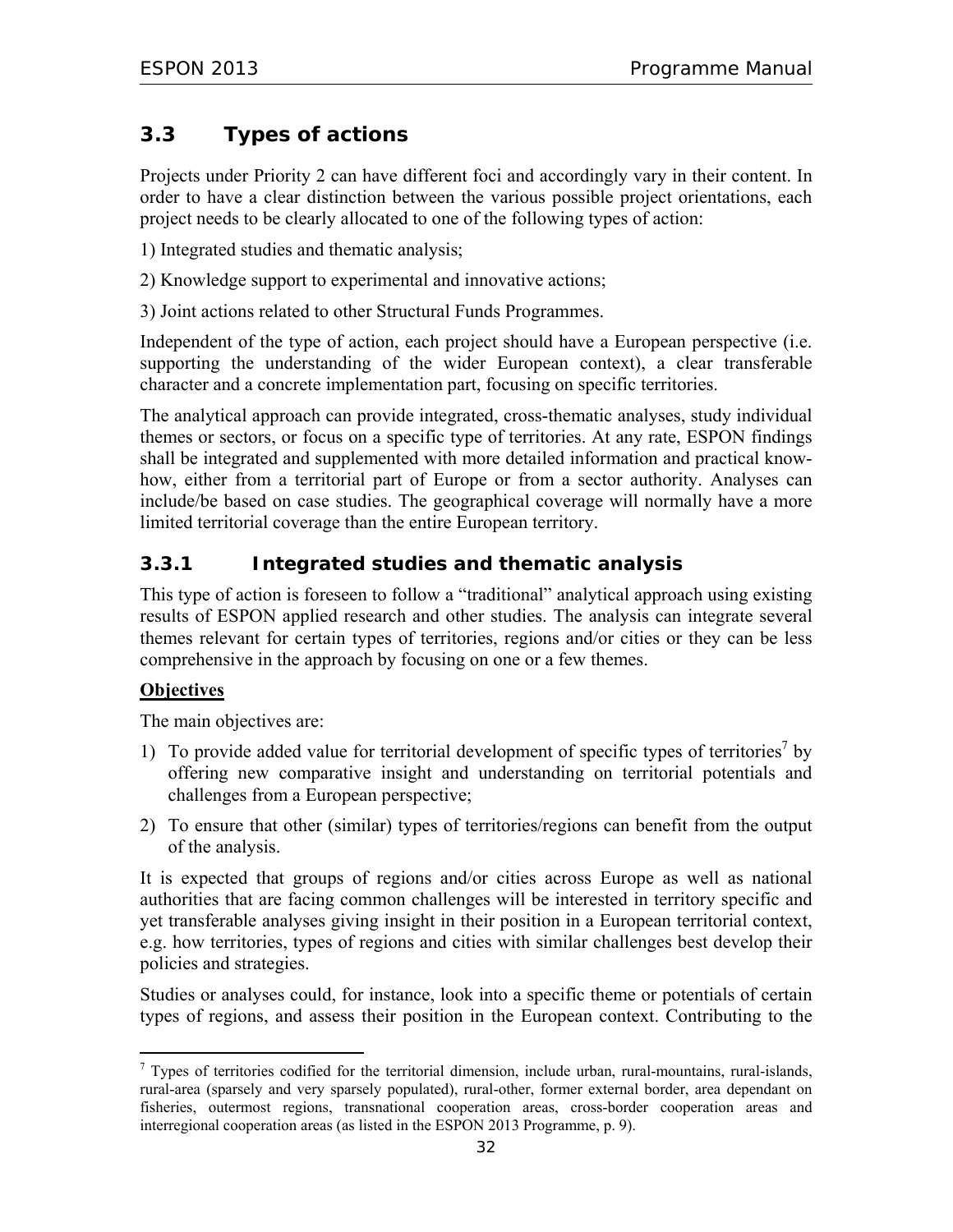# **3.3 Types of actions**

Projects under Priority 2 can have different foci and accordingly vary in their content. In order to have a clear distinction between the various possible project orientations, each project needs to be clearly allocated to one of the following types of action:

1) Integrated studies and thematic analysis;

2) Knowledge support to experimental and innovative actions;

3) Joint actions related to other Structural Funds Programmes.

Independent of the type of action, each project should have a European perspective (i.e. supporting the understanding of the wider European context), a clear transferable character and a concrete implementation part, focusing on specific territories.

The analytical approach can provide integrated, cross-thematic analyses, study individual themes or sectors, or focus on a specific type of territories. At any rate, ESPON findings shall be integrated and supplemented with more detailed information and practical knowhow, either from a territorial part of Europe or from a sector authority. Analyses can include/be based on case studies. The geographical coverage will normally have a more limited territorial coverage than the entire European territory.

## **3.3.1 Integrated studies and thematic analysis**

This type of action is foreseen to follow a "traditional" analytical approach using existing results of ESPON applied research and other studies. The analysis can integrate several themes relevant for certain types of territories, regions and/or cities or they can be less comprehensive in the approach by focusing on one or a few themes.

#### **Objectives**

The main objectives are:

- 1) To provide added value for territorial development of specific types of territories<sup>7</sup> by offering new comparative insight and understanding on territorial potentials and challenges from a European perspective;
- 2) To ensure that other (similar) types of territories/regions can benefit from the output of the analysis.

It is expected that groups of regions and/or cities across Europe as well as national authorities that are facing common challenges will be interested in territory specific and yet transferable analyses giving insight in their position in a European territorial context, e.g. how territories, types of regions and cities with similar challenges best develop their policies and strategies.

Studies or analyses could, for instance, look into a specific theme or potentials of certain types of regions, and assess their position in the European context. Contributing to the

<sup>-</sup> $<sup>7</sup>$  Types of territories codified for the territorial dimension, include urban, rural-mountains, rural-islands,</sup> rural-area (sparsely and very sparsely populated), rural-other, former external border, area dependant on fisheries, outermost regions, transnational cooperation areas, cross-border cooperation areas and interregional cooperation areas (as listed in the ESPON 2013 Programme, p. 9).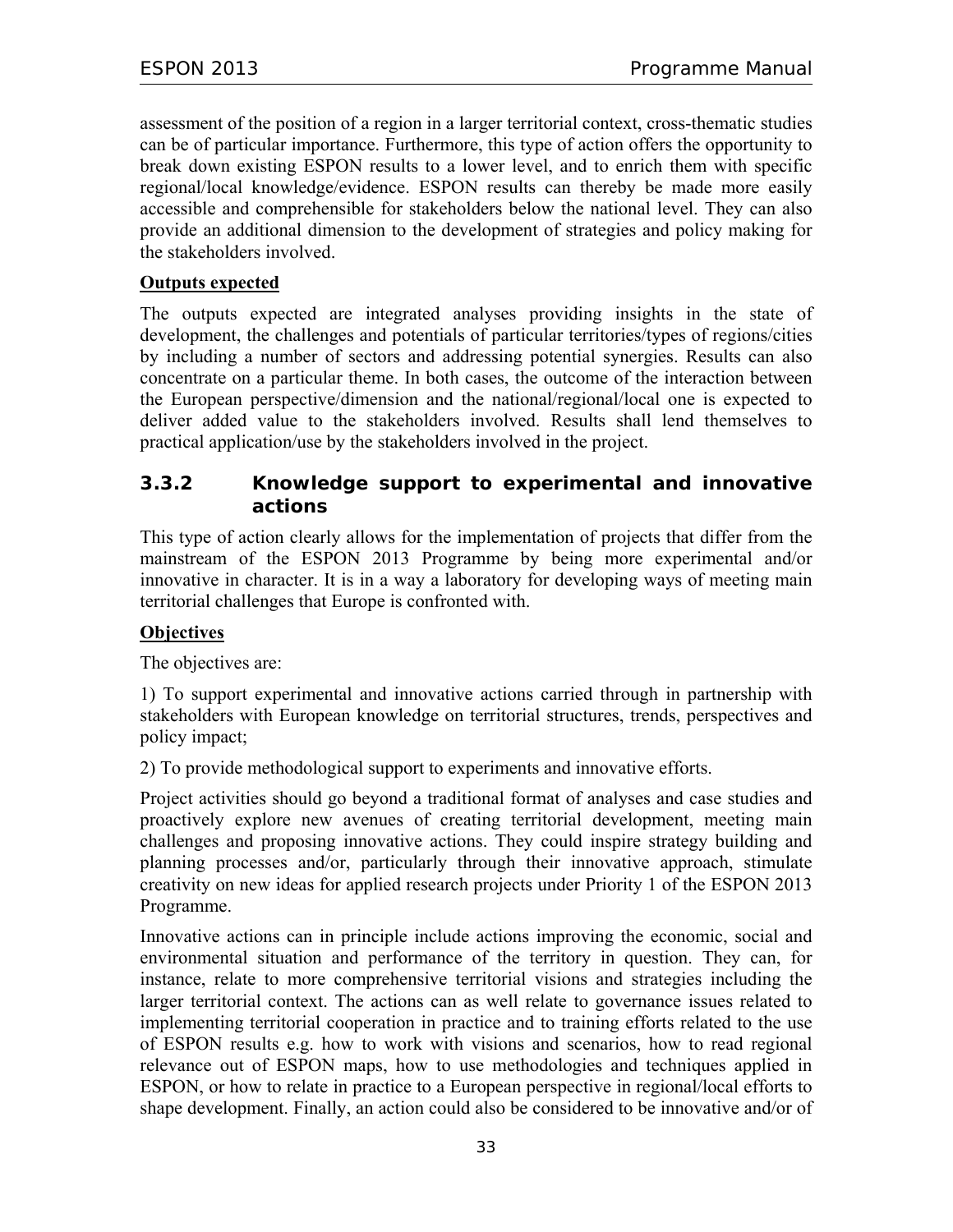assessment of the position of a region in a larger territorial context, cross-thematic studies can be of particular importance. Furthermore, this type of action offers the opportunity to break down existing ESPON results to a lower level, and to enrich them with specific regional/local knowledge/evidence. ESPON results can thereby be made more easily accessible and comprehensible for stakeholders below the national level. They can also provide an additional dimension to the development of strategies and policy making for the stakeholders involved.

#### **Outputs expected**

The outputs expected are integrated analyses providing insights in the state of development, the challenges and potentials of particular territories/types of regions/cities by including a number of sectors and addressing potential synergies. Results can also concentrate on a particular theme. In both cases, the outcome of the interaction between the European perspective/dimension and the national/regional/local one is expected to deliver added value to the stakeholders involved. Results shall lend themselves to practical application/use by the stakeholders involved in the project.

#### **3.3.2 Knowledge support to experimental and innovative actions**

This type of action clearly allows for the implementation of projects that differ from the mainstream of the ESPON 2013 Programme by being more experimental and/or innovative in character. It is in a way a laboratory for developing ways of meeting main territorial challenges that Europe is confronted with.

#### **Objectives**

The objectives are:

1) To support experimental and innovative actions carried through in partnership with stakeholders with European knowledge on territorial structures, trends, perspectives and policy impact;

2) To provide methodological support to experiments and innovative efforts.

Project activities should go beyond a traditional format of analyses and case studies and proactively explore new avenues of creating territorial development, meeting main challenges and proposing innovative actions. They could inspire strategy building and planning processes and/or, particularly through their innovative approach, stimulate creativity on new ideas for applied research projects under Priority 1 of the ESPON 2013 Programme.

Innovative actions can in principle include actions improving the economic, social and environmental situation and performance of the territory in question. They can, for instance, relate to more comprehensive territorial visions and strategies including the larger territorial context. The actions can as well relate to governance issues related to implementing territorial cooperation in practice and to training efforts related to the use of ESPON results e.g. how to work with visions and scenarios, how to read regional relevance out of ESPON maps, how to use methodologies and techniques applied in ESPON, or how to relate in practice to a European perspective in regional/local efforts to shape development. Finally, an action could also be considered to be innovative and/or of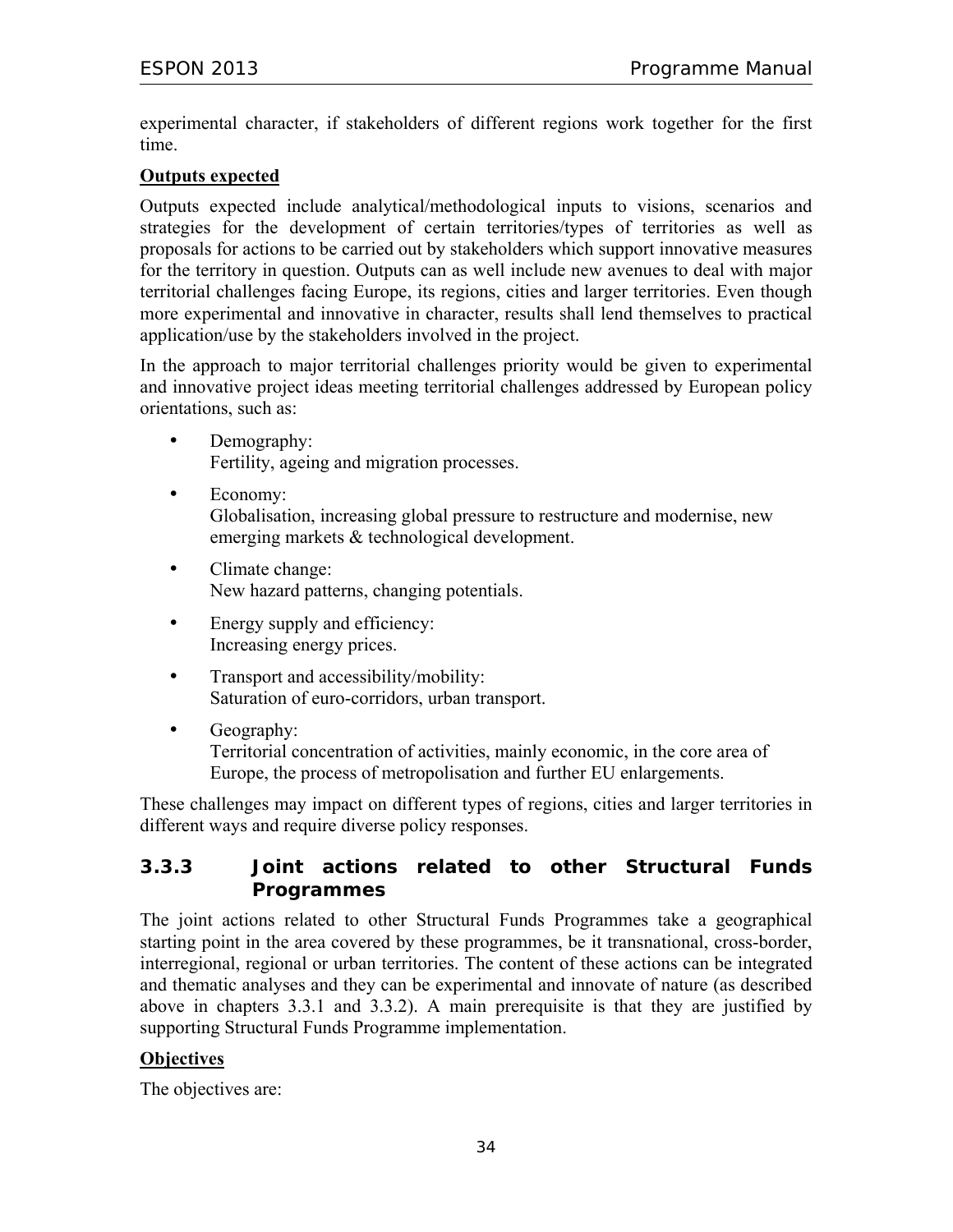experimental character, if stakeholders of different regions work together for the first time.

#### **Outputs expected**

Outputs expected include analytical/methodological inputs to visions, scenarios and strategies for the development of certain territories/types of territories as well as proposals for actions to be carried out by stakeholders which support innovative measures for the territory in question. Outputs can as well include new avenues to deal with major territorial challenges facing Europe, its regions, cities and larger territories. Even though more experimental and innovative in character, results shall lend themselves to practical application/use by the stakeholders involved in the project.

In the approach to major territorial challenges priority would be given to experimental and innovative project ideas meeting territorial challenges addressed by European policy orientations, such as:

- Demography: Fertility, ageing and migration processes.
- Economy: Globalisation, increasing global pressure to restructure and modernise, new emerging markets & technological development.
- Climate change: New hazard patterns, changing potentials.
- Energy supply and efficiency: Increasing energy prices.
- Transport and accessibility/mobility: Saturation of euro-corridors, urban transport.
- Geography:

Territorial concentration of activities, mainly economic, in the core area of Europe, the process of metropolisation and further EU enlargements.

These challenges may impact on different types of regions, cities and larger territories in different ways and require diverse policy responses.

#### **3.3.3 Joint actions related to other Structural Funds Programmes**

The joint actions related to other Structural Funds Programmes take a geographical starting point in the area covered by these programmes, be it transnational, cross-border, interregional, regional or urban territories. The content of these actions can be integrated and thematic analyses and they can be experimental and innovate of nature (as described above in chapters 3.3.1 and 3.3.2). A main prerequisite is that they are justified by supporting Structural Funds Programme implementation.

#### **Objectives**

The objectives are: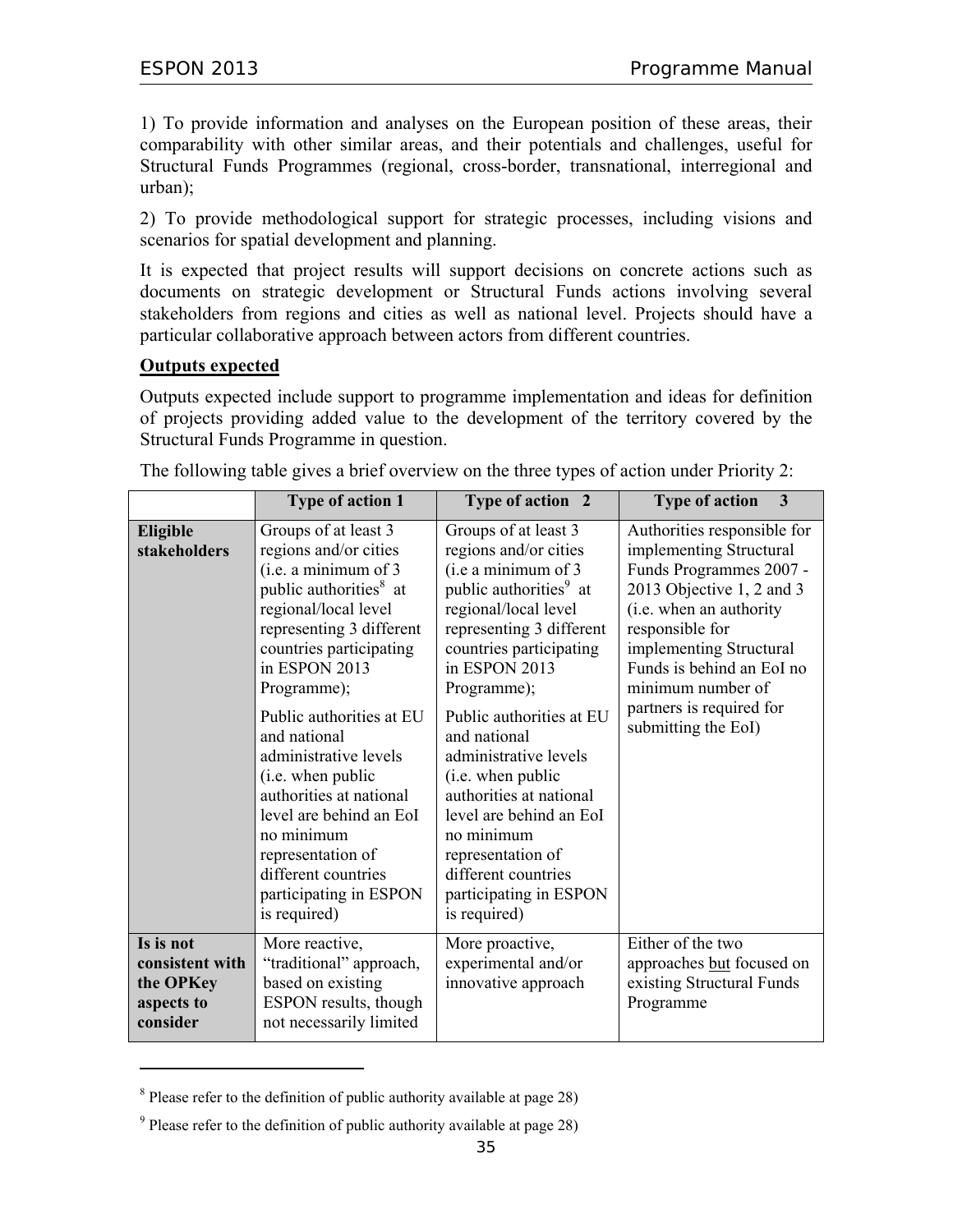1) To provide information and analyses on the European position of these areas, their comparability with other similar areas, and their potentials and challenges, useful for Structural Funds Programmes (regional, cross-border, transnational, interregional and urban);

2) To provide methodological support for strategic processes, including visions and scenarios for spatial development and planning.

It is expected that project results will support decisions on concrete actions such as documents on strategic development or Structural Funds actions involving several stakeholders from regions and cities as well as national level. Projects should have a particular collaborative approach between actors from different countries.

#### **Outputs expected**

 $\overline{a}$ 

Outputs expected include support to programme implementation and ideas for definition of projects providing added value to the development of the territory covered by the Structural Funds Programme in question.

|                                                                     | <b>Type of action 1</b>                                                                                                                                                                                                                                                                                                                                                                                                                                                        | Type of action 2                                                                                                                                                                                                                                                                                                                                                                                                                                                              | <b>Type of action</b><br>3                                                                                                                                                                                                                                                                   |
|---------------------------------------------------------------------|--------------------------------------------------------------------------------------------------------------------------------------------------------------------------------------------------------------------------------------------------------------------------------------------------------------------------------------------------------------------------------------------------------------------------------------------------------------------------------|-------------------------------------------------------------------------------------------------------------------------------------------------------------------------------------------------------------------------------------------------------------------------------------------------------------------------------------------------------------------------------------------------------------------------------------------------------------------------------|----------------------------------------------------------------------------------------------------------------------------------------------------------------------------------------------------------------------------------------------------------------------------------------------|
| Eligible<br>stakeholders                                            | Groups of at least 3<br>regions and/or cities<br>(i.e. a minimum of 3<br>public authorities <sup>8</sup> at<br>regional/local level<br>representing 3 different<br>countries participating<br>in ESPON 2013<br>Programme);<br>Public authorities at EU<br>and national<br>administrative levels<br>(i.e. when public<br>authorities at national<br>level are behind an EoI<br>no minimum<br>representation of<br>different countries<br>participating in ESPON<br>is required) | Groups of at least 3<br>regions and/or cities<br>(i.e a minimum of 3<br>public authorities <sup>9</sup> at<br>regional/local level<br>representing 3 different<br>countries participating<br>in ESPON 2013<br>Programme);<br>Public authorities at EU<br>and national<br>administrative levels<br>(i.e. when public<br>authorities at national<br>level are behind an EoI<br>no minimum<br>representation of<br>different countries<br>participating in ESPON<br>is required) | Authorities responsible for<br>implementing Structural<br>Funds Programmes 2007 -<br>2013 Objective 1, 2 and 3<br>(i.e. when an authority<br>responsible for<br>implementing Structural<br>Funds is behind an EoI no<br>minimum number of<br>partners is required for<br>submitting the EoI) |
| Is is not<br>consistent with<br>the OPKey<br>aspects to<br>consider | More reactive,<br>"traditional" approach,<br>based on existing<br>ESPON results, though<br>not necessarily limited                                                                                                                                                                                                                                                                                                                                                             | More proactive,<br>experimental and/or<br>innovative approach                                                                                                                                                                                                                                                                                                                                                                                                                 | Either of the two<br>approaches but focused on<br>existing Structural Funds<br>Programme                                                                                                                                                                                                     |

The following table gives a brief overview on the three types of action under Priority 2:

<sup>&</sup>lt;sup>8</sup> Please refer to the definition of public authority available at page 28)

<sup>&</sup>lt;sup>9</sup> Please refer to the definition of public authority available at page 28)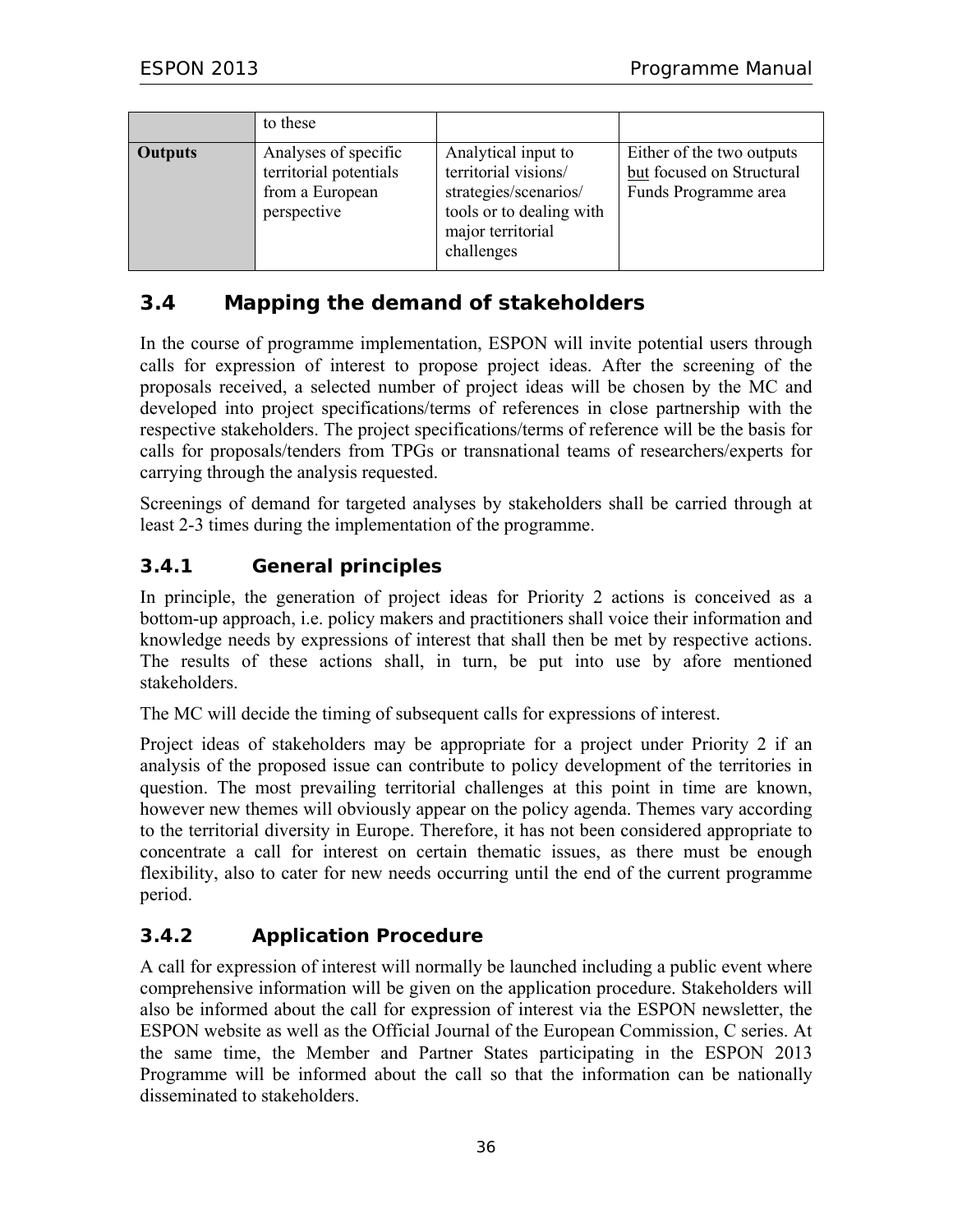|                | to these                                                                         |                                                                                                                                     |                                                                                |
|----------------|----------------------------------------------------------------------------------|-------------------------------------------------------------------------------------------------------------------------------------|--------------------------------------------------------------------------------|
| <b>Outputs</b> | Analyses of specific<br>territorial potentials<br>from a European<br>perspective | Analytical input to<br>territorial visions/<br>strategies/scenarios/<br>tools or to dealing with<br>major territorial<br>challenges | Either of the two outputs<br>but focused on Structural<br>Funds Programme area |

## **3.4 Mapping the demand of stakeholders**

In the course of programme implementation, ESPON will invite potential users through calls for expression of interest to propose project ideas. After the screening of the proposals received, a selected number of project ideas will be chosen by the MC and developed into project specifications/terms of references in close partnership with the respective stakeholders. The project specifications/terms of reference will be the basis for calls for proposals/tenders from TPGs or transnational teams of researchers/experts for carrying through the analysis requested.

Screenings of demand for targeted analyses by stakeholders shall be carried through at least 2-3 times during the implementation of the programme.

## **3.4.1 General principles**

In principle, the generation of project ideas for Priority 2 actions is conceived as a bottom-up approach, i.e. policy makers and practitioners shall voice their information and knowledge needs by expressions of interest that shall then be met by respective actions. The results of these actions shall, in turn, be put into use by afore mentioned stakeholders.

The MC will decide the timing of subsequent calls for expressions of interest.

Project ideas of stakeholders may be appropriate for a project under Priority 2 if an analysis of the proposed issue can contribute to policy development of the territories in question. The most prevailing territorial challenges at this point in time are known, however new themes will obviously appear on the policy agenda. Themes vary according to the territorial diversity in Europe. Therefore, it has not been considered appropriate to concentrate a call for interest on certain thematic issues, as there must be enough flexibility, also to cater for new needs occurring until the end of the current programme period.

## **3.4.2 Application Procedure**

A call for expression of interest will normally be launched including a public event where comprehensive information will be given on the application procedure. Stakeholders will also be informed about the call for expression of interest via the ESPON newsletter, the ESPON website as well as the Official Journal of the European Commission, C series. At the same time, the Member and Partner States participating in the ESPON 2013 Programme will be informed about the call so that the information can be nationally disseminated to stakeholders.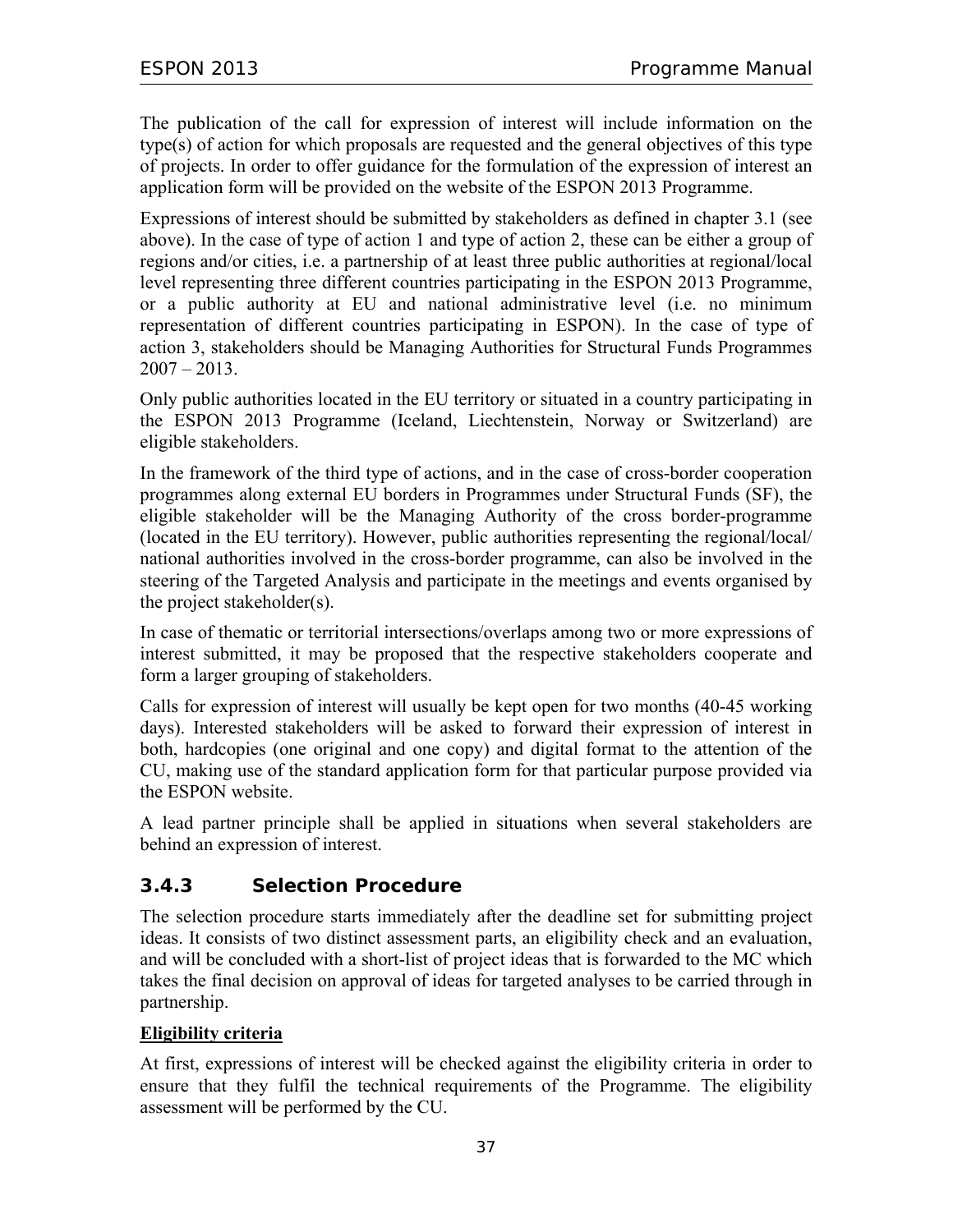The publication of the call for expression of interest will include information on the type(s) of action for which proposals are requested and the general objectives of this type of projects. In order to offer guidance for the formulation of the expression of interest an application form will be provided on the website of the ESPON 2013 Programme.

Expressions of interest should be submitted by stakeholders as defined in chapter 3.1 (see above). In the case of type of action 1 and type of action 2, these can be either a group of regions and/or cities, i.e. a partnership of at least three public authorities at regional/local level representing three different countries participating in the ESPON 2013 Programme, or a public authority at EU and national administrative level (i.e. no minimum representation of different countries participating in ESPON). In the case of type of action 3, stakeholders should be Managing Authorities for Structural Funds Programmes  $2007 - 2013$ .

Only public authorities located in the EU territory or situated in a country participating in the ESPON 2013 Programme (Iceland, Liechtenstein, Norway or Switzerland) are eligible stakeholders.

In the framework of the third type of actions, and in the case of cross-border cooperation programmes along external EU borders in Programmes under Structural Funds (SF), the eligible stakeholder will be the Managing Authority of the cross border-programme (located in the EU territory). However, public authorities representing the regional/local/ national authorities involved in the cross-border programme, can also be involved in the steering of the Targeted Analysis and participate in the meetings and events organised by the project stakeholder(s).

In case of thematic or territorial intersections/overlaps among two or more expressions of interest submitted, it may be proposed that the respective stakeholders cooperate and form a larger grouping of stakeholders.

Calls for expression of interest will usually be kept open for two months (40-45 working days). Interested stakeholders will be asked to forward their expression of interest in both, hardcopies (one original and one copy) and digital format to the attention of the CU, making use of the standard application form for that particular purpose provided via the ESPON website.

A lead partner principle shall be applied in situations when several stakeholders are behind an expression of interest.

## **3.4.3 Selection Procedure**

The selection procedure starts immediately after the deadline set for submitting project ideas. It consists of two distinct assessment parts, an eligibility check and an evaluation, and will be concluded with a short-list of project ideas that is forwarded to the MC which takes the final decision on approval of ideas for targeted analyses to be carried through in partnership.

## **Eligibility criteria**

At first, expressions of interest will be checked against the eligibility criteria in order to ensure that they fulfil the technical requirements of the Programme. The eligibility assessment will be performed by the CU.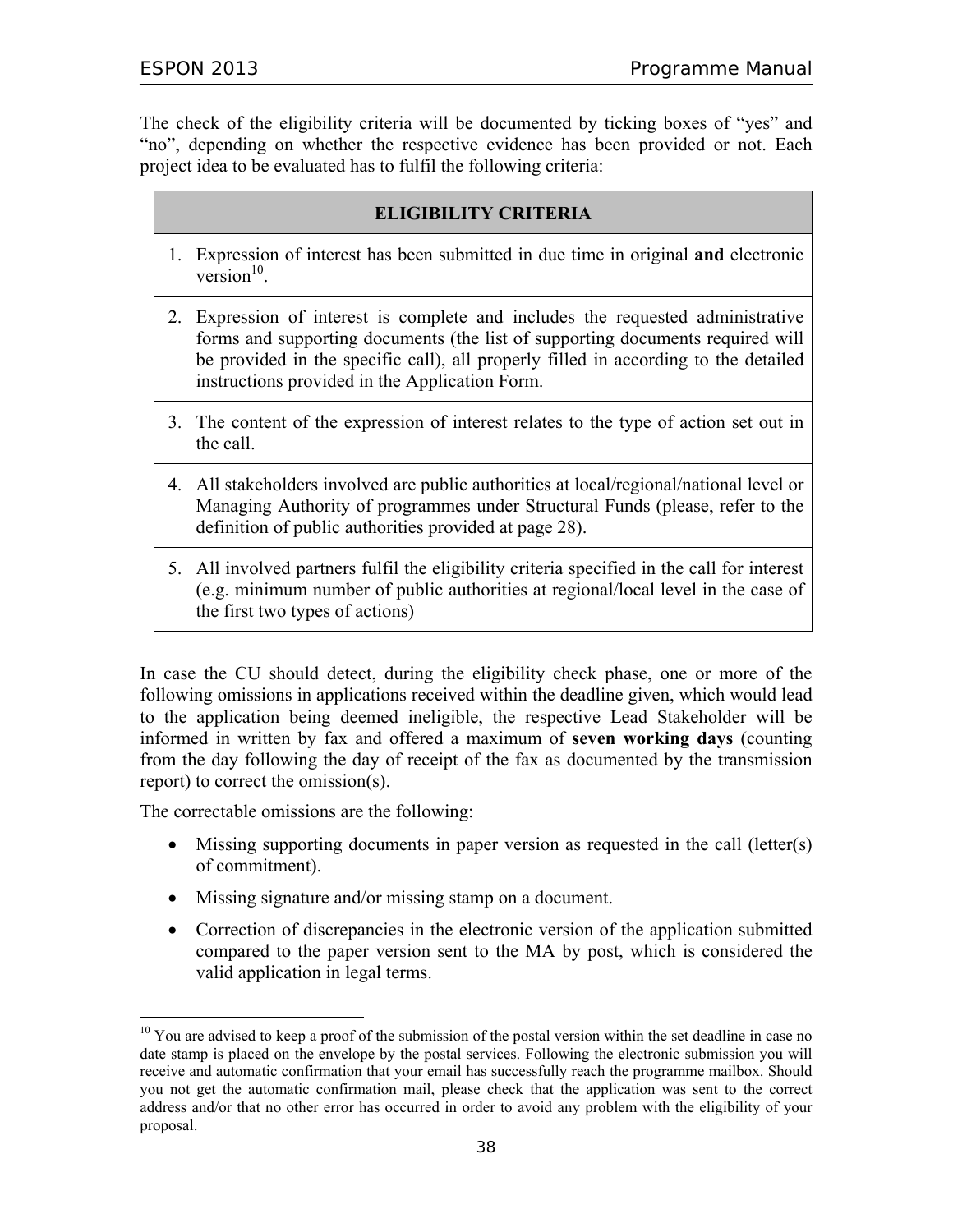The check of the eligibility criteria will be documented by ticking boxes of "yes" and "no", depending on whether the respective evidence has been provided or not. Each project idea to be evaluated has to fulfil the following criteria:

### **ELIGIBILITY CRITERIA**

- 1. Expression of interest has been submitted in due time in original **and** electronic version $10$
- 2. Expression of interest is complete and includes the requested administrative forms and supporting documents (the list of supporting documents required will be provided in the specific call), all properly filled in according to the detailed instructions provided in the Application Form.
- 3. The content of the expression of interest relates to the type of action set out in the call.
- 4. All stakeholders involved are public authorities at local/regional/national level or Managing Authority of programmes under Structural Funds (please, refer to the definition of public authorities provided at page 28).
- 5. All involved partners fulfil the eligibility criteria specified in the call for interest (e.g. minimum number of public authorities at regional/local level in the case of the first two types of actions)

In case the CU should detect, during the eligibility check phase, one or more of the following omissions in applications received within the deadline given, which would lead to the application being deemed ineligible, the respective Lead Stakeholder will be informed in written by fax and offered a maximum of **seven working days** (counting from the day following the day of receipt of the fax as documented by the transmission report) to correct the omission(s).

The correctable omissions are the following:

 $\overline{a}$ 

- Missing supporting documents in paper version as requested in the call (letter(s) of commitment).
- Missing signature and/or missing stamp on a document.
- Correction of discrepancies in the electronic version of the application submitted compared to the paper version sent to the MA by post, which is considered the valid application in legal terms.

<sup>&</sup>lt;sup>10</sup> You are advised to keep a proof of the submission of the postal version within the set deadline in case no date stamp is placed on the envelope by the postal services. Following the electronic submission you will receive and automatic confirmation that your email has successfully reach the programme mailbox. Should you not get the automatic confirmation mail, please check that the application was sent to the correct address and/or that no other error has occurred in order to avoid any problem with the eligibility of your proposal.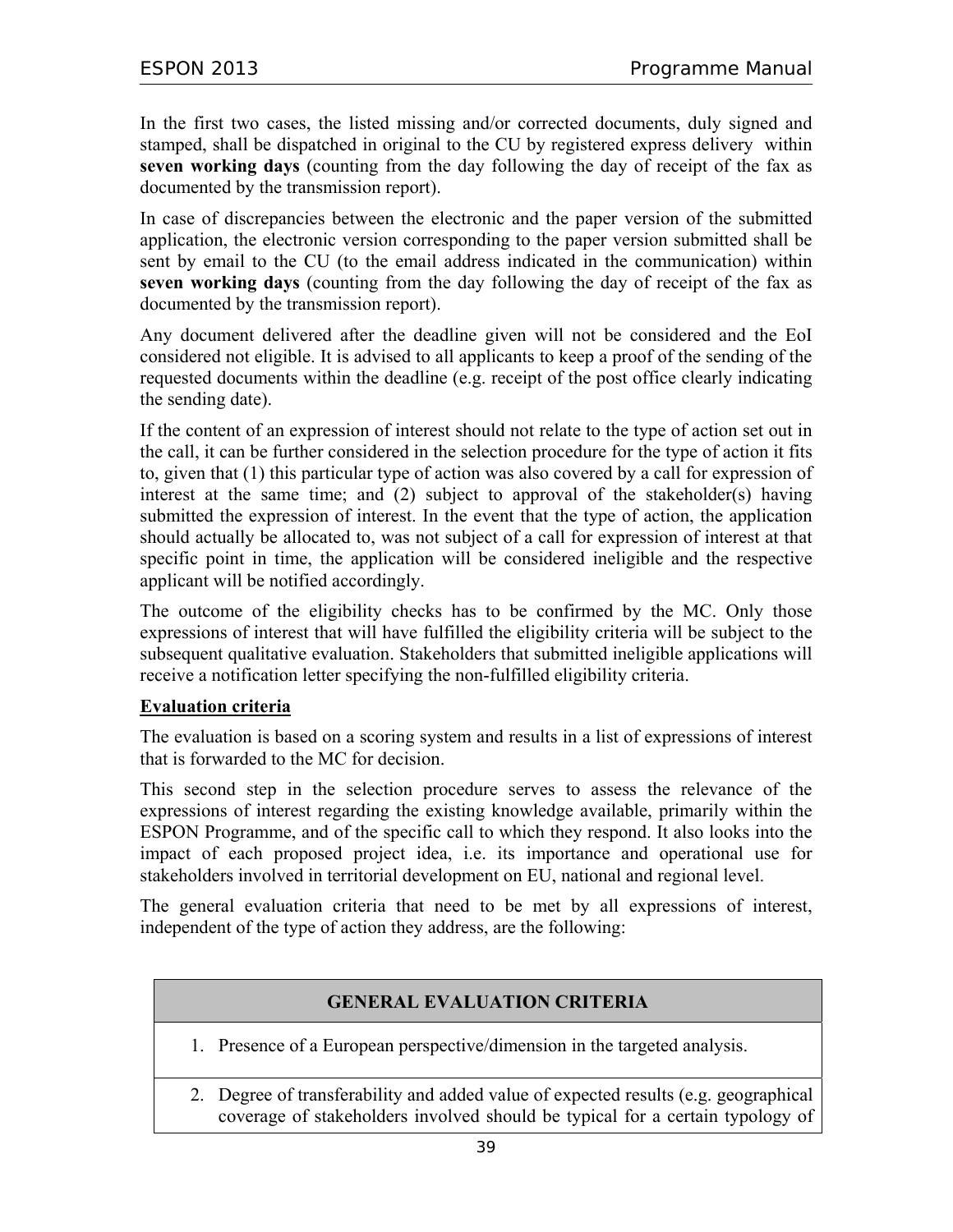In the first two cases, the listed missing and/or corrected documents, duly signed and stamped, shall be dispatched in original to the CU by registered express delivery within **seven working days** (counting from the day following the day of receipt of the fax as documented by the transmission report).

In case of discrepancies between the electronic and the paper version of the submitted application, the electronic version corresponding to the paper version submitted shall be sent by email to the CU (to the email address indicated in the communication) within **seven working days** (counting from the day following the day of receipt of the fax as documented by the transmission report).

Any document delivered after the deadline given will not be considered and the EoI considered not eligible. It is advised to all applicants to keep a proof of the sending of the requested documents within the deadline (e.g. receipt of the post office clearly indicating the sending date).

If the content of an expression of interest should not relate to the type of action set out in the call, it can be further considered in the selection procedure for the type of action it fits to, given that (1) this particular type of action was also covered by a call for expression of interest at the same time; and (2) subject to approval of the stakeholder(s) having submitted the expression of interest. In the event that the type of action, the application should actually be allocated to, was not subject of a call for expression of interest at that specific point in time, the application will be considered ineligible and the respective applicant will be notified accordingly.

The outcome of the eligibility checks has to be confirmed by the MC. Only those expressions of interest that will have fulfilled the eligibility criteria will be subject to the subsequent qualitative evaluation. Stakeholders that submitted ineligible applications will receive a notification letter specifying the non-fulfilled eligibility criteria.

### **Evaluation criteria**

The evaluation is based on a scoring system and results in a list of expressions of interest that is forwarded to the MC for decision.

This second step in the selection procedure serves to assess the relevance of the expressions of interest regarding the existing knowledge available, primarily within the ESPON Programme, and of the specific call to which they respond. It also looks into the impact of each proposed project idea, i.e. its importance and operational use for stakeholders involved in territorial development on EU, national and regional level.

The general evaluation criteria that need to be met by all expressions of interest, independent of the type of action they address, are the following:

## **GENERAL EVALUATION CRITERIA**

- 1. Presence of a European perspective/dimension in the targeted analysis.
- 2. Degree of transferability and added value of expected results (e.g. geographical coverage of stakeholders involved should be typical for a certain typology of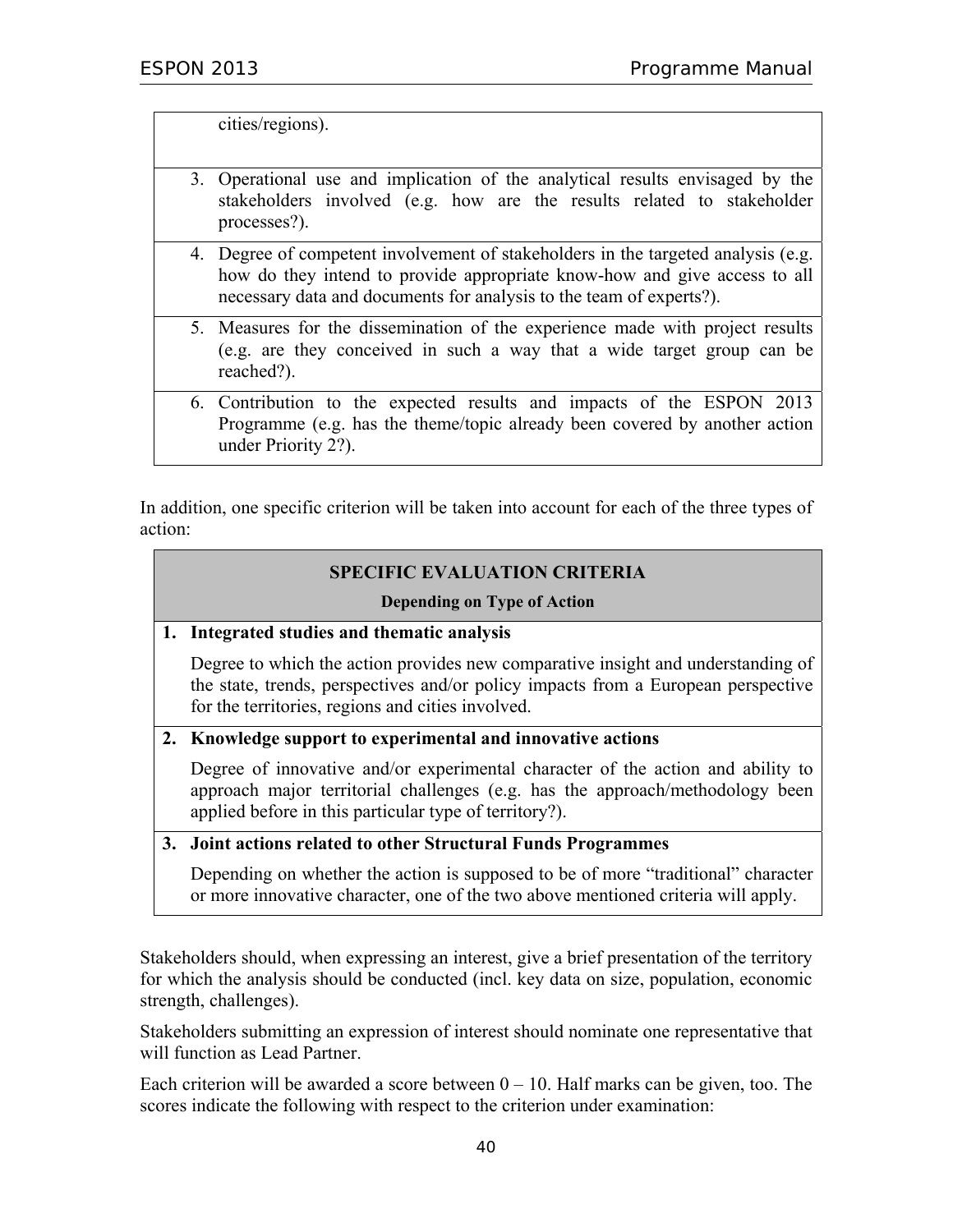cities/regions).

- 3. Operational use and implication of the analytical results envisaged by the stakeholders involved (e.g. how are the results related to stakeholder processes?).
- 4. Degree of competent involvement of stakeholders in the targeted analysis (e.g. how do they intend to provide appropriate know-how and give access to all necessary data and documents for analysis to the team of experts?).
- 5. Measures for the dissemination of the experience made with project results (e.g. are they conceived in such a way that a wide target group can be reached?).
- 6. Contribution to the expected results and impacts of the ESPON 2013 Programme (e.g. has the theme/topic already been covered by another action under Priority 2?).

In addition, one specific criterion will be taken into account for each of the three types of action:

### **SPECIFIC EVALUATION CRITERIA**

#### **Depending on Type of Action**

#### **1. Integrated studies and thematic analysis**

 Degree to which the action provides new comparative insight and understanding of the state, trends, perspectives and/or policy impacts from a European perspective for the territories, regions and cities involved.

#### **2. Knowledge support to experimental and innovative actions**

 Degree of innovative and/or experimental character of the action and ability to approach major territorial challenges (e.g. has the approach/methodology been applied before in this particular type of territory?).

#### **3. Joint actions related to other Structural Funds Programmes**

 Depending on whether the action is supposed to be of more "traditional" character or more innovative character, one of the two above mentioned criteria will apply.

Stakeholders should, when expressing an interest, give a brief presentation of the territory for which the analysis should be conducted (incl. key data on size, population, economic strength, challenges).

Stakeholders submitting an expression of interest should nominate one representative that will function as Lead Partner.

Each criterion will be awarded a score between  $0 - 10$ . Half marks can be given, too. The scores indicate the following with respect to the criterion under examination: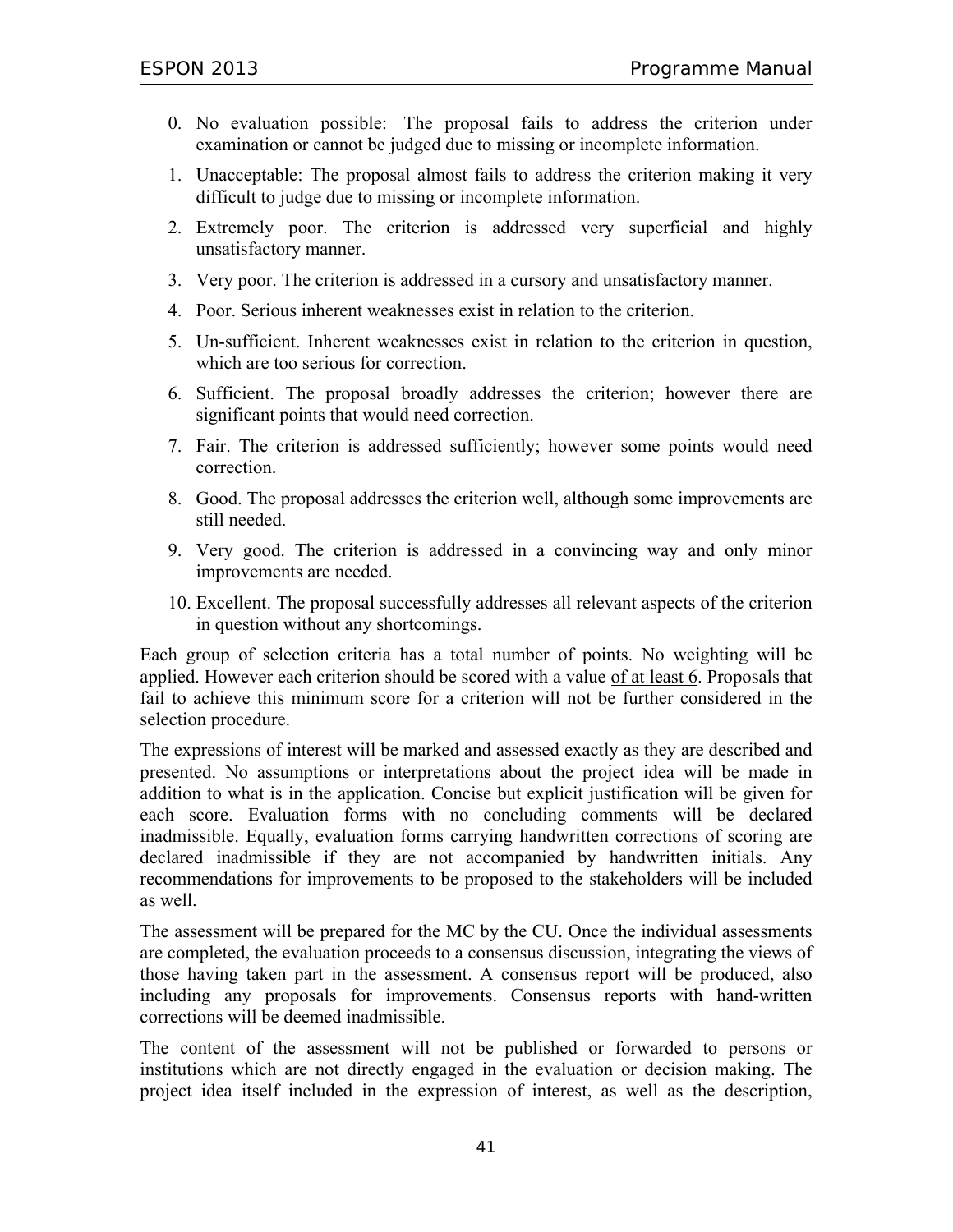- 0. No evaluation possible: The proposal fails to address the criterion under examination or cannot be judged due to missing or incomplete information.
- 1. Unacceptable: The proposal almost fails to address the criterion making it very difficult to judge due to missing or incomplete information.
- 2. Extremely poor. The criterion is addressed very superficial and highly unsatisfactory manner.
- 3. Very poor. The criterion is addressed in a cursory and unsatisfactory manner.
- 4. Poor. Serious inherent weaknesses exist in relation to the criterion.
- 5. Un-sufficient. Inherent weaknesses exist in relation to the criterion in question, which are too serious for correction.
- 6. Sufficient. The proposal broadly addresses the criterion; however there are significant points that would need correction.
- 7. Fair. The criterion is addressed sufficiently; however some points would need correction.
- 8. Good. The proposal addresses the criterion well, although some improvements are still needed.
- 9. Very good. The criterion is addressed in a convincing way and only minor improvements are needed.
- 10. Excellent. The proposal successfully addresses all relevant aspects of the criterion in question without any shortcomings.

Each group of selection criteria has a total number of points. No weighting will be applied. However each criterion should be scored with a value of at least 6. Proposals that fail to achieve this minimum score for a criterion will not be further considered in the selection procedure.

The expressions of interest will be marked and assessed exactly as they are described and presented. No assumptions or interpretations about the project idea will be made in addition to what is in the application. Concise but explicit justification will be given for each score. Evaluation forms with no concluding comments will be declared inadmissible. Equally, evaluation forms carrying handwritten corrections of scoring are declared inadmissible if they are not accompanied by handwritten initials. Any recommendations for improvements to be proposed to the stakeholders will be included as well.

The assessment will be prepared for the MC by the CU. Once the individual assessments are completed, the evaluation proceeds to a consensus discussion, integrating the views of those having taken part in the assessment. A consensus report will be produced, also including any proposals for improvements. Consensus reports with hand-written corrections will be deemed inadmissible.

The content of the assessment will not be published or forwarded to persons or institutions which are not directly engaged in the evaluation or decision making. The project idea itself included in the expression of interest, as well as the description,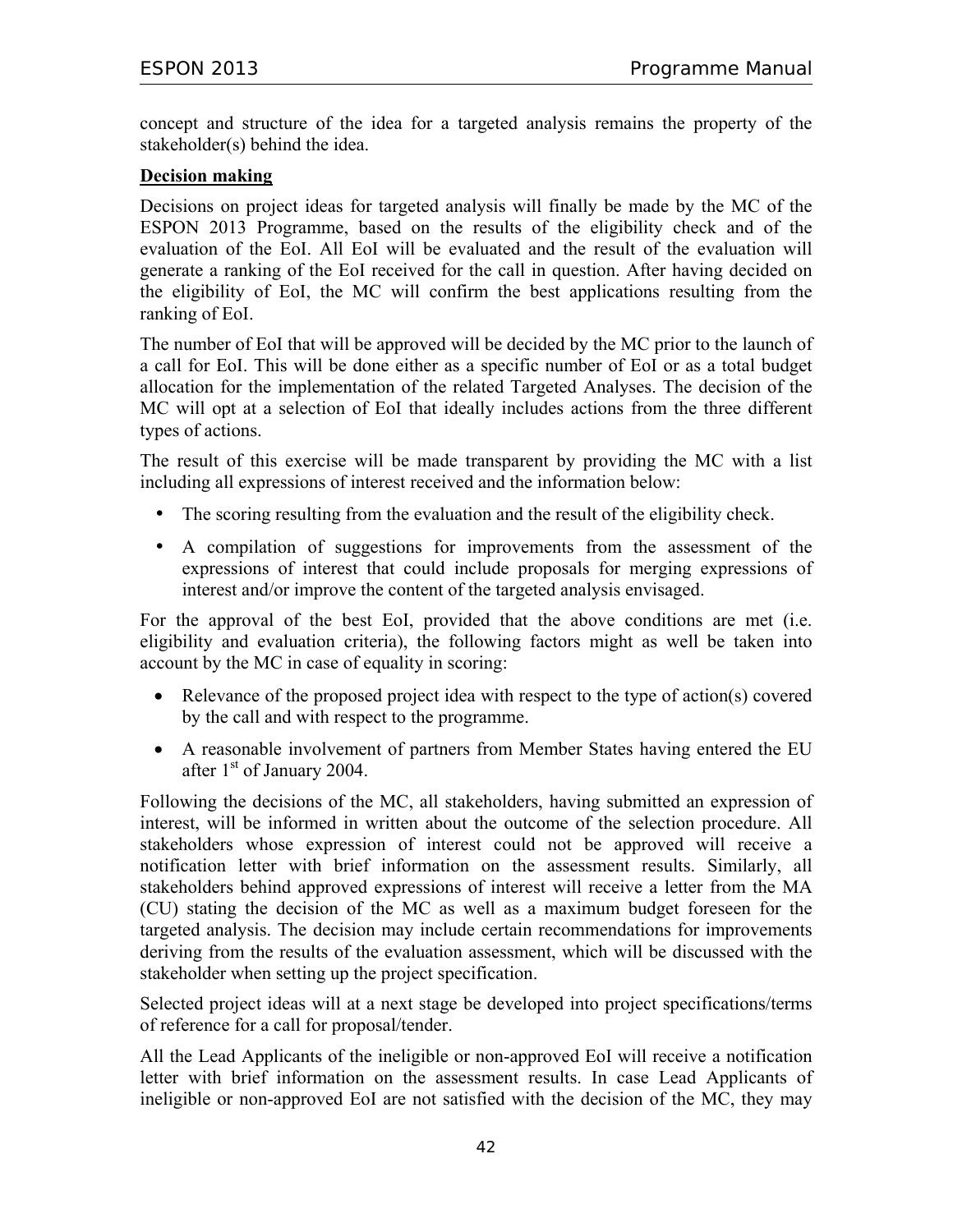concept and structure of the idea for a targeted analysis remains the property of the stakeholder(s) behind the idea.

### **Decision making**

Decisions on project ideas for targeted analysis will finally be made by the MC of the ESPON 2013 Programme, based on the results of the eligibility check and of the evaluation of the EoI. All EoI will be evaluated and the result of the evaluation will generate a ranking of the EoI received for the call in question. After having decided on the eligibility of EoI, the MC will confirm the best applications resulting from the ranking of EoI.

The number of EoI that will be approved will be decided by the MC prior to the launch of a call for EoI. This will be done either as a specific number of EoI or as a total budget allocation for the implementation of the related Targeted Analyses. The decision of the MC will opt at a selection of EoI that ideally includes actions from the three different types of actions.

The result of this exercise will be made transparent by providing the MC with a list including all expressions of interest received and the information below:

- The scoring resulting from the evaluation and the result of the eligibility check.
- A compilation of suggestions for improvements from the assessment of the expressions of interest that could include proposals for merging expressions of interest and/or improve the content of the targeted analysis envisaged.

For the approval of the best EoI, provided that the above conditions are met (i.e. eligibility and evaluation criteria), the following factors might as well be taken into account by the MC in case of equality in scoring:

- Relevance of the proposed project idea with respect to the type of action(s) covered by the call and with respect to the programme.
- A reasonable involvement of partners from Member States having entered the EU after 1<sup>st</sup> of January 2004.

Following the decisions of the MC, all stakeholders, having submitted an expression of interest, will be informed in written about the outcome of the selection procedure. All stakeholders whose expression of interest could not be approved will receive a notification letter with brief information on the assessment results. Similarly, all stakeholders behind approved expressions of interest will receive a letter from the MA (CU) stating the decision of the MC as well as a maximum budget foreseen for the targeted analysis. The decision may include certain recommendations for improvements deriving from the results of the evaluation assessment, which will be discussed with the stakeholder when setting up the project specification.

Selected project ideas will at a next stage be developed into project specifications/terms of reference for a call for proposal/tender.

All the Lead Applicants of the ineligible or non-approved EoI will receive a notification letter with brief information on the assessment results. In case Lead Applicants of ineligible or non-approved EoI are not satisfied with the decision of the MC, they may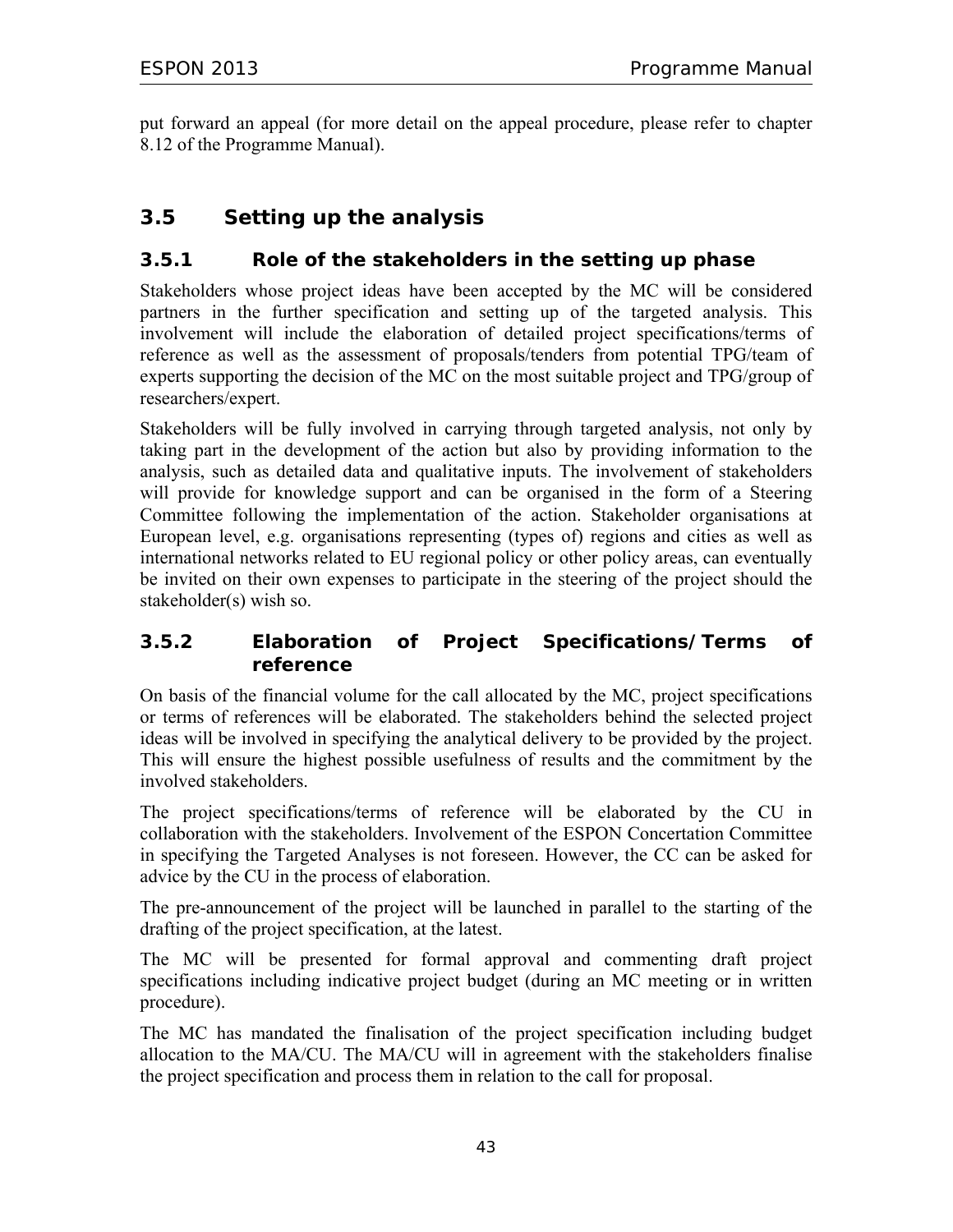put forward an appeal (for more detail on the appeal procedure, please refer to chapter 8.12 of the Programme Manual).

# **3.5 Setting up the analysis**

## **3.5.1 Role of the stakeholders in the setting up phase**

Stakeholders whose project ideas have been accepted by the MC will be considered partners in the further specification and setting up of the targeted analysis. This involvement will include the elaboration of detailed project specifications/terms of reference as well as the assessment of proposals/tenders from potential TPG/team of experts supporting the decision of the MC on the most suitable project and TPG/group of researchers/expert.

Stakeholders will be fully involved in carrying through targeted analysis, not only by taking part in the development of the action but also by providing information to the analysis, such as detailed data and qualitative inputs. The involvement of stakeholders will provide for knowledge support and can be organised in the form of a Steering Committee following the implementation of the action. Stakeholder organisations at European level, e.g. organisations representing (types of) regions and cities as well as international networks related to EU regional policy or other policy areas, can eventually be invited on their own expenses to participate in the steering of the project should the stakeholder(s) wish so.

## **3.5.2 Elaboration of Project Specifications/Terms of reference**

On basis of the financial volume for the call allocated by the MC, project specifications or terms of references will be elaborated. The stakeholders behind the selected project ideas will be involved in specifying the analytical delivery to be provided by the project. This will ensure the highest possible usefulness of results and the commitment by the involved stakeholders.

The project specifications/terms of reference will be elaborated by the CU in collaboration with the stakeholders. Involvement of the ESPON Concertation Committee in specifying the Targeted Analyses is not foreseen. However, the CC can be asked for advice by the CU in the process of elaboration.

The pre-announcement of the project will be launched in parallel to the starting of the drafting of the project specification, at the latest.

The MC will be presented for formal approval and commenting draft project specifications including indicative project budget (during an MC meeting or in written procedure).

The MC has mandated the finalisation of the project specification including budget allocation to the MA/CU. The MA/CU will in agreement with the stakeholders finalise the project specification and process them in relation to the call for proposal.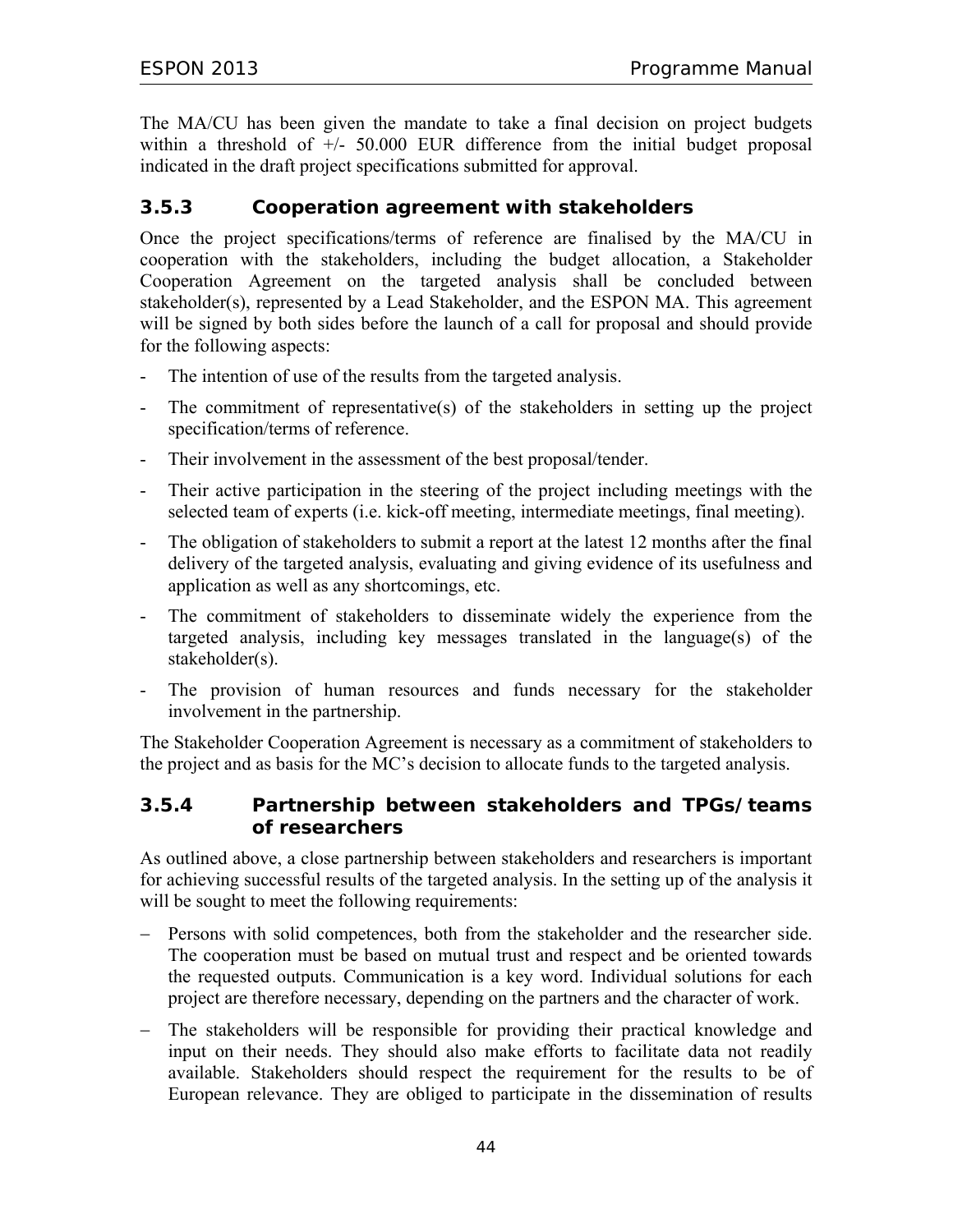The MA/CU has been given the mandate to take a final decision on project budgets within a threshold of  $+/-$  50.000 EUR difference from the initial budget proposal indicated in the draft project specifications submitted for approval.

## **3.5.3 Cooperation agreement with stakeholders**

Once the project specifications/terms of reference are finalised by the MA/CU in cooperation with the stakeholders, including the budget allocation, a Stakeholder Cooperation Agreement on the targeted analysis shall be concluded between stakeholder(s), represented by a Lead Stakeholder, and the ESPON MA. This agreement will be signed by both sides before the launch of a call for proposal and should provide for the following aspects:

- The intention of use of the results from the targeted analysis.
- The commitment of representative(s) of the stakeholders in setting up the project specification/terms of reference.
- Their involvement in the assessment of the best proposal/tender.
- Their active participation in the steering of the project including meetings with the selected team of experts (i.e. kick-off meeting, intermediate meetings, final meeting).
- The obligation of stakeholders to submit a report at the latest 12 months after the final delivery of the targeted analysis, evaluating and giving evidence of its usefulness and application as well as any shortcomings, etc.
- The commitment of stakeholders to disseminate widely the experience from the targeted analysis, including key messages translated in the language(s) of the stakeholder(s).
- The provision of human resources and funds necessary for the stakeholder involvement in the partnership.

The Stakeholder Cooperation Agreement is necessary as a commitment of stakeholders to the project and as basis for the MC's decision to allocate funds to the targeted analysis.

### **3.5.4 Partnership between stakeholders and TPGs/teams of researchers**

As outlined above, a close partnership between stakeholders and researchers is important for achieving successful results of the targeted analysis. In the setting up of the analysis it will be sought to meet the following requirements:

- − Persons with solid competences, both from the stakeholder and the researcher side. The cooperation must be based on mutual trust and respect and be oriented towards the requested outputs. Communication is a key word. Individual solutions for each project are therefore necessary, depending on the partners and the character of work.
- − The stakeholders will be responsible for providing their practical knowledge and input on their needs. They should also make efforts to facilitate data not readily available. Stakeholders should respect the requirement for the results to be of European relevance. They are obliged to participate in the dissemination of results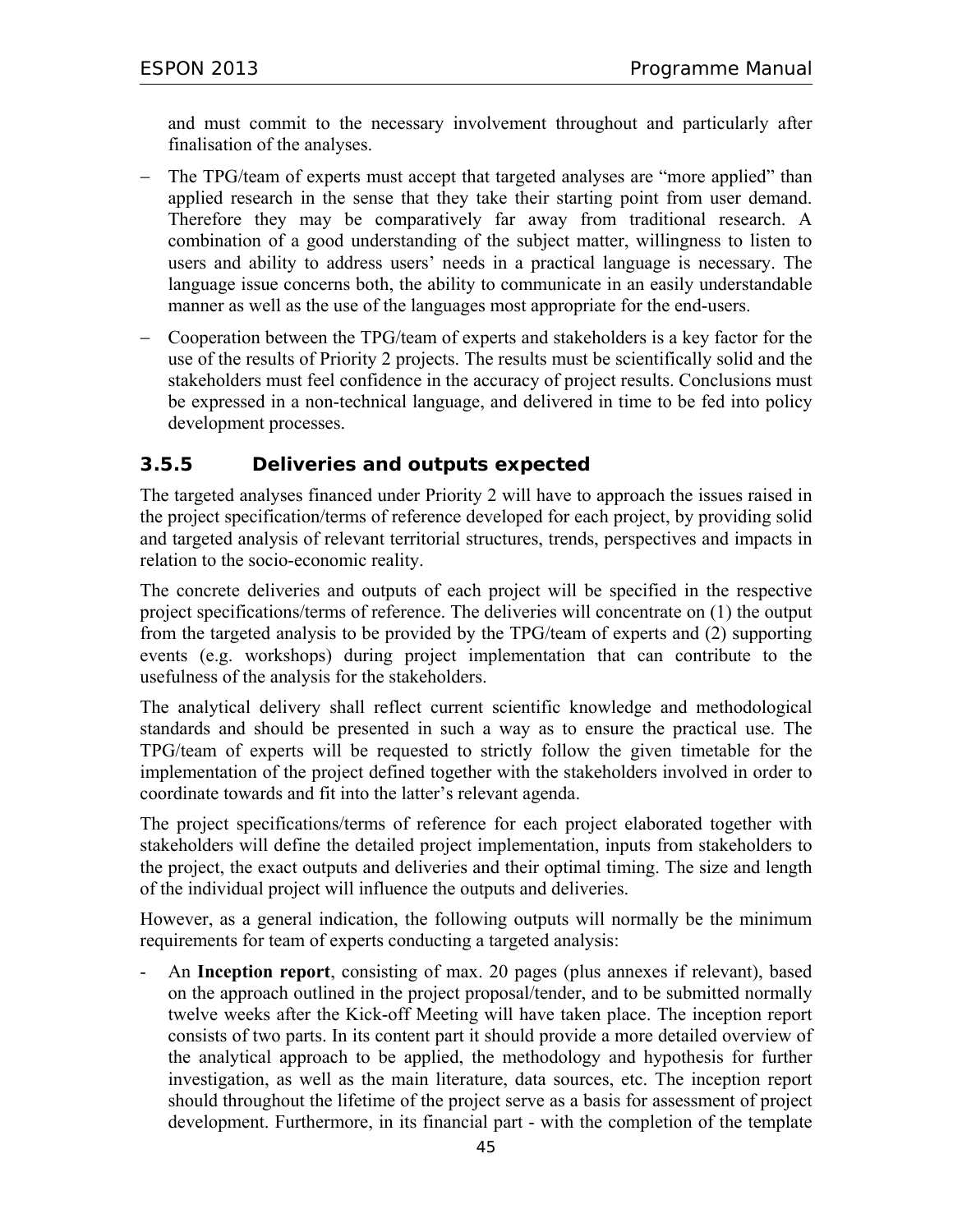and must commit to the necessary involvement throughout and particularly after finalisation of the analyses.

- The TPG/team of experts must accept that targeted analyses are "more applied" than applied research in the sense that they take their starting point from user demand. Therefore they may be comparatively far away from traditional research. A combination of a good understanding of the subject matter, willingness to listen to users and ability to address users' needs in a practical language is necessary. The language issue concerns both, the ability to communicate in an easily understandable manner as well as the use of the languages most appropriate for the end-users.
- − Cooperation between the TPG/team of experts and stakeholders is a key factor for the use of the results of Priority 2 projects. The results must be scientifically solid and the stakeholders must feel confidence in the accuracy of project results. Conclusions must be expressed in a non-technical language, and delivered in time to be fed into policy development processes.

## **3.5.5 Deliveries and outputs expected**

The targeted analyses financed under Priority 2 will have to approach the issues raised in the project specification/terms of reference developed for each project, by providing solid and targeted analysis of relevant territorial structures, trends, perspectives and impacts in relation to the socio-economic reality.

The concrete deliveries and outputs of each project will be specified in the respective project specifications/terms of reference. The deliveries will concentrate on (1) the output from the targeted analysis to be provided by the TPG/team of experts and (2) supporting events (e.g. workshops) during project implementation that can contribute to the usefulness of the analysis for the stakeholders.

The analytical delivery shall reflect current scientific knowledge and methodological standards and should be presented in such a way as to ensure the practical use. The TPG/team of experts will be requested to strictly follow the given timetable for the implementation of the project defined together with the stakeholders involved in order to coordinate towards and fit into the latter's relevant agenda.

The project specifications/terms of reference for each project elaborated together with stakeholders will define the detailed project implementation, inputs from stakeholders to the project, the exact outputs and deliveries and their optimal timing. The size and length of the individual project will influence the outputs and deliveries.

However, as a general indication, the following outputs will normally be the minimum requirements for team of experts conducting a targeted analysis:

- An **Inception report**, consisting of max. 20 pages (plus annexes if relevant), based on the approach outlined in the project proposal/tender, and to be submitted normally twelve weeks after the Kick-off Meeting will have taken place. The inception report consists of two parts. In its content part it should provide a more detailed overview of the analytical approach to be applied, the methodology and hypothesis for further investigation, as well as the main literature, data sources, etc. The inception report should throughout the lifetime of the project serve as a basis for assessment of project development. Furthermore, in its financial part - with the completion of the template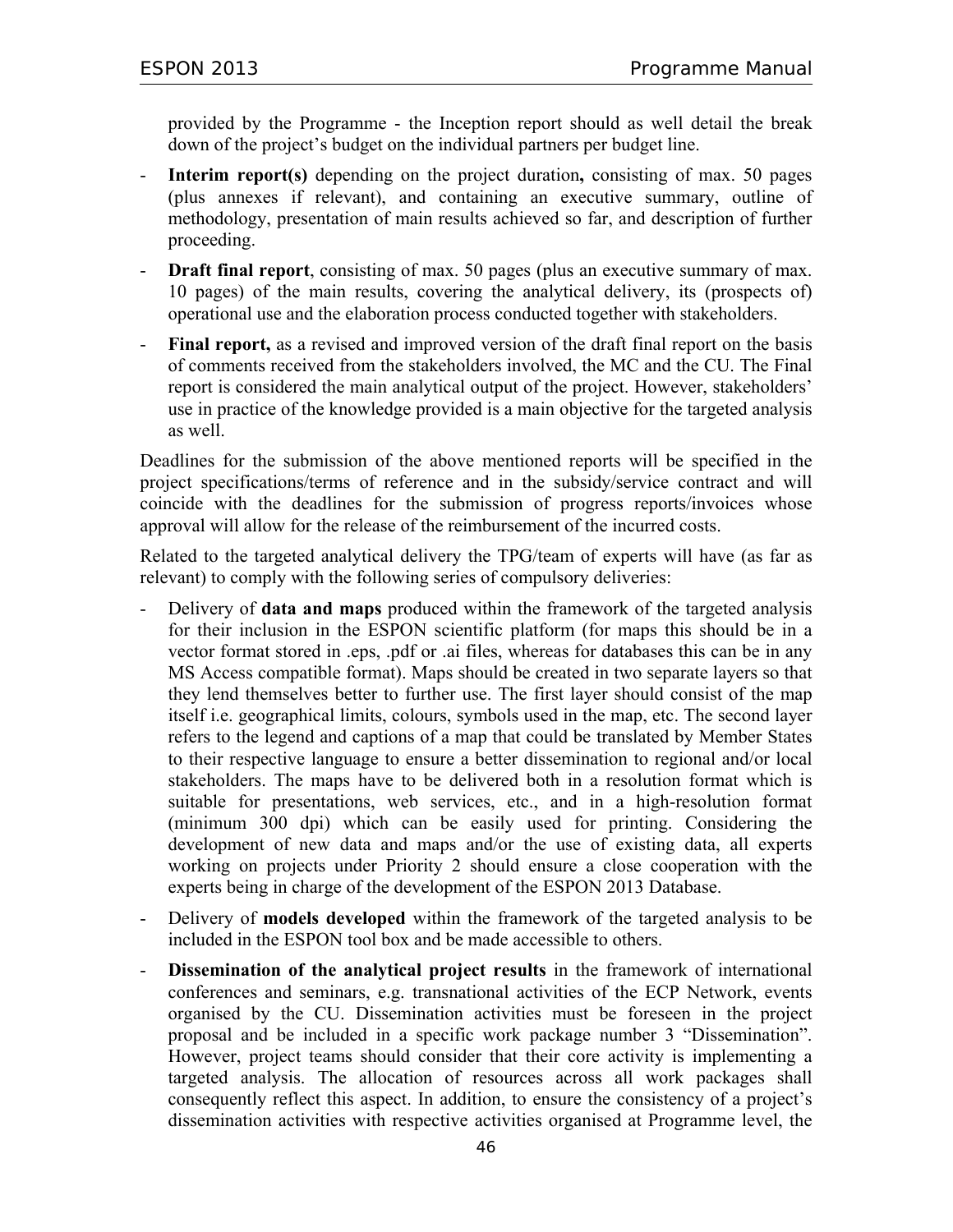provided by the Programme - the Inception report should as well detail the break down of the project's budget on the individual partners per budget line.

- **Interim report(s)** depending on the project duration**,** consisting of max. 50 pages (plus annexes if relevant), and containing an executive summary, outline of methodology, presentation of main results achieved so far, and description of further proceeding.
- **Draft final report**, consisting of max. 50 pages (plus an executive summary of max. 10 pages) of the main results, covering the analytical delivery, its (prospects of) operational use and the elaboration process conducted together with stakeholders.
- Final report, as a revised and improved version of the draft final report on the basis of comments received from the stakeholders involved, the MC and the CU. The Final report is considered the main analytical output of the project. However, stakeholders' use in practice of the knowledge provided is a main objective for the targeted analysis as well.

Deadlines for the submission of the above mentioned reports will be specified in the project specifications/terms of reference and in the subsidy/service contract and will coincide with the deadlines for the submission of progress reports/invoices whose approval will allow for the release of the reimbursement of the incurred costs.

Related to the targeted analytical delivery the TPG/team of experts will have (as far as relevant) to comply with the following series of compulsory deliveries:

- Delivery of **data and maps** produced within the framework of the targeted analysis for their inclusion in the ESPON scientific platform (for maps this should be in a vector format stored in .eps, .pdf or .ai files, whereas for databases this can be in any MS Access compatible format). Maps should be created in two separate layers so that they lend themselves better to further use. The first layer should consist of the map itself i.e. geographical limits, colours, symbols used in the map, etc. The second layer refers to the legend and captions of a map that could be translated by Member States to their respective language to ensure a better dissemination to regional and/or local stakeholders. The maps have to be delivered both in a resolution format which is suitable for presentations, web services, etc., and in a high-resolution format (minimum 300 dpi) which can be easily used for printing. Considering the development of new data and maps and/or the use of existing data, all experts working on projects under Priority 2 should ensure a close cooperation with the experts being in charge of the development of the ESPON 2013 Database.
- Delivery of **models developed** within the framework of the targeted analysis to be included in the ESPON tool box and be made accessible to others.
- Dissemination of the analytical project results in the framework of international conferences and seminars, e.g. transnational activities of the ECP Network, events organised by the CU. Dissemination activities must be foreseen in the project proposal and be included in a specific work package number 3 "Dissemination". However, project teams should consider that their core activity is implementing a targeted analysis. The allocation of resources across all work packages shall consequently reflect this aspect. In addition, to ensure the consistency of a project's dissemination activities with respective activities organised at Programme level, the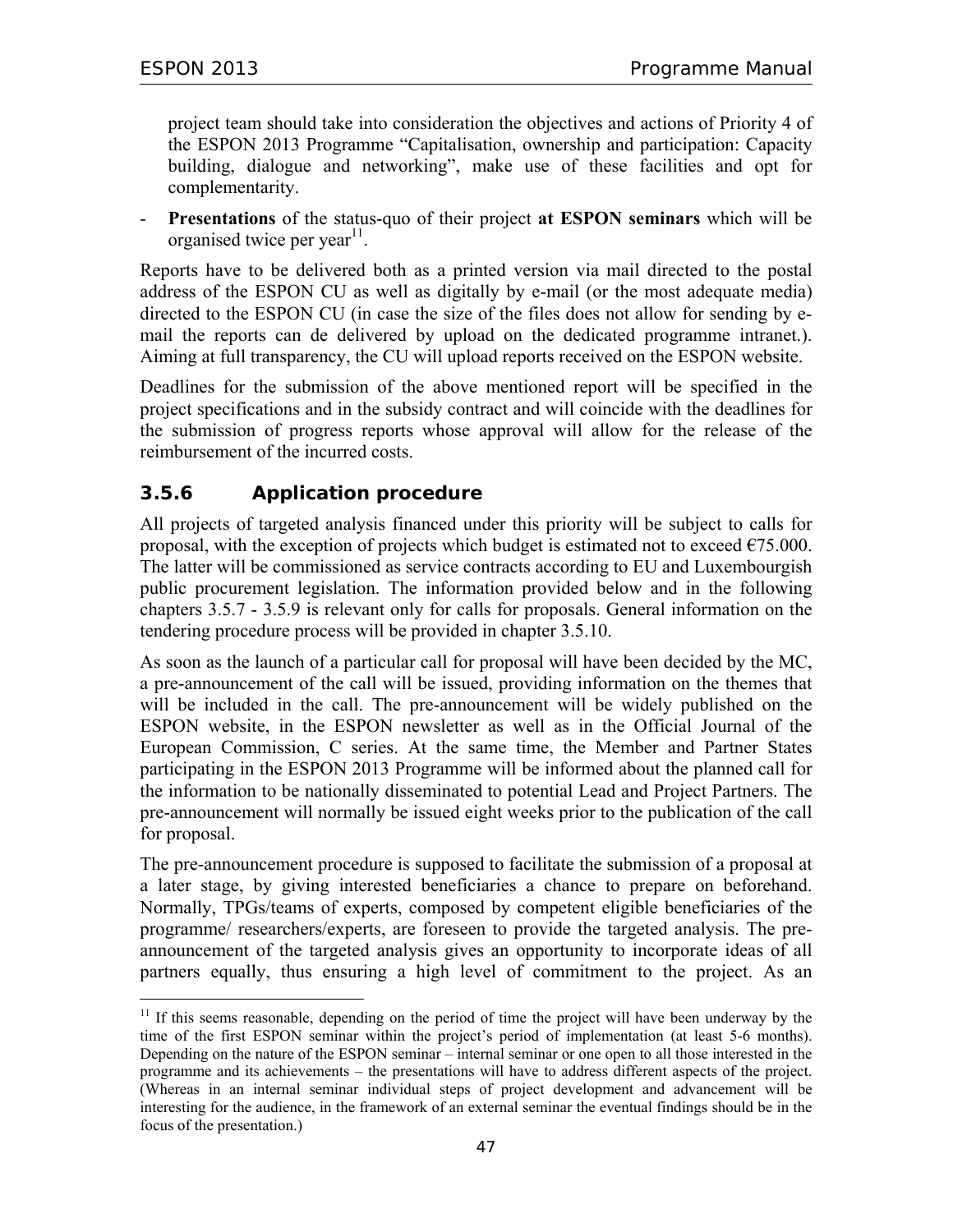$\overline{a}$ 

project team should take into consideration the objectives and actions of Priority 4 of the ESPON 2013 Programme "Capitalisation, ownership and participation: Capacity building, dialogue and networking", make use of these facilities and opt for complementarity.

- **Presentations** of the status-quo of their project **at ESPON seminars** which will be organised twice per year<sup>11</sup>.

Reports have to be delivered both as a printed version via mail directed to the postal address of the ESPON CU as well as digitally by e-mail (or the most adequate media) directed to the ESPON CU (in case the size of the files does not allow for sending by email the reports can de delivered by upload on the dedicated programme intranet.). Aiming at full transparency, the CU will upload reports received on the ESPON website.

Deadlines for the submission of the above mentioned report will be specified in the project specifications and in the subsidy contract and will coincide with the deadlines for the submission of progress reports whose approval will allow for the release of the reimbursement of the incurred costs.

## **3.5.6 Application procedure**

All projects of targeted analysis financed under this priority will be subject to calls for proposal, with the exception of projects which budget is estimated not to exceed  $\epsilon$ 75.000. The latter will be commissioned as service contracts according to EU and Luxembourgish public procurement legislation. The information provided below and in the following chapters 3.5.7 - 3.5.9 is relevant only for calls for proposals. General information on the tendering procedure process will be provided in chapter 3.5.10.

As soon as the launch of a particular call for proposal will have been decided by the MC, a pre-announcement of the call will be issued, providing information on the themes that will be included in the call. The pre-announcement will be widely published on the ESPON website, in the ESPON newsletter as well as in the Official Journal of the European Commission, C series. At the same time, the Member and Partner States participating in the ESPON 2013 Programme will be informed about the planned call for the information to be nationally disseminated to potential Lead and Project Partners. The pre-announcement will normally be issued eight weeks prior to the publication of the call for proposal.

The pre-announcement procedure is supposed to facilitate the submission of a proposal at a later stage, by giving interested beneficiaries a chance to prepare on beforehand. Normally, TPGs/teams of experts, composed by competent eligible beneficiaries of the programme/ researchers/experts, are foreseen to provide the targeted analysis. The preannouncement of the targeted analysis gives an opportunity to incorporate ideas of all partners equally, thus ensuring a high level of commitment to the project. As an

 $11$  If this seems reasonable, depending on the period of time the project will have been underway by the time of the first ESPON seminar within the project's period of implementation (at least 5-6 months). Depending on the nature of the ESPON seminar – internal seminar or one open to all those interested in the programme and its achievements – the presentations will have to address different aspects of the project. (Whereas in an internal seminar individual steps of project development and advancement will be interesting for the audience, in the framework of an external seminar the eventual findings should be in the focus of the presentation.)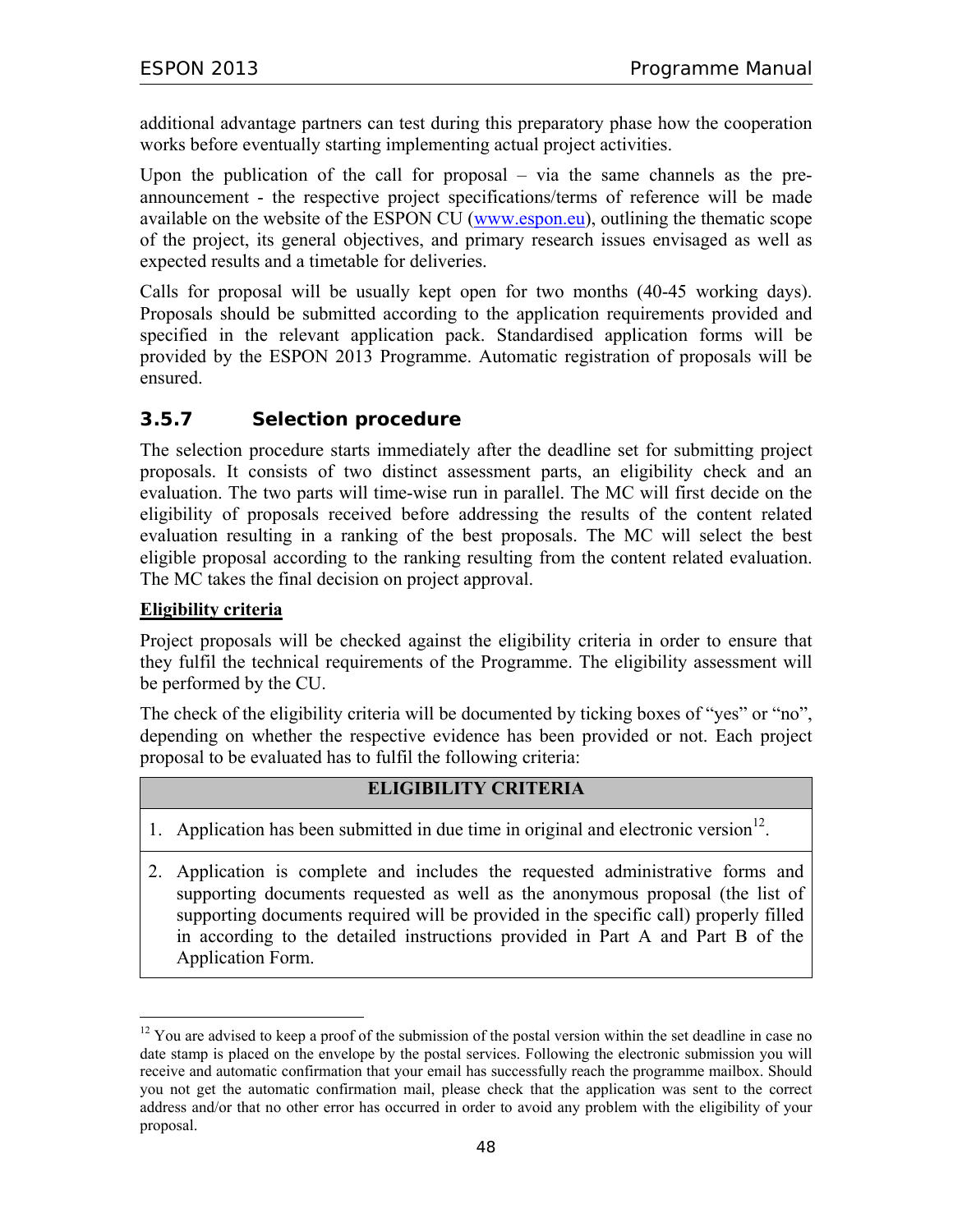additional advantage partners can test during this preparatory phase how the cooperation works before eventually starting implementing actual project activities.

Upon the publication of the call for proposal – via the same channels as the preannouncement - the respective project specifications/terms of reference will be made available on the website of the ESPON CU (www.espon.eu), outlining the thematic scope of the project, its general objectives, and primary research issues envisaged as well as expected results and a timetable for deliveries.

Calls for proposal will be usually kept open for two months (40-45 working days). Proposals should be submitted according to the application requirements provided and specified in the relevant application pack. Standardised application forms will be provided by the ESPON 2013 Programme. Automatic registration of proposals will be ensured.

## **3.5.7 Selection procedure**

The selection procedure starts immediately after the deadline set for submitting project proposals. It consists of two distinct assessment parts, an eligibility check and an evaluation. The two parts will time-wise run in parallel. The MC will first decide on the eligibility of proposals received before addressing the results of the content related evaluation resulting in a ranking of the best proposals. The MC will select the best eligible proposal according to the ranking resulting from the content related evaluation. The MC takes the final decision on project approval.

### **Eligibility criteria**

 $\overline{a}$ 

Project proposals will be checked against the eligibility criteria in order to ensure that they fulfil the technical requirements of the Programme. The eligibility assessment will be performed by the CU.

The check of the eligibility criteria will be documented by ticking boxes of "yes" or "no", depending on whether the respective evidence has been provided or not. Each project proposal to be evaluated has to fulfil the following criteria:

### **ELIGIBILITY CRITERIA**

- 1. Application has been submitted in due time in original and electronic version $^{12}$ .
- 2. Application is complete and includes the requested administrative forms and supporting documents requested as well as the anonymous proposal (the list of supporting documents required will be provided in the specific call) properly filled in according to the detailed instructions provided in Part A and Part B of the Application Form.

 $12$  You are advised to keep a proof of the submission of the postal version within the set deadline in case no date stamp is placed on the envelope by the postal services. Following the electronic submission you will receive and automatic confirmation that your email has successfully reach the programme mailbox. Should you not get the automatic confirmation mail, please check that the application was sent to the correct address and/or that no other error has occurred in order to avoid any problem with the eligibility of your proposal.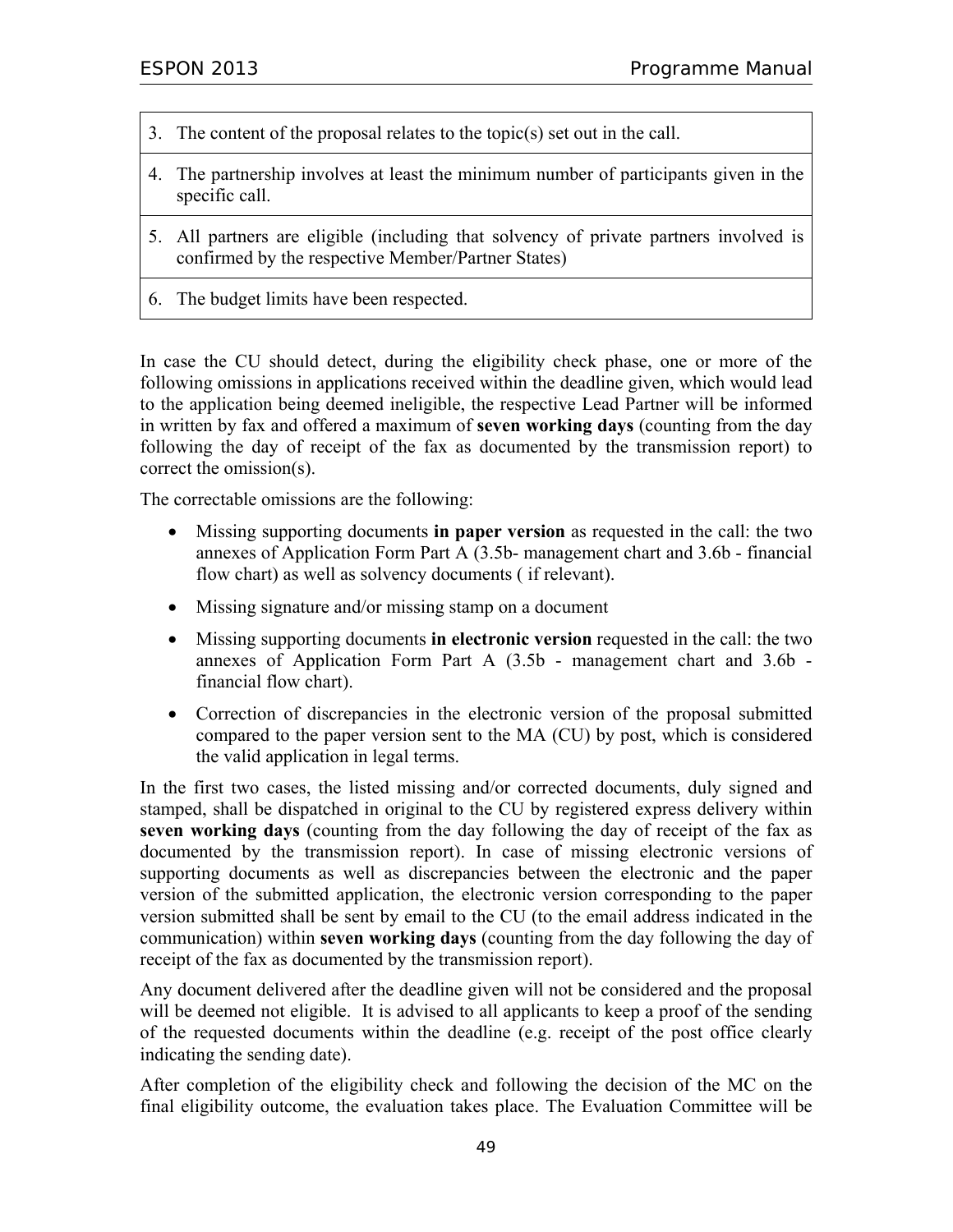- 3. The content of the proposal relates to the topic(s) set out in the call.
- 4. The partnership involves at least the minimum number of participants given in the specific call.
- 5. All partners are eligible (including that solvency of private partners involved is confirmed by the respective Member/Partner States)
- 6. The budget limits have been respected.

In case the CU should detect, during the eligibility check phase, one or more of the following omissions in applications received within the deadline given, which would lead to the application being deemed ineligible, the respective Lead Partner will be informed in written by fax and offered a maximum of **seven working days** (counting from the day following the day of receipt of the fax as documented by the transmission report) to correct the omission(s).

The correctable omissions are the following:

- Missing supporting documents **in paper version** as requested in the call: the two annexes of Application Form Part A (3.5b- management chart and 3.6b - financial flow chart) as well as solvency documents ( if relevant).
- Missing signature and/or missing stamp on a document
- Missing supporting documents **in electronic version** requested in the call: the two annexes of Application Form Part A (3.5b - management chart and 3.6b financial flow chart).
- Correction of discrepancies in the electronic version of the proposal submitted compared to the paper version sent to the MA (CU) by post, which is considered the valid application in legal terms.

In the first two cases, the listed missing and/or corrected documents, duly signed and stamped, shall be dispatched in original to the CU by registered express delivery within **seven working days** (counting from the day following the day of receipt of the fax as documented by the transmission report). In case of missing electronic versions of supporting documents as well as discrepancies between the electronic and the paper version of the submitted application, the electronic version corresponding to the paper version submitted shall be sent by email to the CU (to the email address indicated in the communication) within **seven working days** (counting from the day following the day of receipt of the fax as documented by the transmission report).

Any document delivered after the deadline given will not be considered and the proposal will be deemed not eligible. It is advised to all applicants to keep a proof of the sending of the requested documents within the deadline (e.g. receipt of the post office clearly indicating the sending date).

After completion of the eligibility check and following the decision of the MC on the final eligibility outcome, the evaluation takes place. The Evaluation Committee will be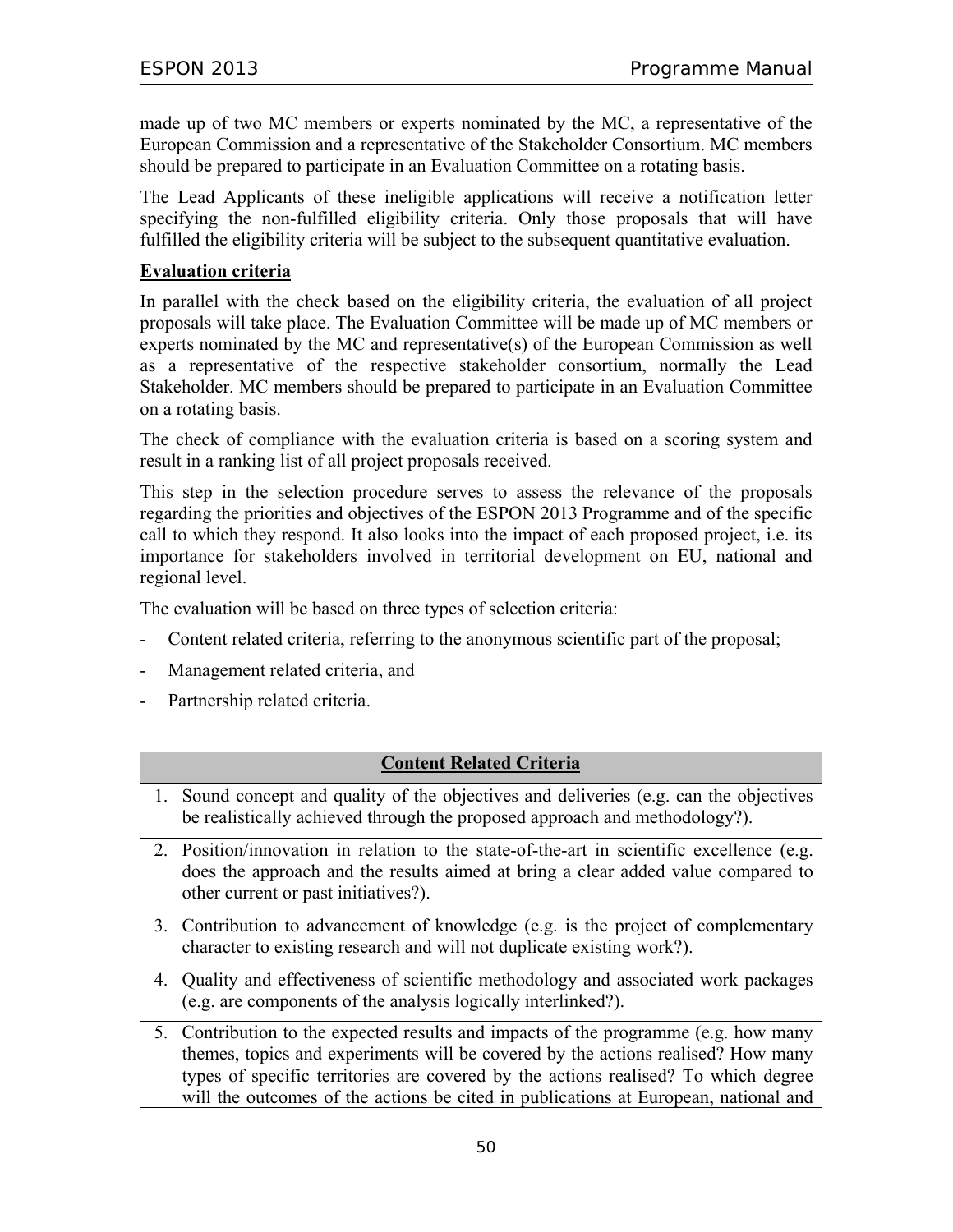made up of two MC members or experts nominated by the MC, a representative of the European Commission and a representative of the Stakeholder Consortium. MC members should be prepared to participate in an Evaluation Committee on a rotating basis.

The Lead Applicants of these ineligible applications will receive a notification letter specifying the non-fulfilled eligibility criteria. Only those proposals that will have fulfilled the eligibility criteria will be subject to the subsequent quantitative evaluation.

### **Evaluation criteria**

In parallel with the check based on the eligibility criteria, the evaluation of all project proposals will take place. The Evaluation Committee will be made up of MC members or experts nominated by the MC and representative(s) of the European Commission as well as a representative of the respective stakeholder consortium, normally the Lead Stakeholder. MC members should be prepared to participate in an Evaluation Committee on a rotating basis.

The check of compliance with the evaluation criteria is based on a scoring system and result in a ranking list of all project proposals received.

This step in the selection procedure serves to assess the relevance of the proposals regarding the priorities and objectives of the ESPON 2013 Programme and of the specific call to which they respond. It also looks into the impact of each proposed project, i.e. its importance for stakeholders involved in territorial development on EU, national and regional level.

The evaluation will be based on three types of selection criteria:

- Content related criteria, referring to the anonymous scientific part of the proposal;
- Management related criteria, and
- Partnership related criteria.

### **Content Related Criteria**

- 1. Sound concept and quality of the objectives and deliveries (e.g. can the objectives be realistically achieved through the proposed approach and methodology?).
- 2. Position/innovation in relation to the state-of-the-art in scientific excellence (e.g. does the approach and the results aimed at bring a clear added value compared to other current or past initiatives?).
- 3. Contribution to advancement of knowledge (e.g. is the project of complementary character to existing research and will not duplicate existing work?).
- 4. Quality and effectiveness of scientific methodology and associated work packages (e.g. are components of the analysis logically interlinked?).
- 5. Contribution to the expected results and impacts of the programme (e.g. how many themes, topics and experiments will be covered by the actions realised? How many types of specific territories are covered by the actions realised? To which degree will the outcomes of the actions be cited in publications at European, national and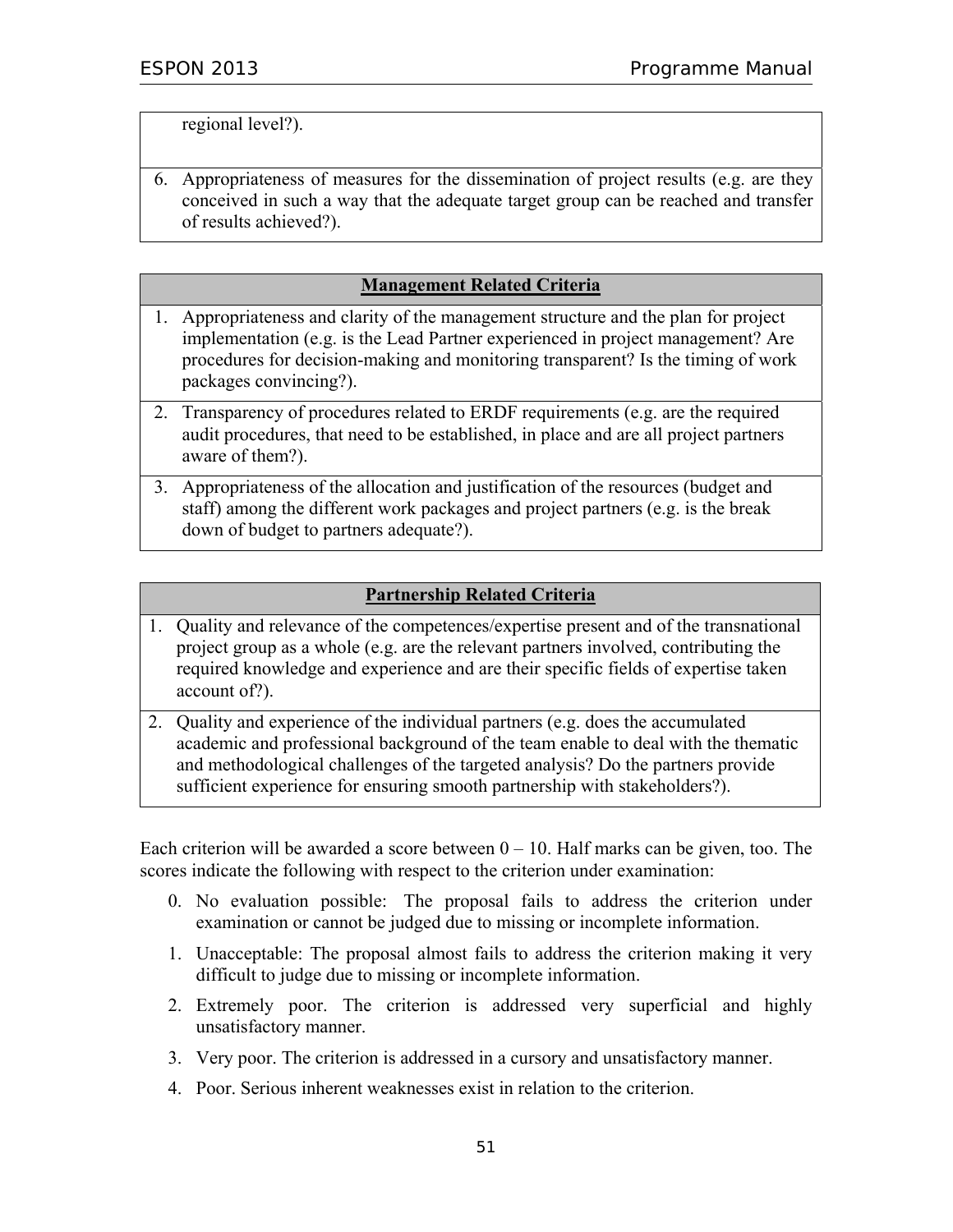regional level?).

6. Appropriateness of measures for the dissemination of project results (e.g. are they conceived in such a way that the adequate target group can be reached and transfer of results achieved?).

### **Management Related Criteria**

- 1. Appropriateness and clarity of the management structure and the plan for project implementation (e.g. is the Lead Partner experienced in project management? Are procedures for decision-making and monitoring transparent? Is the timing of work packages convincing?).
- 2. Transparency of procedures related to ERDF requirements (e.g. are the required audit procedures, that need to be established, in place and are all project partners aware of them?).
- 3. Appropriateness of the allocation and justification of the resources (budget and staff) among the different work packages and project partners (e.g. is the break down of budget to partners adequate?).

### **Partnership Related Criteria**

- 1. Quality and relevance of the competences/expertise present and of the transnational project group as a whole (e.g. are the relevant partners involved, contributing the required knowledge and experience and are their specific fields of expertise taken account of?).
- 2. Quality and experience of the individual partners (e.g. does the accumulated academic and professional background of the team enable to deal with the thematic and methodological challenges of the targeted analysis? Do the partners provide sufficient experience for ensuring smooth partnership with stakeholders?).

Each criterion will be awarded a score between  $0 - 10$ . Half marks can be given, too. The scores indicate the following with respect to the criterion under examination:

- 0. No evaluation possible: The proposal fails to address the criterion under examination or cannot be judged due to missing or incomplete information.
- 1. Unacceptable: The proposal almost fails to address the criterion making it very difficult to judge due to missing or incomplete information.
- 2. Extremely poor. The criterion is addressed very superficial and highly unsatisfactory manner.
- 3. Very poor. The criterion is addressed in a cursory and unsatisfactory manner.
- 4. Poor. Serious inherent weaknesses exist in relation to the criterion.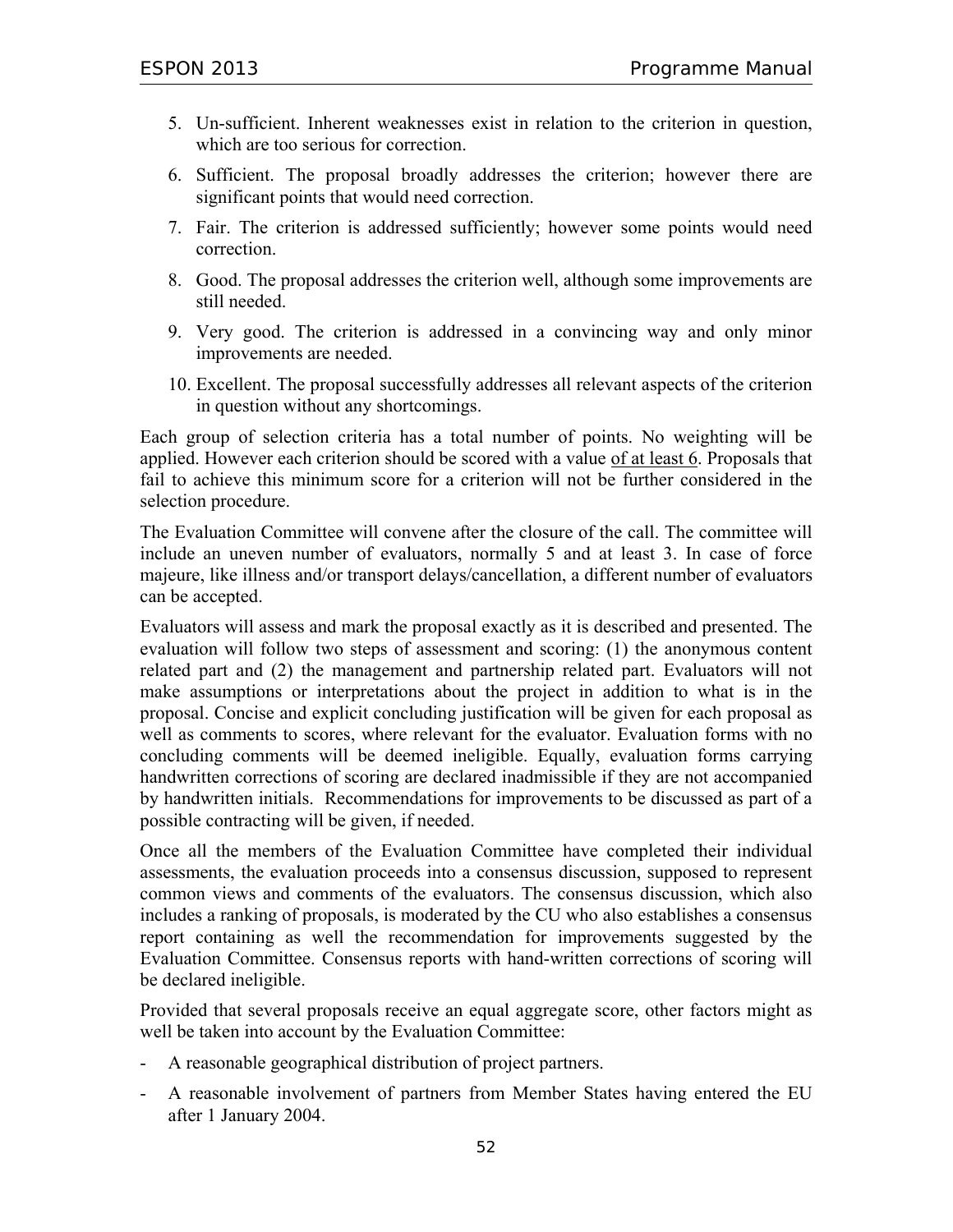- 5. Un-sufficient. Inherent weaknesses exist in relation to the criterion in question, which are too serious for correction.
- 6. Sufficient. The proposal broadly addresses the criterion; however there are significant points that would need correction.
- 7. Fair. The criterion is addressed sufficiently; however some points would need correction.
- 8. Good. The proposal addresses the criterion well, although some improvements are still needed.
- 9. Very good. The criterion is addressed in a convincing way and only minor improvements are needed.
- 10. Excellent. The proposal successfully addresses all relevant aspects of the criterion in question without any shortcomings.

Each group of selection criteria has a total number of points. No weighting will be applied. However each criterion should be scored with a value of at least 6. Proposals that fail to achieve this minimum score for a criterion will not be further considered in the selection procedure.

The Evaluation Committee will convene after the closure of the call. The committee will include an uneven number of evaluators, normally 5 and at least 3. In case of force majeure, like illness and/or transport delays/cancellation, a different number of evaluators can be accepted.

Evaluators will assess and mark the proposal exactly as it is described and presented. The evaluation will follow two steps of assessment and scoring: (1) the anonymous content related part and (2) the management and partnership related part. Evaluators will not make assumptions or interpretations about the project in addition to what is in the proposal. Concise and explicit concluding justification will be given for each proposal as well as comments to scores, where relevant for the evaluator. Evaluation forms with no concluding comments will be deemed ineligible. Equally, evaluation forms carrying handwritten corrections of scoring are declared inadmissible if they are not accompanied by handwritten initials. Recommendations for improvements to be discussed as part of a possible contracting will be given, if needed.

Once all the members of the Evaluation Committee have completed their individual assessments, the evaluation proceeds into a consensus discussion, supposed to represent common views and comments of the evaluators. The consensus discussion, which also includes a ranking of proposals, is moderated by the CU who also establishes a consensus report containing as well the recommendation for improvements suggested by the Evaluation Committee. Consensus reports with hand-written corrections of scoring will be declared ineligible.

Provided that several proposals receive an equal aggregate score, other factors might as well be taken into account by the Evaluation Committee:

- A reasonable geographical distribution of project partners.
- A reasonable involvement of partners from Member States having entered the EU after 1 January 2004.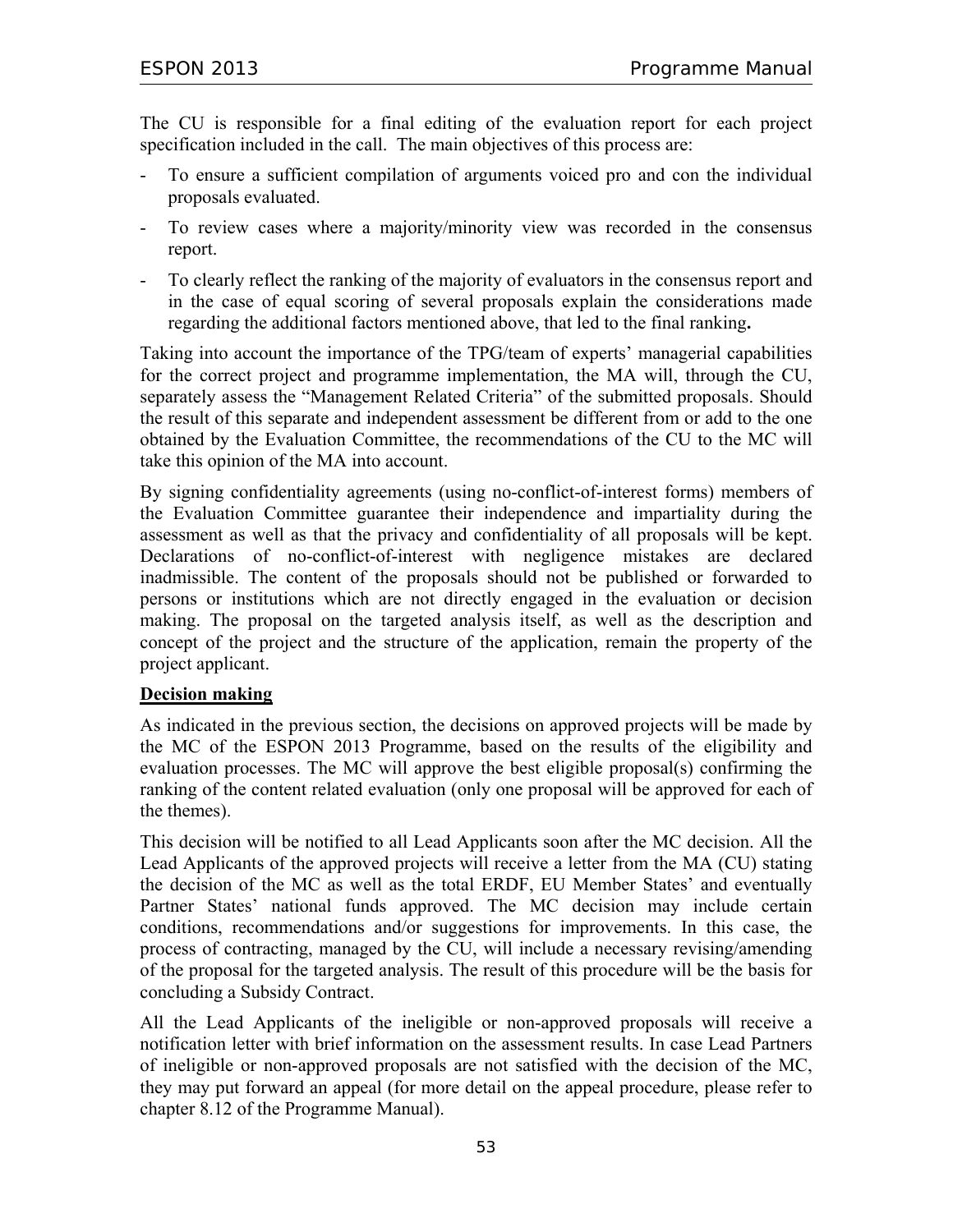The CU is responsible for a final editing of the evaluation report for each project specification included in the call. The main objectives of this process are:

- To ensure a sufficient compilation of arguments voiced pro and con the individual proposals evaluated.
- To review cases where a majority/minority view was recorded in the consensus report.
- To clearly reflect the ranking of the majority of evaluators in the consensus report and in the case of equal scoring of several proposals explain the considerations made regarding the additional factors mentioned above, that led to the final ranking**.**

Taking into account the importance of the TPG/team of experts' managerial capabilities for the correct project and programme implementation, the MA will, through the CU, separately assess the "Management Related Criteria" of the submitted proposals. Should the result of this separate and independent assessment be different from or add to the one obtained by the Evaluation Committee, the recommendations of the CU to the MC will take this opinion of the MA into account.

By signing confidentiality agreements (using no-conflict-of-interest forms) members of the Evaluation Committee guarantee their independence and impartiality during the assessment as well as that the privacy and confidentiality of all proposals will be kept. Declarations of no-conflict-of-interest with negligence mistakes are declared inadmissible. The content of the proposals should not be published or forwarded to persons or institutions which are not directly engaged in the evaluation or decision making. The proposal on the targeted analysis itself, as well as the description and concept of the project and the structure of the application, remain the property of the project applicant.

### **Decision making**

As indicated in the previous section, the decisions on approved projects will be made by the MC of the ESPON 2013 Programme, based on the results of the eligibility and evaluation processes. The MC will approve the best eligible proposal(s) confirming the ranking of the content related evaluation (only one proposal will be approved for each of the themes).

This decision will be notified to all Lead Applicants soon after the MC decision. All the Lead Applicants of the approved projects will receive a letter from the MA (CU) stating the decision of the MC as well as the total ERDF, EU Member States' and eventually Partner States' national funds approved. The MC decision may include certain conditions, recommendations and/or suggestions for improvements. In this case, the process of contracting, managed by the CU, will include a necessary revising/amending of the proposal for the targeted analysis. The result of this procedure will be the basis for concluding a Subsidy Contract.

All the Lead Applicants of the ineligible or non-approved proposals will receive a notification letter with brief information on the assessment results. In case Lead Partners of ineligible or non-approved proposals are not satisfied with the decision of the MC, they may put forward an appeal (for more detail on the appeal procedure, please refer to chapter 8.12 of the Programme Manual).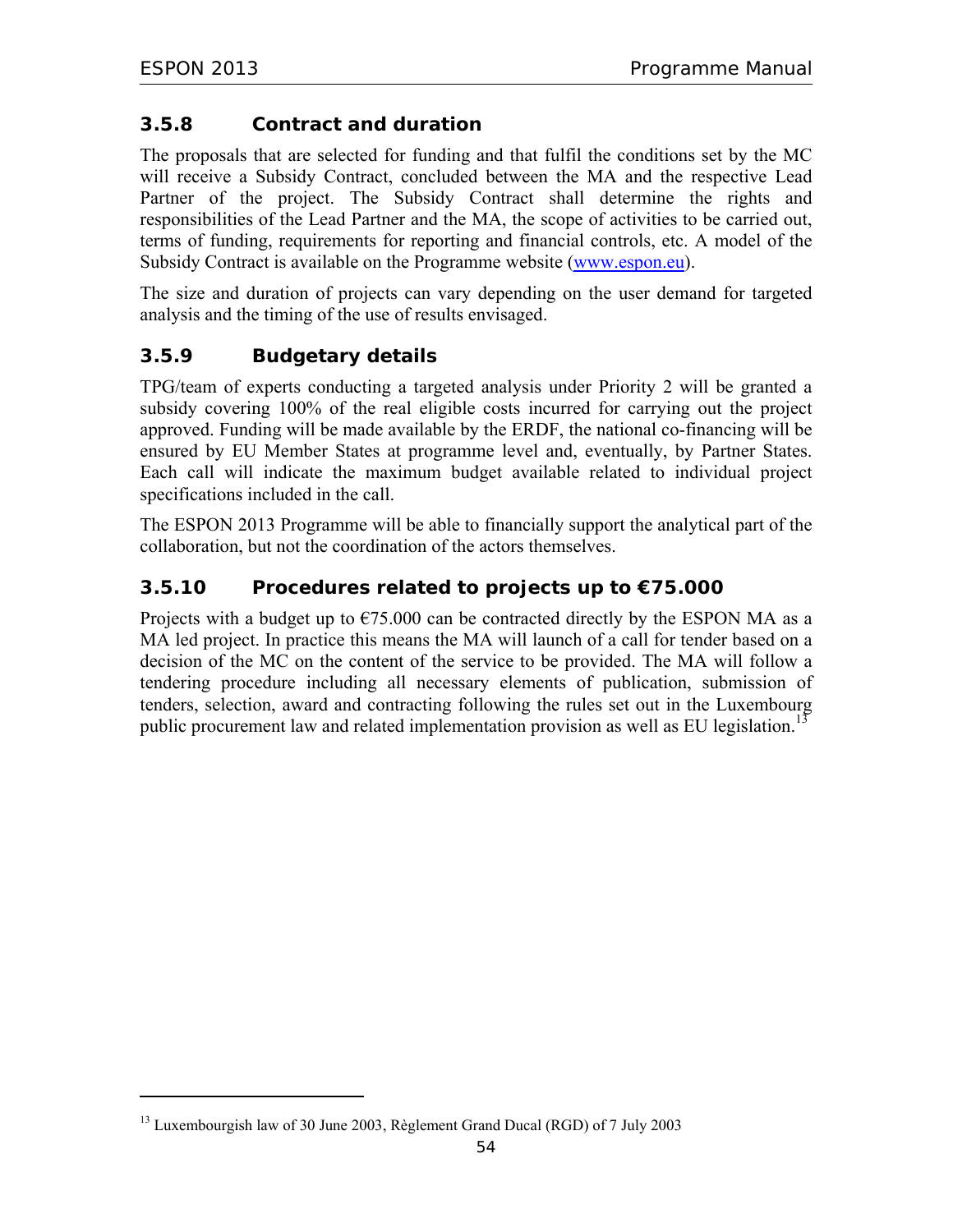-

## **3.5.8 Contract and duration**

The proposals that are selected for funding and that fulfil the conditions set by the MC will receive a Subsidy Contract, concluded between the MA and the respective Lead Partner of the project. The Subsidy Contract shall determine the rights and responsibilities of the Lead Partner and the MA, the scope of activities to be carried out, terms of funding, requirements for reporting and financial controls, etc. A model of the Subsidy Contract is available on the Programme website (www.espon.eu).

The size and duration of projects can vary depending on the user demand for targeted analysis and the timing of the use of results envisaged.

## **3.5.9 Budgetary details**

TPG/team of experts conducting a targeted analysis under Priority 2 will be granted a subsidy covering 100% of the real eligible costs incurred for carrying out the project approved. Funding will be made available by the ERDF, the national co-financing will be ensured by EU Member States at programme level and, eventually, by Partner States. Each call will indicate the maximum budget available related to individual project specifications included in the call.

The ESPON 2013 Programme will be able to financially support the analytical part of the collaboration, but not the coordination of the actors themselves.

## **3.5.10 Procedures related to projects up to €75.000**

Projects with a budget up to  $\epsilon$ 75.000 can be contracted directly by the ESPON MA as a MA led project. In practice this means the MA will launch of a call for tender based on a decision of the MC on the content of the service to be provided. The MA will follow a tendering procedure including all necessary elements of publication, submission of tenders, selection, award and contracting following the rules set out in the Luxembourg public procurement law and related implementation provision as well as EU legislation.<sup>13</sup>

<sup>&</sup>lt;sup>13</sup> Luxembourgish law of 30 June 2003, Règlement Grand Ducal (RGD) of 7 July 2003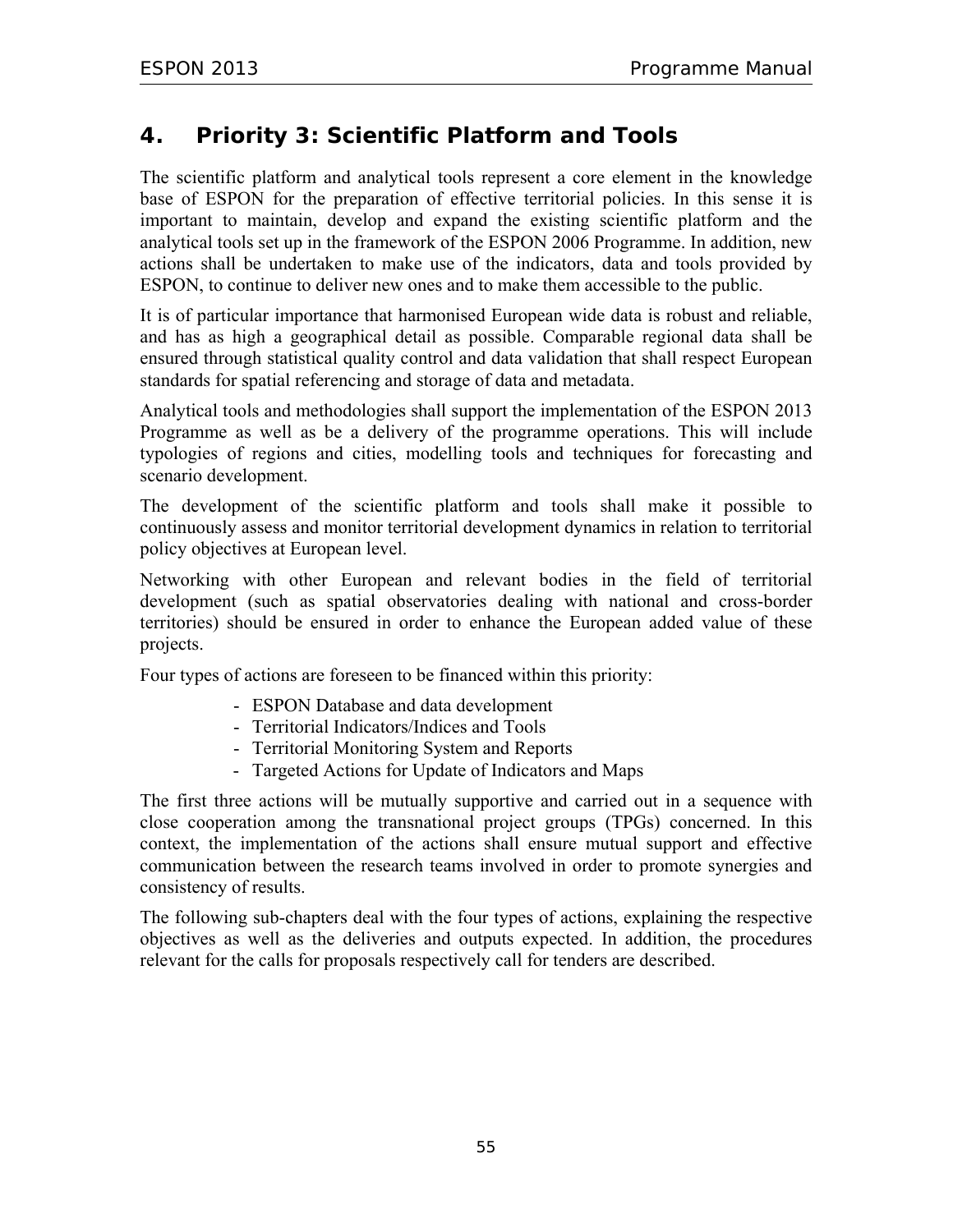# **4. Priority 3: Scientific Platform and Tools**

The scientific platform and analytical tools represent a core element in the knowledge base of ESPON for the preparation of effective territorial policies. In this sense it is important to maintain, develop and expand the existing scientific platform and the analytical tools set up in the framework of the ESPON 2006 Programme. In addition, new actions shall be undertaken to make use of the indicators, data and tools provided by ESPON, to continue to deliver new ones and to make them accessible to the public.

It is of particular importance that harmonised European wide data is robust and reliable, and has as high a geographical detail as possible. Comparable regional data shall be ensured through statistical quality control and data validation that shall respect European standards for spatial referencing and storage of data and metadata.

Analytical tools and methodologies shall support the implementation of the ESPON 2013 Programme as well as be a delivery of the programme operations. This will include typologies of regions and cities, modelling tools and techniques for forecasting and scenario development.

The development of the scientific platform and tools shall make it possible to continuously assess and monitor territorial development dynamics in relation to territorial policy objectives at European level.

Networking with other European and relevant bodies in the field of territorial development (such as spatial observatories dealing with national and cross-border territories) should be ensured in order to enhance the European added value of these projects.

Four types of actions are foreseen to be financed within this priority:

- ESPON Database and data development
- Territorial Indicators/Indices and Tools
- Territorial Monitoring System and Reports
- Targeted Actions for Update of Indicators and Maps

The first three actions will be mutually supportive and carried out in a sequence with close cooperation among the transnational project groups (TPGs) concerned. In this context, the implementation of the actions shall ensure mutual support and effective communication between the research teams involved in order to promote synergies and consistency of results.

The following sub-chapters deal with the four types of actions, explaining the respective objectives as well as the deliveries and outputs expected. In addition, the procedures relevant for the calls for proposals respectively call for tenders are described.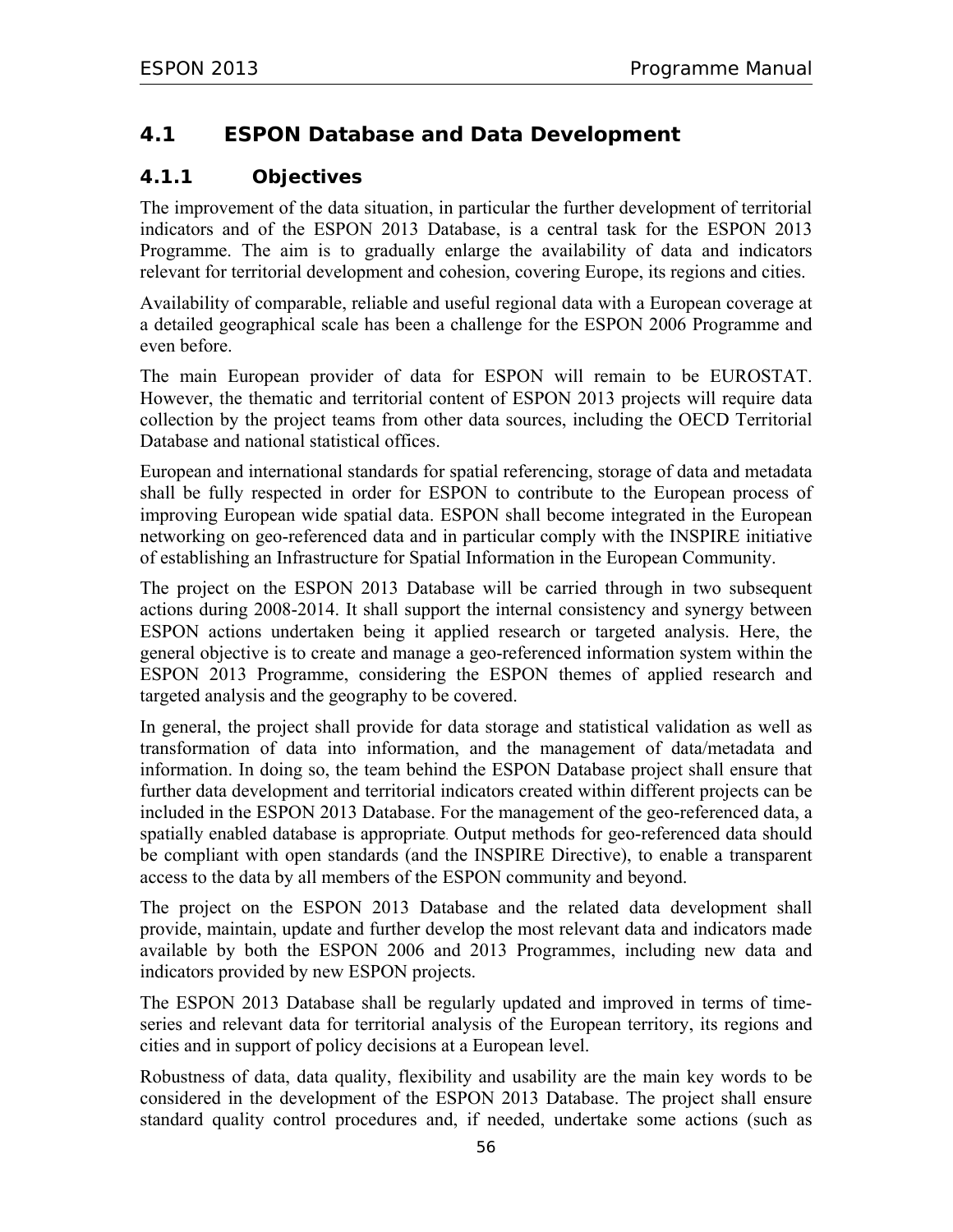## **4.1 ESPON Database and Data Development**

## **4.1.1 Objectives**

The improvement of the data situation, in particular the further development of territorial indicators and of the ESPON 2013 Database, is a central task for the ESPON 2013 Programme. The aim is to gradually enlarge the availability of data and indicators relevant for territorial development and cohesion, covering Europe, its regions and cities.

Availability of comparable, reliable and useful regional data with a European coverage at a detailed geographical scale has been a challenge for the ESPON 2006 Programme and even before.

The main European provider of data for ESPON will remain to be EUROSTAT. However, the thematic and territorial content of ESPON 2013 projects will require data collection by the project teams from other data sources, including the OECD Territorial Database and national statistical offices.

European and international standards for spatial referencing, storage of data and metadata shall be fully respected in order for ESPON to contribute to the European process of improving European wide spatial data. ESPON shall become integrated in the European networking on geo-referenced data and in particular comply with the INSPIRE initiative of establishing an Infrastructure for Spatial Information in the European Community.

The project on the ESPON 2013 Database will be carried through in two subsequent actions during 2008-2014. It shall support the internal consistency and synergy between ESPON actions undertaken being it applied research or targeted analysis. Here, the general objective is to create and manage a geo-referenced information system within the ESPON 2013 Programme, considering the ESPON themes of applied research and targeted analysis and the geography to be covered.

In general, the project shall provide for data storage and statistical validation as well as transformation of data into information, and the management of data/metadata and information. In doing so, the team behind the ESPON Database project shall ensure that further data development and territorial indicators created within different projects can be included in the ESPON 2013 Database. For the management of the geo-referenced data, a spatially enabled database is appropriate. Output methods for geo-referenced data should be compliant with open standards (and the INSPIRE Directive), to enable a transparent access to the data by all members of the ESPON community and beyond.

The project on the ESPON 2013 Database and the related data development shall provide, maintain, update and further develop the most relevant data and indicators made available by both the ESPON 2006 and 2013 Programmes, including new data and indicators provided by new ESPON projects.

The ESPON 2013 Database shall be regularly updated and improved in terms of timeseries and relevant data for territorial analysis of the European territory, its regions and cities and in support of policy decisions at a European level.

Robustness of data, data quality, flexibility and usability are the main key words to be considered in the development of the ESPON 2013 Database. The project shall ensure standard quality control procedures and, if needed, undertake some actions (such as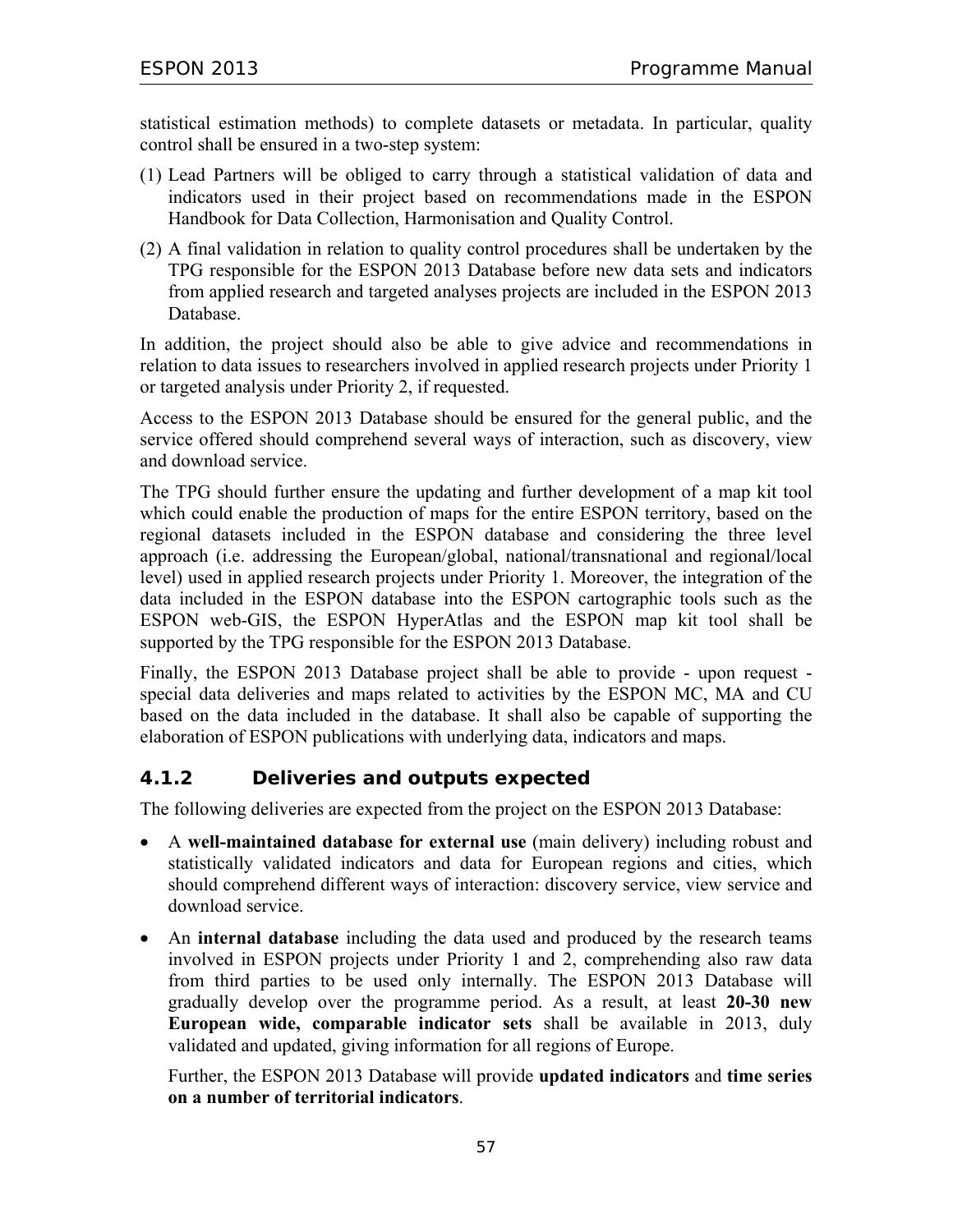statistical estimation methods) to complete datasets or metadata. In particular, quality control shall be ensured in a two-step system:

- (1) Lead Partners will be obliged to carry through a statistical validation of data and indicators used in their project based on recommendations made in the ESPON Handbook for Data Collection, Harmonisation and Quality Control.
- (2) A final validation in relation to quality control procedures shall be undertaken by the TPG responsible for the ESPON 2013 Database before new data sets and indicators from applied research and targeted analyses projects are included in the ESPON 2013 Database.

In addition, the project should also be able to give advice and recommendations in relation to data issues to researchers involved in applied research projects under Priority 1 or targeted analysis under Priority 2, if requested.

Access to the ESPON 2013 Database should be ensured for the general public, and the service offered should comprehend several ways of interaction, such as discovery, view and download service.

The TPG should further ensure the updating and further development of a map kit tool which could enable the production of maps for the entire ESPON territory, based on the regional datasets included in the ESPON database and considering the three level approach (i.e. addressing the European/global, national/transnational and regional/local level) used in applied research projects under Priority 1. Moreover, the integration of the data included in the ESPON database into the ESPON cartographic tools such as the ESPON web-GIS, the ESPON HyperAtlas and the ESPON map kit tool shall be supported by the TPG responsible for the ESPON 2013 Database.

Finally, the ESPON 2013 Database project shall be able to provide - upon request special data deliveries and maps related to activities by the ESPON MC, MA and CU based on the data included in the database. It shall also be capable of supporting the elaboration of ESPON publications with underlying data, indicators and maps.

## **4.1.2 Deliveries and outputs expected**

The following deliveries are expected from the project on the ESPON 2013 Database:

- A **well-maintained database for external use** (main delivery) including robust and statistically validated indicators and data for European regions and cities, which should comprehend different ways of interaction: discovery service, view service and download service.
- An **internal database** including the data used and produced by the research teams involved in ESPON projects under Priority 1 and 2, comprehending also raw data from third parties to be used only internally. The ESPON 2013 Database will gradually develop over the programme period. As a result, at least **20-30 new European wide, comparable indicator sets** shall be available in 2013, duly validated and updated, giving information for all regions of Europe.

Further, the ESPON 2013 Database will provide **updated indicators** and **time series on a number of territorial indicators**.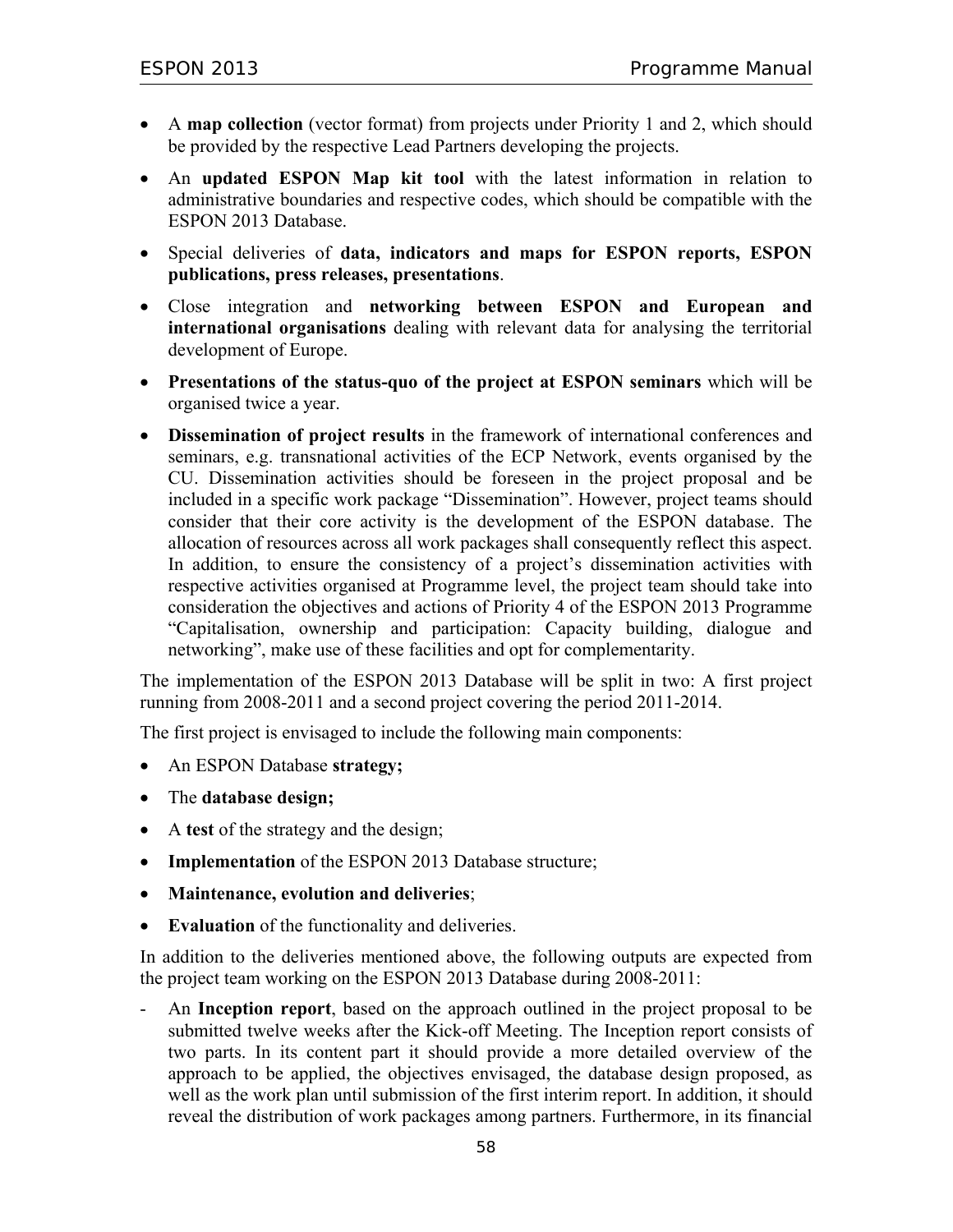- A map collection (vector format) from projects under Priority 1 and 2, which should be provided by the respective Lead Partners developing the projects.
- An **updated ESPON Map kit tool** with the latest information in relation to administrative boundaries and respective codes, which should be compatible with the ESPON 2013 Database.
- Special deliveries of **data, indicators and maps for ESPON reports, ESPON publications, press releases, presentations**.
- Close integration and **networking between ESPON and European and international organisations** dealing with relevant data for analysing the territorial development of Europe.
- **Presentations of the status-quo of the project at ESPON seminars** which will be organised twice a year.
- **Dissemination of project results** in the framework of international conferences and seminars, e.g. transnational activities of the ECP Network, events organised by the CU. Dissemination activities should be foreseen in the project proposal and be included in a specific work package "Dissemination". However, project teams should consider that their core activity is the development of the ESPON database. The allocation of resources across all work packages shall consequently reflect this aspect. In addition, to ensure the consistency of a project's dissemination activities with respective activities organised at Programme level, the project team should take into consideration the objectives and actions of Priority 4 of the ESPON 2013 Programme "Capitalisation, ownership and participation: Capacity building, dialogue and networking", make use of these facilities and opt for complementarity.

The implementation of the ESPON 2013 Database will be split in two: A first project running from 2008-2011 and a second project covering the period 2011-2014.

The first project is envisaged to include the following main components:

- An ESPON Database **strategy;**
- The **database design;**
- A **test** of the strategy and the design;
- **Implementation** of the ESPON 2013 Database structure;
- **Maintenance, evolution and deliveries**;
- **Evaluation** of the functionality and deliveries.

In addition to the deliveries mentioned above, the following outputs are expected from the project team working on the ESPON 2013 Database during 2008-2011:

- An **Inception report**, based on the approach outlined in the project proposal to be submitted twelve weeks after the Kick-off Meeting. The Inception report consists of two parts. In its content part it should provide a more detailed overview of the approach to be applied, the objectives envisaged, the database design proposed, as well as the work plan until submission of the first interim report. In addition, it should reveal the distribution of work packages among partners. Furthermore, in its financial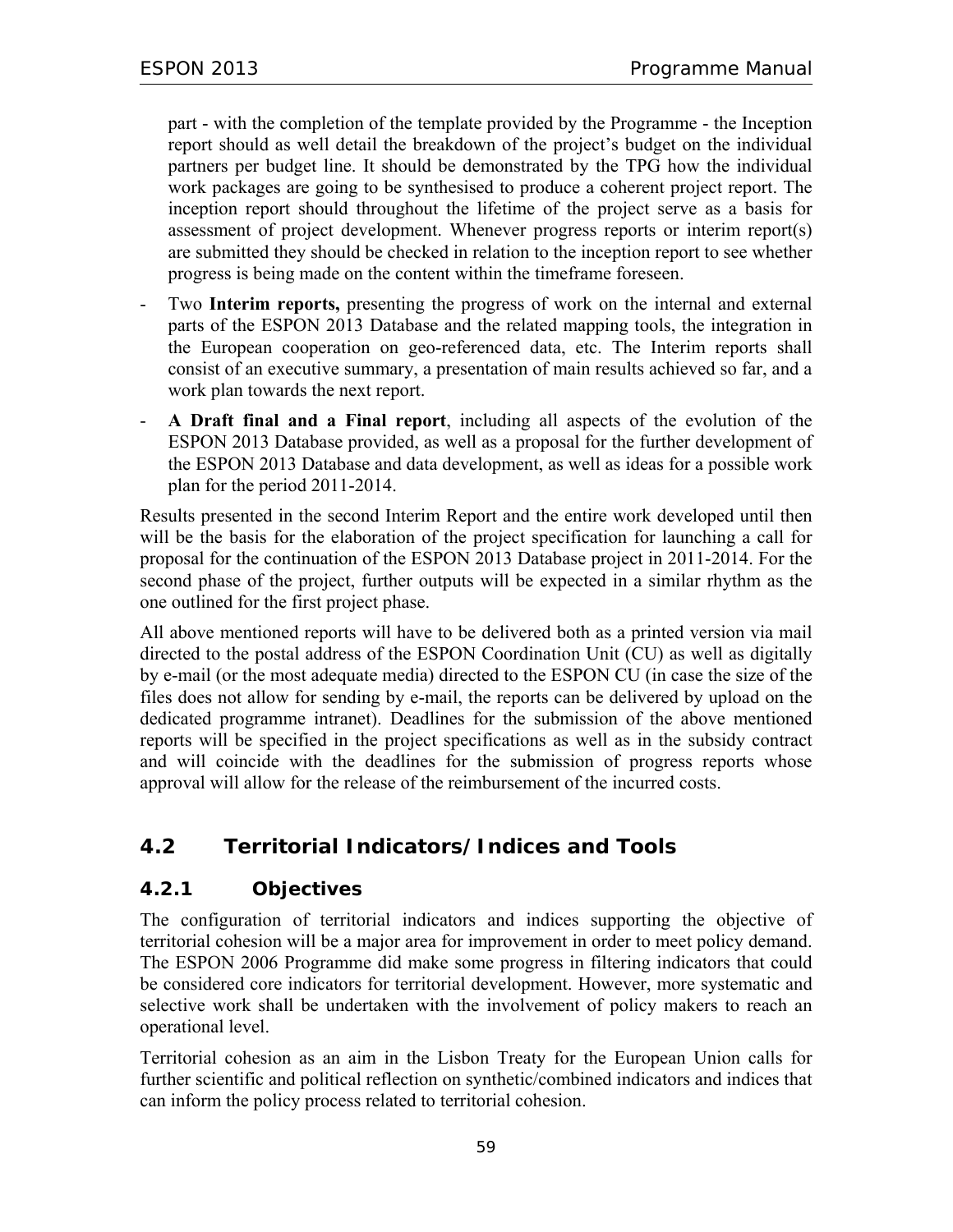part - with the completion of the template provided by the Programme - the Inception report should as well detail the breakdown of the project's budget on the individual partners per budget line. It should be demonstrated by the TPG how the individual work packages are going to be synthesised to produce a coherent project report. The inception report should throughout the lifetime of the project serve as a basis for assessment of project development. Whenever progress reports or interim report(s) are submitted they should be checked in relation to the inception report to see whether progress is being made on the content within the timeframe foreseen.

- Two **Interim reports,** presenting the progress of work on the internal and external parts of the ESPON 2013 Database and the related mapping tools, the integration in the European cooperation on geo-referenced data, etc. The Interim reports shall consist of an executive summary, a presentation of main results achieved so far, and a work plan towards the next report.
- **A Draft final and a Final report**, including all aspects of the evolution of the ESPON 2013 Database provided, as well as a proposal for the further development of the ESPON 2013 Database and data development, as well as ideas for a possible work plan for the period 2011-2014.

Results presented in the second Interim Report and the entire work developed until then will be the basis for the elaboration of the project specification for launching a call for proposal for the continuation of the ESPON 2013 Database project in 2011-2014. For the second phase of the project, further outputs will be expected in a similar rhythm as the one outlined for the first project phase.

All above mentioned reports will have to be delivered both as a printed version via mail directed to the postal address of the ESPON Coordination Unit (CU) as well as digitally by e-mail (or the most adequate media) directed to the ESPON CU (in case the size of the files does not allow for sending by e-mail, the reports can be delivered by upload on the dedicated programme intranet). Deadlines for the submission of the above mentioned reports will be specified in the project specifications as well as in the subsidy contract and will coincide with the deadlines for the submission of progress reports whose approval will allow for the release of the reimbursement of the incurred costs.

# **4.2 Territorial Indicators/Indices and Tools**

## **4.2.1 Objectives**

The configuration of territorial indicators and indices supporting the objective of territorial cohesion will be a major area for improvement in order to meet policy demand. The ESPON 2006 Programme did make some progress in filtering indicators that could be considered core indicators for territorial development. However, more systematic and selective work shall be undertaken with the involvement of policy makers to reach an operational level.

Territorial cohesion as an aim in the Lisbon Treaty for the European Union calls for further scientific and political reflection on synthetic/combined indicators and indices that can inform the policy process related to territorial cohesion.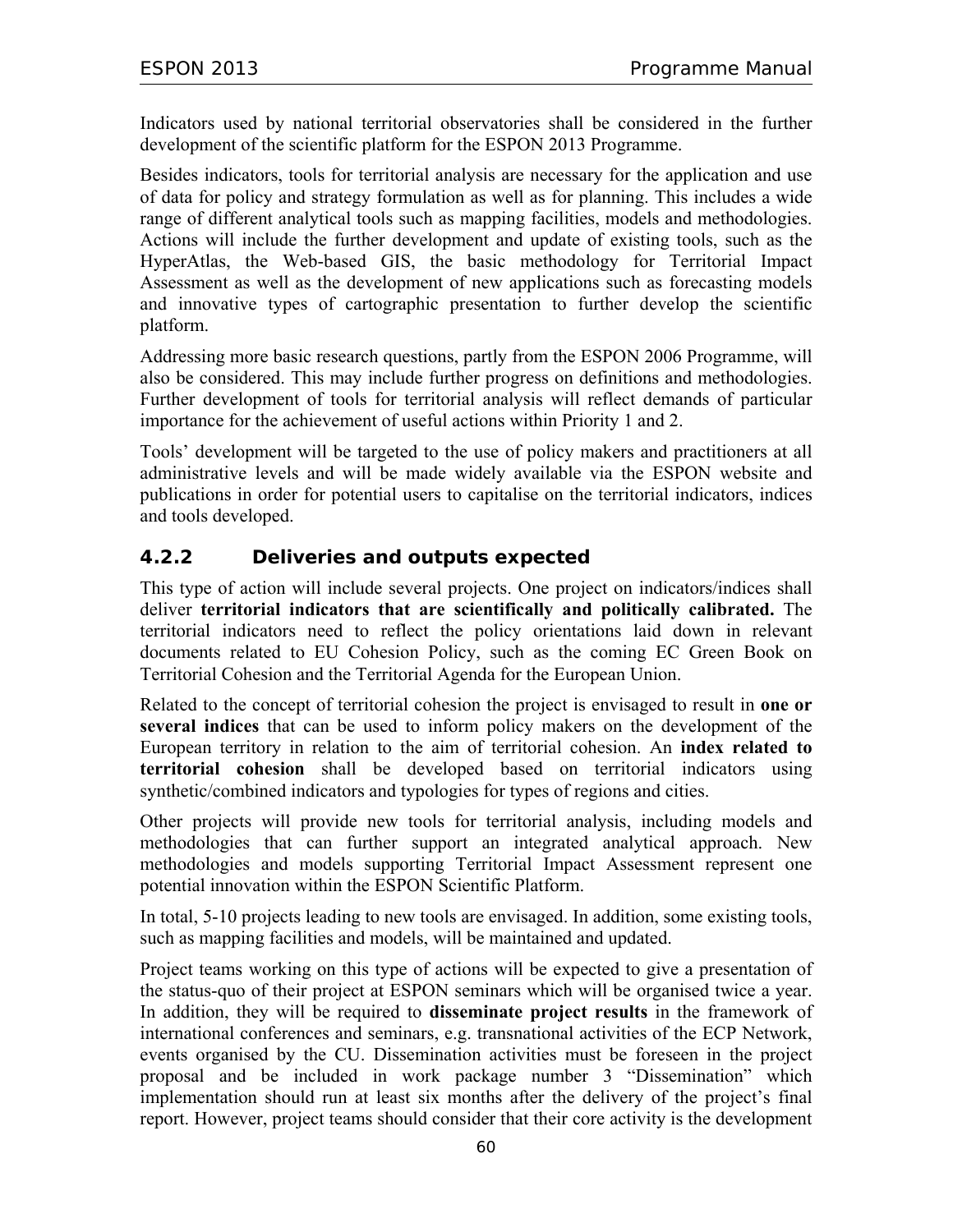Indicators used by national territorial observatories shall be considered in the further development of the scientific platform for the ESPON 2013 Programme.

Besides indicators, tools for territorial analysis are necessary for the application and use of data for policy and strategy formulation as well as for planning. This includes a wide range of different analytical tools such as mapping facilities, models and methodologies. Actions will include the further development and update of existing tools, such as the HyperAtlas, the Web-based GIS, the basic methodology for Territorial Impact Assessment as well as the development of new applications such as forecasting models and innovative types of cartographic presentation to further develop the scientific platform.

Addressing more basic research questions, partly from the ESPON 2006 Programme, will also be considered. This may include further progress on definitions and methodologies. Further development of tools for territorial analysis will reflect demands of particular importance for the achievement of useful actions within Priority 1 and 2.

Tools' development will be targeted to the use of policy makers and practitioners at all administrative levels and will be made widely available via the ESPON website and publications in order for potential users to capitalise on the territorial indicators, indices and tools developed.

## **4.2.2 Deliveries and outputs expected**

This type of action will include several projects. One project on indicators/indices shall deliver **territorial indicators that are scientifically and politically calibrated.** The territorial indicators need to reflect the policy orientations laid down in relevant documents related to EU Cohesion Policy, such as the coming EC Green Book on Territorial Cohesion and the Territorial Agenda for the European Union.

Related to the concept of territorial cohesion the project is envisaged to result in **one or several indices** that can be used to inform policy makers on the development of the European territory in relation to the aim of territorial cohesion. An **index related to territorial cohesion** shall be developed based on territorial indicators using synthetic/combined indicators and typologies for types of regions and cities.

Other projects will provide new tools for territorial analysis, including models and methodologies that can further support an integrated analytical approach. New methodologies and models supporting Territorial Impact Assessment represent one potential innovation within the ESPON Scientific Platform.

In total, 5-10 projects leading to new tools are envisaged. In addition, some existing tools, such as mapping facilities and models, will be maintained and updated.

Project teams working on this type of actions will be expected to give a presentation of the status-quo of their project at ESPON seminars which will be organised twice a year. In addition, they will be required to **disseminate project results** in the framework of international conferences and seminars, e.g. transnational activities of the ECP Network, events organised by the CU. Dissemination activities must be foreseen in the project proposal and be included in work package number 3 "Dissemination" which implementation should run at least six months after the delivery of the project's final report. However, project teams should consider that their core activity is the development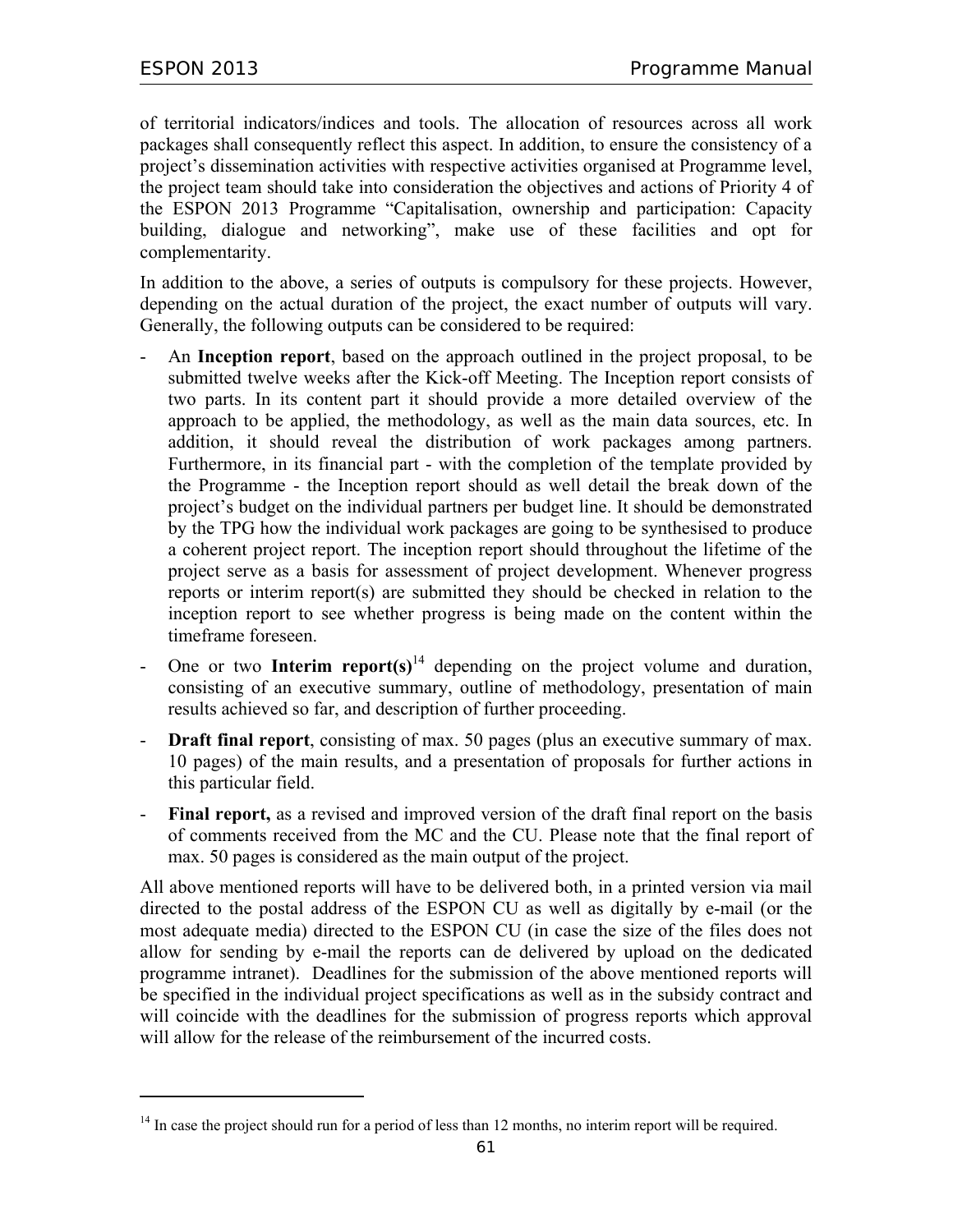$\overline{a}$ 

of territorial indicators/indices and tools. The allocation of resources across all work packages shall consequently reflect this aspect. In addition, to ensure the consistency of a project's dissemination activities with respective activities organised at Programme level, the project team should take into consideration the objectives and actions of Priority 4 of the ESPON 2013 Programme "Capitalisation, ownership and participation: Capacity building, dialogue and networking", make use of these facilities and opt for complementarity.

In addition to the above, a series of outputs is compulsory for these projects. However, depending on the actual duration of the project, the exact number of outputs will vary. Generally, the following outputs can be considered to be required:

- An **Inception report**, based on the approach outlined in the project proposal, to be submitted twelve weeks after the Kick-off Meeting. The Inception report consists of two parts. In its content part it should provide a more detailed overview of the approach to be applied, the methodology, as well as the main data sources, etc. In addition, it should reveal the distribution of work packages among partners. Furthermore, in its financial part - with the completion of the template provided by the Programme - the Inception report should as well detail the break down of the project's budget on the individual partners per budget line. It should be demonstrated by the TPG how the individual work packages are going to be synthesised to produce a coherent project report. The inception report should throughout the lifetime of the project serve as a basis for assessment of project development. Whenever progress reports or interim report(s) are submitted they should be checked in relation to the inception report to see whether progress is being made on the content within the timeframe foreseen.
- One or two **Interim report(s)**<sup>14</sup> depending on the project volume and duration, consisting of an executive summary, outline of methodology, presentation of main results achieved so far, and description of further proceeding.
- **Draft final report**, consisting of max. 50 pages (plus an executive summary of max. 10 pages) of the main results, and a presentation of proposals for further actions in this particular field.
- Final report, as a revised and improved version of the draft final report on the basis of comments received from the MC and the CU. Please note that the final report of max. 50 pages is considered as the main output of the project.

All above mentioned reports will have to be delivered both, in a printed version via mail directed to the postal address of the ESPON CU as well as digitally by e-mail (or the most adequate media) directed to the ESPON CU (in case the size of the files does not allow for sending by e-mail the reports can de delivered by upload on the dedicated programme intranet). Deadlines for the submission of the above mentioned reports will be specified in the individual project specifications as well as in the subsidy contract and will coincide with the deadlines for the submission of progress reports which approval will allow for the release of the reimbursement of the incurred costs.

<sup>&</sup>lt;sup>14</sup> In case the project should run for a period of less than 12 months, no interim report will be required.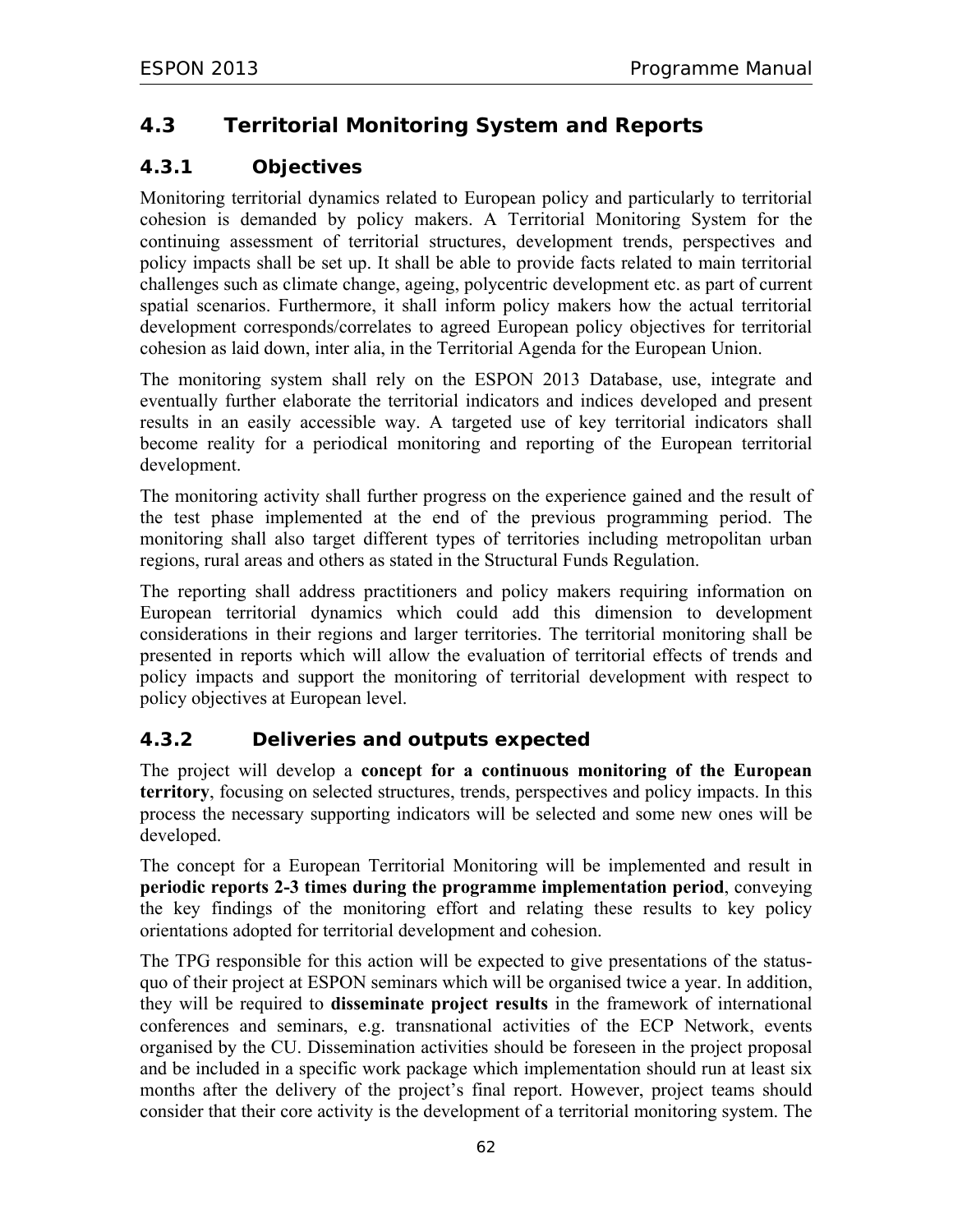# **4.3 Territorial Monitoring System and Reports**

## **4.3.1 Objectives**

Monitoring territorial dynamics related to European policy and particularly to territorial cohesion is demanded by policy makers. A Territorial Monitoring System for the continuing assessment of territorial structures, development trends, perspectives and policy impacts shall be set up. It shall be able to provide facts related to main territorial challenges such as climate change, ageing, polycentric development etc. as part of current spatial scenarios. Furthermore, it shall inform policy makers how the actual territorial development corresponds/correlates to agreed European policy objectives for territorial cohesion as laid down, inter alia, in the Territorial Agenda for the European Union.

The monitoring system shall rely on the ESPON 2013 Database, use, integrate and eventually further elaborate the territorial indicators and indices developed and present results in an easily accessible way. A targeted use of key territorial indicators shall become reality for a periodical monitoring and reporting of the European territorial development.

The monitoring activity shall further progress on the experience gained and the result of the test phase implemented at the end of the previous programming period. The monitoring shall also target different types of territories including metropolitan urban regions, rural areas and others as stated in the Structural Funds Regulation.

The reporting shall address practitioners and policy makers requiring information on European territorial dynamics which could add this dimension to development considerations in their regions and larger territories. The territorial monitoring shall be presented in reports which will allow the evaluation of territorial effects of trends and policy impacts and support the monitoring of territorial development with respect to policy objectives at European level.

## **4.3.2 Deliveries and outputs expected**

The project will develop a **concept for a continuous monitoring of the European territory**, focusing on selected structures, trends, perspectives and policy impacts. In this process the necessary supporting indicators will be selected and some new ones will be developed.

The concept for a European Territorial Monitoring will be implemented and result in **periodic reports 2-3 times during the programme implementation period**, conveying the key findings of the monitoring effort and relating these results to key policy orientations adopted for territorial development and cohesion.

The TPG responsible for this action will be expected to give presentations of the statusquo of their project at ESPON seminars which will be organised twice a year. In addition, they will be required to **disseminate project results** in the framework of international conferences and seminars, e.g. transnational activities of the ECP Network, events organised by the CU. Dissemination activities should be foreseen in the project proposal and be included in a specific work package which implementation should run at least six months after the delivery of the project's final report. However, project teams should consider that their core activity is the development of a territorial monitoring system. The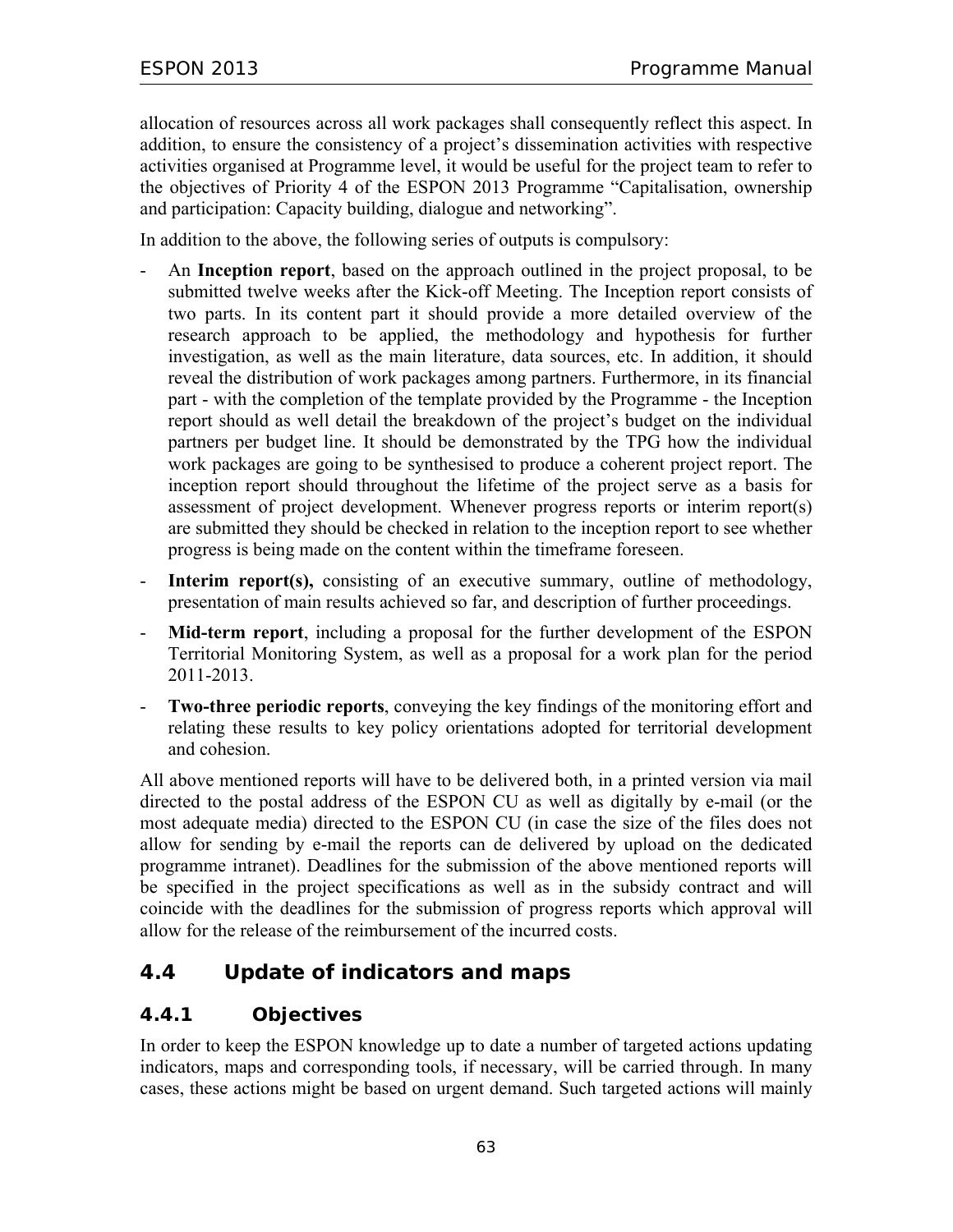allocation of resources across all work packages shall consequently reflect this aspect. In addition, to ensure the consistency of a project's dissemination activities with respective activities organised at Programme level, it would be useful for the project team to refer to the objectives of Priority 4 of the ESPON 2013 Programme "Capitalisation, ownership and participation: Capacity building, dialogue and networking".

In addition to the above, the following series of outputs is compulsory:

- An **Inception report**, based on the approach outlined in the project proposal, to be submitted twelve weeks after the Kick-off Meeting. The Inception report consists of two parts. In its content part it should provide a more detailed overview of the research approach to be applied, the methodology and hypothesis for further investigation, as well as the main literature, data sources, etc. In addition, it should reveal the distribution of work packages among partners. Furthermore, in its financial part - with the completion of the template provided by the Programme - the Inception report should as well detail the breakdown of the project's budget on the individual partners per budget line. It should be demonstrated by the TPG how the individual work packages are going to be synthesised to produce a coherent project report. The inception report should throughout the lifetime of the project serve as a basis for assessment of project development. Whenever progress reports or interim report(s) are submitted they should be checked in relation to the inception report to see whether progress is being made on the content within the timeframe foreseen.
- **Interim report(s),** consisting of an executive summary, outline of methodology, presentation of main results achieved so far, and description of further proceedings.
- Mid-term report, including a proposal for the further development of the ESPON Territorial Monitoring System, as well as a proposal for a work plan for the period 2011-2013.
- **Two-three periodic reports**, conveying the key findings of the monitoring effort and relating these results to key policy orientations adopted for territorial development and cohesion.

All above mentioned reports will have to be delivered both, in a printed version via mail directed to the postal address of the ESPON CU as well as digitally by e-mail (or the most adequate media) directed to the ESPON CU (in case the size of the files does not allow for sending by e-mail the reports can de delivered by upload on the dedicated programme intranet). Deadlines for the submission of the above mentioned reports will be specified in the project specifications as well as in the subsidy contract and will coincide with the deadlines for the submission of progress reports which approval will allow for the release of the reimbursement of the incurred costs.

## **4.4 Update of indicators and maps**

## **4.4.1 Objectives**

In order to keep the ESPON knowledge up to date a number of targeted actions updating indicators, maps and corresponding tools, if necessary, will be carried through. In many cases, these actions might be based on urgent demand. Such targeted actions will mainly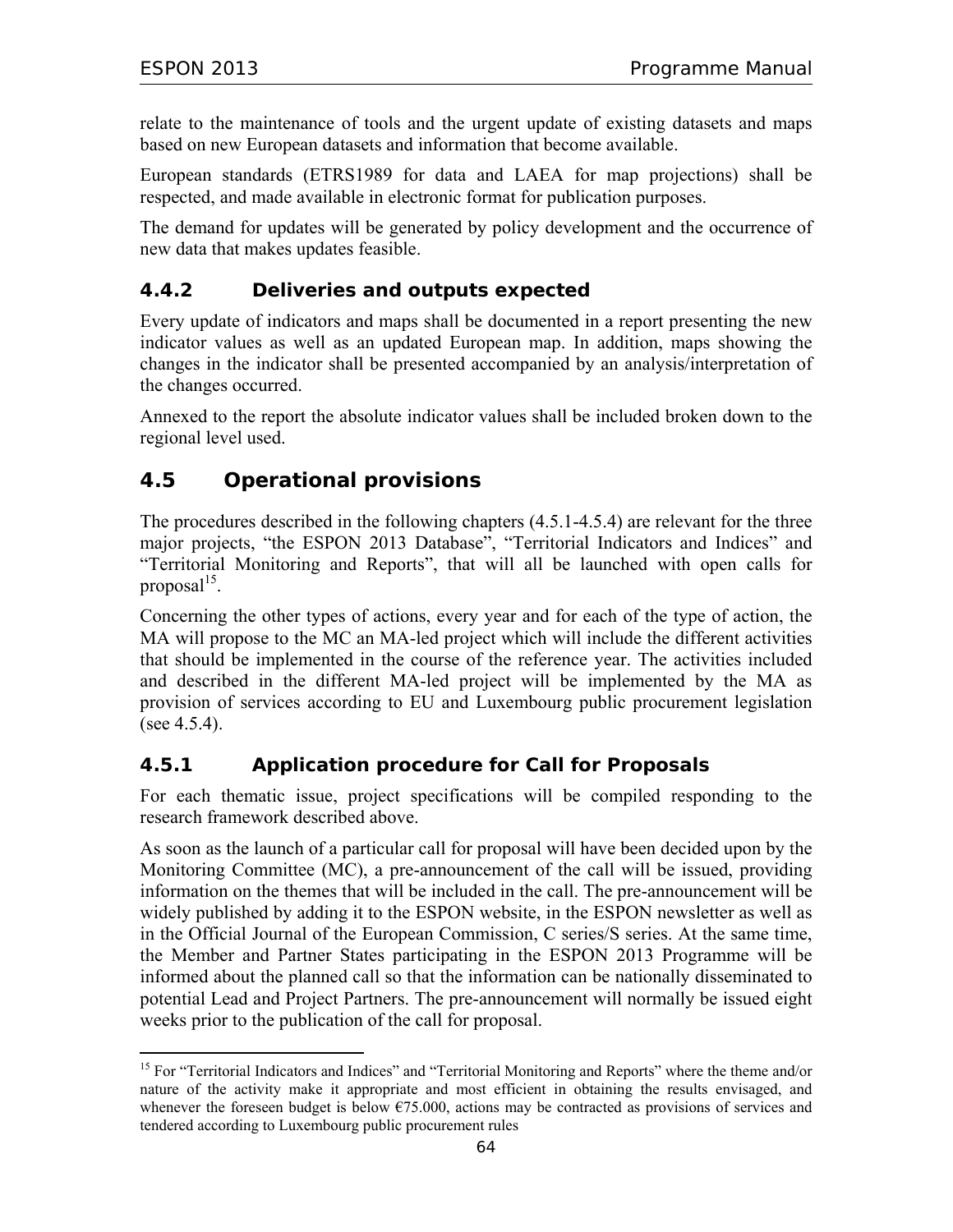$\overline{a}$ 

relate to the maintenance of tools and the urgent update of existing datasets and maps based on new European datasets and information that become available.

European standards (ETRS1989 for data and LAEA for map projections) shall be respected, and made available in electronic format for publication purposes.

The demand for updates will be generated by policy development and the occurrence of new data that makes updates feasible.

## **4.4.2 Deliveries and outputs expected**

Every update of indicators and maps shall be documented in a report presenting the new indicator values as well as an updated European map. In addition, maps showing the changes in the indicator shall be presented accompanied by an analysis/interpretation of the changes occurred.

Annexed to the report the absolute indicator values shall be included broken down to the regional level used.

# **4.5 Operational provisions**

The procedures described in the following chapters (4.5.1-4.5.4) are relevant for the three major projects, "the ESPON 2013 Database", "Territorial Indicators and Indices" and "Territorial Monitoring and Reports", that will all be launched with open calls for proposal<sup>15</sup>.

Concerning the other types of actions, every year and for each of the type of action, the MA will propose to the MC an MA-led project which will include the different activities that should be implemented in the course of the reference year. The activities included and described in the different MA-led project will be implemented by the MA as provision of services according to EU and Luxembourg public procurement legislation (see 4.5.4).

## **4.5.1 Application procedure for Call for Proposals**

For each thematic issue, project specifications will be compiled responding to the research framework described above.

As soon as the launch of a particular call for proposal will have been decided upon by the Monitoring Committee (MC), a pre-announcement of the call will be issued, providing information on the themes that will be included in the call. The pre-announcement will be widely published by adding it to the ESPON website, in the ESPON newsletter as well as in the Official Journal of the European Commission, C series/S series. At the same time, the Member and Partner States participating in the ESPON 2013 Programme will be informed about the planned call so that the information can be nationally disseminated to potential Lead and Project Partners. The pre-announcement will normally be issued eight weeks prior to the publication of the call for proposal.

<sup>&</sup>lt;sup>15</sup> For "Territorial Indicators and Indices" and "Territorial Monitoring and Reports" where the theme and/or nature of the activity make it appropriate and most efficient in obtaining the results envisaged, and whenever the foreseen budget is below €75.000, actions may be contracted as provisions of services and tendered according to Luxembourg public procurement rules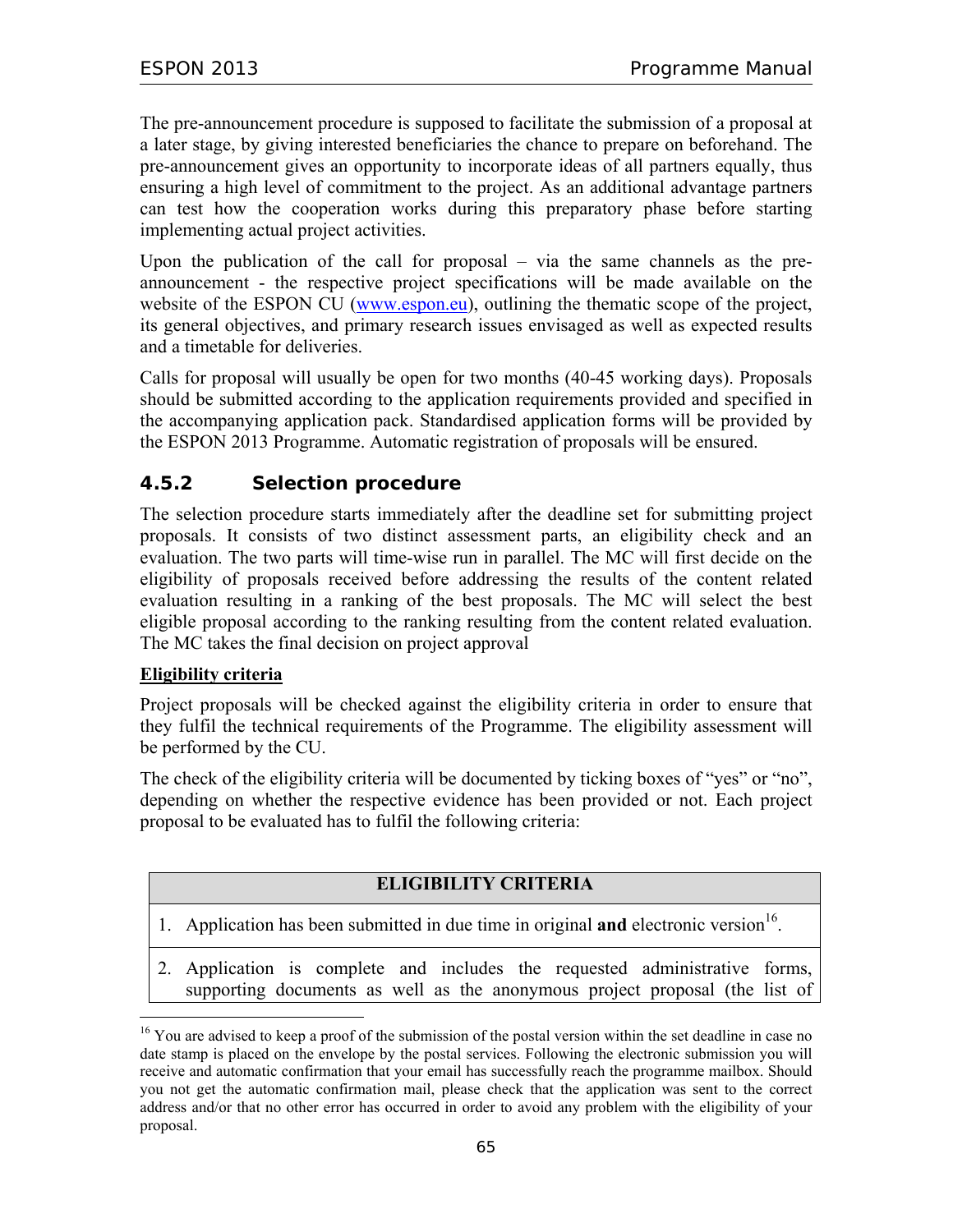The pre-announcement procedure is supposed to facilitate the submission of a proposal at a later stage, by giving interested beneficiaries the chance to prepare on beforehand. The pre-announcement gives an opportunity to incorporate ideas of all partners equally, thus ensuring a high level of commitment to the project. As an additional advantage partners can test how the cooperation works during this preparatory phase before starting implementing actual project activities.

Upon the publication of the call for proposal – via the same channels as the preannouncement - the respective project specifications will be made available on the website of the ESPON CU (www.espon.eu), outlining the thematic scope of the project, its general objectives, and primary research issues envisaged as well as expected results and a timetable for deliveries.

Calls for proposal will usually be open for two months (40-45 working days). Proposals should be submitted according to the application requirements provided and specified in the accompanying application pack. Standardised application forms will be provided by the ESPON 2013 Programme. Automatic registration of proposals will be ensured.

## **4.5.2 Selection procedure**

The selection procedure starts immediately after the deadline set for submitting project proposals. It consists of two distinct assessment parts, an eligibility check and an evaluation. The two parts will time-wise run in parallel. The MC will first decide on the eligibility of proposals received before addressing the results of the content related evaluation resulting in a ranking of the best proposals. The MC will select the best eligible proposal according to the ranking resulting from the content related evaluation. The MC takes the final decision on project approval

### **Eligibility criteria**

 $\overline{a}$ 

Project proposals will be checked against the eligibility criteria in order to ensure that they fulfil the technical requirements of the Programme. The eligibility assessment will be performed by the CU.

The check of the eligibility criteria will be documented by ticking boxes of "yes" or "no", depending on whether the respective evidence has been provided or not. Each project proposal to be evaluated has to fulfil the following criteria:

## **ELIGIBILITY CRITERIA**

- 1. Application has been submitted in due time in original **and** electronic version<sup>16</sup>.
- 2. Application is complete and includes the requested administrative forms, supporting documents as well as the anonymous project proposal (the list of

<sup>&</sup>lt;sup>16</sup> You are advised to keep a proof of the submission of the postal version within the set deadline in case no date stamp is placed on the envelope by the postal services. Following the electronic submission you will receive and automatic confirmation that your email has successfully reach the programme mailbox. Should you not get the automatic confirmation mail, please check that the application was sent to the correct address and/or that no other error has occurred in order to avoid any problem with the eligibility of your proposal.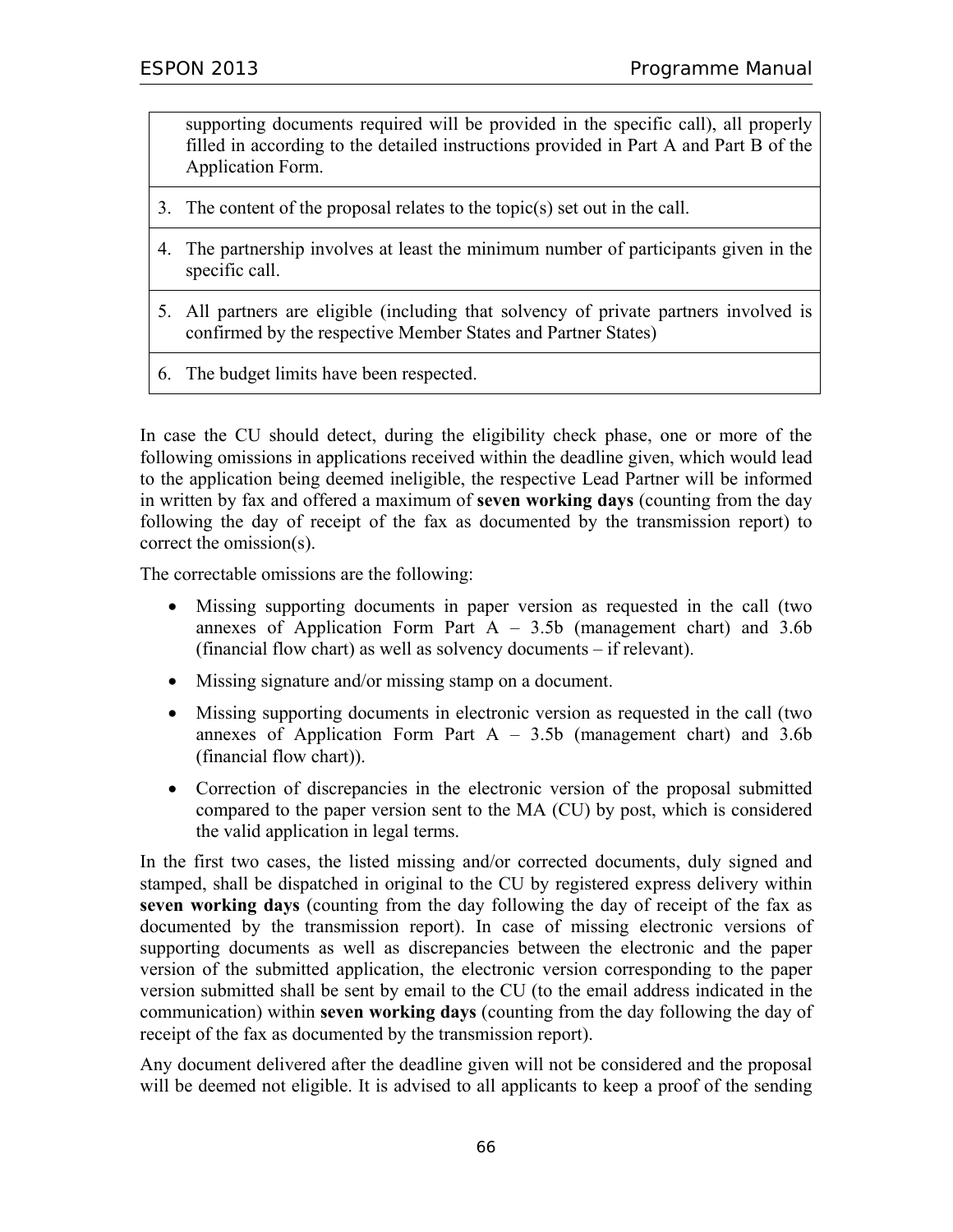supporting documents required will be provided in the specific call), all properly filled in according to the detailed instructions provided in Part A and Part B of the Application Form.

- 3. The content of the proposal relates to the topic(s) set out in the call.
- 4. The partnership involves at least the minimum number of participants given in the specific call.
- 5. All partners are eligible (including that solvency of private partners involved is confirmed by the respective Member States and Partner States)
- 6. The budget limits have been respected.

In case the CU should detect, during the eligibility check phase, one or more of the following omissions in applications received within the deadline given, which would lead to the application being deemed ineligible, the respective Lead Partner will be informed in written by fax and offered a maximum of **seven working days** (counting from the day following the day of receipt of the fax as documented by the transmission report) to correct the omission(s).

The correctable omissions are the following:

- Missing supporting documents in paper version as requested in the call (two annexes of Application Form Part  $A - 3.5b$  (management chart) and 3.6b (financial flow chart) as well as solvency documents – if relevant).
- Missing signature and/or missing stamp on a document.
- Missing supporting documents in electronic version as requested in the call (two annexes of Application Form Part  $A - 3.5b$  (management chart) and 3.6b (financial flow chart)).
- Correction of discrepancies in the electronic version of the proposal submitted compared to the paper version sent to the MA (CU) by post, which is considered the valid application in legal terms.

In the first two cases, the listed missing and/or corrected documents, duly signed and stamped, shall be dispatched in original to the CU by registered express delivery within **seven working days** (counting from the day following the day of receipt of the fax as documented by the transmission report). In case of missing electronic versions of supporting documents as well as discrepancies between the electronic and the paper version of the submitted application, the electronic version corresponding to the paper version submitted shall be sent by email to the CU (to the email address indicated in the communication) within **seven working days** (counting from the day following the day of receipt of the fax as documented by the transmission report).

Any document delivered after the deadline given will not be considered and the proposal will be deemed not eligible. It is advised to all applicants to keep a proof of the sending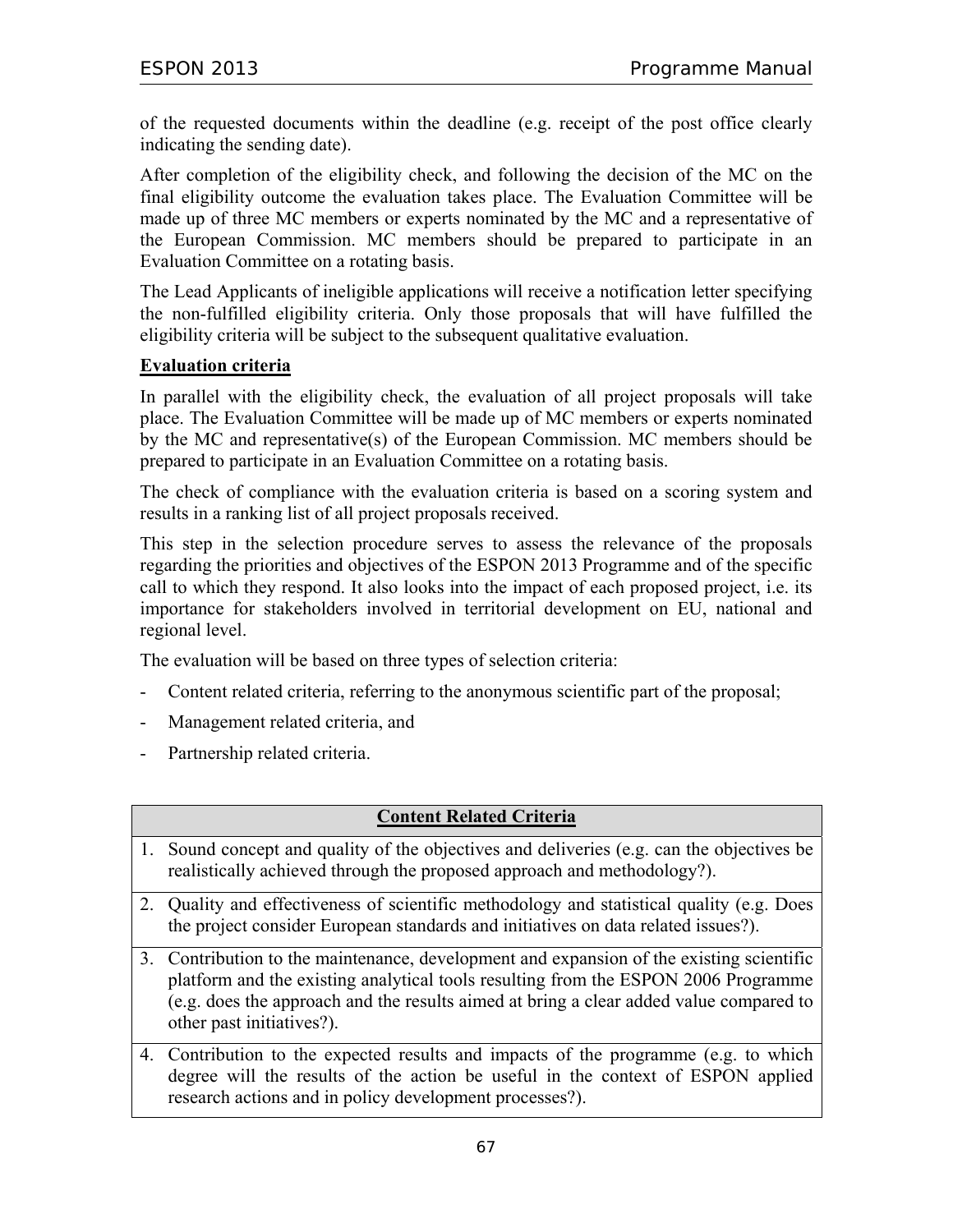of the requested documents within the deadline (e.g. receipt of the post office clearly indicating the sending date).

After completion of the eligibility check, and following the decision of the MC on the final eligibility outcome the evaluation takes place. The Evaluation Committee will be made up of three MC members or experts nominated by the MC and a representative of the European Commission. MC members should be prepared to participate in an Evaluation Committee on a rotating basis.

The Lead Applicants of ineligible applications will receive a notification letter specifying the non-fulfilled eligibility criteria. Only those proposals that will have fulfilled the eligibility criteria will be subject to the subsequent qualitative evaluation.

### **Evaluation criteria**

In parallel with the eligibility check, the evaluation of all project proposals will take place. The Evaluation Committee will be made up of MC members or experts nominated by the MC and representative(s) of the European Commission. MC members should be prepared to participate in an Evaluation Committee on a rotating basis.

The check of compliance with the evaluation criteria is based on a scoring system and results in a ranking list of all project proposals received.

This step in the selection procedure serves to assess the relevance of the proposals regarding the priorities and objectives of the ESPON 2013 Programme and of the specific call to which they respond. It also looks into the impact of each proposed project, i.e. its importance for stakeholders involved in territorial development on EU, national and regional level.

The evaluation will be based on three types of selection criteria:

- Content related criteria, referring to the anonymous scientific part of the proposal;
- Management related criteria, and
- Partnership related criteria.

### **Content Related Criteria**

- 1. Sound concept and quality of the objectives and deliveries (e.g. can the objectives be realistically achieved through the proposed approach and methodology?).
- 2. Quality and effectiveness of scientific methodology and statistical quality (e.g. Does the project consider European standards and initiatives on data related issues?).
- 3. Contribution to the maintenance, development and expansion of the existing scientific platform and the existing analytical tools resulting from the ESPON 2006 Programme (e.g. does the approach and the results aimed at bring a clear added value compared to other past initiatives?).
- 4. Contribution to the expected results and impacts of the programme (e.g. to which degree will the results of the action be useful in the context of ESPON applied research actions and in policy development processes?).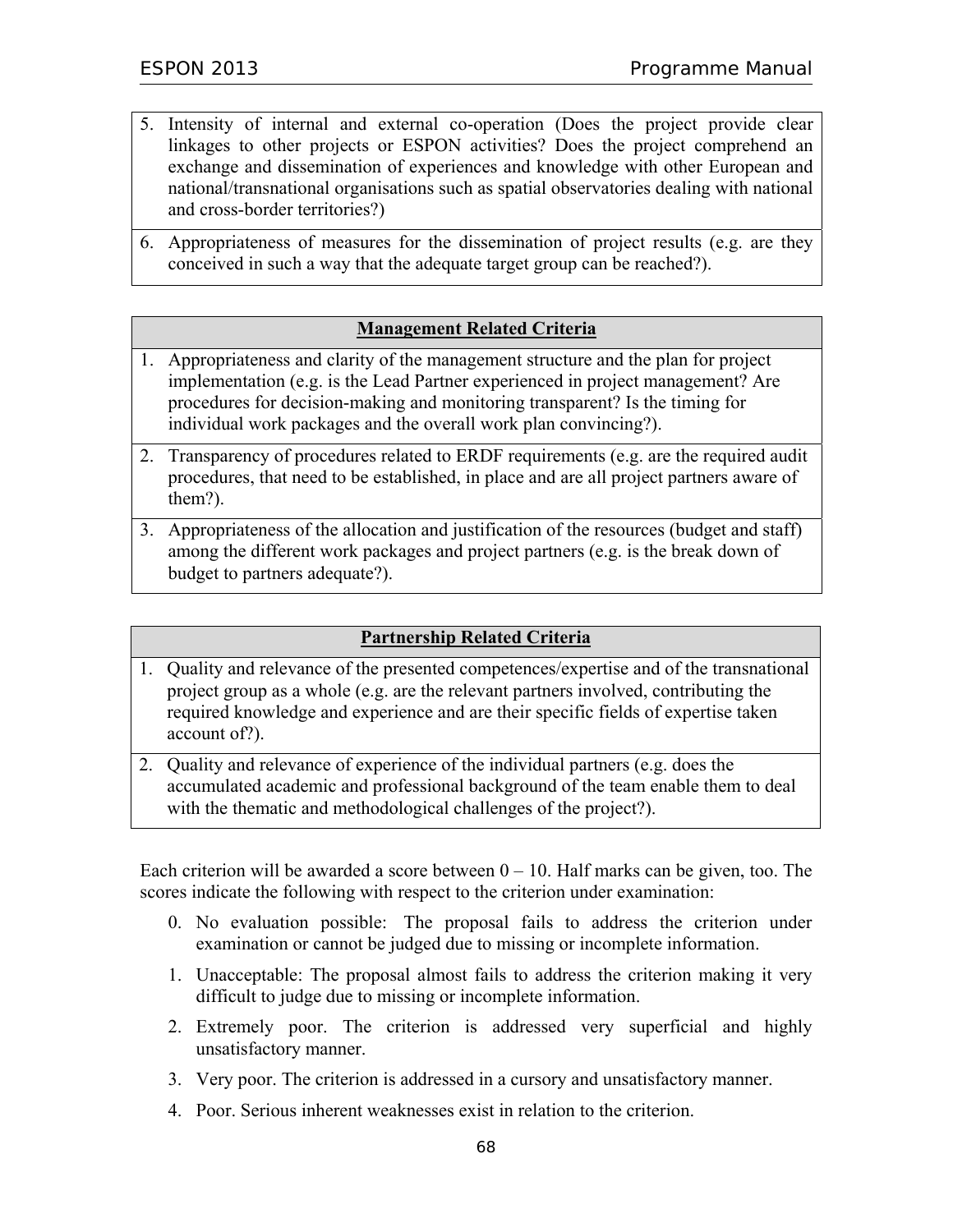- 5. Intensity of internal and external co-operation (Does the project provide clear linkages to other projects or ESPON activities? Does the project comprehend an exchange and dissemination of experiences and knowledge with other European and national/transnational organisations such as spatial observatories dealing with national and cross-border territories?)
- 6. Appropriateness of measures for the dissemination of project results (e.g. are they conceived in such a way that the adequate target group can be reached?).

### **Management Related Criteria**

- 1. Appropriateness and clarity of the management structure and the plan for project implementation (e.g. is the Lead Partner experienced in project management? Are procedures for decision-making and monitoring transparent? Is the timing for individual work packages and the overall work plan convincing?).
- 2. Transparency of procedures related to ERDF requirements (e.g. are the required audit procedures, that need to be established, in place and are all project partners aware of them?).
- 3. Appropriateness of the allocation and justification of the resources (budget and staff) among the different work packages and project partners (e.g. is the break down of budget to partners adequate?).

## **Partnership Related Criteria**

- 1. Quality and relevance of the presented competences/expertise and of the transnational project group as a whole (e.g. are the relevant partners involved, contributing the required knowledge and experience and are their specific fields of expertise taken account of?).
- 2. Quality and relevance of experience of the individual partners (e.g. does the accumulated academic and professional background of the team enable them to deal with the thematic and methodological challenges of the project?).

Each criterion will be awarded a score between  $0 - 10$ . Half marks can be given, too. The scores indicate the following with respect to the criterion under examination:

- 0. No evaluation possible: The proposal fails to address the criterion under examination or cannot be judged due to missing or incomplete information.
- 1. Unacceptable: The proposal almost fails to address the criterion making it very difficult to judge due to missing or incomplete information.
- 2. Extremely poor. The criterion is addressed very superficial and highly unsatisfactory manner.
- 3. Very poor. The criterion is addressed in a cursory and unsatisfactory manner.
- 4. Poor. Serious inherent weaknesses exist in relation to the criterion.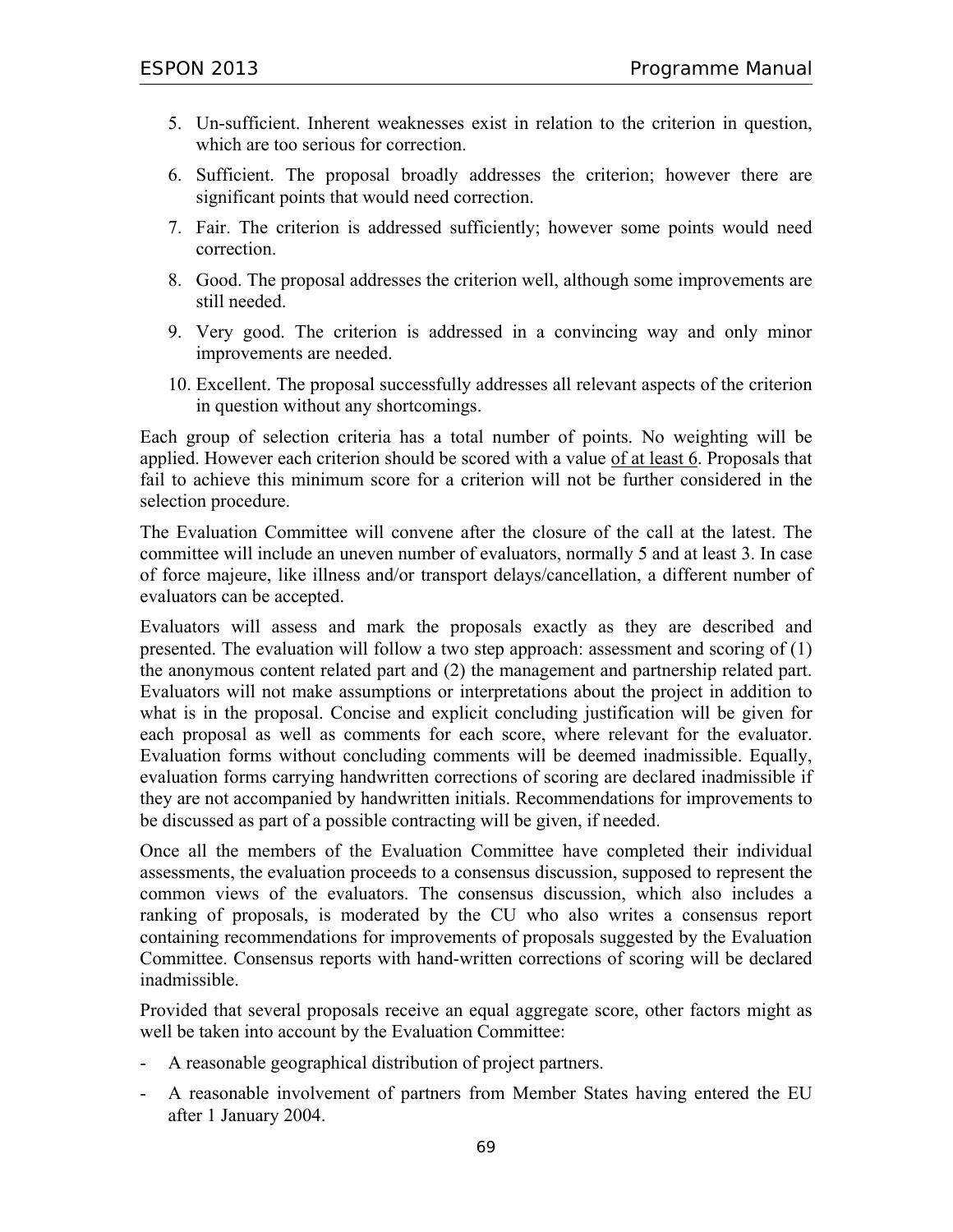- 5. Un-sufficient. Inherent weaknesses exist in relation to the criterion in question, which are too serious for correction.
- 6. Sufficient. The proposal broadly addresses the criterion; however there are significant points that would need correction.
- 7. Fair. The criterion is addressed sufficiently; however some points would need correction.
- 8. Good. The proposal addresses the criterion well, although some improvements are still needed.
- 9. Very good. The criterion is addressed in a convincing way and only minor improvements are needed.
- 10. Excellent. The proposal successfully addresses all relevant aspects of the criterion in question without any shortcomings.

Each group of selection criteria has a total number of points. No weighting will be applied. However each criterion should be scored with a value of at least 6. Proposals that fail to achieve this minimum score for a criterion will not be further considered in the selection procedure.

The Evaluation Committee will convene after the closure of the call at the latest. The committee will include an uneven number of evaluators, normally 5 and at least 3. In case of force majeure, like illness and/or transport delays/cancellation, a different number of evaluators can be accepted.

Evaluators will assess and mark the proposals exactly as they are described and presented. The evaluation will follow a two step approach: assessment and scoring of (1) the anonymous content related part and (2) the management and partnership related part. Evaluators will not make assumptions or interpretations about the project in addition to what is in the proposal. Concise and explicit concluding justification will be given for each proposal as well as comments for each score, where relevant for the evaluator. Evaluation forms without concluding comments will be deemed inadmissible. Equally, evaluation forms carrying handwritten corrections of scoring are declared inadmissible if they are not accompanied by handwritten initials. Recommendations for improvements to be discussed as part of a possible contracting will be given, if needed.

Once all the members of the Evaluation Committee have completed their individual assessments, the evaluation proceeds to a consensus discussion, supposed to represent the common views of the evaluators. The consensus discussion, which also includes a ranking of proposals, is moderated by the CU who also writes a consensus report containing recommendations for improvements of proposals suggested by the Evaluation Committee. Consensus reports with hand-written corrections of scoring will be declared inadmissible.

Provided that several proposals receive an equal aggregate score, other factors might as well be taken into account by the Evaluation Committee:

- A reasonable geographical distribution of project partners.
- A reasonable involvement of partners from Member States having entered the EU after 1 January 2004.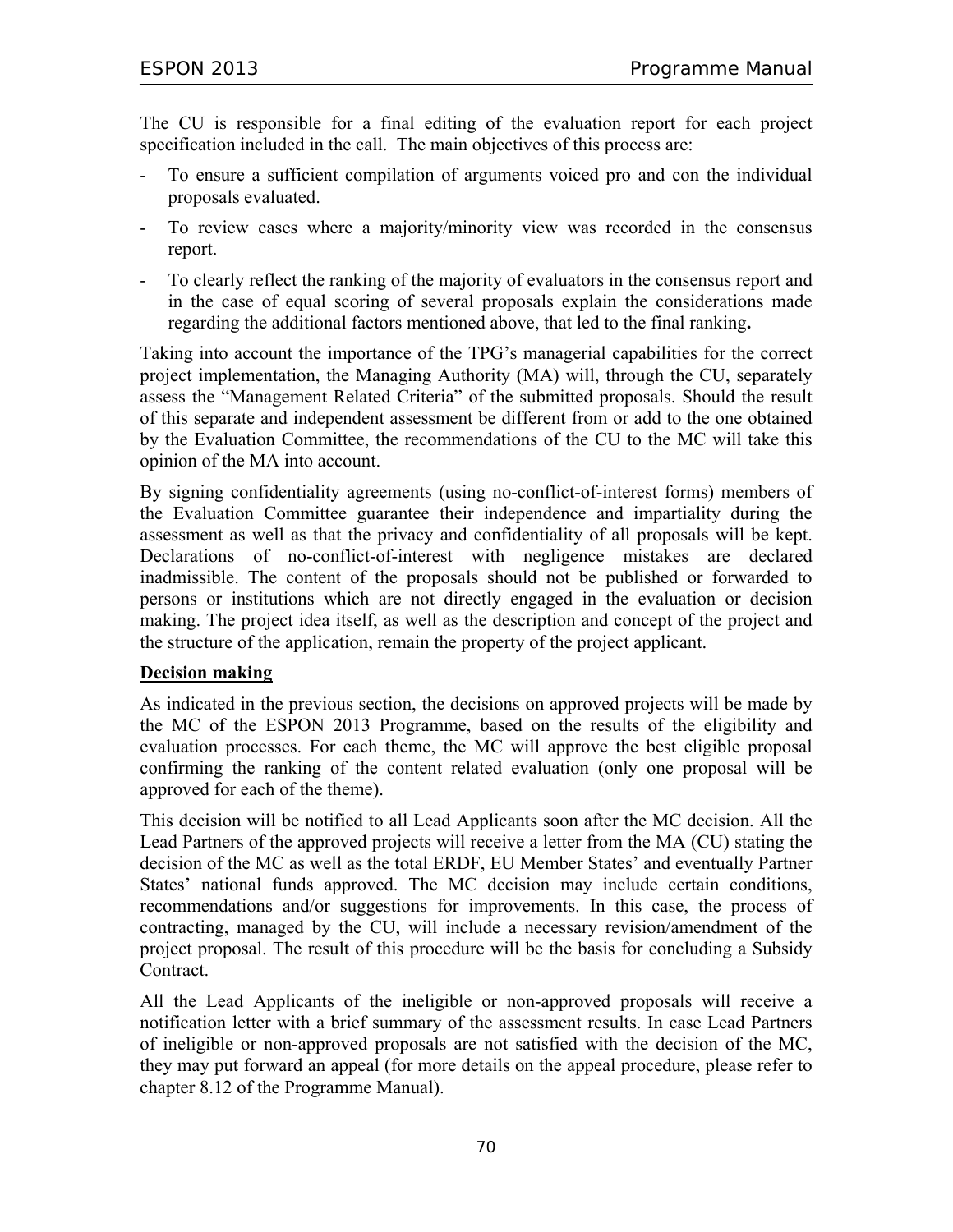The CU is responsible for a final editing of the evaluation report for each project specification included in the call. The main objectives of this process are:

- To ensure a sufficient compilation of arguments voiced pro and con the individual proposals evaluated.
- To review cases where a majority/minority view was recorded in the consensus report.
- To clearly reflect the ranking of the majority of evaluators in the consensus report and in the case of equal scoring of several proposals explain the considerations made regarding the additional factors mentioned above, that led to the final ranking**.**

Taking into account the importance of the TPG's managerial capabilities for the correct project implementation, the Managing Authority (MA) will, through the CU, separately assess the "Management Related Criteria" of the submitted proposals. Should the result of this separate and independent assessment be different from or add to the one obtained by the Evaluation Committee, the recommendations of the CU to the MC will take this opinion of the MA into account.

By signing confidentiality agreements (using no-conflict-of-interest forms) members of the Evaluation Committee guarantee their independence and impartiality during the assessment as well as that the privacy and confidentiality of all proposals will be kept. Declarations of no-conflict-of-interest with negligence mistakes are declared inadmissible. The content of the proposals should not be published or forwarded to persons or institutions which are not directly engaged in the evaluation or decision making. The project idea itself, as well as the description and concept of the project and the structure of the application, remain the property of the project applicant.

### **Decision making**

As indicated in the previous section, the decisions on approved projects will be made by the MC of the ESPON 2013 Programme, based on the results of the eligibility and evaluation processes. For each theme, the MC will approve the best eligible proposal confirming the ranking of the content related evaluation (only one proposal will be approved for each of the theme).

This decision will be notified to all Lead Applicants soon after the MC decision. All the Lead Partners of the approved projects will receive a letter from the MA (CU) stating the decision of the MC as well as the total ERDF, EU Member States' and eventually Partner States' national funds approved. The MC decision may include certain conditions, recommendations and/or suggestions for improvements. In this case, the process of contracting, managed by the CU, will include a necessary revision/amendment of the project proposal. The result of this procedure will be the basis for concluding a Subsidy Contract.

All the Lead Applicants of the ineligible or non-approved proposals will receive a notification letter with a brief summary of the assessment results. In case Lead Partners of ineligible or non-approved proposals are not satisfied with the decision of the MC, they may put forward an appeal (for more details on the appeal procedure, please refer to chapter 8.12 of the Programme Manual).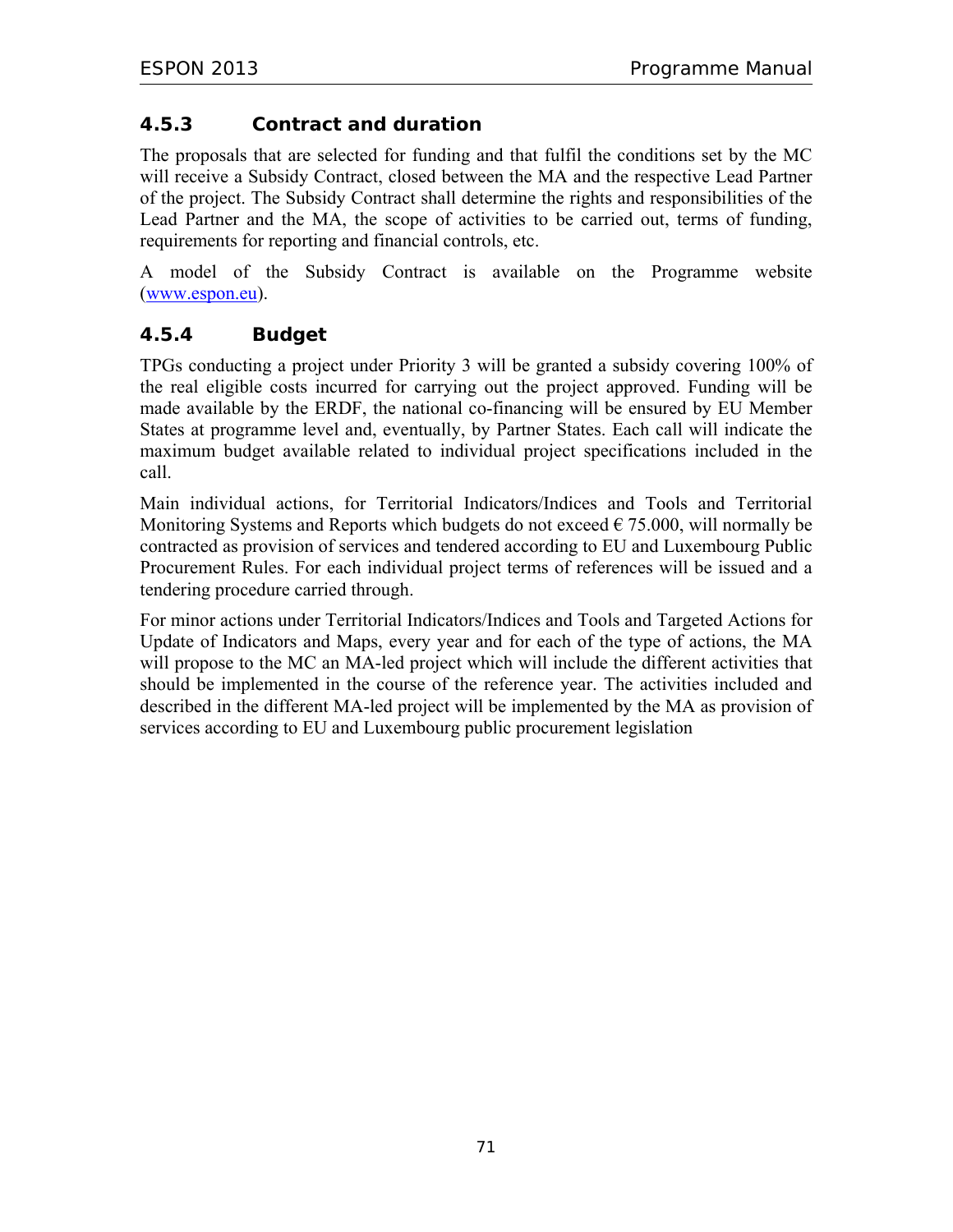## **4.5.3 Contract and duration**

The proposals that are selected for funding and that fulfil the conditions set by the MC will receive a Subsidy Contract, closed between the MA and the respective Lead Partner of the project. The Subsidy Contract shall determine the rights and responsibilities of the Lead Partner and the MA, the scope of activities to be carried out, terms of funding, requirements for reporting and financial controls, etc.

A model of the Subsidy Contract is available on the Programme website (www.espon.eu).

## **4.5.4 Budget**

TPGs conducting a project under Priority 3 will be granted a subsidy covering 100% of the real eligible costs incurred for carrying out the project approved. Funding will be made available by the ERDF, the national co-financing will be ensured by EU Member States at programme level and, eventually, by Partner States. Each call will indicate the maximum budget available related to individual project specifications included in the call.

Main individual actions, for Territorial Indicators/Indices and Tools and Territorial Monitoring Systems and Reports which budgets do not exceed  $\epsilon$  75.000, will normally be contracted as provision of services and tendered according to EU and Luxembourg Public Procurement Rules. For each individual project terms of references will be issued and a tendering procedure carried through.

For minor actions under Territorial Indicators/Indices and Tools and Targeted Actions for Update of Indicators and Maps, every year and for each of the type of actions, the MA will propose to the MC an MA-led project which will include the different activities that should be implemented in the course of the reference year. The activities included and described in the different MA-led project will be implemented by the MA as provision of services according to EU and Luxembourg public procurement legislation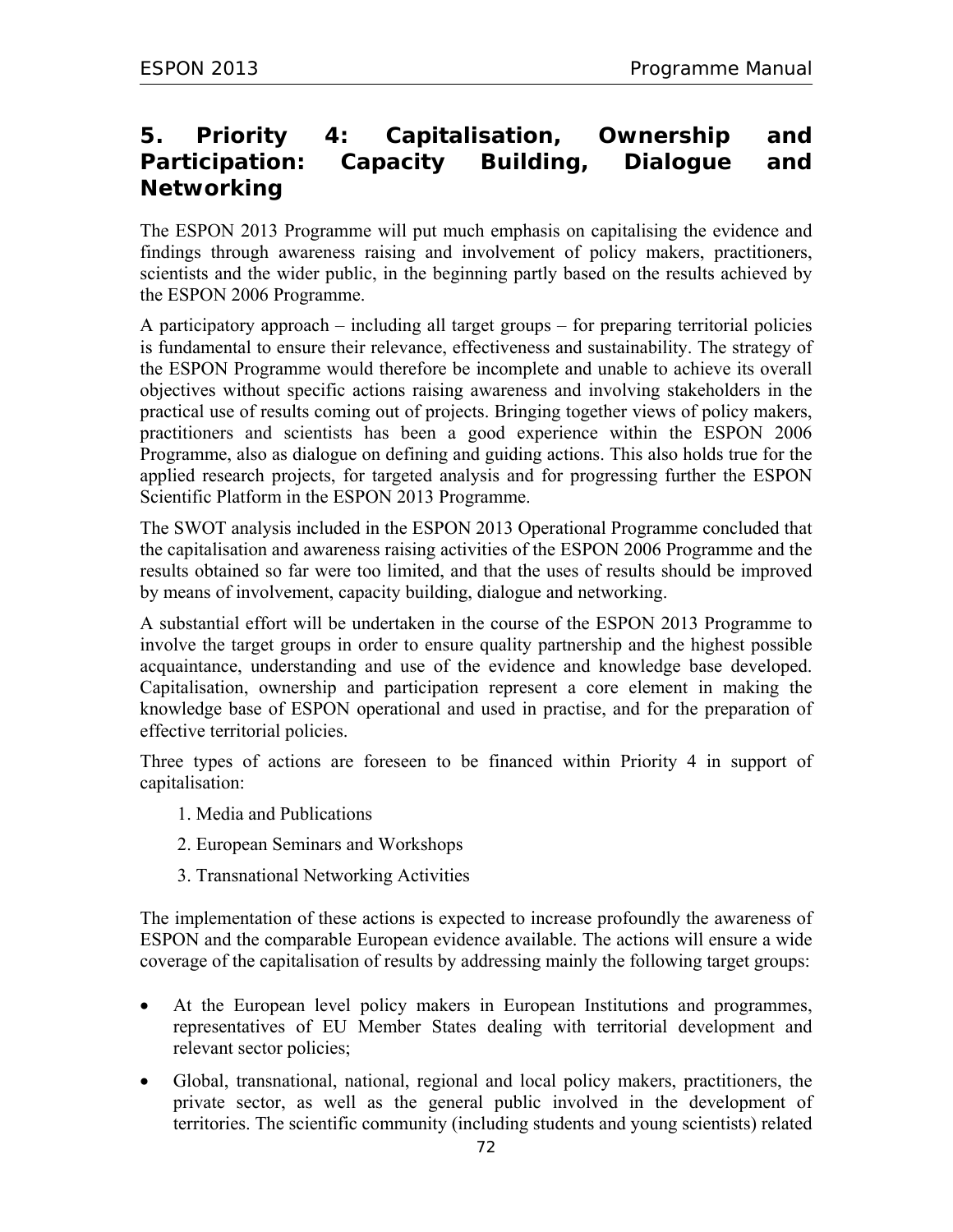# **5. Priority 4: Capitalisation, Ownership and Participation: Capacity Building, Dialogue and Networking**

The ESPON 2013 Programme will put much emphasis on capitalising the evidence and findings through awareness raising and involvement of policy makers, practitioners, scientists and the wider public, in the beginning partly based on the results achieved by the ESPON 2006 Programme.

A participatory approach – including all target groups – for preparing territorial policies is fundamental to ensure their relevance, effectiveness and sustainability. The strategy of the ESPON Programme would therefore be incomplete and unable to achieve its overall objectives without specific actions raising awareness and involving stakeholders in the practical use of results coming out of projects. Bringing together views of policy makers, practitioners and scientists has been a good experience within the ESPON 2006 Programme, also as dialogue on defining and guiding actions. This also holds true for the applied research projects, for targeted analysis and for progressing further the ESPON Scientific Platform in the ESPON 2013 Programme.

The SWOT analysis included in the ESPON 2013 Operational Programme concluded that the capitalisation and awareness raising activities of the ESPON 2006 Programme and the results obtained so far were too limited, and that the uses of results should be improved by means of involvement, capacity building, dialogue and networking.

A substantial effort will be undertaken in the course of the ESPON 2013 Programme to involve the target groups in order to ensure quality partnership and the highest possible acquaintance, understanding and use of the evidence and knowledge base developed. Capitalisation, ownership and participation represent a core element in making the knowledge base of ESPON operational and used in practise, and for the preparation of effective territorial policies.

Three types of actions are foreseen to be financed within Priority 4 in support of capitalisation:

- 1. Media and Publications
- 2. European Seminars and Workshops
- 3. Transnational Networking Activities

The implementation of these actions is expected to increase profoundly the awareness of ESPON and the comparable European evidence available. The actions will ensure a wide coverage of the capitalisation of results by addressing mainly the following target groups:

- At the European level policy makers in European Institutions and programmes, representatives of EU Member States dealing with territorial development and relevant sector policies;
- Global, transnational, national, regional and local policy makers, practitioners, the private sector, as well as the general public involved in the development of territories. The scientific community (including students and young scientists) related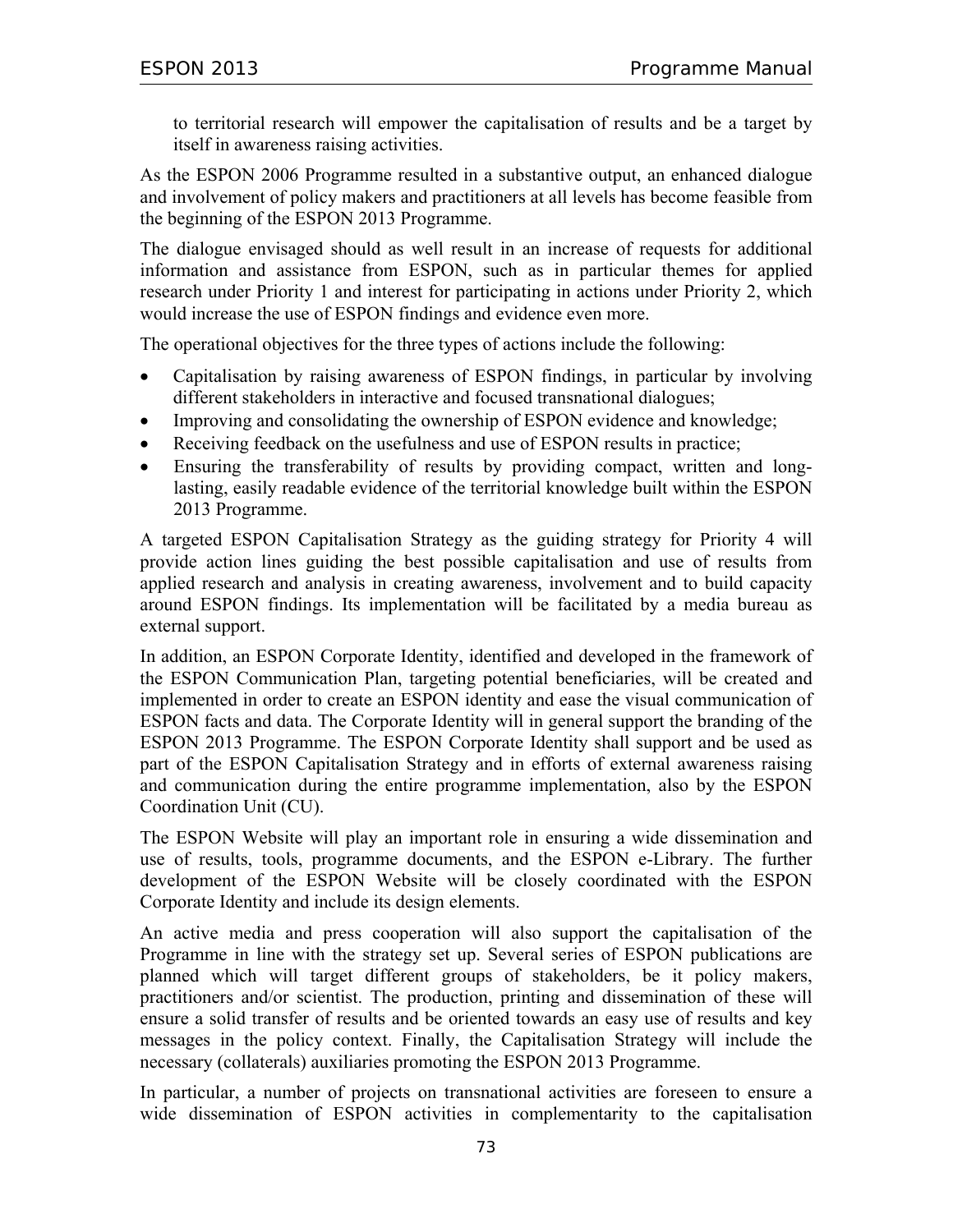to territorial research will empower the capitalisation of results and be a target by itself in awareness raising activities.

As the ESPON 2006 Programme resulted in a substantive output, an enhanced dialogue and involvement of policy makers and practitioners at all levels has become feasible from the beginning of the ESPON 2013 Programme.

The dialogue envisaged should as well result in an increase of requests for additional information and assistance from ESPON, such as in particular themes for applied research under Priority 1 and interest for participating in actions under Priority 2, which would increase the use of ESPON findings and evidence even more.

The operational objectives for the three types of actions include the following:

- Capitalisation by raising awareness of ESPON findings, in particular by involving different stakeholders in interactive and focused transnational dialogues;
- Improving and consolidating the ownership of ESPON evidence and knowledge;
- Receiving feedback on the usefulness and use of ESPON results in practice;
- Ensuring the transferability of results by providing compact, written and longlasting, easily readable evidence of the territorial knowledge built within the ESPON 2013 Programme.

A targeted ESPON Capitalisation Strategy as the guiding strategy for Priority 4 will provide action lines guiding the best possible capitalisation and use of results from applied research and analysis in creating awareness, involvement and to build capacity around ESPON findings. Its implementation will be facilitated by a media bureau as external support.

In addition, an ESPON Corporate Identity, identified and developed in the framework of the ESPON Communication Plan, targeting potential beneficiaries, will be created and implemented in order to create an ESPON identity and ease the visual communication of ESPON facts and data. The Corporate Identity will in general support the branding of the ESPON 2013 Programme. The ESPON Corporate Identity shall support and be used as part of the ESPON Capitalisation Strategy and in efforts of external awareness raising and communication during the entire programme implementation, also by the ESPON Coordination Unit (CU).

The ESPON Website will play an important role in ensuring a wide dissemination and use of results, tools, programme documents, and the ESPON e-Library. The further development of the ESPON Website will be closely coordinated with the ESPON Corporate Identity and include its design elements.

An active media and press cooperation will also support the capitalisation of the Programme in line with the strategy set up. Several series of ESPON publications are planned which will target different groups of stakeholders, be it policy makers, practitioners and/or scientist. The production, printing and dissemination of these will ensure a solid transfer of results and be oriented towards an easy use of results and key messages in the policy context. Finally, the Capitalisation Strategy will include the necessary (collaterals) auxiliaries promoting the ESPON 2013 Programme.

In particular, a number of projects on transnational activities are foreseen to ensure a wide dissemination of ESPON activities in complementarity to the capitalisation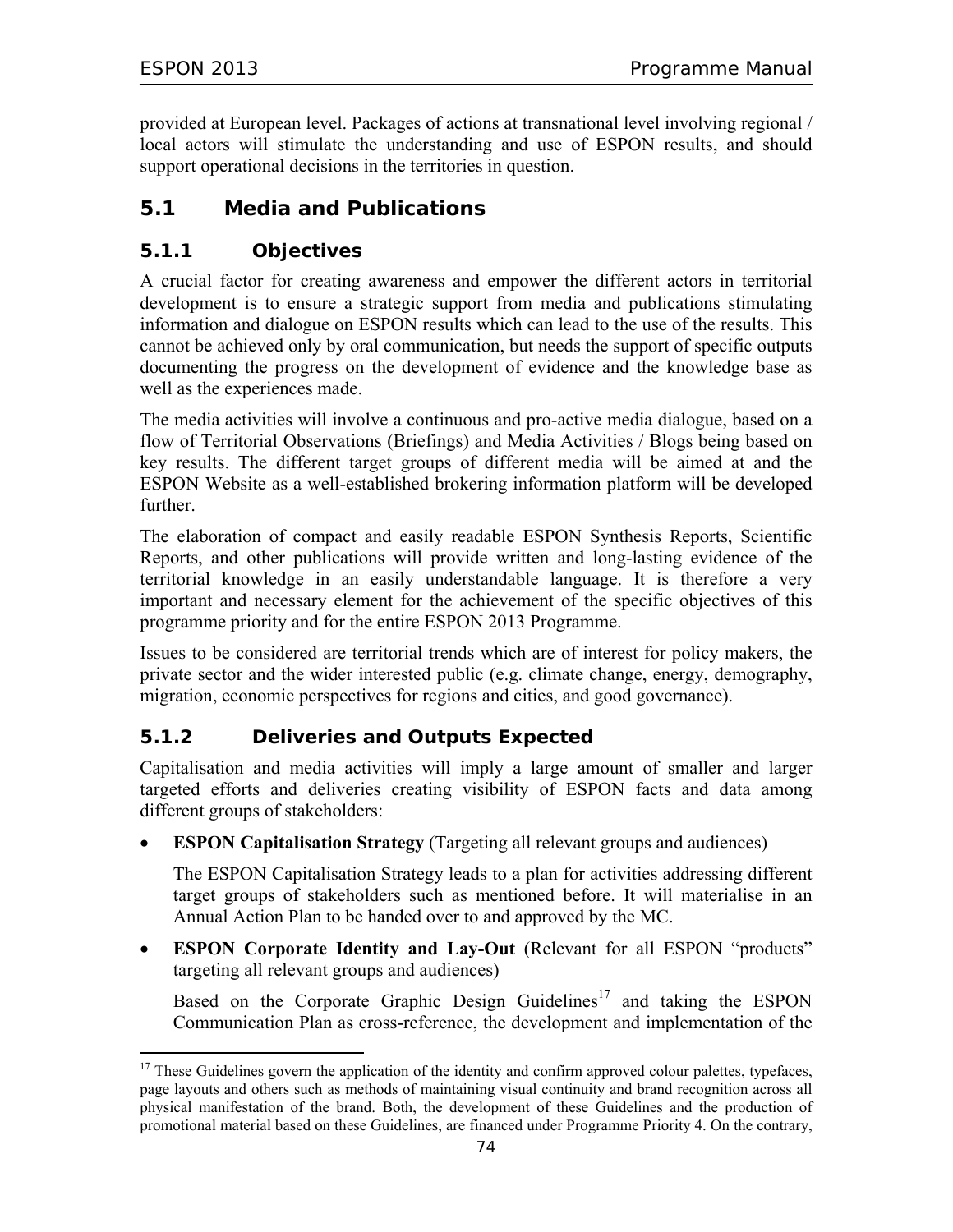provided at European level. Packages of actions at transnational level involving regional / local actors will stimulate the understanding and use of ESPON results, and should support operational decisions in the territories in question.

## **5.1 Media and Publications**

### **5.1.1 Objectives**

A crucial factor for creating awareness and empower the different actors in territorial development is to ensure a strategic support from media and publications stimulating information and dialogue on ESPON results which can lead to the use of the results. This cannot be achieved only by oral communication, but needs the support of specific outputs documenting the progress on the development of evidence and the knowledge base as well as the experiences made.

The media activities will involve a continuous and pro-active media dialogue, based on a flow of Territorial Observations (Briefings) and Media Activities / Blogs being based on key results. The different target groups of different media will be aimed at and the ESPON Website as a well-established brokering information platform will be developed further.

The elaboration of compact and easily readable ESPON Synthesis Reports, Scientific Reports, and other publications will provide written and long-lasting evidence of the territorial knowledge in an easily understandable language. It is therefore a very important and necessary element for the achievement of the specific objectives of this programme priority and for the entire ESPON 2013 Programme.

Issues to be considered are territorial trends which are of interest for policy makers, the private sector and the wider interested public (e.g. climate change, energy, demography, migration, economic perspectives for regions and cities, and good governance).

## **5.1.2 Deliveries and Outputs Expected**

Capitalisation and media activities will imply a large amount of smaller and larger targeted efforts and deliveries creating visibility of ESPON facts and data among different groups of stakeholders:

• **ESPON Capitalisation Strategy** (Targeting all relevant groups and audiences)

The ESPON Capitalisation Strategy leads to a plan for activities addressing different target groups of stakeholders such as mentioned before. It will materialise in an Annual Action Plan to be handed over to and approved by the MC.

• **ESPON Corporate Identity and Lay-Out** (Relevant for all ESPON "products" targeting all relevant groups and audiences)

Based on the Corporate Graphic Design Guidelines<sup>17</sup> and taking the ESPON Communication Plan as cross-reference, the development and implementation of the

<sup>-</sup> $17$  These Guidelines govern the application of the identity and confirm approved colour palettes, typefaces, page layouts and others such as methods of maintaining visual continuity and brand recognition across all physical manifestation of the brand. Both, the development of these Guidelines and the production of promotional material based on these Guidelines, are financed under Programme Priority 4. On the contrary,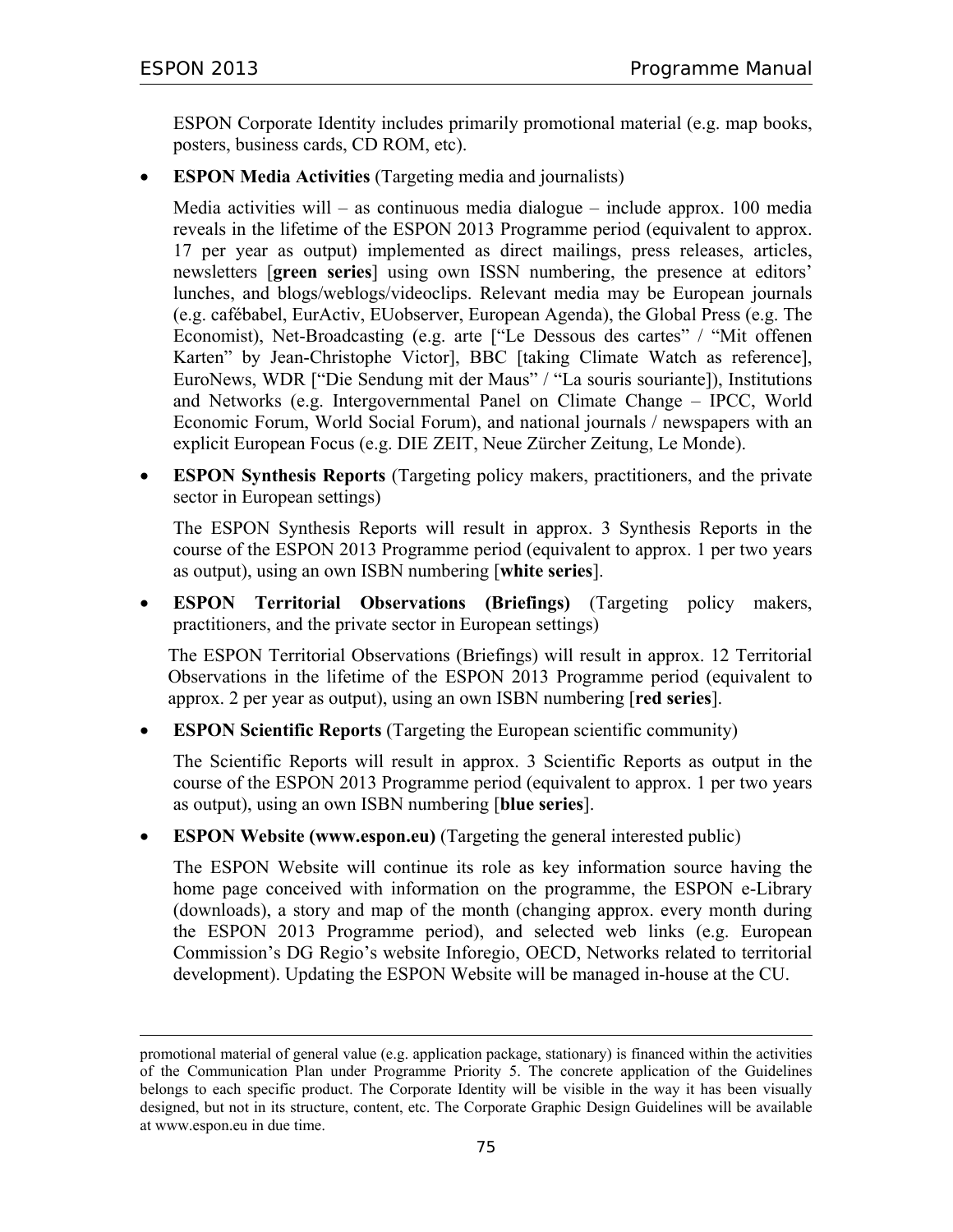$\overline{a}$ 

ESPON Corporate Identity includes primarily promotional material (e.g. map books, posters, business cards, CD ROM, etc).

• **ESPON Media Activities** (Targeting media and journalists)

Media activities will – as continuous media dialogue – include approx. 100 media reveals in the lifetime of the ESPON 2013 Programme period (equivalent to approx. 17 per year as output) implemented as direct mailings, press releases, articles, newsletters [**green series**] using own ISSN numbering, the presence at editors' lunches, and blogs/weblogs/videoclips. Relevant media may be European journals (e.g. cafébabel, EurActiv, EUobserver, European Agenda), the Global Press (e.g. The Economist), Net-Broadcasting (e.g. arte ["Le Dessous des cartes" / "Mit offenen Karten" by Jean-Christophe Victor], BBC [taking Climate Watch as reference], EuroNews, WDR ["Die Sendung mit der Maus" / "La souris souriante]), Institutions and Networks (e.g. Intergovernmental Panel on Climate Change – IPCC, World Economic Forum, World Social Forum), and national journals / newspapers with an explicit European Focus (e.g. DIE ZEIT, Neue Zürcher Zeitung, Le Monde).

• **ESPON Synthesis Reports** (Targeting policy makers, practitioners, and the private sector in European settings)

The ESPON Synthesis Reports will result in approx. 3 Synthesis Reports in the course of the ESPON 2013 Programme period (equivalent to approx. 1 per two years as output), using an own ISBN numbering [**white series**].

• **ESPON Territorial Observations (Briefings)** (Targeting policy makers, practitioners, and the private sector in European settings)

The ESPON Territorial Observations (Briefings) will result in approx. 12 Territorial Observations in the lifetime of the ESPON 2013 Programme period (equivalent to approx. 2 per year as output), using an own ISBN numbering [**red series**].

• **ESPON Scientific Reports** (Targeting the European scientific community)

The Scientific Reports will result in approx. 3 Scientific Reports as output in the course of the ESPON 2013 Programme period (equivalent to approx. 1 per two years as output), using an own ISBN numbering [**blue series**].

• **ESPON Website (www.espon.eu)** (Targeting the general interested public)

The ESPON Website will continue its role as key information source having the home page conceived with information on the programme, the ESPON e-Library (downloads), a story and map of the month (changing approx. every month during the ESPON 2013 Programme period), and selected web links (e.g. European Commission's DG Regio's website Inforegio, OECD, Networks related to territorial development). Updating the ESPON Website will be managed in-house at the CU.

promotional material of general value (e.g. application package, stationary) is financed within the activities of the Communication Plan under Programme Priority 5. The concrete application of the Guidelines belongs to each specific product. The Corporate Identity will be visible in the way it has been visually designed, but not in its structure, content, etc. The Corporate Graphic Design Guidelines will be available at www.espon.eu in due time.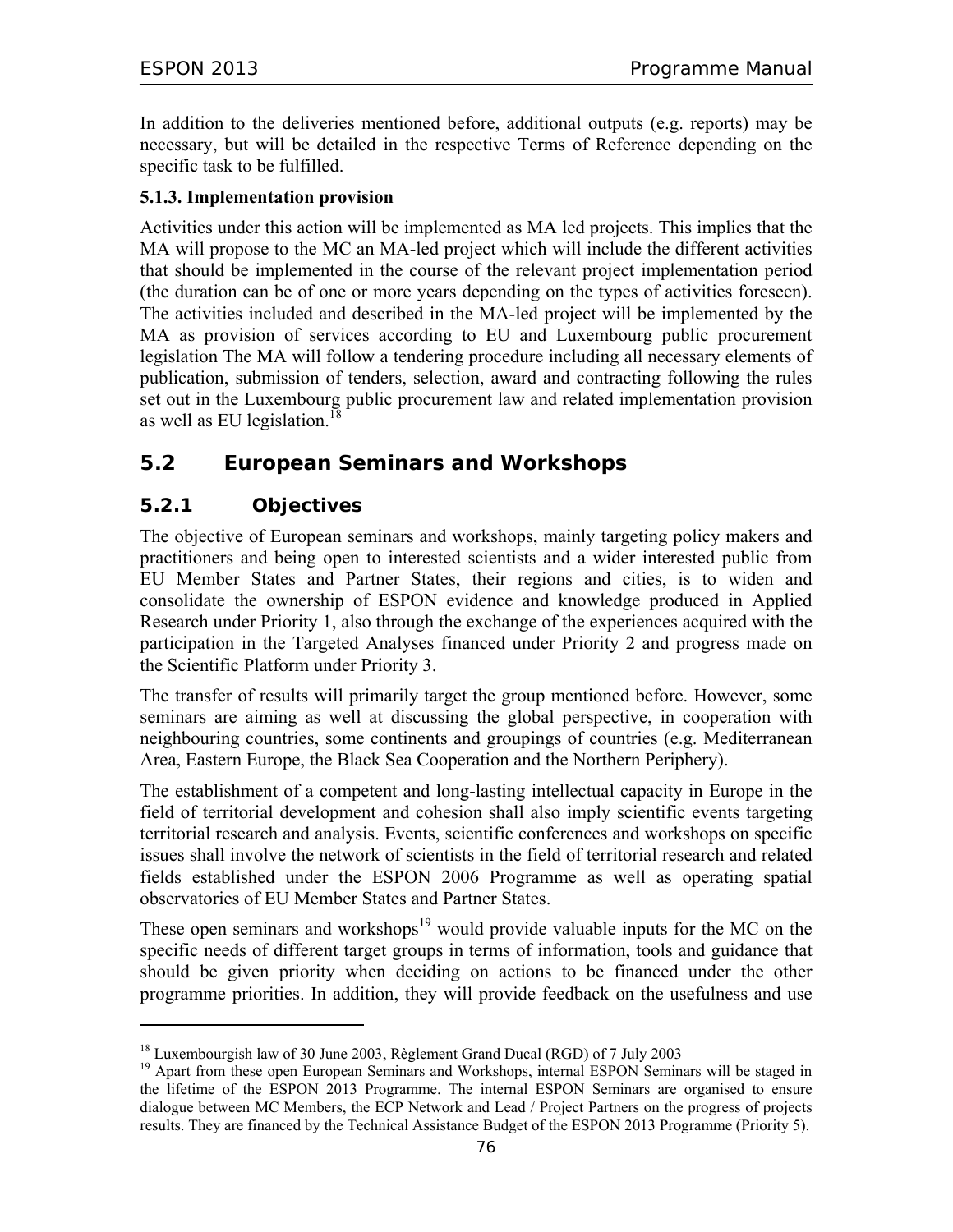In addition to the deliveries mentioned before, additional outputs (e.g. reports) may be necessary, but will be detailed in the respective Terms of Reference depending on the specific task to be fulfilled.

### **5.1.3. Implementation provision**

Activities under this action will be implemented as MA led projects. This implies that the MA will propose to the MC an MA-led project which will include the different activities that should be implemented in the course of the relevant project implementation period (the duration can be of one or more years depending on the types of activities foreseen). The activities included and described in the MA-led project will be implemented by the MA as provision of services according to EU and Luxembourg public procurement legislation The MA will follow a tendering procedure including all necessary elements of publication, submission of tenders, selection, award and contracting following the rules set out in the Luxembourg public procurement law and related implementation provision as well as EU legislation.<sup>18</sup>

## **5.2 European Seminars and Workshops**

## **5.2.1 Objectives**

 $\overline{a}$ 

The objective of European seminars and workshops, mainly targeting policy makers and practitioners and being open to interested scientists and a wider interested public from EU Member States and Partner States, their regions and cities, is to widen and consolidate the ownership of ESPON evidence and knowledge produced in Applied Research under Priority 1, also through the exchange of the experiences acquired with the participation in the Targeted Analyses financed under Priority 2 and progress made on the Scientific Platform under Priority 3.

The transfer of results will primarily target the group mentioned before. However, some seminars are aiming as well at discussing the global perspective, in cooperation with neighbouring countries, some continents and groupings of countries (e.g. Mediterranean Area, Eastern Europe, the Black Sea Cooperation and the Northern Periphery).

The establishment of a competent and long-lasting intellectual capacity in Europe in the field of territorial development and cohesion shall also imply scientific events targeting territorial research and analysis. Events, scientific conferences and workshops on specific issues shall involve the network of scientists in the field of territorial research and related fields established under the ESPON 2006 Programme as well as operating spatial observatories of EU Member States and Partner States.

These open seminars and workshops<sup>19</sup> would provide valuable inputs for the MC on the specific needs of different target groups in terms of information, tools and guidance that should be given priority when deciding on actions to be financed under the other programme priorities. In addition, they will provide feedback on the usefulness and use

<sup>&</sup>lt;sup>18</sup> Luxembourgish law of 30 June 2003, Règlement Grand Ducal (RGD) of 7 July 2003

<sup>&</sup>lt;sup>19</sup> Apart from these open European Seminars and Workshops, internal ESPON Seminars will be staged in the lifetime of the ESPON 2013 Programme. The internal ESPON Seminars are organised to ensure dialogue between MC Members, the ECP Network and Lead / Project Partners on the progress of projects results. They are financed by the Technical Assistance Budget of the ESPON 2013 Programme (Priority 5).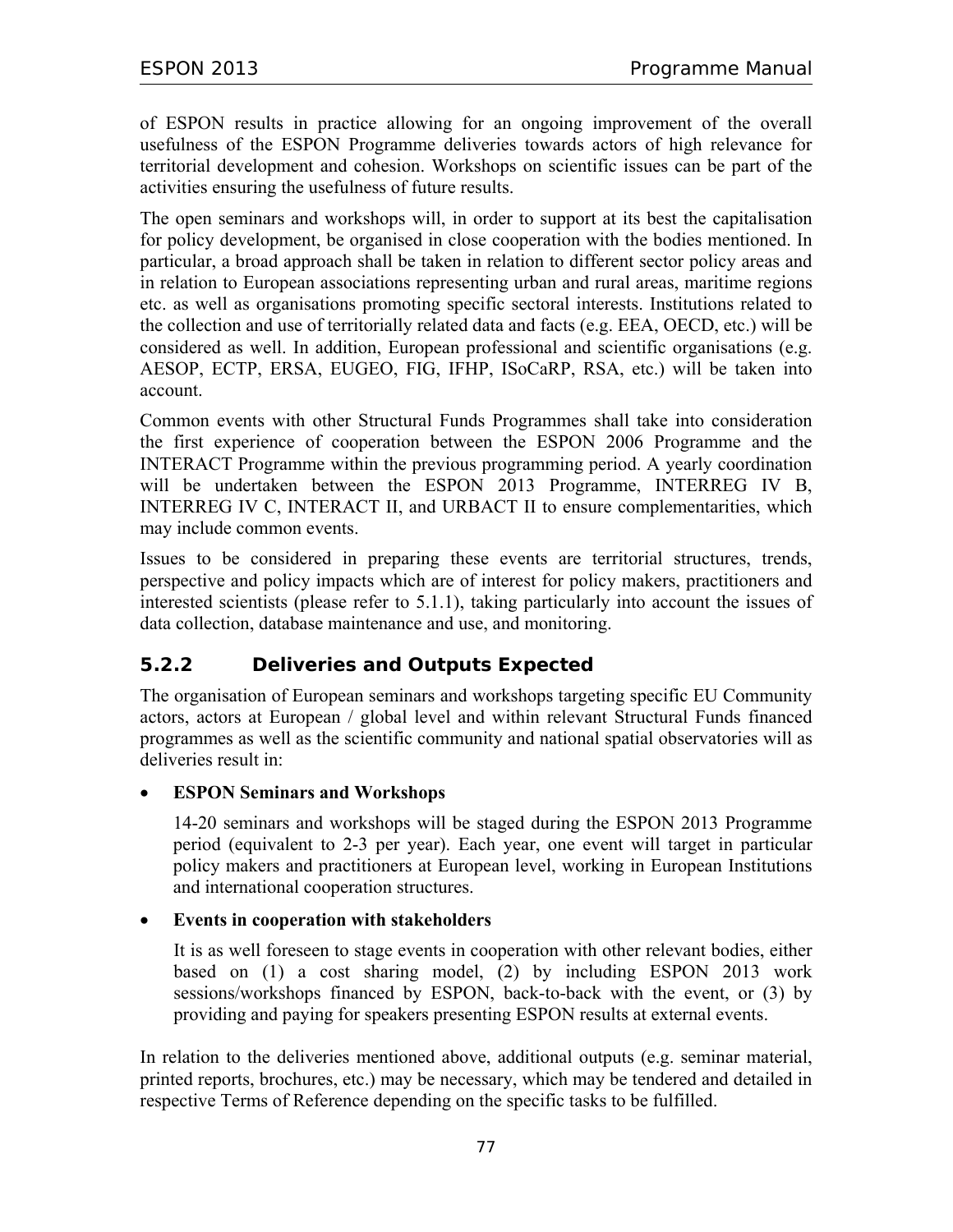of ESPON results in practice allowing for an ongoing improvement of the overall usefulness of the ESPON Programme deliveries towards actors of high relevance for territorial development and cohesion. Workshops on scientific issues can be part of the activities ensuring the usefulness of future results.

The open seminars and workshops will, in order to support at its best the capitalisation for policy development, be organised in close cooperation with the bodies mentioned. In particular, a broad approach shall be taken in relation to different sector policy areas and in relation to European associations representing urban and rural areas, maritime regions etc. as well as organisations promoting specific sectoral interests. Institutions related to the collection and use of territorially related data and facts (e.g. EEA, OECD, etc.) will be considered as well. In addition, European professional and scientific organisations (e.g. AESOP, ECTP, ERSA, EUGEO, FIG, IFHP, ISoCaRP, RSA, etc.) will be taken into account.

Common events with other Structural Funds Programmes shall take into consideration the first experience of cooperation between the ESPON 2006 Programme and the INTERACT Programme within the previous programming period. A yearly coordination will be undertaken between the ESPON 2013 Programme, INTERREG IV B, INTERREG IV C, INTERACT II, and URBACT II to ensure complementarities, which may include common events.

Issues to be considered in preparing these events are territorial structures, trends, perspective and policy impacts which are of interest for policy makers, practitioners and interested scientists (please refer to 5.1.1), taking particularly into account the issues of data collection, database maintenance and use, and monitoring.

## **5.2.2 Deliveries and Outputs Expected**

The organisation of European seminars and workshops targeting specific EU Community actors, actors at European / global level and within relevant Structural Funds financed programmes as well as the scientific community and national spatial observatories will as deliveries result in:

#### • **ESPON Seminars and Workshops**

14-20 seminars and workshops will be staged during the ESPON 2013 Programme period (equivalent to 2-3 per year). Each year, one event will target in particular policy makers and practitioners at European level, working in European Institutions and international cooperation structures.

#### • **Events in cooperation with stakeholders**

It is as well foreseen to stage events in cooperation with other relevant bodies, either based on (1) a cost sharing model, (2) by including ESPON 2013 work sessions/workshops financed by ESPON, back-to-back with the event, or (3) by providing and paying for speakers presenting ESPON results at external events.

In relation to the deliveries mentioned above, additional outputs (e.g. seminar material, printed reports, brochures, etc.) may be necessary, which may be tendered and detailed in respective Terms of Reference depending on the specific tasks to be fulfilled.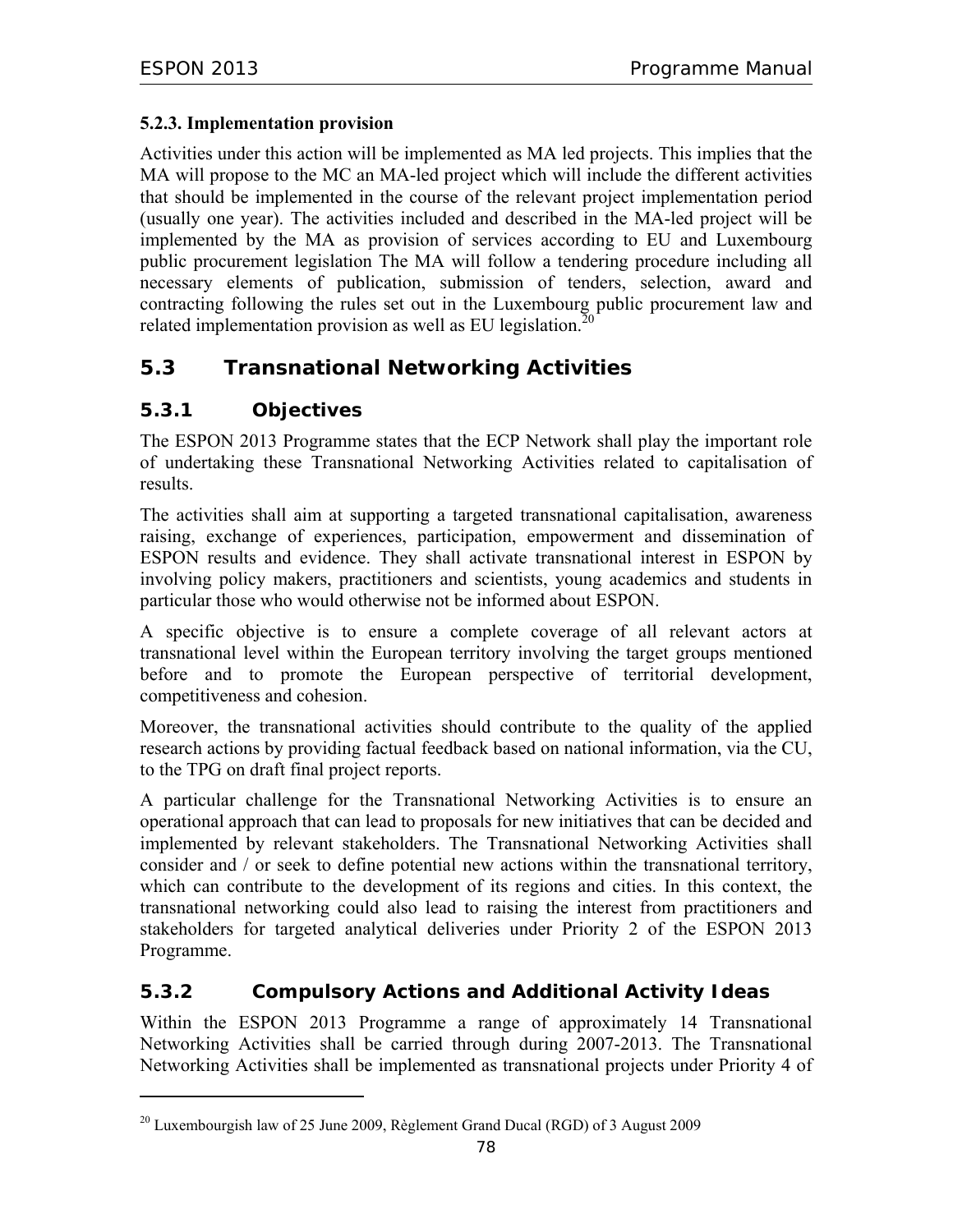#### **5.2.3. Implementation provision**

Activities under this action will be implemented as MA led projects. This implies that the MA will propose to the MC an MA-led project which will include the different activities that should be implemented in the course of the relevant project implementation period (usually one year). The activities included and described in the MA-led project will be implemented by the MA as provision of services according to EU and Luxembourg public procurement legislation The MA will follow a tendering procedure including all necessary elements of publication, submission of tenders, selection, award and contracting following the rules set out in the Luxembourg public procurement law and related implementation provision as well as EU legislation.<sup>20</sup>

## **5.3 Transnational Networking Activities**

## **5.3.1 Objectives**

 $\overline{a}$ 

The ESPON 2013 Programme states that the ECP Network shall play the important role of undertaking these Transnational Networking Activities related to capitalisation of results.

The activities shall aim at supporting a targeted transnational capitalisation, awareness raising, exchange of experiences, participation, empowerment and dissemination of ESPON results and evidence. They shall activate transnational interest in ESPON by involving policy makers, practitioners and scientists, young academics and students in particular those who would otherwise not be informed about ESPON.

A specific objective is to ensure a complete coverage of all relevant actors at transnational level within the European territory involving the target groups mentioned before and to promote the European perspective of territorial development, competitiveness and cohesion.

Moreover, the transnational activities should contribute to the quality of the applied research actions by providing factual feedback based on national information, via the CU, to the TPG on draft final project reports.

A particular challenge for the Transnational Networking Activities is to ensure an operational approach that can lead to proposals for new initiatives that can be decided and implemented by relevant stakeholders. The Transnational Networking Activities shall consider and / or seek to define potential new actions within the transnational territory, which can contribute to the development of its regions and cities. In this context, the transnational networking could also lead to raising the interest from practitioners and stakeholders for targeted analytical deliveries under Priority 2 of the ESPON 2013 Programme.

## **5.3.2 Compulsory Actions and Additional Activity Ideas**

Within the ESPON 2013 Programme a range of approximately 14 Transnational Networking Activities shall be carried through during 2007-2013. The Transnational Networking Activities shall be implemented as transnational projects under Priority 4 of

 $^{20}$  Luxembourgish law of 25 June 2009, Règlement Grand Ducal (RGD) of 3 August 2009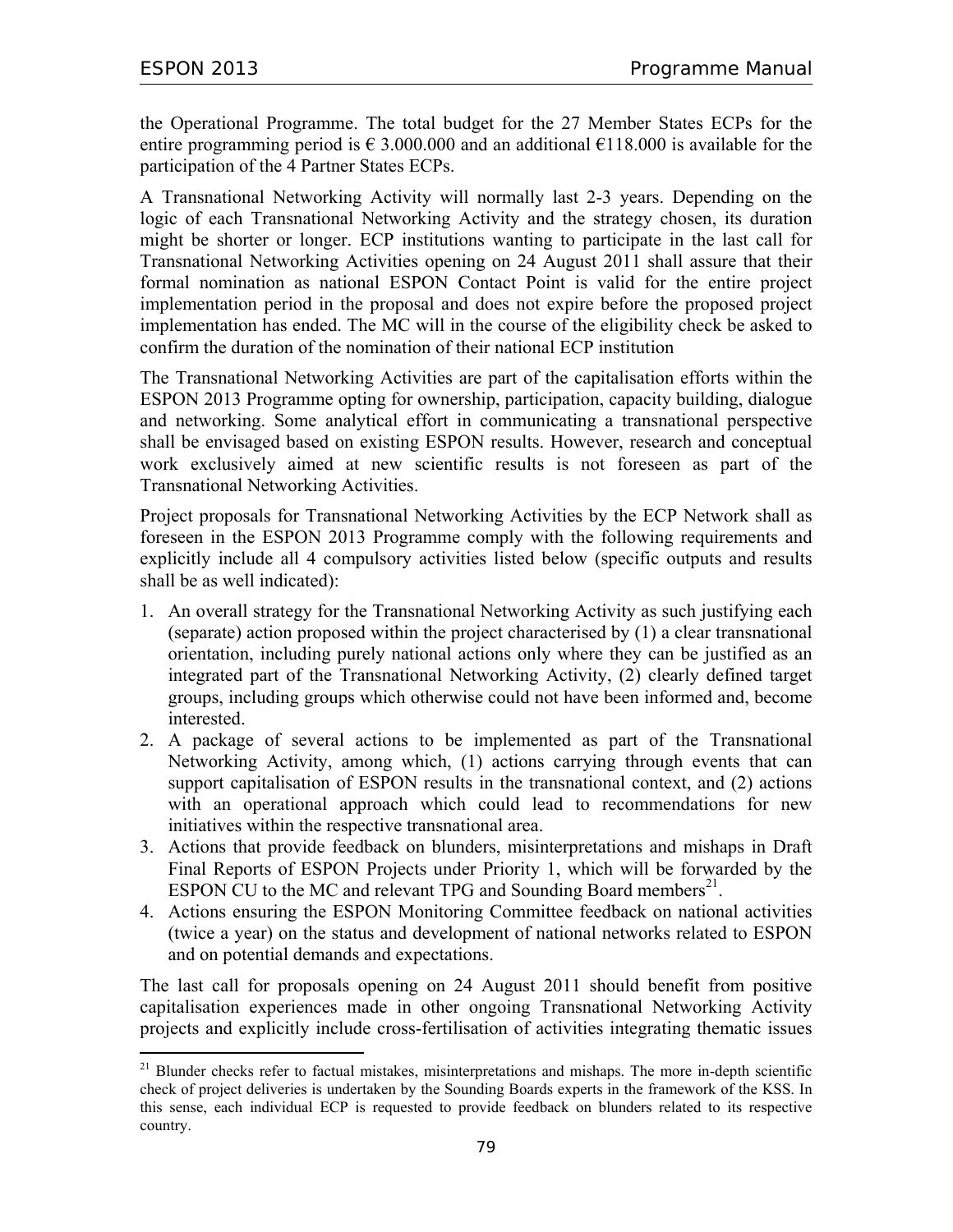the Operational Programme. The total budget for the 27 Member States ECPs for the entire programming period is  $\epsilon$  3.000.000 and an additional  $\epsilon$ 118.000 is available for the participation of the 4 Partner States ECPs.

A Transnational Networking Activity will normally last 2-3 years. Depending on the logic of each Transnational Networking Activity and the strategy chosen, its duration might be shorter or longer. ECP institutions wanting to participate in the last call for Transnational Networking Activities opening on 24 August 2011 shall assure that their formal nomination as national ESPON Contact Point is valid for the entire project implementation period in the proposal and does not expire before the proposed project implementation has ended. The MC will in the course of the eligibility check be asked to confirm the duration of the nomination of their national ECP institution

The Transnational Networking Activities are part of the capitalisation efforts within the ESPON 2013 Programme opting for ownership, participation, capacity building, dialogue and networking. Some analytical effort in communicating a transnational perspective shall be envisaged based on existing ESPON results. However, research and conceptual work exclusively aimed at new scientific results is not foreseen as part of the Transnational Networking Activities.

Project proposals for Transnational Networking Activities by the ECP Network shall as foreseen in the ESPON 2013 Programme comply with the following requirements and explicitly include all 4 compulsory activities listed below (specific outputs and results shall be as well indicated):

- 1. An overall strategy for the Transnational Networking Activity as such justifying each (separate) action proposed within the project characterised by (1) a clear transnational orientation, including purely national actions only where they can be justified as an integrated part of the Transnational Networking Activity, (2) clearly defined target groups, including groups which otherwise could not have been informed and, become interested.
- 2. A package of several actions to be implemented as part of the Transnational Networking Activity, among which, (1) actions carrying through events that can support capitalisation of ESPON results in the transnational context, and (2) actions with an operational approach which could lead to recommendations for new initiatives within the respective transnational area.
- 3. Actions that provide feedback on blunders, misinterpretations and mishaps in Draft Final Reports of ESPON Projects under Priority 1, which will be forwarded by the ESPON CU to the MC and relevant TPG and Sounding Board members<sup>21</sup>.
- 4. Actions ensuring the ESPON Monitoring Committee feedback on national activities (twice a year) on the status and development of national networks related to ESPON and on potential demands and expectations.

The last call for proposals opening on 24 August 2011 should benefit from positive capitalisation experiences made in other ongoing Transnational Networking Activity projects and explicitly include cross-fertilisation of activities integrating thematic issues

 $\overline{a}$ <sup>21</sup> Blunder checks refer to factual mistakes, misinterpretations and mishaps. The more in-depth scientific check of project deliveries is undertaken by the Sounding Boards experts in the framework of the KSS. In this sense, each individual ECP is requested to provide feedback on blunders related to its respective country.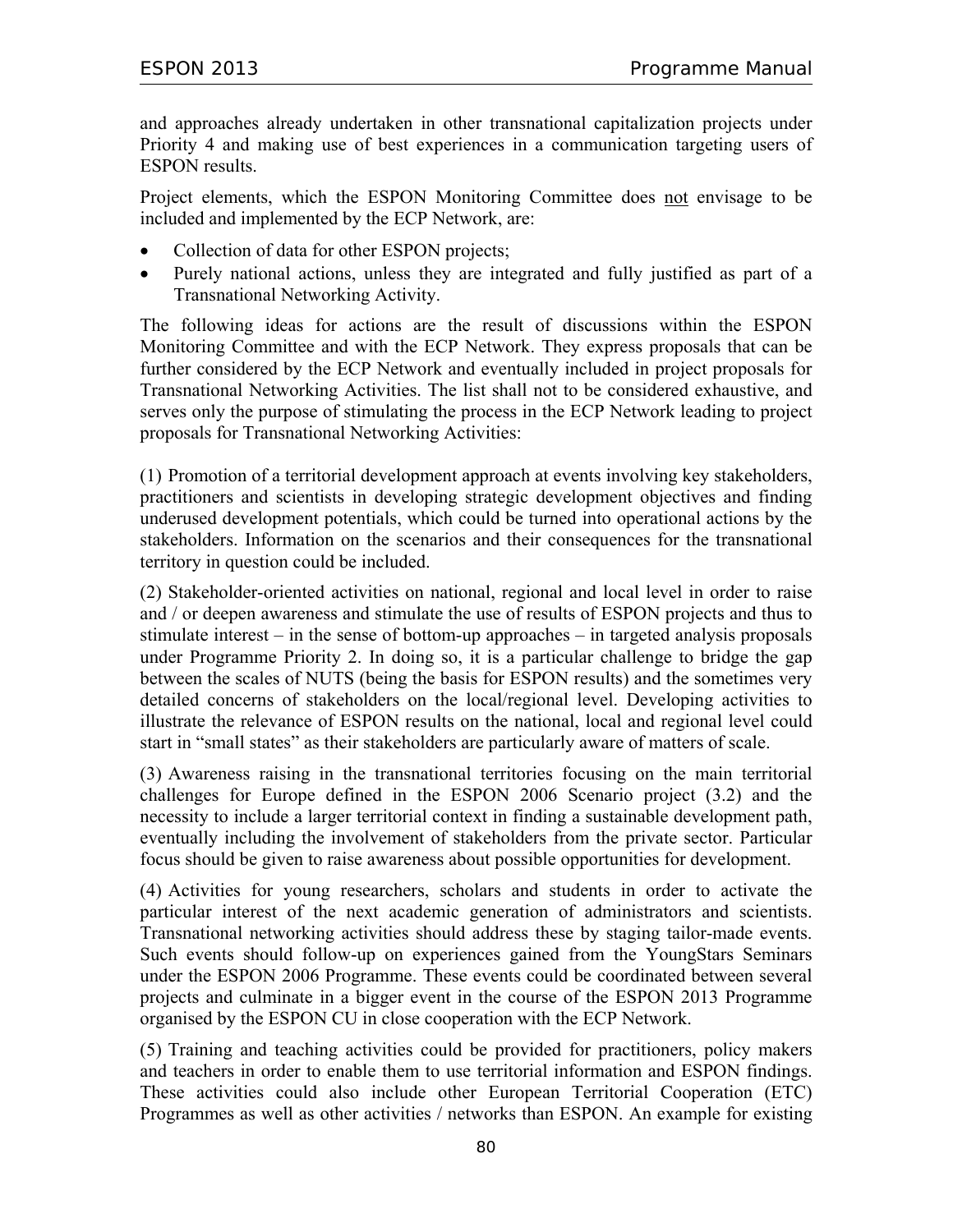and approaches already undertaken in other transnational capitalization projects under Priority 4 and making use of best experiences in a communication targeting users of ESPON results.

Project elements, which the ESPON Monitoring Committee does not envisage to be included and implemented by the ECP Network, are:

- Collection of data for other ESPON projects;
- Purely national actions, unless they are integrated and fully justified as part of a Transnational Networking Activity.

The following ideas for actions are the result of discussions within the ESPON Monitoring Committee and with the ECP Network. They express proposals that can be further considered by the ECP Network and eventually included in project proposals for Transnational Networking Activities. The list shall not to be considered exhaustive, and serves only the purpose of stimulating the process in the ECP Network leading to project proposals for Transnational Networking Activities:

(1) Promotion of a territorial development approach at events involving key stakeholders, practitioners and scientists in developing strategic development objectives and finding underused development potentials, which could be turned into operational actions by the stakeholders. Information on the scenarios and their consequences for the transnational territory in question could be included.

(2) Stakeholder-oriented activities on national, regional and local level in order to raise and / or deepen awareness and stimulate the use of results of ESPON projects and thus to stimulate interest – in the sense of bottom-up approaches – in targeted analysis proposals under Programme Priority 2. In doing so, it is a particular challenge to bridge the gap between the scales of NUTS (being the basis for ESPON results) and the sometimes very detailed concerns of stakeholders on the local/regional level. Developing activities to illustrate the relevance of ESPON results on the national, local and regional level could start in "small states" as their stakeholders are particularly aware of matters of scale.

(3) Awareness raising in the transnational territories focusing on the main territorial challenges for Europe defined in the ESPON 2006 Scenario project (3.2) and the necessity to include a larger territorial context in finding a sustainable development path, eventually including the involvement of stakeholders from the private sector. Particular focus should be given to raise awareness about possible opportunities for development.

(4) Activities for young researchers, scholars and students in order to activate the particular interest of the next academic generation of administrators and scientists. Transnational networking activities should address these by staging tailor-made events. Such events should follow-up on experiences gained from the YoungStars Seminars under the ESPON 2006 Programme. These events could be coordinated between several projects and culminate in a bigger event in the course of the ESPON 2013 Programme organised by the ESPON CU in close cooperation with the ECP Network.

(5) Training and teaching activities could be provided for practitioners, policy makers and teachers in order to enable them to use territorial information and ESPON findings. These activities could also include other European Territorial Cooperation (ETC) Programmes as well as other activities / networks than ESPON. An example for existing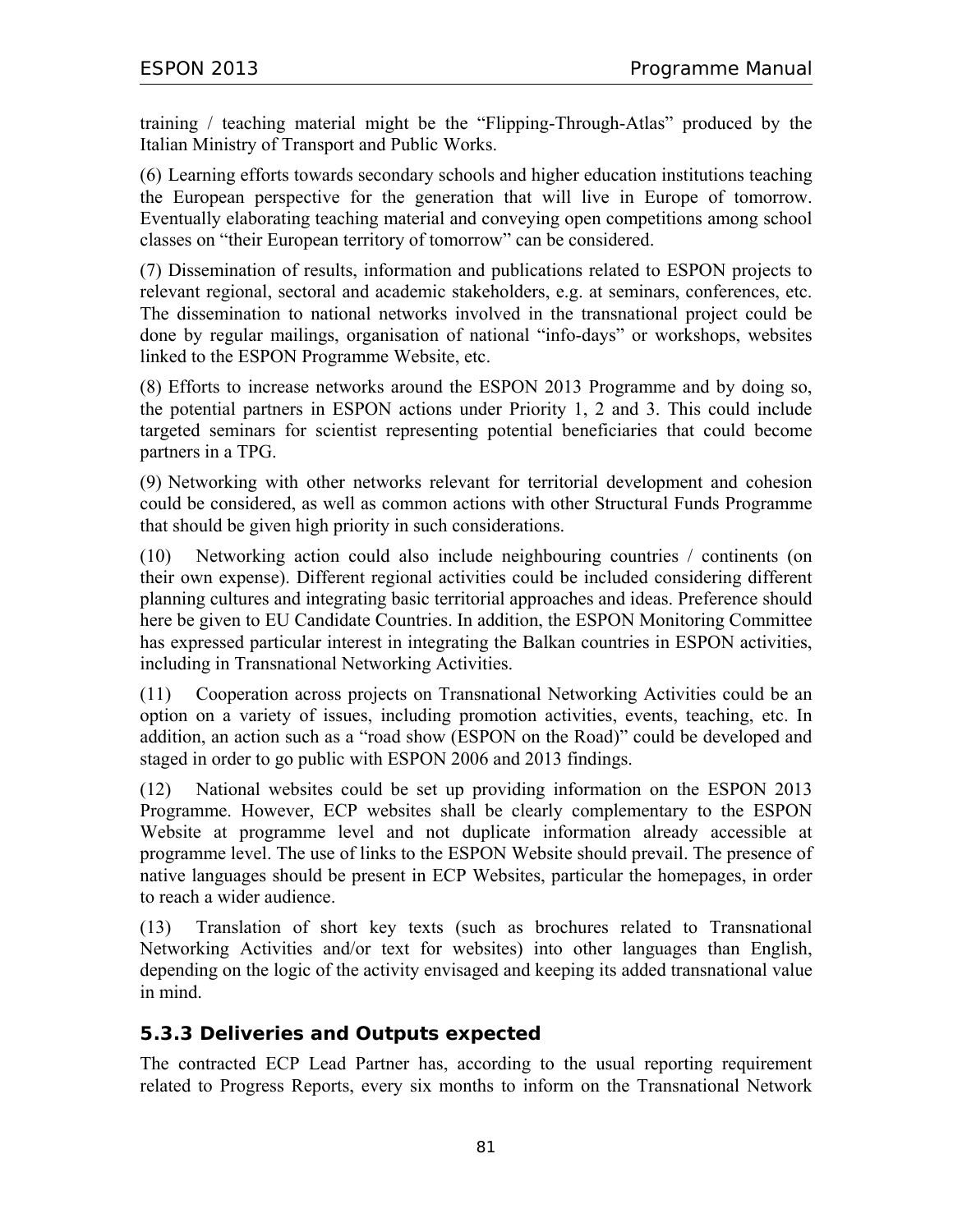training / teaching material might be the "Flipping-Through-Atlas" produced by the Italian Ministry of Transport and Public Works.

(6) Learning efforts towards secondary schools and higher education institutions teaching the European perspective for the generation that will live in Europe of tomorrow. Eventually elaborating teaching material and conveying open competitions among school classes on "their European territory of tomorrow" can be considered.

(7) Dissemination of results, information and publications related to ESPON projects to relevant regional, sectoral and academic stakeholders, e.g. at seminars, conferences, etc. The dissemination to national networks involved in the transnational project could be done by regular mailings, organisation of national "info-days" or workshops, websites linked to the ESPON Programme Website, etc.

(8) Efforts to increase networks around the ESPON 2013 Programme and by doing so, the potential partners in ESPON actions under Priority 1, 2 and 3. This could include targeted seminars for scientist representing potential beneficiaries that could become partners in a TPG.

(9) Networking with other networks relevant for territorial development and cohesion could be considered, as well as common actions with other Structural Funds Programme that should be given high priority in such considerations.

(10) Networking action could also include neighbouring countries / continents (on their own expense). Different regional activities could be included considering different planning cultures and integrating basic territorial approaches and ideas. Preference should here be given to EU Candidate Countries. In addition, the ESPON Monitoring Committee has expressed particular interest in integrating the Balkan countries in ESPON activities, including in Transnational Networking Activities.

(11) Cooperation across projects on Transnational Networking Activities could be an option on a variety of issues, including promotion activities, events, teaching, etc. In addition, an action such as a "road show (ESPON on the Road)" could be developed and staged in order to go public with ESPON 2006 and 2013 findings.

(12) National websites could be set up providing information on the ESPON 2013 Programme. However, ECP websites shall be clearly complementary to the ESPON Website at programme level and not duplicate information already accessible at programme level. The use of links to the ESPON Website should prevail. The presence of native languages should be present in ECP Websites, particular the homepages, in order to reach a wider audience.

(13) Translation of short key texts (such as brochures related to Transnational Networking Activities and/or text for websites) into other languages than English, depending on the logic of the activity envisaged and keeping its added transnational value in mind.

### **5.3.3 Deliveries and Outputs expected**

The contracted ECP Lead Partner has, according to the usual reporting requirement related to Progress Reports, every six months to inform on the Transnational Network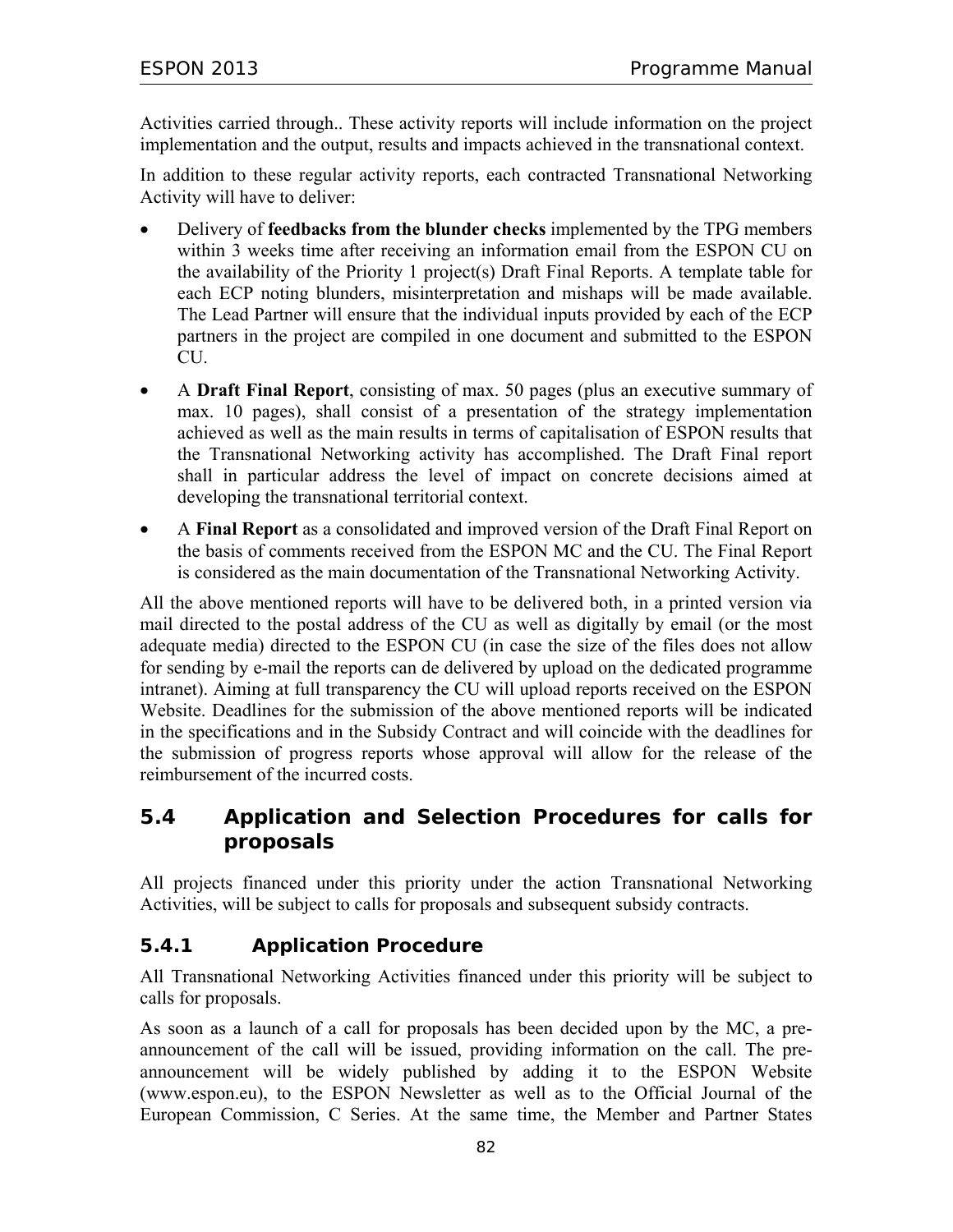Activities carried through.. These activity reports will include information on the project implementation and the output, results and impacts achieved in the transnational context.

In addition to these regular activity reports, each contracted Transnational Networking Activity will have to deliver:

- Delivery of **feedbacks from the blunder checks** implemented by the TPG members within 3 weeks time after receiving an information email from the ESPON CU on the availability of the Priority 1 project(s) Draft Final Reports. A template table for each ECP noting blunders, misinterpretation and mishaps will be made available. The Lead Partner will ensure that the individual inputs provided by each of the ECP partners in the project are compiled in one document and submitted to the ESPON CU.
- A **Draft Final Report**, consisting of max. 50 pages (plus an executive summary of max. 10 pages), shall consist of a presentation of the strategy implementation achieved as well as the main results in terms of capitalisation of ESPON results that the Transnational Networking activity has accomplished. The Draft Final report shall in particular address the level of impact on concrete decisions aimed at developing the transnational territorial context.
- A **Final Report** as a consolidated and improved version of the Draft Final Report on the basis of comments received from the ESPON MC and the CU. The Final Report is considered as the main documentation of the Transnational Networking Activity.

All the above mentioned reports will have to be delivered both, in a printed version via mail directed to the postal address of the CU as well as digitally by email (or the most adequate media) directed to the ESPON CU (in case the size of the files does not allow for sending by e-mail the reports can de delivered by upload on the dedicated programme intranet). Aiming at full transparency the CU will upload reports received on the ESPON Website. Deadlines for the submission of the above mentioned reports will be indicated in the specifications and in the Subsidy Contract and will coincide with the deadlines for the submission of progress reports whose approval will allow for the release of the reimbursement of the incurred costs.

## **5.4 Application and Selection Procedures for calls for proposals**

All projects financed under this priority under the action Transnational Networking Activities, will be subject to calls for proposals and subsequent subsidy contracts.

## **5.4.1 Application Procedure**

All Transnational Networking Activities financed under this priority will be subject to calls for proposals.

As soon as a launch of a call for proposals has been decided upon by the MC, a preannouncement of the call will be issued, providing information on the call. The preannouncement will be widely published by adding it to the ESPON Website (www.espon.eu), to the ESPON Newsletter as well as to the Official Journal of the European Commission, C Series. At the same time, the Member and Partner States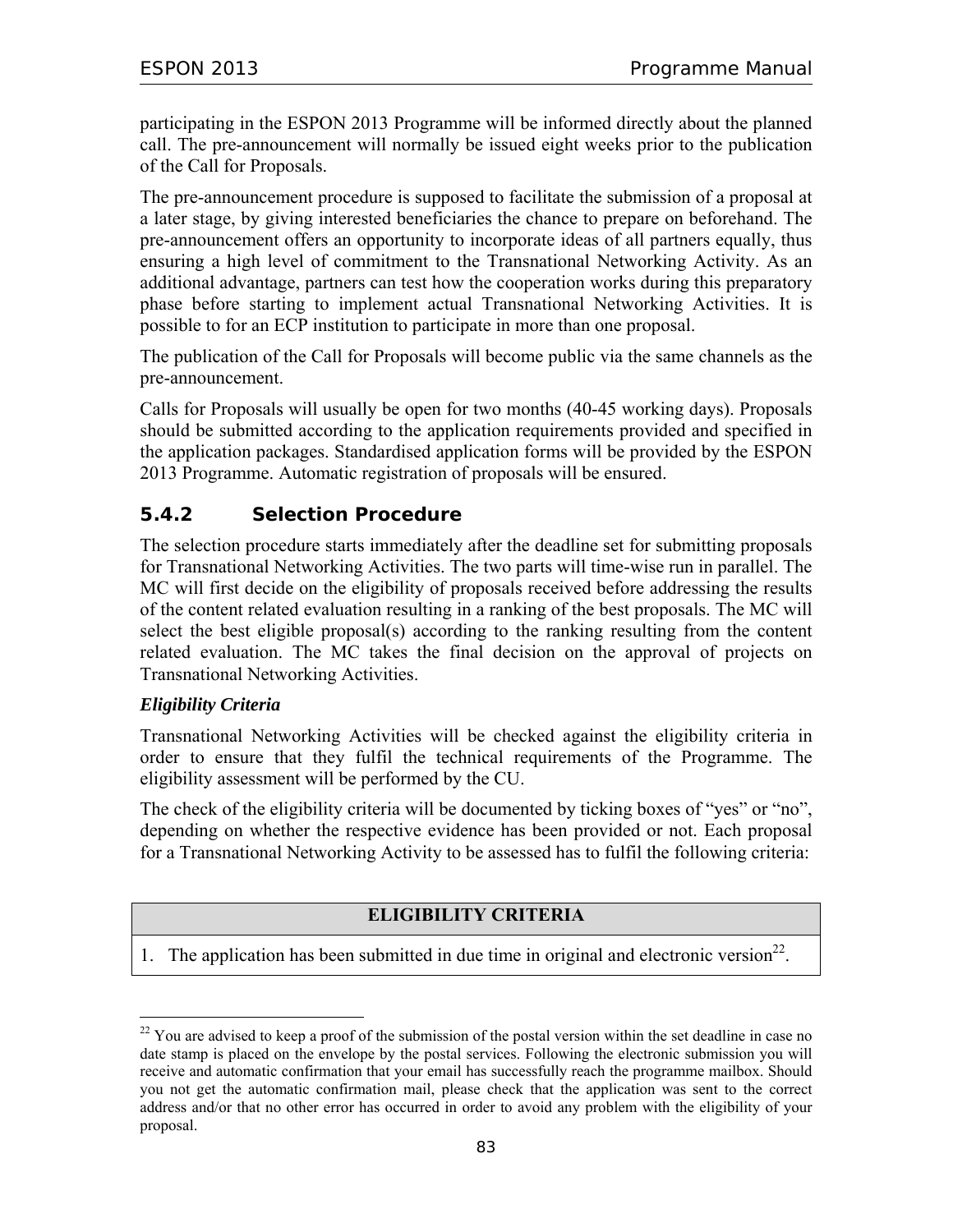participating in the ESPON 2013 Programme will be informed directly about the planned call. The pre-announcement will normally be issued eight weeks prior to the publication of the Call for Proposals.

The pre-announcement procedure is supposed to facilitate the submission of a proposal at a later stage, by giving interested beneficiaries the chance to prepare on beforehand. The pre-announcement offers an opportunity to incorporate ideas of all partners equally, thus ensuring a high level of commitment to the Transnational Networking Activity. As an additional advantage, partners can test how the cooperation works during this preparatory phase before starting to implement actual Transnational Networking Activities. It is possible to for an ECP institution to participate in more than one proposal.

The publication of the Call for Proposals will become public via the same channels as the pre-announcement.

Calls for Proposals will usually be open for two months (40-45 working days). Proposals should be submitted according to the application requirements provided and specified in the application packages. Standardised application forms will be provided by the ESPON 2013 Programme. Automatic registration of proposals will be ensured.

### **5.4.2 Selection Procedure**

The selection procedure starts immediately after the deadline set for submitting proposals for Transnational Networking Activities. The two parts will time-wise run in parallel. The MC will first decide on the eligibility of proposals received before addressing the results of the content related evaluation resulting in a ranking of the best proposals. The MC will select the best eligible proposal(s) according to the ranking resulting from the content related evaluation. The MC takes the final decision on the approval of projects on Transnational Networking Activities.

#### *Eligibility Criteria*

 $\overline{a}$ 

Transnational Networking Activities will be checked against the eligibility criteria in order to ensure that they fulfil the technical requirements of the Programme. The eligibility assessment will be performed by the CU.

The check of the eligibility criteria will be documented by ticking boxes of "yes" or "no", depending on whether the respective evidence has been provided or not. Each proposal for a Transnational Networking Activity to be assessed has to fulfil the following criteria:

#### **ELIGIBILITY CRITERIA**

1. The application has been submitted in due time in original and electronic version<sup>22</sup>.

<sup>&</sup>lt;sup>22</sup> You are advised to keep a proof of the submission of the postal version within the set deadline in case no date stamp is placed on the envelope by the postal services. Following the electronic submission you will receive and automatic confirmation that your email has successfully reach the programme mailbox. Should you not get the automatic confirmation mail, please check that the application was sent to the correct address and/or that no other error has occurred in order to avoid any problem with the eligibility of your proposal.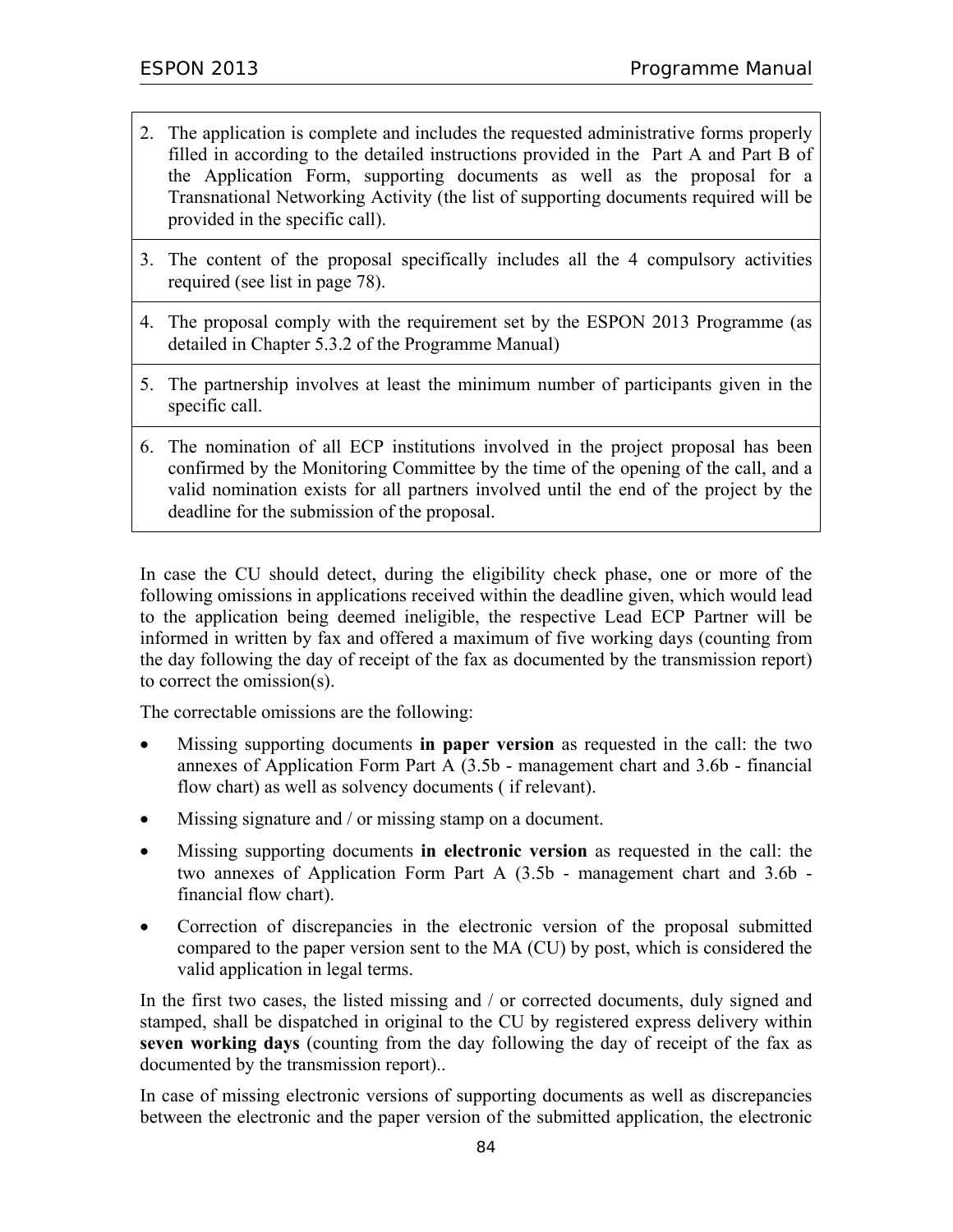- 2. The application is complete and includes the requested administrative forms properly filled in according to the detailed instructions provided in the Part A and Part B of the Application Form, supporting documents as well as the proposal for a Transnational Networking Activity (the list of supporting documents required will be provided in the specific call).
- 3. The content of the proposal specifically includes all the 4 compulsory activities required (see list in page 78).
- 4. The proposal comply with the requirement set by the ESPON 2013 Programme (as detailed in Chapter 5.3.2 of the Programme Manual)
- 5. The partnership involves at least the minimum number of participants given in the specific call.
- 6. The nomination of all ECP institutions involved in the project proposal has been confirmed by the Monitoring Committee by the time of the opening of the call, and a valid nomination exists for all partners involved until the end of the project by the deadline for the submission of the proposal.

In case the CU should detect, during the eligibility check phase, one or more of the following omissions in applications received within the deadline given, which would lead to the application being deemed ineligible, the respective Lead ECP Partner will be informed in written by fax and offered a maximum of five working days (counting from the day following the day of receipt of the fax as documented by the transmission report) to correct the omission(s).

The correctable omissions are the following:

- Missing supporting documents **in paper version** as requested in the call: the two annexes of Application Form Part A (3.5b - management chart and 3.6b - financial flow chart) as well as solvency documents ( if relevant).
- Missing signature and / or missing stamp on a document.
- Missing supporting documents **in electronic version** as requested in the call: the two annexes of Application Form Part A (3.5b - management chart and 3.6b financial flow chart).
- Correction of discrepancies in the electronic version of the proposal submitted compared to the paper version sent to the MA (CU) by post, which is considered the valid application in legal terms.

In the first two cases, the listed missing and / or corrected documents, duly signed and stamped, shall be dispatched in original to the CU by registered express delivery within **seven working days** (counting from the day following the day of receipt of the fax as documented by the transmission report)..

In case of missing electronic versions of supporting documents as well as discrepancies between the electronic and the paper version of the submitted application, the electronic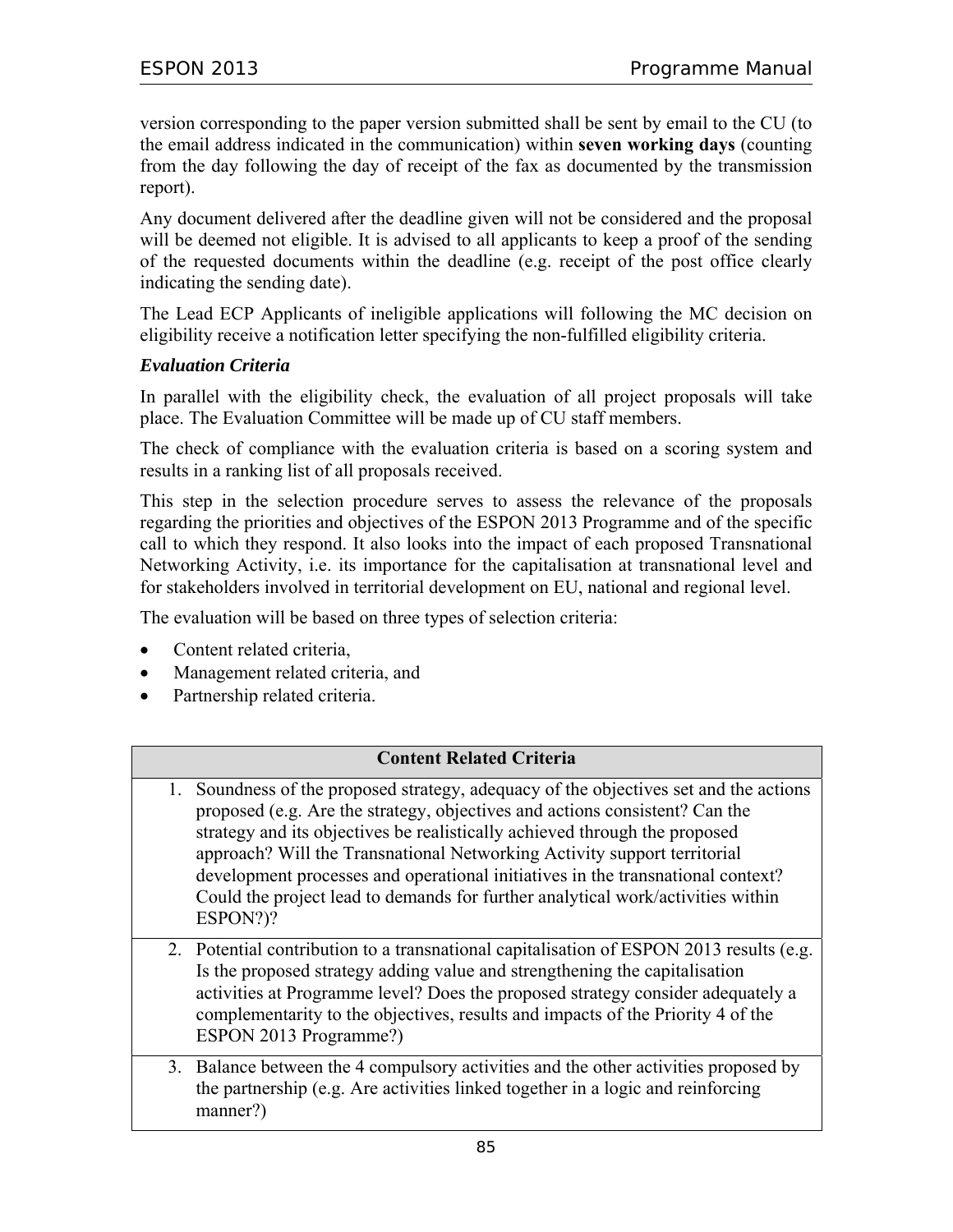version corresponding to the paper version submitted shall be sent by email to the CU (to the email address indicated in the communication) within **seven working days** (counting from the day following the day of receipt of the fax as documented by the transmission report).

Any document delivered after the deadline given will not be considered and the proposal will be deemed not eligible. It is advised to all applicants to keep a proof of the sending of the requested documents within the deadline (e.g. receipt of the post office clearly indicating the sending date).

The Lead ECP Applicants of ineligible applications will following the MC decision on eligibility receive a notification letter specifying the non-fulfilled eligibility criteria.

#### *Evaluation Criteria*

In parallel with the eligibility check, the evaluation of all project proposals will take place. The Evaluation Committee will be made up of CU staff members.

The check of compliance with the evaluation criteria is based on a scoring system and results in a ranking list of all proposals received.

This step in the selection procedure serves to assess the relevance of the proposals regarding the priorities and objectives of the ESPON 2013 Programme and of the specific call to which they respond. It also looks into the impact of each proposed Transnational Networking Activity, i.e. its importance for the capitalisation at transnational level and for stakeholders involved in territorial development on EU, national and regional level.

The evaluation will be based on three types of selection criteria:

- Content related criteria,
- Management related criteria, and
- Partnership related criteria.

#### **Content Related Criteria**

- 1. Soundness of the proposed strategy, adequacy of the objectives set and the actions proposed (e.g. Are the strategy, objectives and actions consistent? Can the strategy and its objectives be realistically achieved through the proposed approach? Will the Transnational Networking Activity support territorial development processes and operational initiatives in the transnational context? Could the project lead to demands for further analytical work/activities within ESPON?)?
- 2. Potential contribution to a transnational capitalisation of ESPON 2013 results (e.g. Is the proposed strategy adding value and strengthening the capitalisation activities at Programme level? Does the proposed strategy consider adequately a complementarity to the objectives, results and impacts of the Priority 4 of the ESPON 2013 Programme?)
- 3. Balance between the 4 compulsory activities and the other activities proposed by the partnership (e.g. Are activities linked together in a logic and reinforcing manner?)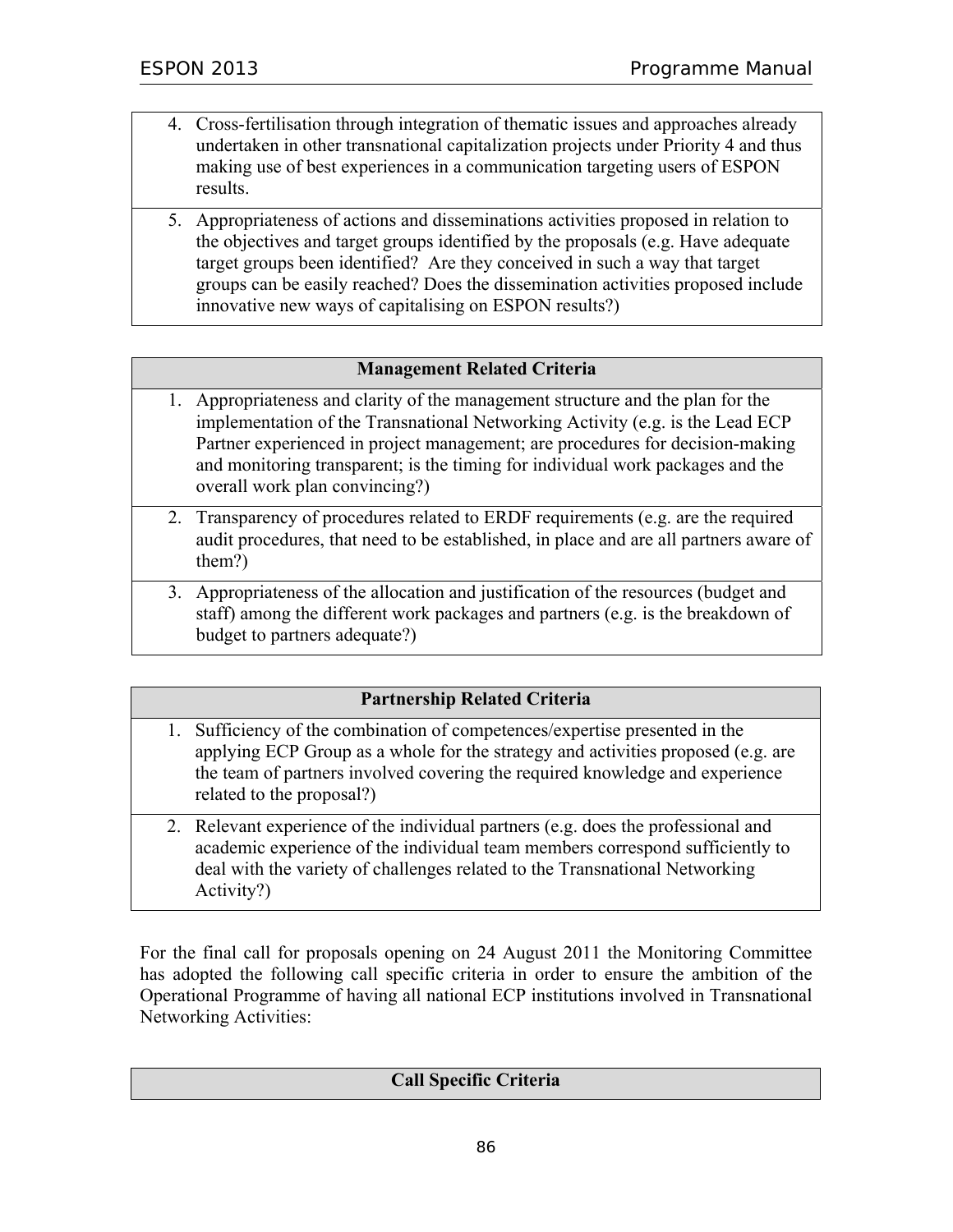- 4. Cross-fertilisation through integration of thematic issues and approaches already undertaken in other transnational capitalization projects under Priority 4 and thus making use of best experiences in a communication targeting users of ESPON results.
- 5. Appropriateness of actions and disseminations activities proposed in relation to the objectives and target groups identified by the proposals (e.g. Have adequate target groups been identified? Are they conceived in such a way that target groups can be easily reached? Does the dissemination activities proposed include innovative new ways of capitalising on ESPON results?)

#### **Management Related Criteria**

- 1. Appropriateness and clarity of the management structure and the plan for the implementation of the Transnational Networking Activity (e.g. is the Lead ECP Partner experienced in project management; are procedures for decision-making and monitoring transparent; is the timing for individual work packages and the overall work plan convincing?)
- 2. Transparency of procedures related to ERDF requirements (e.g. are the required audit procedures, that need to be established, in place and are all partners aware of them?)
- 3. Appropriateness of the allocation and justification of the resources (budget and staff) among the different work packages and partners (e.g. is the breakdown of budget to partners adequate?)

### **Partnership Related Criteria**

- 1. Sufficiency of the combination of competences/expertise presented in the applying ECP Group as a whole for the strategy and activities proposed (e.g. are the team of partners involved covering the required knowledge and experience related to the proposal?)
- 2. Relevant experience of the individual partners (e.g. does the professional and academic experience of the individual team members correspond sufficiently to deal with the variety of challenges related to the Transnational Networking Activity?)

For the final call for proposals opening on 24 August 2011 the Monitoring Committee has adopted the following call specific criteria in order to ensure the ambition of the Operational Programme of having all national ECP institutions involved in Transnational Networking Activities:

#### **Call Specific Criteria**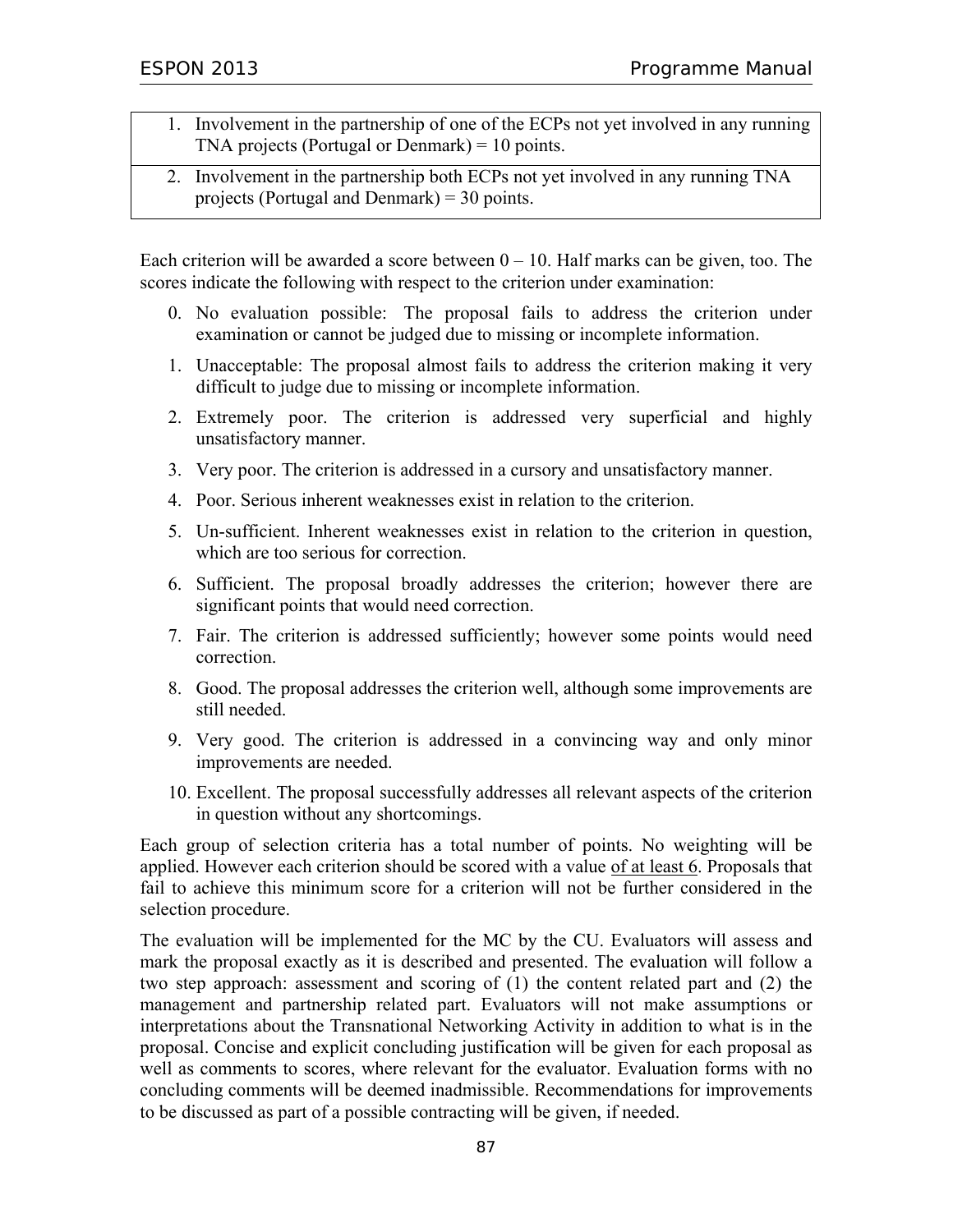- 1. Involvement in the partnership of one of the ECPs not yet involved in any running TNA projects (Portugal or Denmark) = 10 points.
- 2. Involvement in the partnership both ECPs not yet involved in any running TNA projects (Portugal and Denmark) = 30 points.

Each criterion will be awarded a score between  $0 - 10$ . Half marks can be given, too. The scores indicate the following with respect to the criterion under examination:

- 0. No evaluation possible: The proposal fails to address the criterion under examination or cannot be judged due to missing or incomplete information.
- 1. Unacceptable: The proposal almost fails to address the criterion making it very difficult to judge due to missing or incomplete information.
- 2. Extremely poor. The criterion is addressed very superficial and highly unsatisfactory manner.
- 3. Very poor. The criterion is addressed in a cursory and unsatisfactory manner.
- 4. Poor. Serious inherent weaknesses exist in relation to the criterion.
- 5. Un-sufficient. Inherent weaknesses exist in relation to the criterion in question, which are too serious for correction.
- 6. Sufficient. The proposal broadly addresses the criterion; however there are significant points that would need correction.
- 7. Fair. The criterion is addressed sufficiently; however some points would need correction.
- 8. Good. The proposal addresses the criterion well, although some improvements are still needed.
- 9. Very good. The criterion is addressed in a convincing way and only minor improvements are needed.
- 10. Excellent. The proposal successfully addresses all relevant aspects of the criterion in question without any shortcomings.

Each group of selection criteria has a total number of points. No weighting will be applied. However each criterion should be scored with a value of at least 6. Proposals that fail to achieve this minimum score for a criterion will not be further considered in the selection procedure.

The evaluation will be implemented for the MC by the CU. Evaluators will assess and mark the proposal exactly as it is described and presented. The evaluation will follow a two step approach: assessment and scoring of (1) the content related part and (2) the management and partnership related part. Evaluators will not make assumptions or interpretations about the Transnational Networking Activity in addition to what is in the proposal. Concise and explicit concluding justification will be given for each proposal as well as comments to scores, where relevant for the evaluator. Evaluation forms with no concluding comments will be deemed inadmissible. Recommendations for improvements to be discussed as part of a possible contracting will be given, if needed.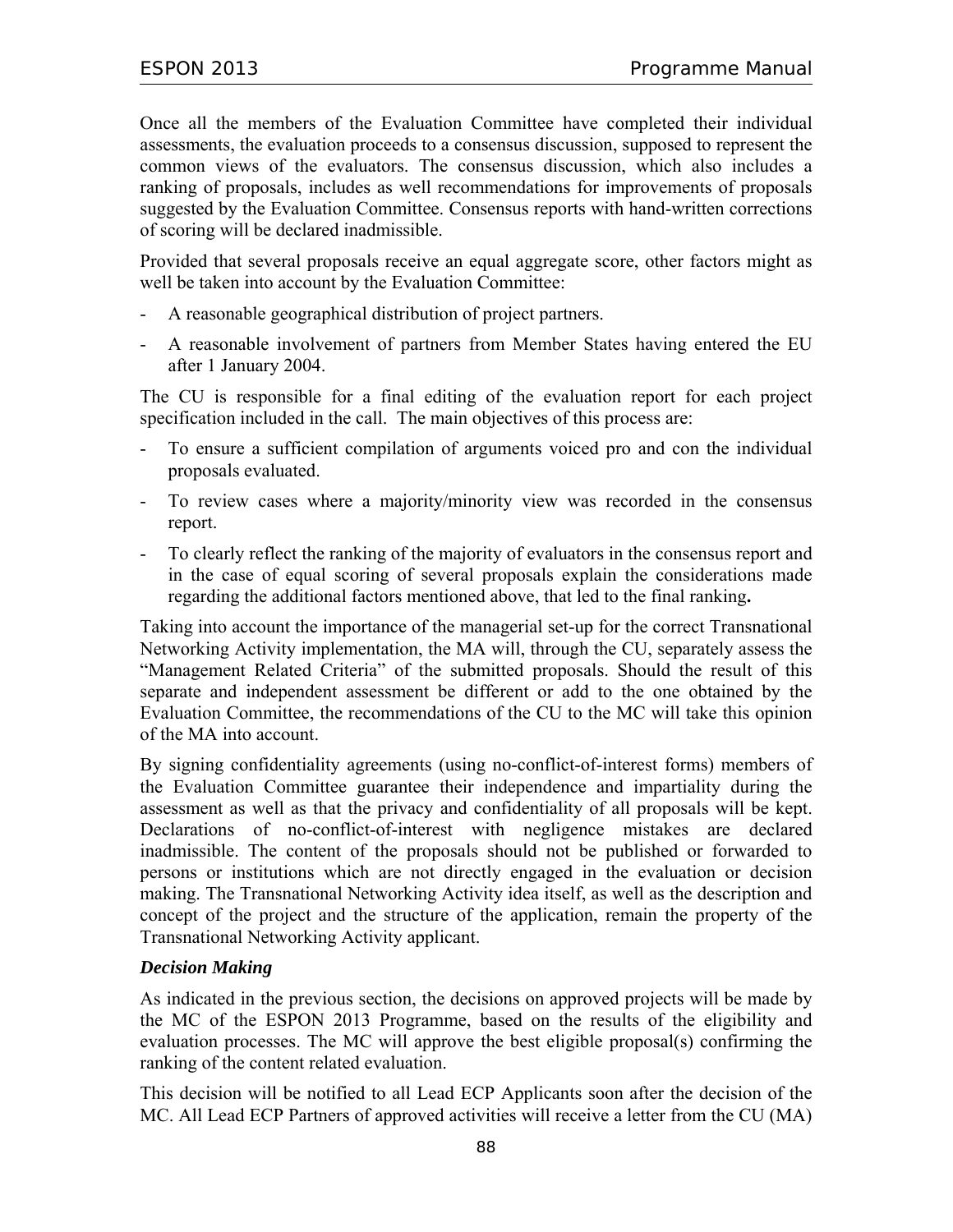Once all the members of the Evaluation Committee have completed their individual assessments, the evaluation proceeds to a consensus discussion, supposed to represent the common views of the evaluators. The consensus discussion, which also includes a ranking of proposals, includes as well recommendations for improvements of proposals suggested by the Evaluation Committee. Consensus reports with hand-written corrections of scoring will be declared inadmissible.

Provided that several proposals receive an equal aggregate score, other factors might as well be taken into account by the Evaluation Committee:

- A reasonable geographical distribution of project partners.
- A reasonable involvement of partners from Member States having entered the EU after 1 January 2004.

The CU is responsible for a final editing of the evaluation report for each project specification included in the call. The main objectives of this process are:

- To ensure a sufficient compilation of arguments voiced pro and con the individual proposals evaluated.
- To review cases where a majority/minority view was recorded in the consensus report.
- To clearly reflect the ranking of the majority of evaluators in the consensus report and in the case of equal scoring of several proposals explain the considerations made regarding the additional factors mentioned above, that led to the final ranking**.**

Taking into account the importance of the managerial set-up for the correct Transnational Networking Activity implementation, the MA will, through the CU, separately assess the "Management Related Criteria" of the submitted proposals. Should the result of this separate and independent assessment be different or add to the one obtained by the Evaluation Committee, the recommendations of the CU to the MC will take this opinion of the MA into account.

By signing confidentiality agreements (using no-conflict-of-interest forms) members of the Evaluation Committee guarantee their independence and impartiality during the assessment as well as that the privacy and confidentiality of all proposals will be kept. Declarations of no-conflict-of-interest with negligence mistakes are declared inadmissible. The content of the proposals should not be published or forwarded to persons or institutions which are not directly engaged in the evaluation or decision making. The Transnational Networking Activity idea itself, as well as the description and concept of the project and the structure of the application, remain the property of the Transnational Networking Activity applicant.

#### *Decision Making*

As indicated in the previous section, the decisions on approved projects will be made by the MC of the ESPON 2013 Programme, based on the results of the eligibility and evaluation processes. The MC will approve the best eligible proposal(s) confirming the ranking of the content related evaluation.

This decision will be notified to all Lead ECP Applicants soon after the decision of the MC. All Lead ECP Partners of approved activities will receive a letter from the CU (MA)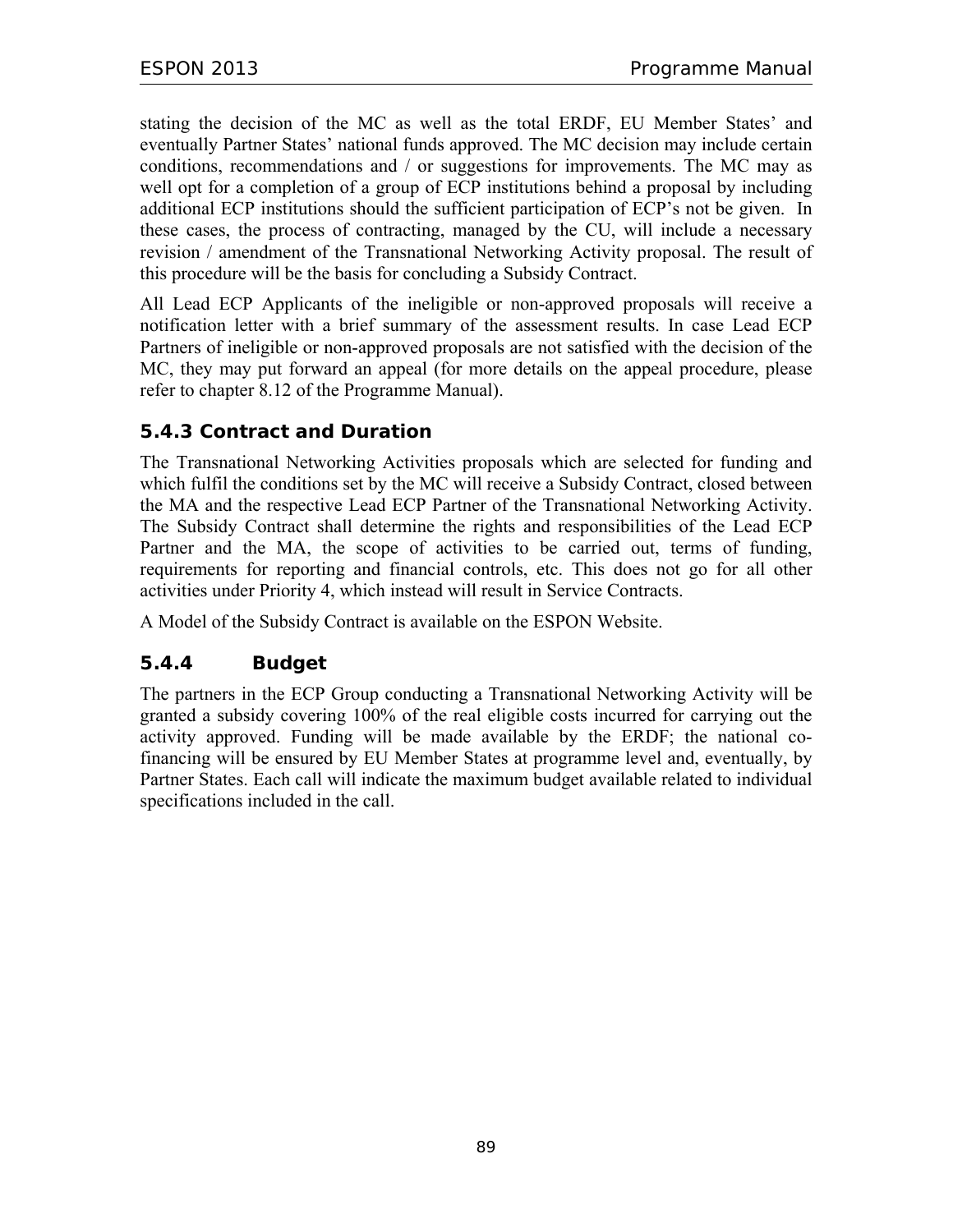stating the decision of the MC as well as the total ERDF, EU Member States' and eventually Partner States' national funds approved. The MC decision may include certain conditions, recommendations and / or suggestions for improvements. The MC may as well opt for a completion of a group of ECP institutions behind a proposal by including additional ECP institutions should the sufficient participation of ECP's not be given. In these cases, the process of contracting, managed by the CU, will include a necessary revision / amendment of the Transnational Networking Activity proposal. The result of this procedure will be the basis for concluding a Subsidy Contract.

All Lead ECP Applicants of the ineligible or non-approved proposals will receive a notification letter with a brief summary of the assessment results. In case Lead ECP Partners of ineligible or non-approved proposals are not satisfied with the decision of the MC, they may put forward an appeal (for more details on the appeal procedure, please refer to chapter 8.12 of the Programme Manual).

### **5.4.3 Contract and Duration**

The Transnational Networking Activities proposals which are selected for funding and which fulfil the conditions set by the MC will receive a Subsidy Contract, closed between the MA and the respective Lead ECP Partner of the Transnational Networking Activity. The Subsidy Contract shall determine the rights and responsibilities of the Lead ECP Partner and the MA, the scope of activities to be carried out, terms of funding, requirements for reporting and financial controls, etc. This does not go for all other activities under Priority 4, which instead will result in Service Contracts.

A Model of the Subsidy Contract is available on the ESPON Website.

## **5.4.4 Budget**

The partners in the ECP Group conducting a Transnational Networking Activity will be granted a subsidy covering 100% of the real eligible costs incurred for carrying out the activity approved. Funding will be made available by the ERDF; the national cofinancing will be ensured by EU Member States at programme level and, eventually, by Partner States. Each call will indicate the maximum budget available related to individual specifications included in the call.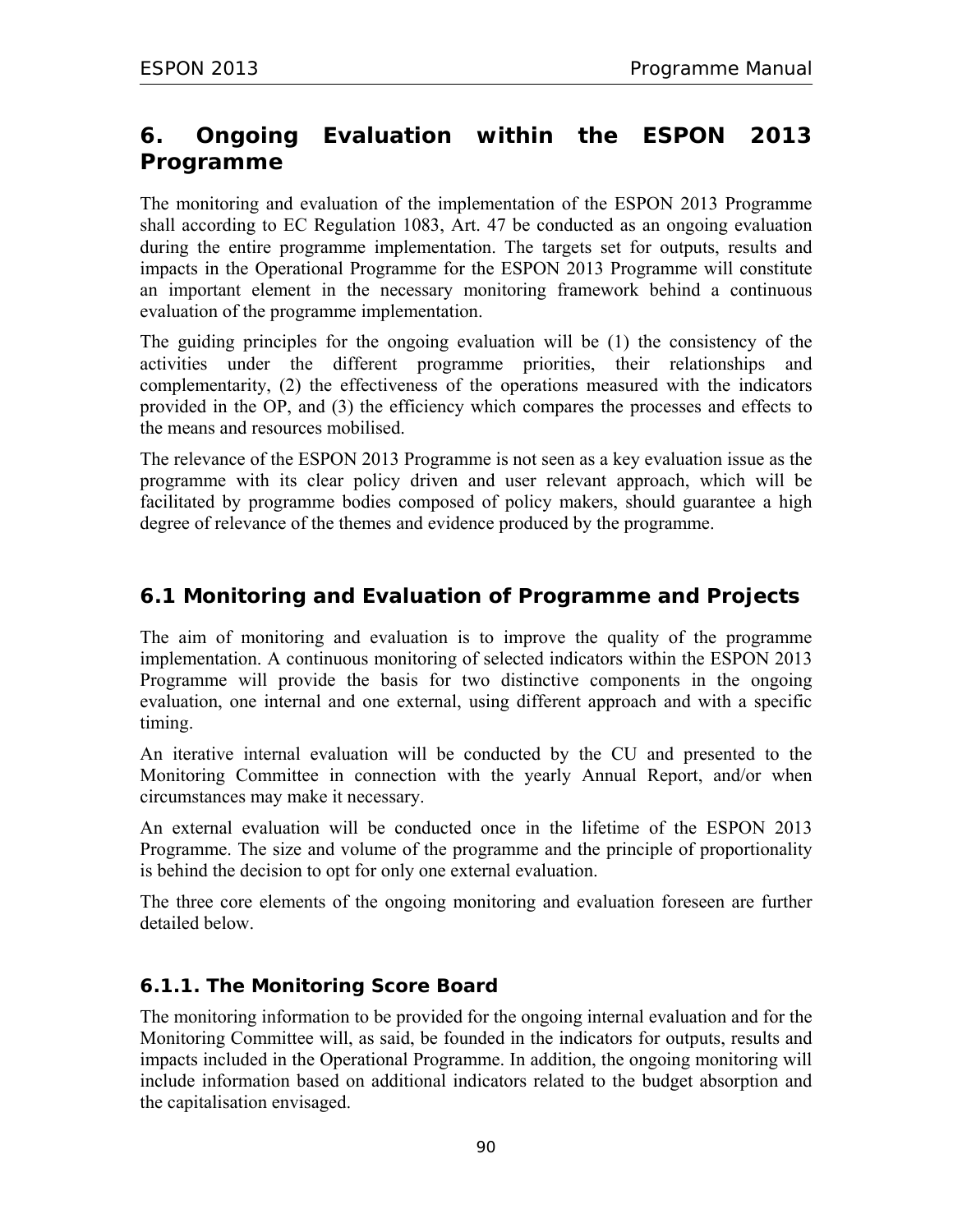# **6. Ongoing Evaluation within the ESPON 2013 Programme**

The monitoring and evaluation of the implementation of the ESPON 2013 Programme shall according to EC Regulation 1083, Art. 47 be conducted as an ongoing evaluation during the entire programme implementation. The targets set for outputs, results and impacts in the Operational Programme for the ESPON 2013 Programme will constitute an important element in the necessary monitoring framework behind a continuous evaluation of the programme implementation.

The guiding principles for the ongoing evaluation will be (1) the consistency of the activities under the different programme priorities, their relationships and complementarity, (2) the effectiveness of the operations measured with the indicators provided in the OP, and (3) the efficiency which compares the processes and effects to the means and resources mobilised.

The relevance of the ESPON 2013 Programme is not seen as a key evaluation issue as the programme with its clear policy driven and user relevant approach, which will be facilitated by programme bodies composed of policy makers, should guarantee a high degree of relevance of the themes and evidence produced by the programme.

## **6.1 Monitoring and Evaluation of Programme and Projects**

The aim of monitoring and evaluation is to improve the quality of the programme implementation. A continuous monitoring of selected indicators within the ESPON 2013 Programme will provide the basis for two distinctive components in the ongoing evaluation, one internal and one external, using different approach and with a specific timing.

An iterative internal evaluation will be conducted by the CU and presented to the Monitoring Committee in connection with the yearly Annual Report, and/or when circumstances may make it necessary.

An external evaluation will be conducted once in the lifetime of the ESPON 2013 Programme. The size and volume of the programme and the principle of proportionality is behind the decision to opt for only one external evaluation.

The three core elements of the ongoing monitoring and evaluation foreseen are further detailed below.

### **6.1.1. The Monitoring Score Board**

The monitoring information to be provided for the ongoing internal evaluation and for the Monitoring Committee will, as said, be founded in the indicators for outputs, results and impacts included in the Operational Programme. In addition, the ongoing monitoring will include information based on additional indicators related to the budget absorption and the capitalisation envisaged.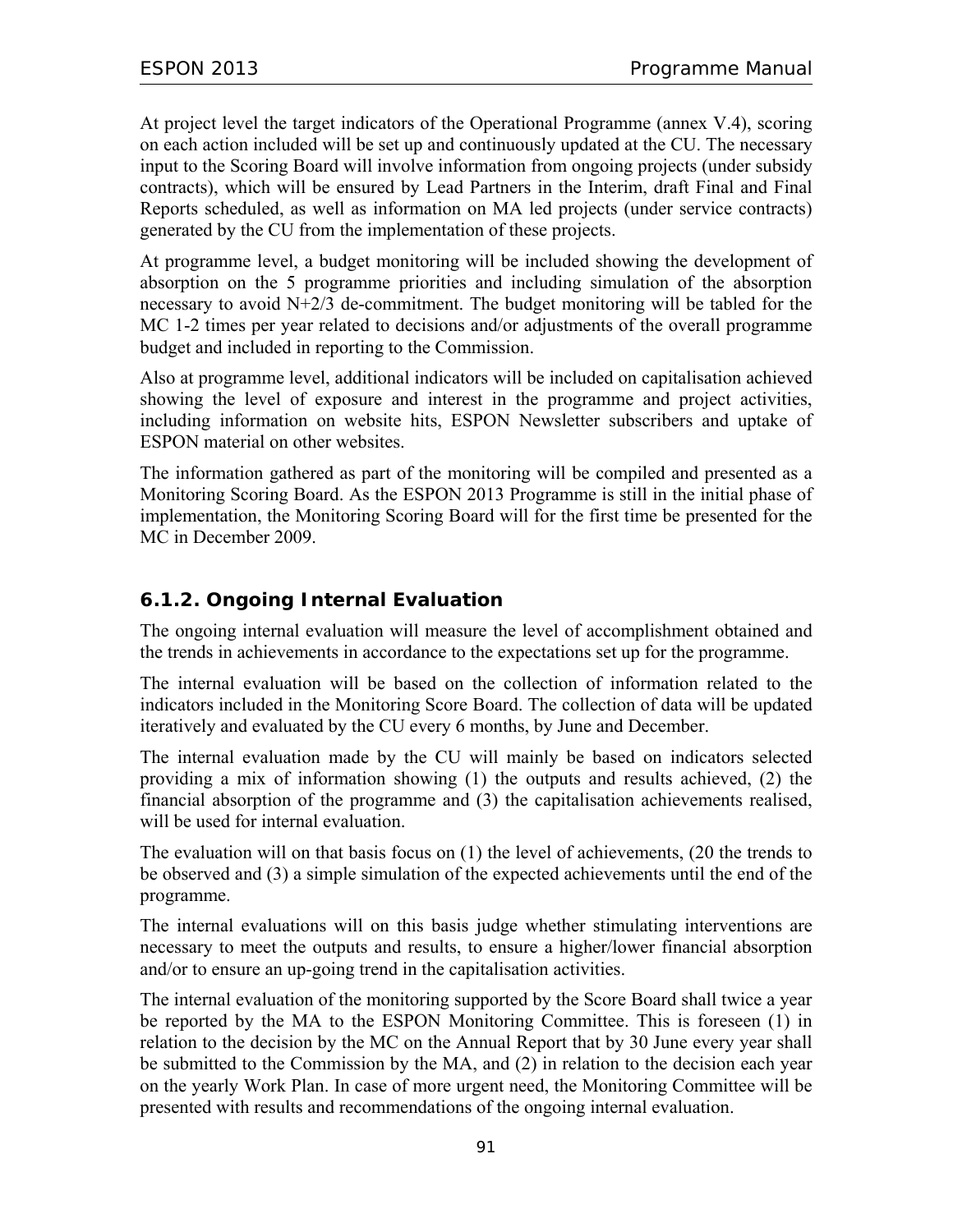At project level the target indicators of the Operational Programme (annex V.4), scoring on each action included will be set up and continuously updated at the CU. The necessary input to the Scoring Board will involve information from ongoing projects (under subsidy contracts), which will be ensured by Lead Partners in the Interim, draft Final and Final Reports scheduled, as well as information on MA led projects (under service contracts) generated by the CU from the implementation of these projects.

At programme level, a budget monitoring will be included showing the development of absorption on the 5 programme priorities and including simulation of the absorption necessary to avoid N+2/3 de-commitment. The budget monitoring will be tabled for the MC 1-2 times per year related to decisions and/or adjustments of the overall programme budget and included in reporting to the Commission.

Also at programme level, additional indicators will be included on capitalisation achieved showing the level of exposure and interest in the programme and project activities, including information on website hits, ESPON Newsletter subscribers and uptake of ESPON material on other websites.

The information gathered as part of the monitoring will be compiled and presented as a Monitoring Scoring Board. As the ESPON 2013 Programme is still in the initial phase of implementation, the Monitoring Scoring Board will for the first time be presented for the MC in December 2009.

## **6.1.2. Ongoing Internal Evaluation**

The ongoing internal evaluation will measure the level of accomplishment obtained and the trends in achievements in accordance to the expectations set up for the programme.

The internal evaluation will be based on the collection of information related to the indicators included in the Monitoring Score Board. The collection of data will be updated iteratively and evaluated by the CU every 6 months, by June and December.

The internal evaluation made by the CU will mainly be based on indicators selected providing a mix of information showing (1) the outputs and results achieved, (2) the financial absorption of the programme and (3) the capitalisation achievements realised, will be used for internal evaluation.

The evaluation will on that basis focus on (1) the level of achievements, (20 the trends to be observed and (3) a simple simulation of the expected achievements until the end of the programme.

The internal evaluations will on this basis judge whether stimulating interventions are necessary to meet the outputs and results, to ensure a higher/lower financial absorption and/or to ensure an up-going trend in the capitalisation activities.

The internal evaluation of the monitoring supported by the Score Board shall twice a year be reported by the MA to the ESPON Monitoring Committee. This is foreseen (1) in relation to the decision by the MC on the Annual Report that by 30 June every year shall be submitted to the Commission by the MA, and (2) in relation to the decision each year on the yearly Work Plan. In case of more urgent need, the Monitoring Committee will be presented with results and recommendations of the ongoing internal evaluation.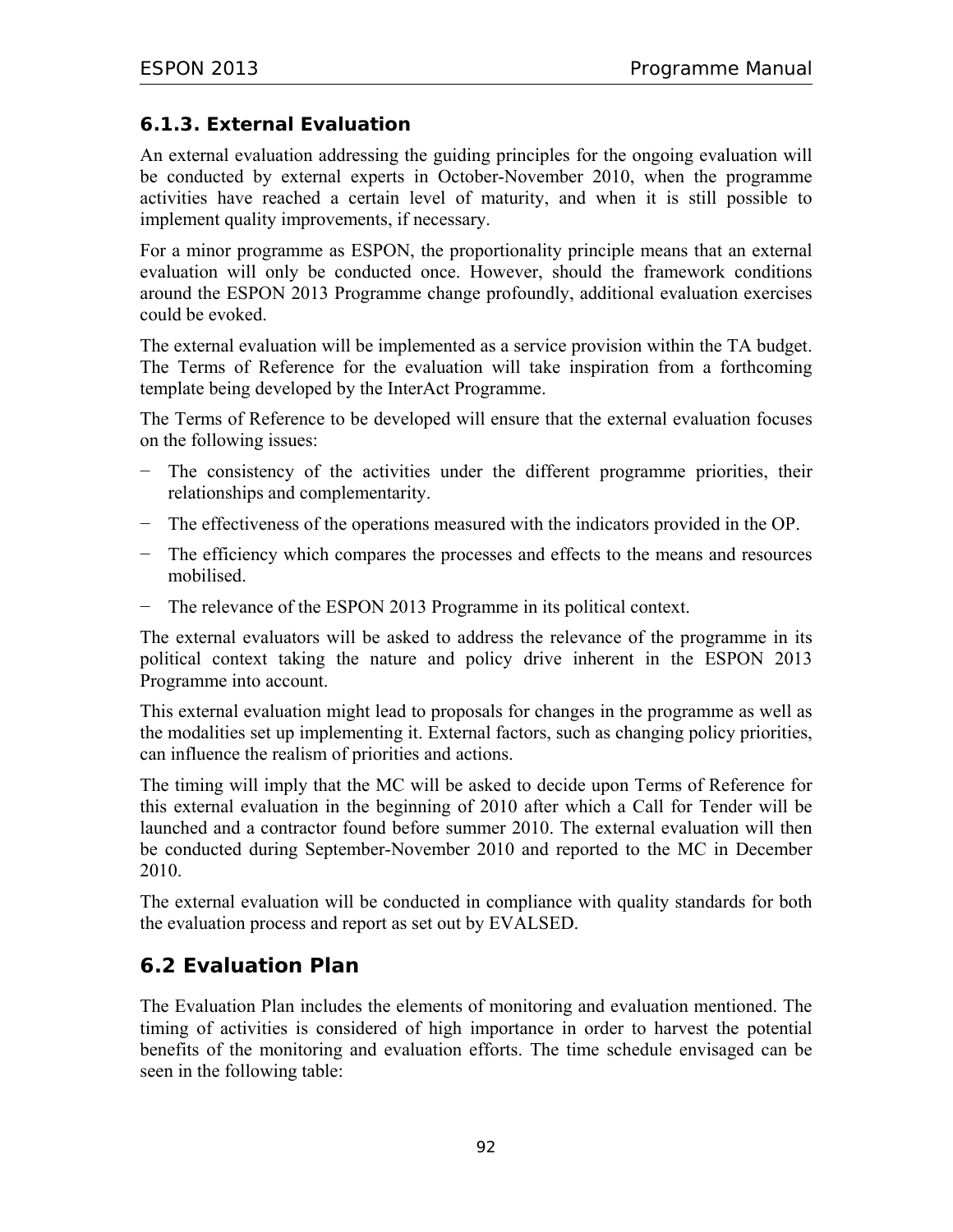### **6.1.3. External Evaluation**

An external evaluation addressing the guiding principles for the ongoing evaluation will be conducted by external experts in October-November 2010, when the programme activities have reached a certain level of maturity, and when it is still possible to implement quality improvements, if necessary.

For a minor programme as ESPON, the proportionality principle means that an external evaluation will only be conducted once. However, should the framework conditions around the ESPON 2013 Programme change profoundly, additional evaluation exercises could be evoked.

The external evaluation will be implemented as a service provision within the TA budget. The Terms of Reference for the evaluation will take inspiration from a forthcoming template being developed by the InterAct Programme.

The Terms of Reference to be developed will ensure that the external evaluation focuses on the following issues:

- − The consistency of the activities under the different programme priorities, their relationships and complementarity.
- − The effectiveness of the operations measured with the indicators provided in the OP.
- − The efficiency which compares the processes and effects to the means and resources mobilised.
- − The relevance of the ESPON 2013 Programme in its political context.

The external evaluators will be asked to address the relevance of the programme in its political context taking the nature and policy drive inherent in the ESPON 2013 Programme into account.

This external evaluation might lead to proposals for changes in the programme as well as the modalities set up implementing it. External factors, such as changing policy priorities, can influence the realism of priorities and actions.

The timing will imply that the MC will be asked to decide upon Terms of Reference for this external evaluation in the beginning of 2010 after which a Call for Tender will be launched and a contractor found before summer 2010. The external evaluation will then be conducted during September-November 2010 and reported to the MC in December 2010.

The external evaluation will be conducted in compliance with quality standards for both the evaluation process and report as set out by EVALSED.

# **6.2 Evaluation Plan**

The Evaluation Plan includes the elements of monitoring and evaluation mentioned. The timing of activities is considered of high importance in order to harvest the potential benefits of the monitoring and evaluation efforts. The time schedule envisaged can be seen in the following table: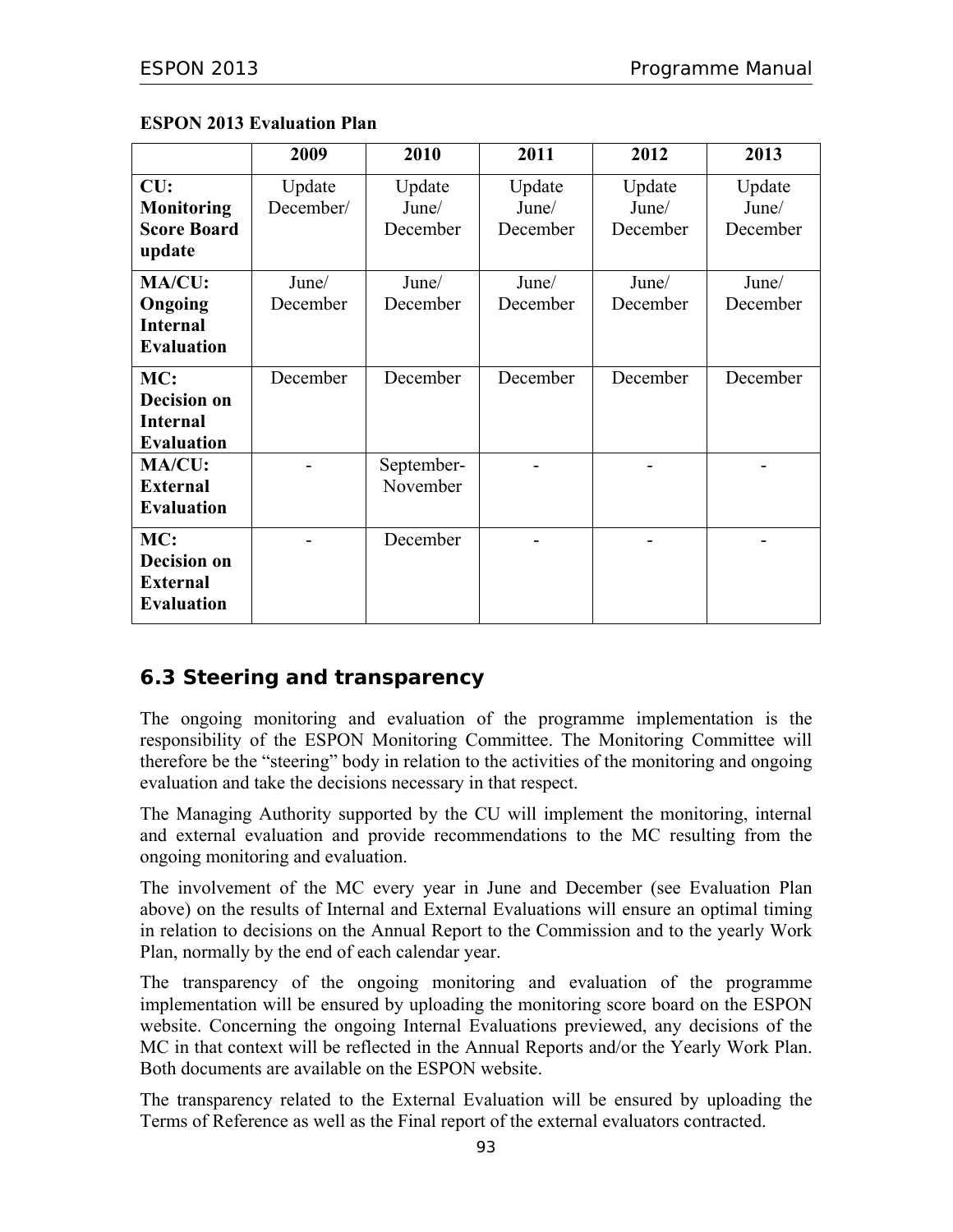|                    | 2009      | 2010       | 2011     | 2012     | 2013     |
|--------------------|-----------|------------|----------|----------|----------|
| CU:                | Update    | Update     | Update   | Update   | Update   |
| <b>Monitoring</b>  | December/ | June/      | June/    | June/    | June/    |
| <b>Score Board</b> |           | December   | December | December | December |
| update             |           |            |          |          |          |
| MA/CU:             | June/     | June/      | June/    | June/    | June/    |
| Ongoing            | December  | December   | December | December | December |
| <b>Internal</b>    |           |            |          |          |          |
| <b>Evaluation</b>  |           |            |          |          |          |
| MC:                | December  | December   | December | December | December |
| <b>Decision on</b> |           |            |          |          |          |
| <b>Internal</b>    |           |            |          |          |          |
| <b>Evaluation</b>  |           |            |          |          |          |
| MA/CU:             |           | September- |          |          |          |
| <b>External</b>    |           | November   |          |          |          |
| <b>Evaluation</b>  |           |            |          |          |          |
| MC:                |           | December   |          |          |          |
| <b>Decision on</b> |           |            |          |          |          |
| <b>External</b>    |           |            |          |          |          |
| <b>Evaluation</b>  |           |            |          |          |          |

#### **ESPON 2013 Evaluation Plan**

## **6.3 Steering and transparency**

The ongoing monitoring and evaluation of the programme implementation is the responsibility of the ESPON Monitoring Committee. The Monitoring Committee will therefore be the "steering" body in relation to the activities of the monitoring and ongoing evaluation and take the decisions necessary in that respect.

The Managing Authority supported by the CU will implement the monitoring, internal and external evaluation and provide recommendations to the MC resulting from the ongoing monitoring and evaluation.

The involvement of the MC every year in June and December (see Evaluation Plan above) on the results of Internal and External Evaluations will ensure an optimal timing in relation to decisions on the Annual Report to the Commission and to the yearly Work Plan, normally by the end of each calendar year.

The transparency of the ongoing monitoring and evaluation of the programme implementation will be ensured by uploading the monitoring score board on the ESPON website. Concerning the ongoing Internal Evaluations previewed, any decisions of the MC in that context will be reflected in the Annual Reports and/or the Yearly Work Plan. Both documents are available on the ESPON website.

The transparency related to the External Evaluation will be ensured by uploading the Terms of Reference as well as the Final report of the external evaluators contracted.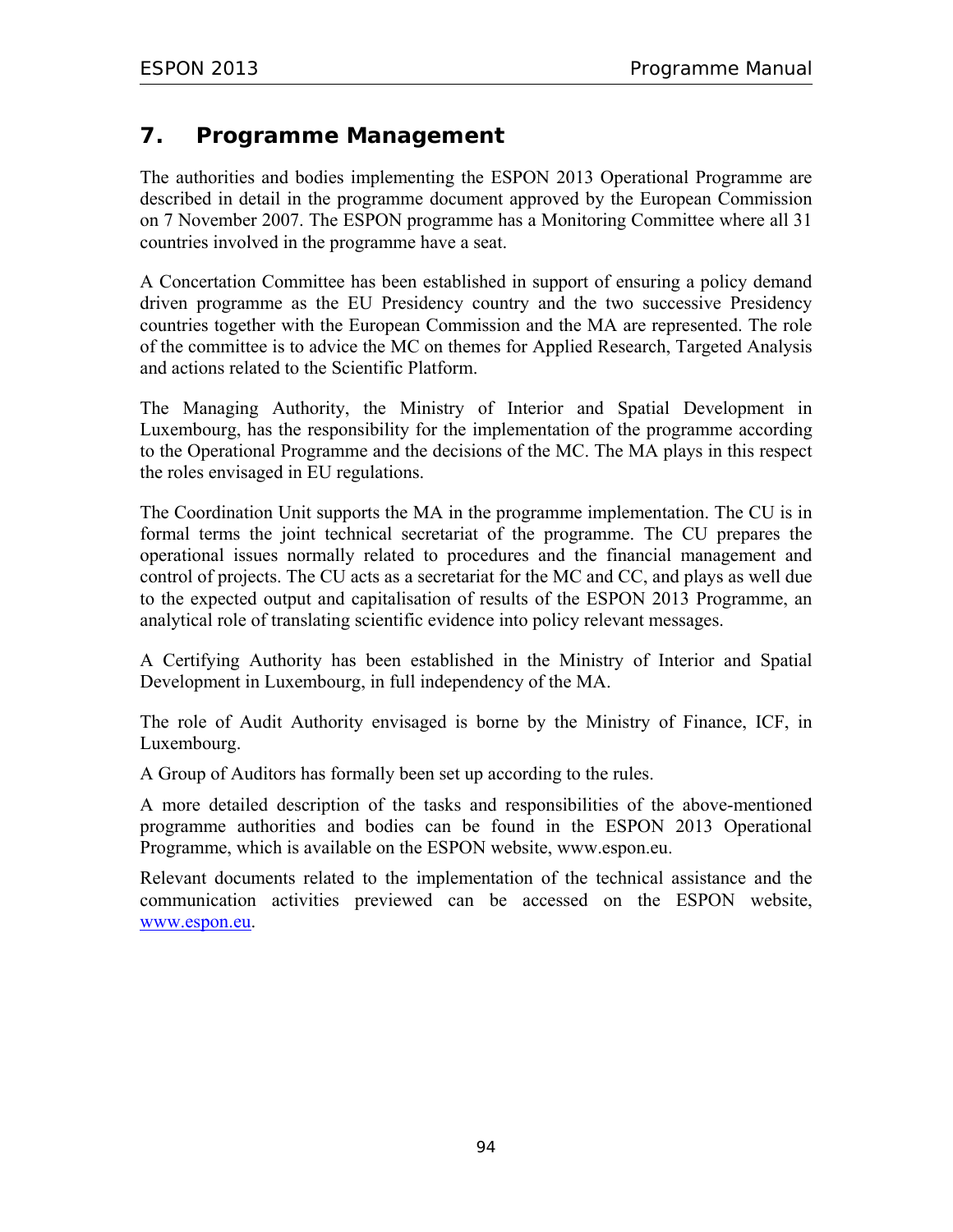## **7. Programme Management**

The authorities and bodies implementing the ESPON 2013 Operational Programme are described in detail in the programme document approved by the European Commission on 7 November 2007. The ESPON programme has a Monitoring Committee where all 31 countries involved in the programme have a seat.

A Concertation Committee has been established in support of ensuring a policy demand driven programme as the EU Presidency country and the two successive Presidency countries together with the European Commission and the MA are represented. The role of the committee is to advice the MC on themes for Applied Research, Targeted Analysis and actions related to the Scientific Platform.

The Managing Authority, the Ministry of Interior and Spatial Development in Luxembourg, has the responsibility for the implementation of the programme according to the Operational Programme and the decisions of the MC. The MA plays in this respect the roles envisaged in EU regulations.

The Coordination Unit supports the MA in the programme implementation. The CU is in formal terms the joint technical secretariat of the programme. The CU prepares the operational issues normally related to procedures and the financial management and control of projects. The CU acts as a secretariat for the MC and CC, and plays as well due to the expected output and capitalisation of results of the ESPON 2013 Programme, an analytical role of translating scientific evidence into policy relevant messages.

A Certifying Authority has been established in the Ministry of Interior and Spatial Development in Luxembourg, in full independency of the MA.

The role of Audit Authority envisaged is borne by the Ministry of Finance, ICF, in Luxembourg.

A Group of Auditors has formally been set up according to the rules.

A more detailed description of the tasks and responsibilities of the above-mentioned programme authorities and bodies can be found in the ESPON 2013 Operational Programme, which is available on the ESPON website, www.espon.eu.

Relevant documents related to the implementation of the technical assistance and the communication activities previewed can be accessed on the ESPON website, www.espon.eu.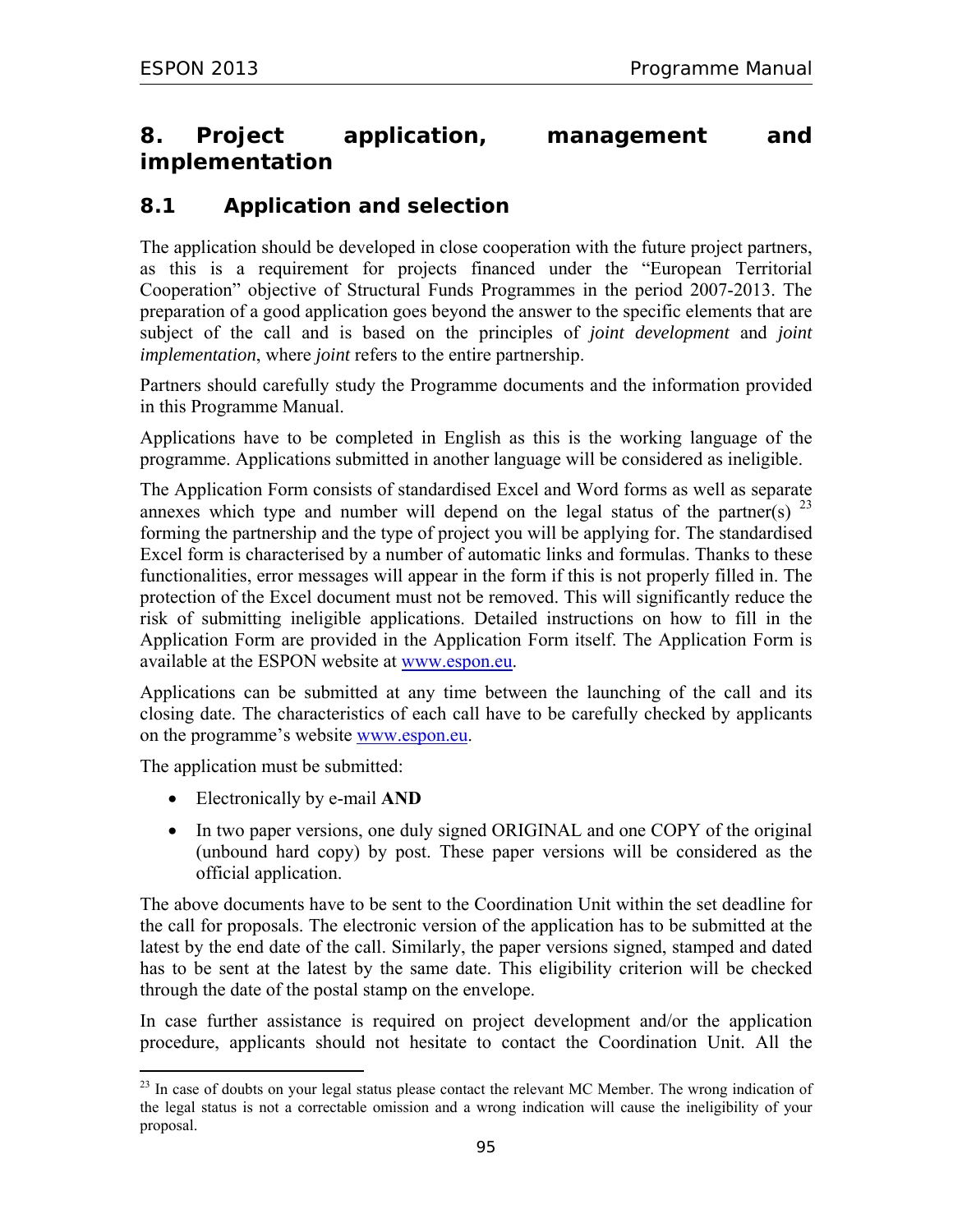# **8. Project application, management and implementation**

## **8.1 Application and selection**

The application should be developed in close cooperation with the future project partners, as this is a requirement for projects financed under the "European Territorial Cooperation" objective of Structural Funds Programmes in the period 2007-2013. The preparation of a good application goes beyond the answer to the specific elements that are subject of the call and is based on the principles of *joint development* and *joint implementation*, where *joint* refers to the entire partnership.

Partners should carefully study the Programme documents and the information provided in this Programme Manual.

Applications have to be completed in English as this is the working language of the programme. Applications submitted in another language will be considered as ineligible.

The Application Form consists of standardised Excel and Word forms as well as separate annexes which type and number will depend on the legal status of the partner(s)  $^{23}$ forming the partnership and the type of project you will be applying for. The standardised Excel form is characterised by a number of automatic links and formulas. Thanks to these functionalities, error messages will appear in the form if this is not properly filled in. The protection of the Excel document must not be removed. This will significantly reduce the risk of submitting ineligible applications. Detailed instructions on how to fill in the Application Form are provided in the Application Form itself. The Application Form is available at the ESPON website at www.espon.eu.

Applications can be submitted at any time between the launching of the call and its closing date. The characteristics of each call have to be carefully checked by applicants on the programme's website www.espon.eu.

The application must be submitted:

 $\overline{a}$ 

- Electronically by e-mail **AND**
- In two paper versions, one duly signed ORIGINAL and one COPY of the original (unbound hard copy) by post. These paper versions will be considered as the official application.

The above documents have to be sent to the Coordination Unit within the set deadline for the call for proposals. The electronic version of the application has to be submitted at the latest by the end date of the call. Similarly, the paper versions signed, stamped and dated has to be sent at the latest by the same date. This eligibility criterion will be checked through the date of the postal stamp on the envelope.

In case further assistance is required on project development and/or the application procedure, applicants should not hesitate to contact the Coordination Unit. All the

 $^{23}$  In case of doubts on your legal status please contact the relevant MC Member. The wrong indication of the legal status is not a correctable omission and a wrong indication will cause the ineligibility of your proposal.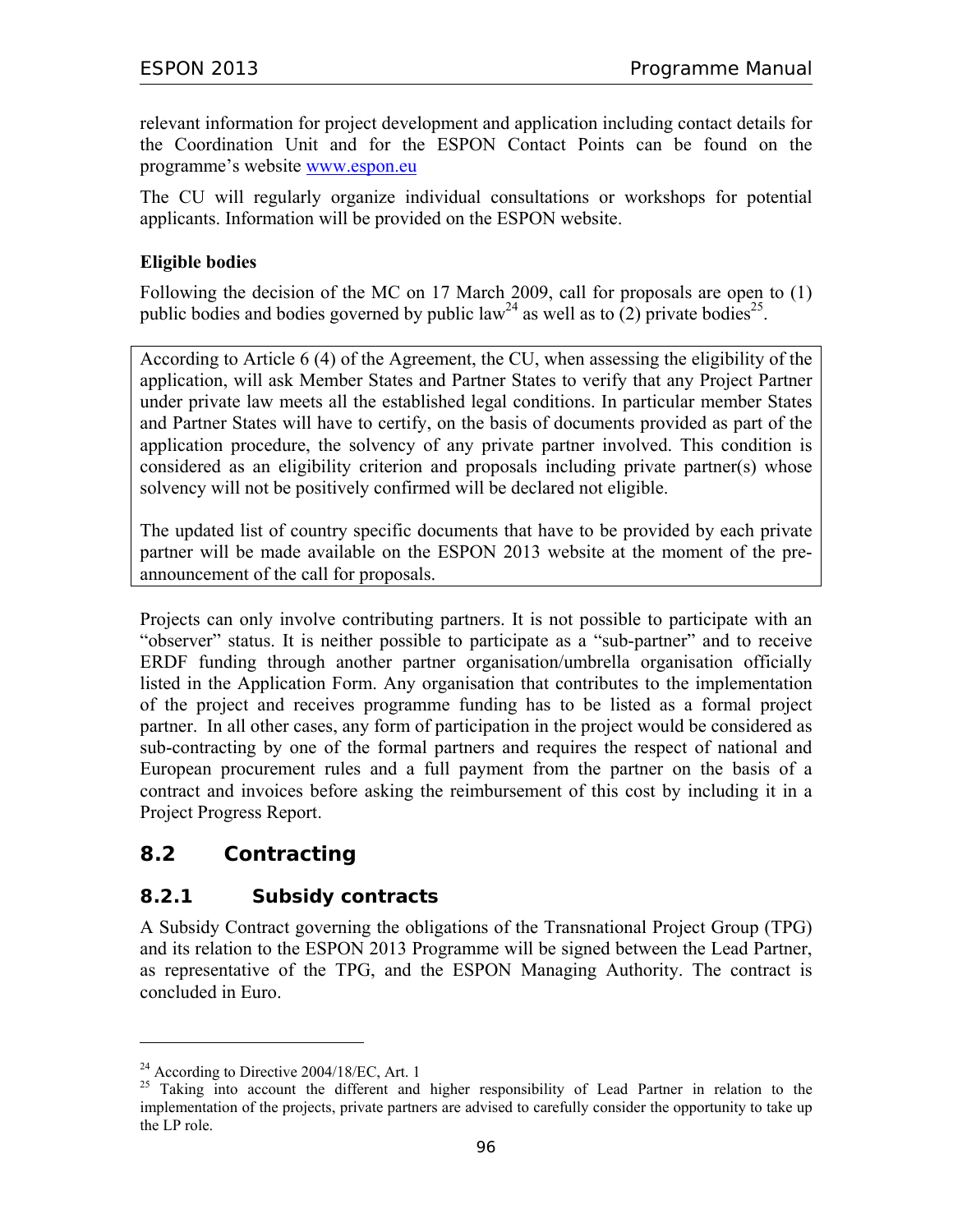relevant information for project development and application including contact details for the Coordination Unit and for the ESPON Contact Points can be found on the programme's website www.espon.eu

The CU will regularly organize individual consultations or workshops for potential applicants. Information will be provided on the ESPON website.

#### **Eligible bodies**

Following the decision of the MC on 17 March 2009, call for proposals are open to (1) public bodies and bodies governed by public law<sup>24</sup> as well as to (2) private bodies<sup>25</sup>.

According to Article 6 (4) of the Agreement, the CU, when assessing the eligibility of the application, will ask Member States and Partner States to verify that any Project Partner under private law meets all the established legal conditions. In particular member States and Partner States will have to certify, on the basis of documents provided as part of the application procedure, the solvency of any private partner involved. This condition is considered as an eligibility criterion and proposals including private partner(s) whose solvency will not be positively confirmed will be declared not eligible.

The updated list of country specific documents that have to be provided by each private partner will be made available on the ESPON 2013 website at the moment of the preannouncement of the call for proposals.

Projects can only involve contributing partners. It is not possible to participate with an "observer" status. It is neither possible to participate as a "sub-partner" and to receive ERDF funding through another partner organisation/umbrella organisation officially listed in the Application Form. Any organisation that contributes to the implementation of the project and receives programme funding has to be listed as a formal project partner. In all other cases, any form of participation in the project would be considered as sub-contracting by one of the formal partners and requires the respect of national and European procurement rules and a full payment from the partner on the basis of a contract and invoices before asking the reimbursement of this cost by including it in a Project Progress Report.

## **8.2 Contracting**

 $\overline{a}$ 

## **8.2.1 Subsidy contracts**

A Subsidy Contract governing the obligations of the Transnational Project Group (TPG) and its relation to the ESPON 2013 Programme will be signed between the Lead Partner, as representative of the TPG, and the ESPON Managing Authority. The contract is concluded in Euro.

<sup>&</sup>lt;sup>24</sup> According to Directive  $2004/18$ /EC, Art. 1

<sup>&</sup>lt;sup>25</sup> Taking into account the different and higher responsibility of Lead Partner in relation to the implementation of the projects, private partners are advised to carefully consider the opportunity to take up the LP role.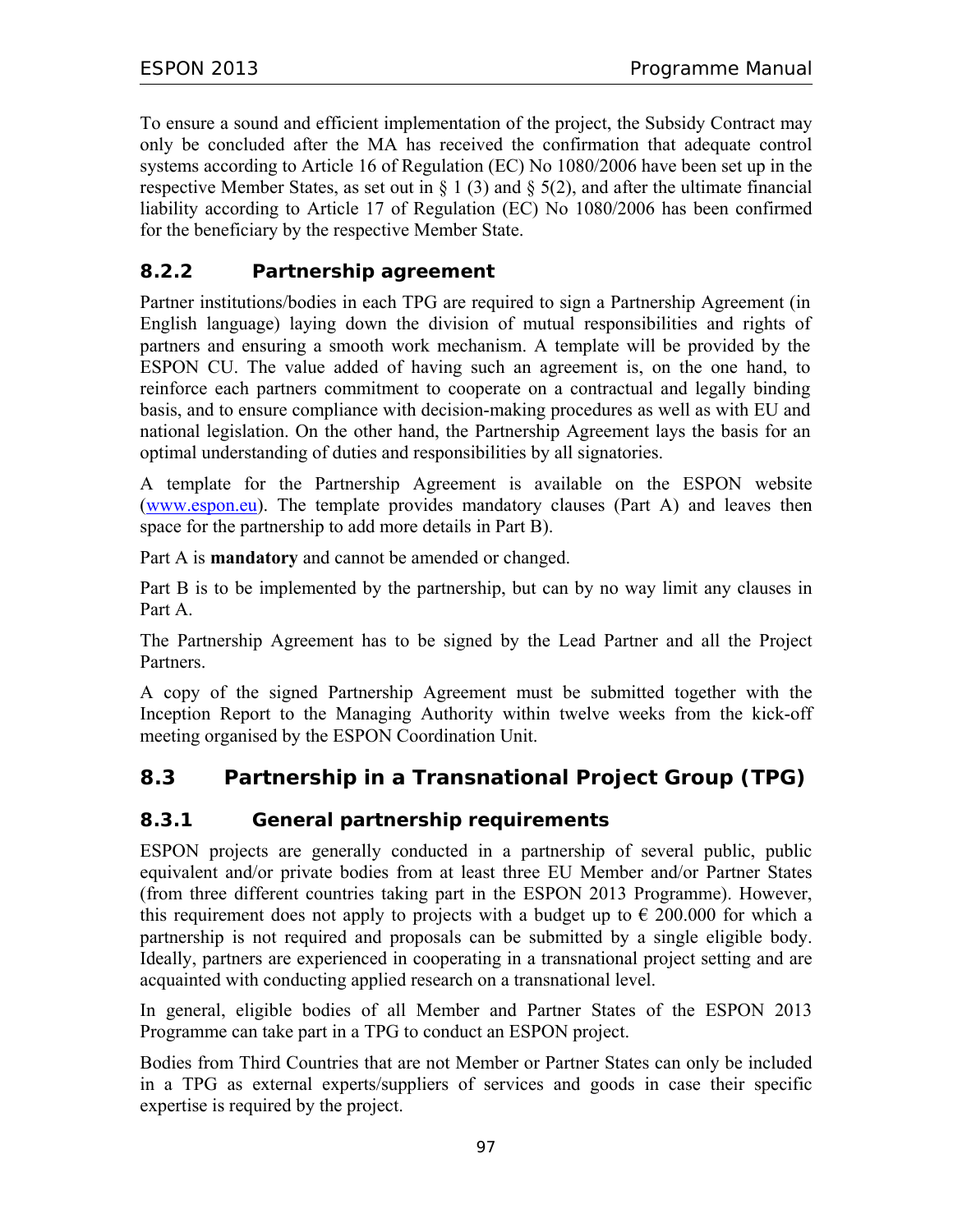To ensure a sound and efficient implementation of the project, the Subsidy Contract may only be concluded after the MA has received the confirmation that adequate control systems according to Article 16 of Regulation (EC) No 1080/2006 have been set up in the respective Member States, as set out in § 1 (3) and § 5(2), and after the ultimate financial liability according to Article 17 of Regulation (EC) No 1080/2006 has been confirmed for the beneficiary by the respective Member State.

## **8.2.2 Partnership agreement**

Partner institutions/bodies in each TPG are required to sign a Partnership Agreement (in English language) laying down the division of mutual responsibilities and rights of partners and ensuring a smooth work mechanism. A template will be provided by the ESPON CU. The value added of having such an agreement is, on the one hand, to reinforce each partners commitment to cooperate on a contractual and legally binding basis, and to ensure compliance with decision-making procedures as well as with EU and national legislation. On the other hand, the Partnership Agreement lays the basis for an optimal understanding of duties and responsibilities by all signatories.

A template for the Partnership Agreement is available on the ESPON website (www.espon.eu). The template provides mandatory clauses (Part A) and leaves then space for the partnership to add more details in Part B).

Part A is **mandatory** and cannot be amended or changed.

Part B is to be implemented by the partnership, but can by no way limit any clauses in Part A.

The Partnership Agreement has to be signed by the Lead Partner and all the Project Partners.

A copy of the signed Partnership Agreement must be submitted together with the Inception Report to the Managing Authority within twelve weeks from the kick-off meeting organised by the ESPON Coordination Unit.

# **8.3 Partnership in a Transnational Project Group (TPG)**

## **8.3.1 General partnership requirements**

ESPON projects are generally conducted in a partnership of several public, public equivalent and/or private bodies from at least three EU Member and/or Partner States (from three different countries taking part in the ESPON 2013 Programme). However, this requirement does not apply to projects with a budget up to  $\epsilon$  200.000 for which a partnership is not required and proposals can be submitted by a single eligible body. Ideally, partners are experienced in cooperating in a transnational project setting and are acquainted with conducting applied research on a transnational level.

In general, eligible bodies of all Member and Partner States of the ESPON 2013 Programme can take part in a TPG to conduct an ESPON project.

Bodies from Third Countries that are not Member or Partner States can only be included in a TPG as external experts/suppliers of services and goods in case their specific expertise is required by the project.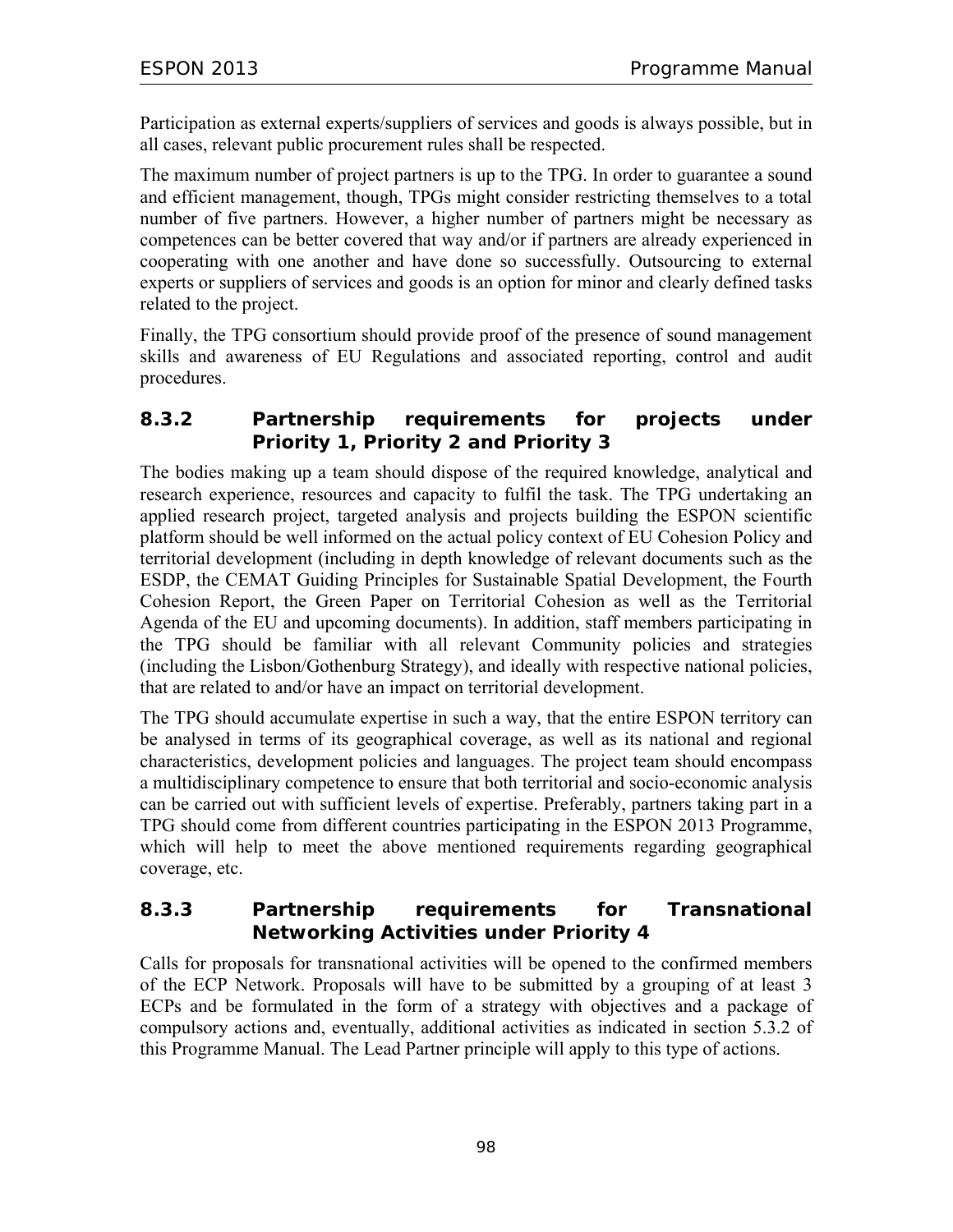Participation as external experts/suppliers of services and goods is always possible, but in all cases, relevant public procurement rules shall be respected.

The maximum number of project partners is up to the TPG. In order to guarantee a sound and efficient management, though, TPGs might consider restricting themselves to a total number of five partners. However, a higher number of partners might be necessary as competences can be better covered that way and/or if partners are already experienced in cooperating with one another and have done so successfully. Outsourcing to external experts or suppliers of services and goods is an option for minor and clearly defined tasks related to the project.

Finally, the TPG consortium should provide proof of the presence of sound management skills and awareness of EU Regulations and associated reporting, control and audit procedures.

#### **8.3.2 Partnership requirements for projects under Priority 1, Priority 2 and Priority 3**

The bodies making up a team should dispose of the required knowledge, analytical and research experience, resources and capacity to fulfil the task. The TPG undertaking an applied research project, targeted analysis and projects building the ESPON scientific platform should be well informed on the actual policy context of EU Cohesion Policy and territorial development (including in depth knowledge of relevant documents such as the ESDP, the CEMAT Guiding Principles for Sustainable Spatial Development, the Fourth Cohesion Report, the Green Paper on Territorial Cohesion as well as the Territorial Agenda of the EU and upcoming documents). In addition, staff members participating in the TPG should be familiar with all relevant Community policies and strategies (including the Lisbon/Gothenburg Strategy), and ideally with respective national policies, that are related to and/or have an impact on territorial development.

The TPG should accumulate expertise in such a way, that the entire ESPON territory can be analysed in terms of its geographical coverage, as well as its national and regional characteristics, development policies and languages. The project team should encompass a multidisciplinary competence to ensure that both territorial and socio-economic analysis can be carried out with sufficient levels of expertise. Preferably, partners taking part in a TPG should come from different countries participating in the ESPON 2013 Programme, which will help to meet the above mentioned requirements regarding geographical coverage, etc.

### **8.3.3 Partnership requirements for Transnational Networking Activities under Priority 4**

Calls for proposals for transnational activities will be opened to the confirmed members of the ECP Network. Proposals will have to be submitted by a grouping of at least 3 ECPs and be formulated in the form of a strategy with objectives and a package of compulsory actions and, eventually, additional activities as indicated in section 5.3.2 of this Programme Manual. The Lead Partner principle will apply to this type of actions.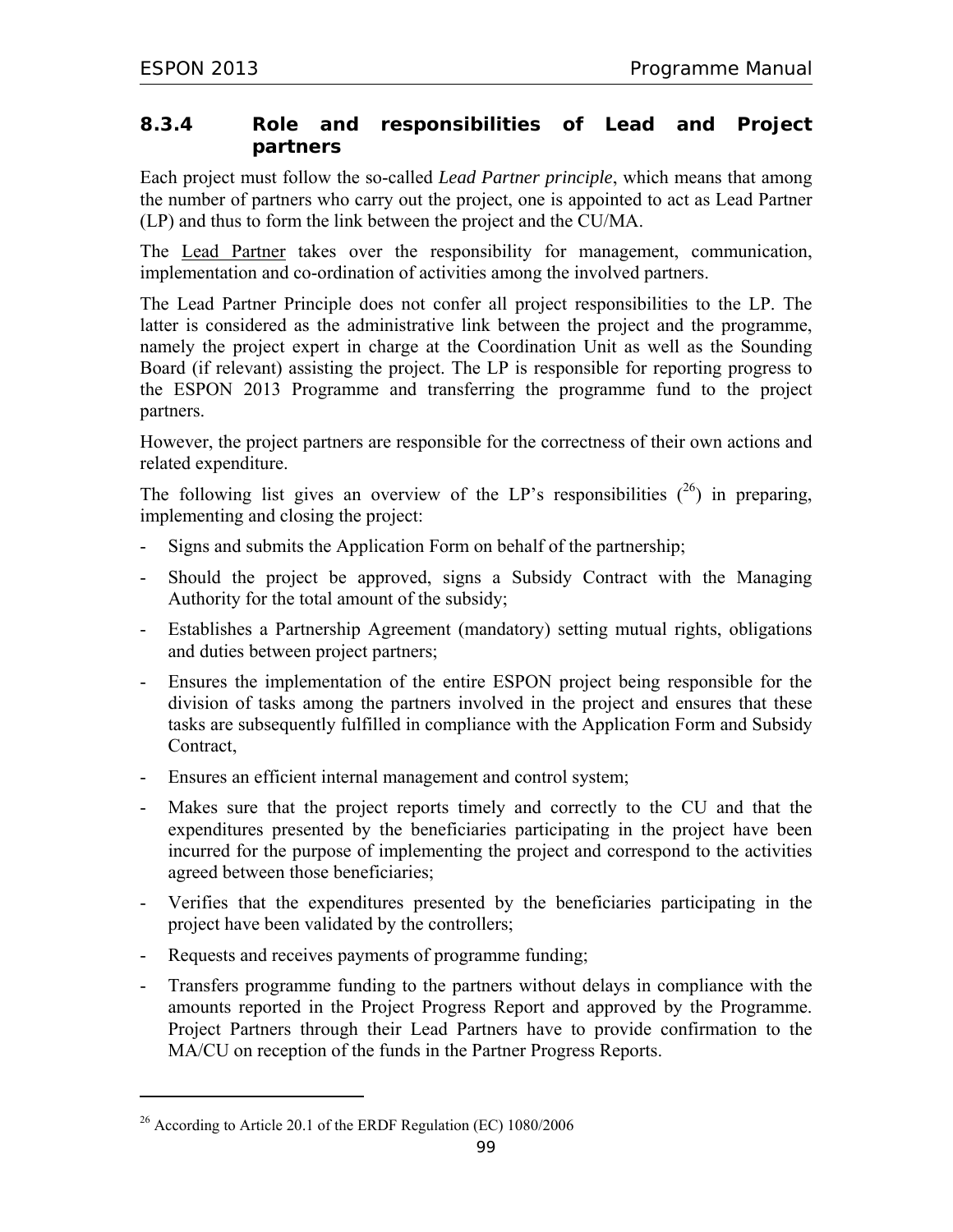### **8.3.4 Role and responsibilities of Lead and Project partners**

Each project must follow the so-called *Lead Partner principle*, which means that among the number of partners who carry out the project, one is appointed to act as Lead Partner (LP) and thus to form the link between the project and the CU/MA.

The Lead Partner takes over the responsibility for management, communication, implementation and co-ordination of activities among the involved partners.

The Lead Partner Principle does not confer all project responsibilities to the LP. The latter is considered as the administrative link between the project and the programme, namely the project expert in charge at the Coordination Unit as well as the Sounding Board (if relevant) assisting the project. The LP is responsible for reporting progress to the ESPON 2013 Programme and transferring the programme fund to the project partners.

However, the project partners are responsible for the correctness of their own actions and related expenditure.

The following list gives an overview of the LP's responsibilities  $(26)$  in preparing, implementing and closing the project:

- Signs and submits the Application Form on behalf of the partnership;
- Should the project be approved, signs a Subsidy Contract with the Managing Authority for the total amount of the subsidy;
- Establishes a Partnership Agreement (mandatory) setting mutual rights, obligations and duties between project partners;
- Ensures the implementation of the entire ESPON project being responsible for the division of tasks among the partners involved in the project and ensures that these tasks are subsequently fulfilled in compliance with the Application Form and Subsidy Contract,
- Ensures an efficient internal management and control system;
- Makes sure that the project reports timely and correctly to the CU and that the expenditures presented by the beneficiaries participating in the project have been incurred for the purpose of implementing the project and correspond to the activities agreed between those beneficiaries;
- Verifies that the expenditures presented by the beneficiaries participating in the project have been validated by the controllers;
- Requests and receives payments of programme funding;
- Transfers programme funding to the partners without delays in compliance with the amounts reported in the Project Progress Report and approved by the Programme. Project Partners through their Lead Partners have to provide confirmation to the MA/CU on reception of the funds in the Partner Progress Reports.

 $\overline{a}$ 

<sup>26</sup> According to Article 20.1 of the ERDF Regulation (EC) 1080/2006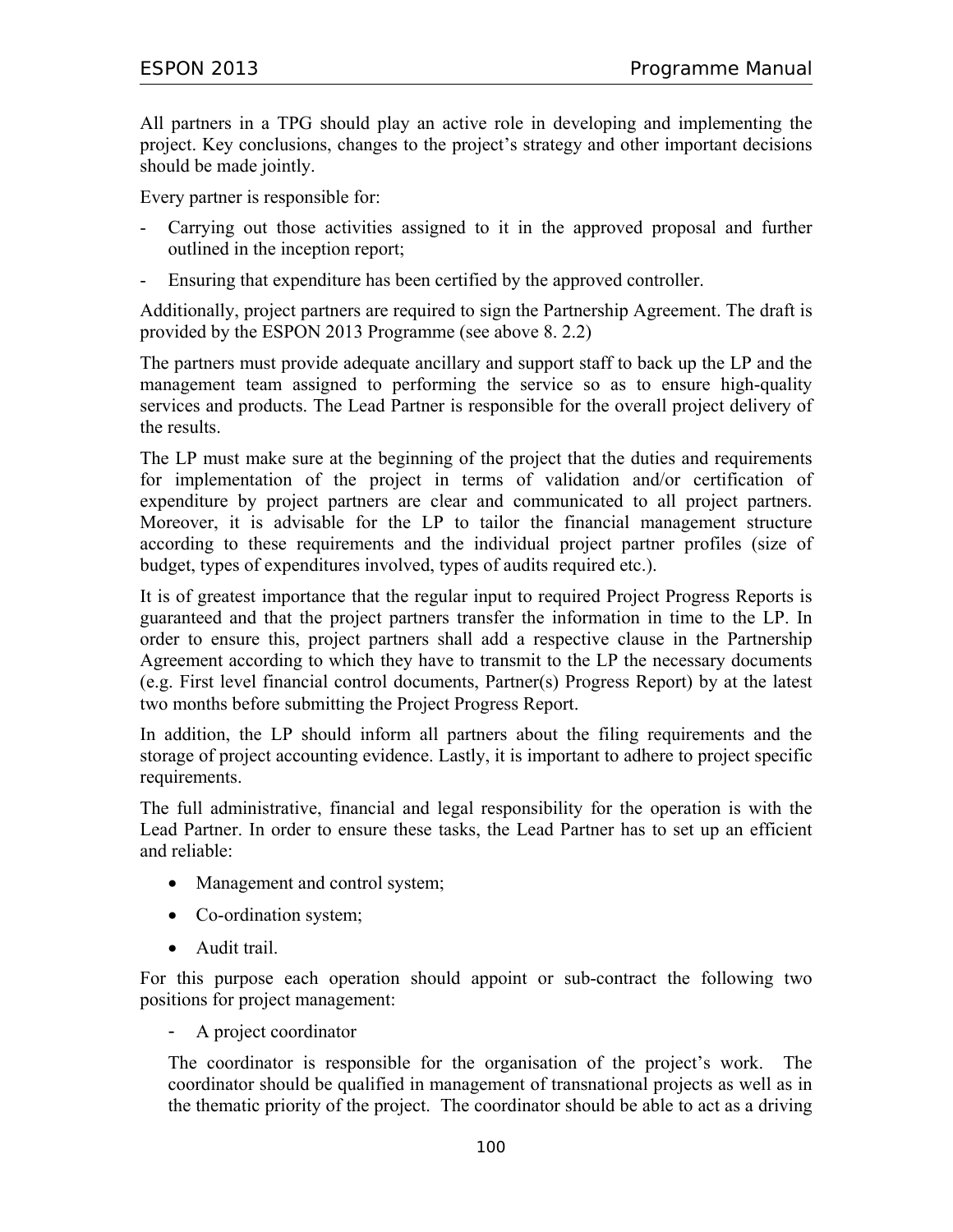All partners in a TPG should play an active role in developing and implementing the project. Key conclusions, changes to the project's strategy and other important decisions should be made jointly.

Every partner is responsible for:

- Carrying out those activities assigned to it in the approved proposal and further outlined in the inception report;
- Ensuring that expenditure has been certified by the approved controller.

Additionally, project partners are required to sign the Partnership Agreement. The draft is provided by the ESPON 2013 Programme (see above 8. 2.2)

The partners must provide adequate ancillary and support staff to back up the LP and the management team assigned to performing the service so as to ensure high-quality services and products. The Lead Partner is responsible for the overall project delivery of the results.

The LP must make sure at the beginning of the project that the duties and requirements for implementation of the project in terms of validation and/or certification of expenditure by project partners are clear and communicated to all project partners. Moreover, it is advisable for the LP to tailor the financial management structure according to these requirements and the individual project partner profiles (size of budget, types of expenditures involved, types of audits required etc.).

It is of greatest importance that the regular input to required Project Progress Reports is guaranteed and that the project partners transfer the information in time to the LP. In order to ensure this, project partners shall add a respective clause in the Partnership Agreement according to which they have to transmit to the LP the necessary documents (e.g. First level financial control documents, Partner(s) Progress Report) by at the latest two months before submitting the Project Progress Report.

In addition, the LP should inform all partners about the filing requirements and the storage of project accounting evidence. Lastly, it is important to adhere to project specific requirements.

The full administrative, financial and legal responsibility for the operation is with the Lead Partner. In order to ensure these tasks, the Lead Partner has to set up an efficient and reliable:

- Management and control system;
- Co-ordination system;
- Audit trail.

For this purpose each operation should appoint or sub-contract the following two positions for project management:

- A project coordinator

The coordinator is responsible for the organisation of the project's work. The coordinator should be qualified in management of transnational projects as well as in the thematic priority of the project. The coordinator should be able to act as a driving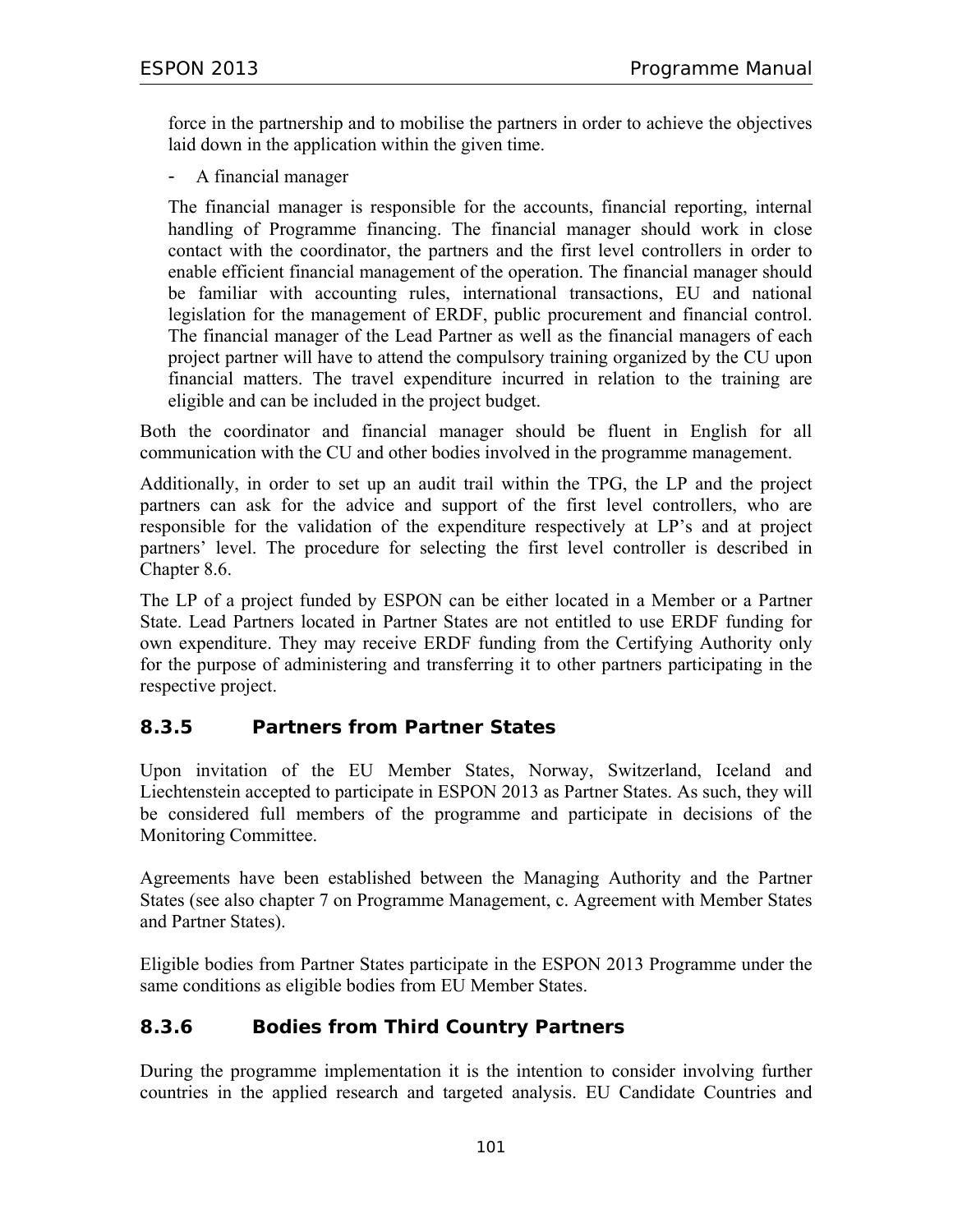force in the partnership and to mobilise the partners in order to achieve the objectives laid down in the application within the given time.

- A financial manager

The financial manager is responsible for the accounts, financial reporting, internal handling of Programme financing. The financial manager should work in close contact with the coordinator, the partners and the first level controllers in order to enable efficient financial management of the operation. The financial manager should be familiar with accounting rules, international transactions, EU and national legislation for the management of ERDF, public procurement and financial control. The financial manager of the Lead Partner as well as the financial managers of each project partner will have to attend the compulsory training organized by the CU upon financial matters. The travel expenditure incurred in relation to the training are eligible and can be included in the project budget.

Both the coordinator and financial manager should be fluent in English for all communication with the CU and other bodies involved in the programme management.

Additionally, in order to set up an audit trail within the TPG, the LP and the project partners can ask for the advice and support of the first level controllers, who are responsible for the validation of the expenditure respectively at LP's and at project partners' level. The procedure for selecting the first level controller is described in Chapter 8.6.

The LP of a project funded by ESPON can be either located in a Member or a Partner State. Lead Partners located in Partner States are not entitled to use ERDF funding for own expenditure. They may receive ERDF funding from the Certifying Authority only for the purpose of administering and transferring it to other partners participating in the respective project.

### **8.3.5 Partners from Partner States**

Upon invitation of the EU Member States, Norway, Switzerland, Iceland and Liechtenstein accepted to participate in ESPON 2013 as Partner States. As such, they will be considered full members of the programme and participate in decisions of the Monitoring Committee.

Agreements have been established between the Managing Authority and the Partner States (see also chapter 7 on Programme Management, c. Agreement with Member States and Partner States).

Eligible bodies from Partner States participate in the ESPON 2013 Programme under the same conditions as eligible bodies from EU Member States.

### **8.3.6 Bodies from Third Country Partners**

During the programme implementation it is the intention to consider involving further countries in the applied research and targeted analysis. EU Candidate Countries and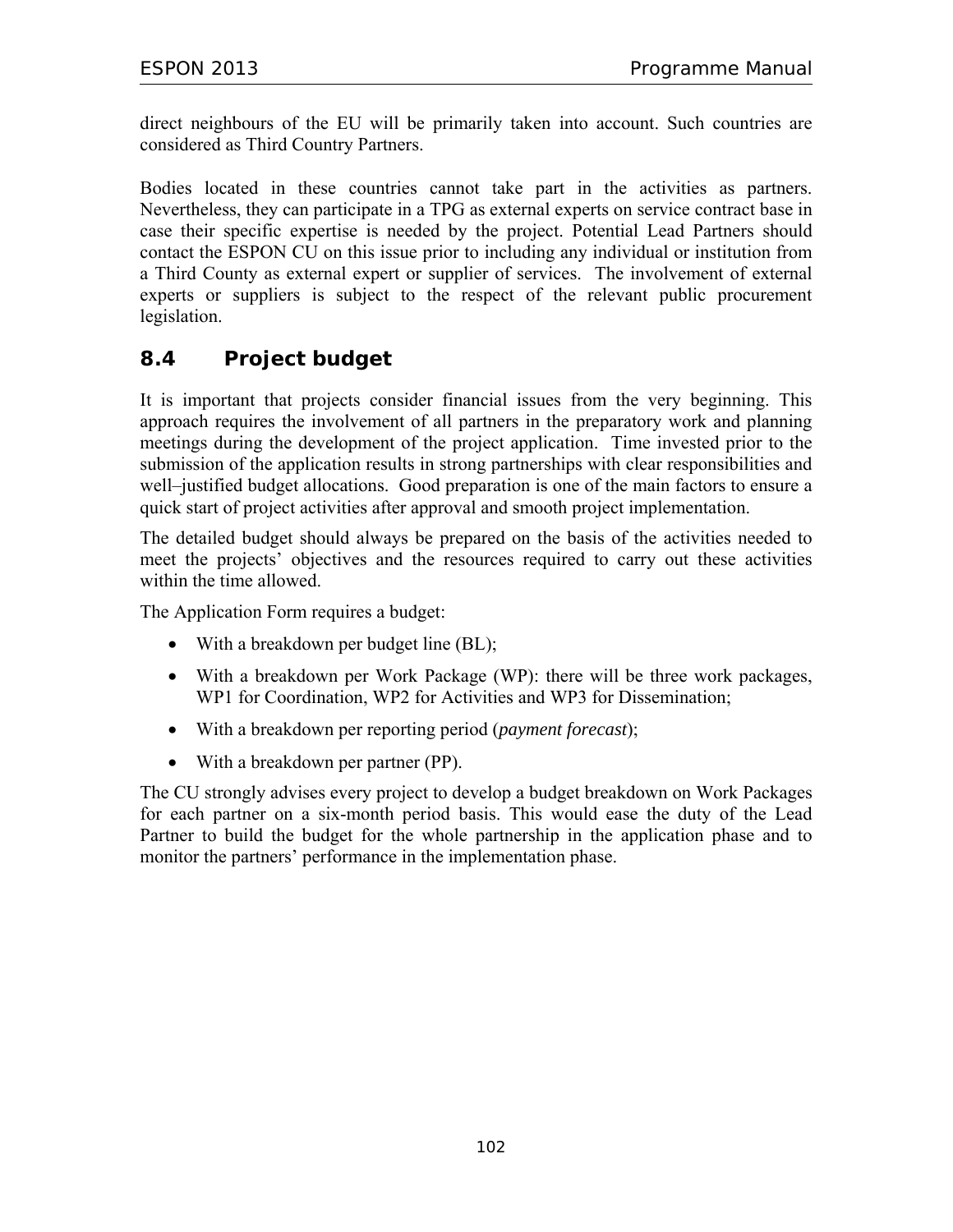direct neighbours of the EU will be primarily taken into account. Such countries are considered as Third Country Partners.

Bodies located in these countries cannot take part in the activities as partners. Nevertheless, they can participate in a TPG as external experts on service contract base in case their specific expertise is needed by the project. Potential Lead Partners should contact the ESPON CU on this issue prior to including any individual or institution from a Third County as external expert or supplier of services. The involvement of external experts or suppliers is subject to the respect of the relevant public procurement legislation.

## **8.4 Project budget**

It is important that projects consider financial issues from the very beginning. This approach requires the involvement of all partners in the preparatory work and planning meetings during the development of the project application. Time invested prior to the submission of the application results in strong partnerships with clear responsibilities and well–justified budget allocations. Good preparation is one of the main factors to ensure a quick start of project activities after approval and smooth project implementation.

The detailed budget should always be prepared on the basis of the activities needed to meet the projects' objectives and the resources required to carry out these activities within the time allowed.

The Application Form requires a budget:

- With a breakdown per budget line (BL);
- With a breakdown per Work Package (WP): there will be three work packages, WP1 for Coordination, WP2 for Activities and WP3 for Dissemination;
- With a breakdown per reporting period (*payment forecast*);
- With a breakdown per partner (PP).

The CU strongly advises every project to develop a budget breakdown on Work Packages for each partner on a six-month period basis. This would ease the duty of the Lead Partner to build the budget for the whole partnership in the application phase and to monitor the partners' performance in the implementation phase.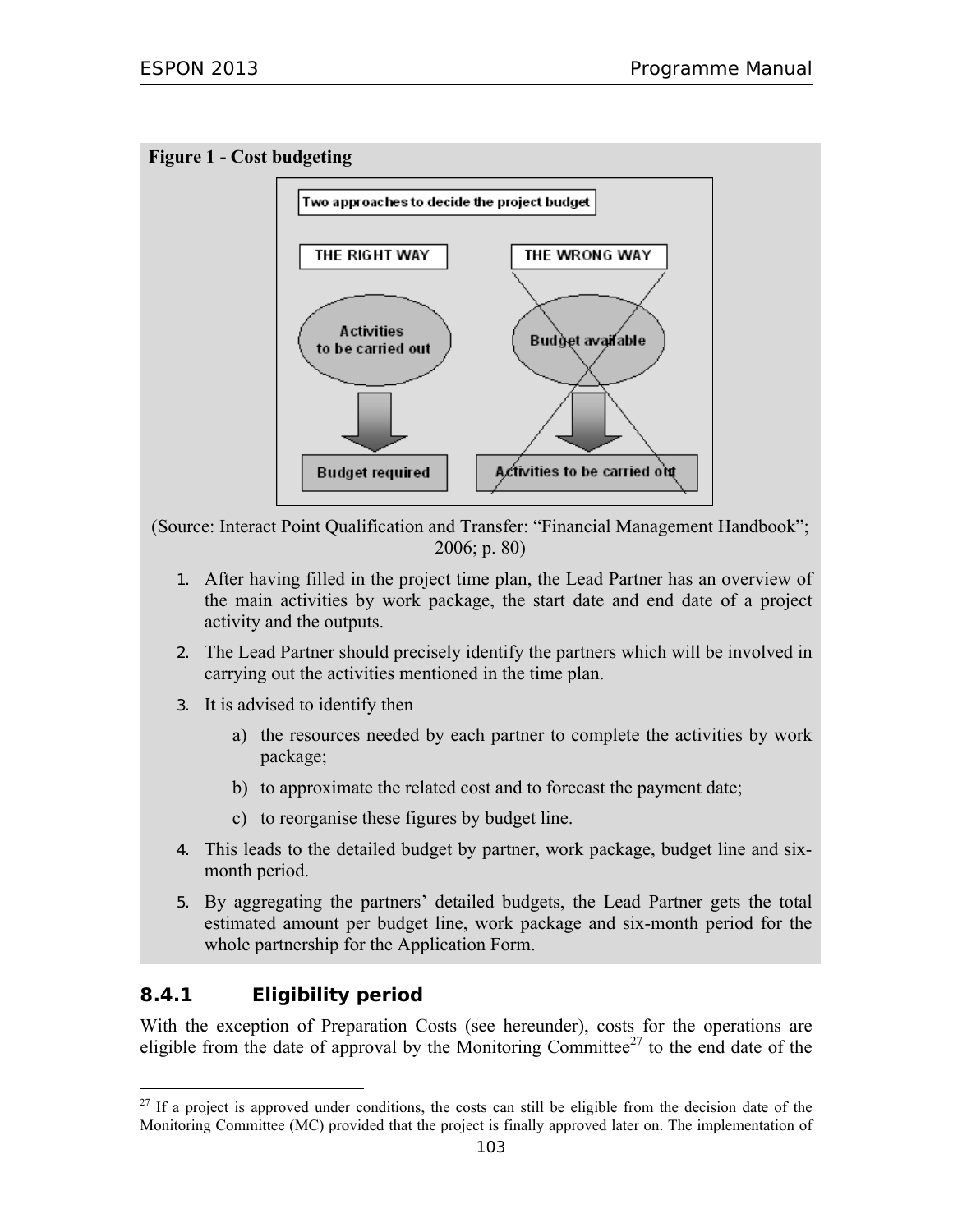



(Source: Interact Point Qualification and Transfer: "Financial Management Handbook"; 2006; p. 80)

- 1. After having filled in the project time plan, the Lead Partner has an overview of the main activities by work package, the start date and end date of a project activity and the outputs.
- 2. The Lead Partner should precisely identify the partners which will be involved in carrying out the activities mentioned in the time plan.
- 3. It is advised to identify then
	- a) the resources needed by each partner to complete the activities by work package;
	- b) to approximate the related cost and to forecast the payment date;
	- c) to reorganise these figures by budget line.
- 4. This leads to the detailed budget by partner, work package, budget line and sixmonth period.
- 5. By aggregating the partners' detailed budgets, the Lead Partner gets the total estimated amount per budget line, work package and six-month period for the whole partnership for the Application Form.

## **8.4.1 Eligibility period**

 $\overline{a}$ 

With the exception of Preparation Costs (see hereunder), costs for the operations are eligible from the date of approval by the Monitoring Committee<sup>27</sup> to the end date of the

<sup>&</sup>lt;sup>27</sup> If a project is approved under conditions, the costs can still be eligible from the decision date of the Monitoring Committee (MC) provided that the project is finally approved later on. The implementation of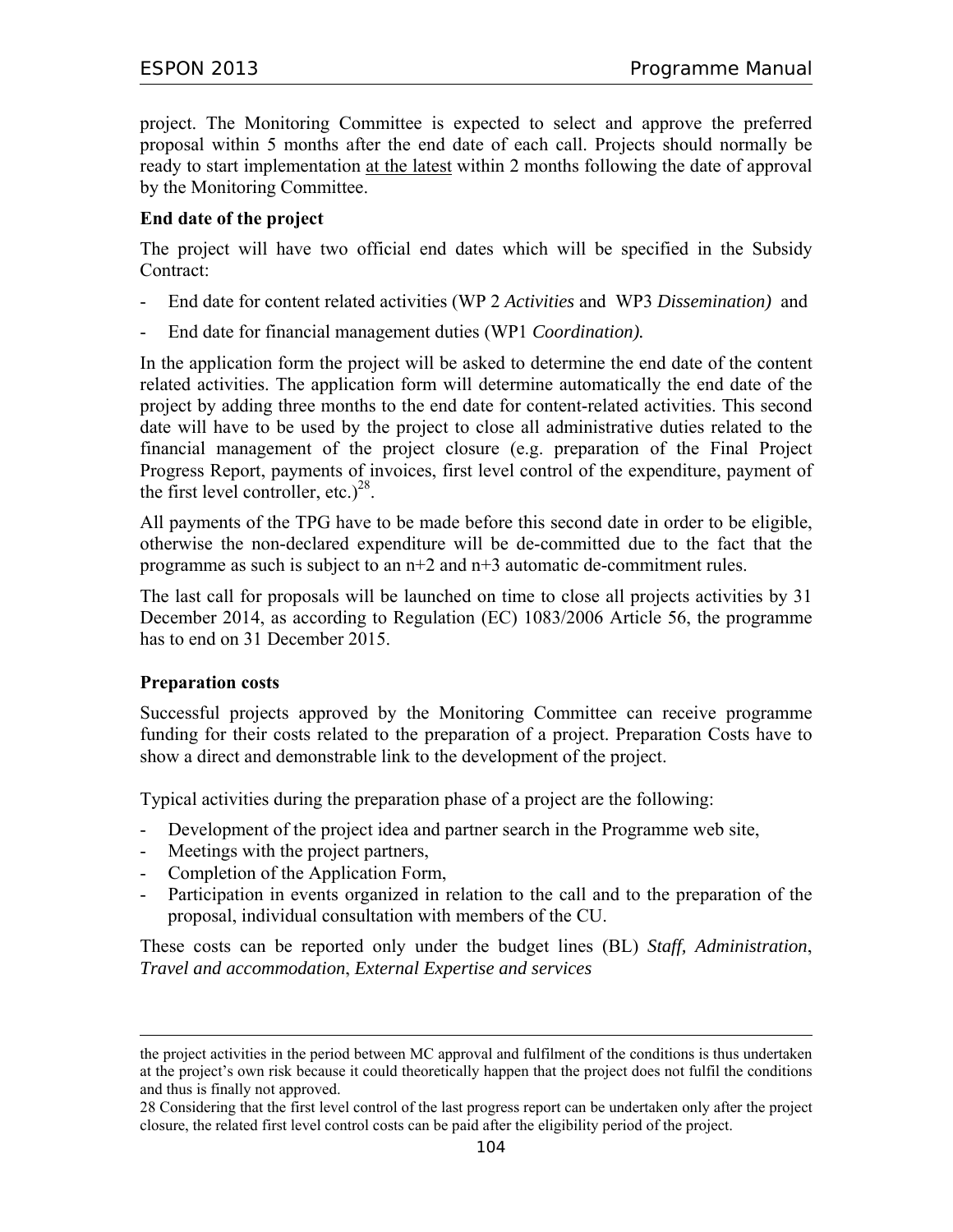project. The Monitoring Committee is expected to select and approve the preferred proposal within 5 months after the end date of each call. Projects should normally be ready to start implementation at the latest within 2 months following the date of approval by the Monitoring Committee.

#### **End date of the project**

The project will have two official end dates which will be specified in the Subsidy Contract:

- End date for content related activities (WP 2 *Activities* and WP3 *Dissemination)* and
- End date for financial management duties (WP1 *Coordination).*

In the application form the project will be asked to determine the end date of the content related activities. The application form will determine automatically the end date of the project by adding three months to the end date for content-related activities. This second date will have to be used by the project to close all administrative duties related to the financial management of the project closure (e.g. preparation of the Final Project Progress Report, payments of invoices, first level control of the expenditure, payment of the first level controller, etc.)<sup>28</sup>.

All payments of the TPG have to be made before this second date in order to be eligible, otherwise the non-declared expenditure will be de-committed due to the fact that the programme as such is subject to an n+2 and n+3 automatic de-commitment rules.

The last call for proposals will be launched on time to close all projects activities by 31 December 2014, as according to Regulation (EC) 1083/2006 Article 56, the programme has to end on 31 December 2015.

#### **Preparation costs**

-

Successful projects approved by the Monitoring Committee can receive programme funding for their costs related to the preparation of a project. Preparation Costs have to show a direct and demonstrable link to the development of the project.

Typical activities during the preparation phase of a project are the following:

- Development of the project idea and partner search in the Programme web site,
- Meetings with the project partners,
- Completion of the Application Form,
- Participation in events organized in relation to the call and to the preparation of the proposal, individual consultation with members of the CU.

These costs can be reported only under the budget lines (BL) *Staff, Administration*, *Travel and accommodation*, *External Expertise and services*

the project activities in the period between MC approval and fulfilment of the conditions is thus undertaken at the project's own risk because it could theoretically happen that the project does not fulfil the conditions and thus is finally not approved.

<sup>28</sup> Considering that the first level control of the last progress report can be undertaken only after the project closure, the related first level control costs can be paid after the eligibility period of the project.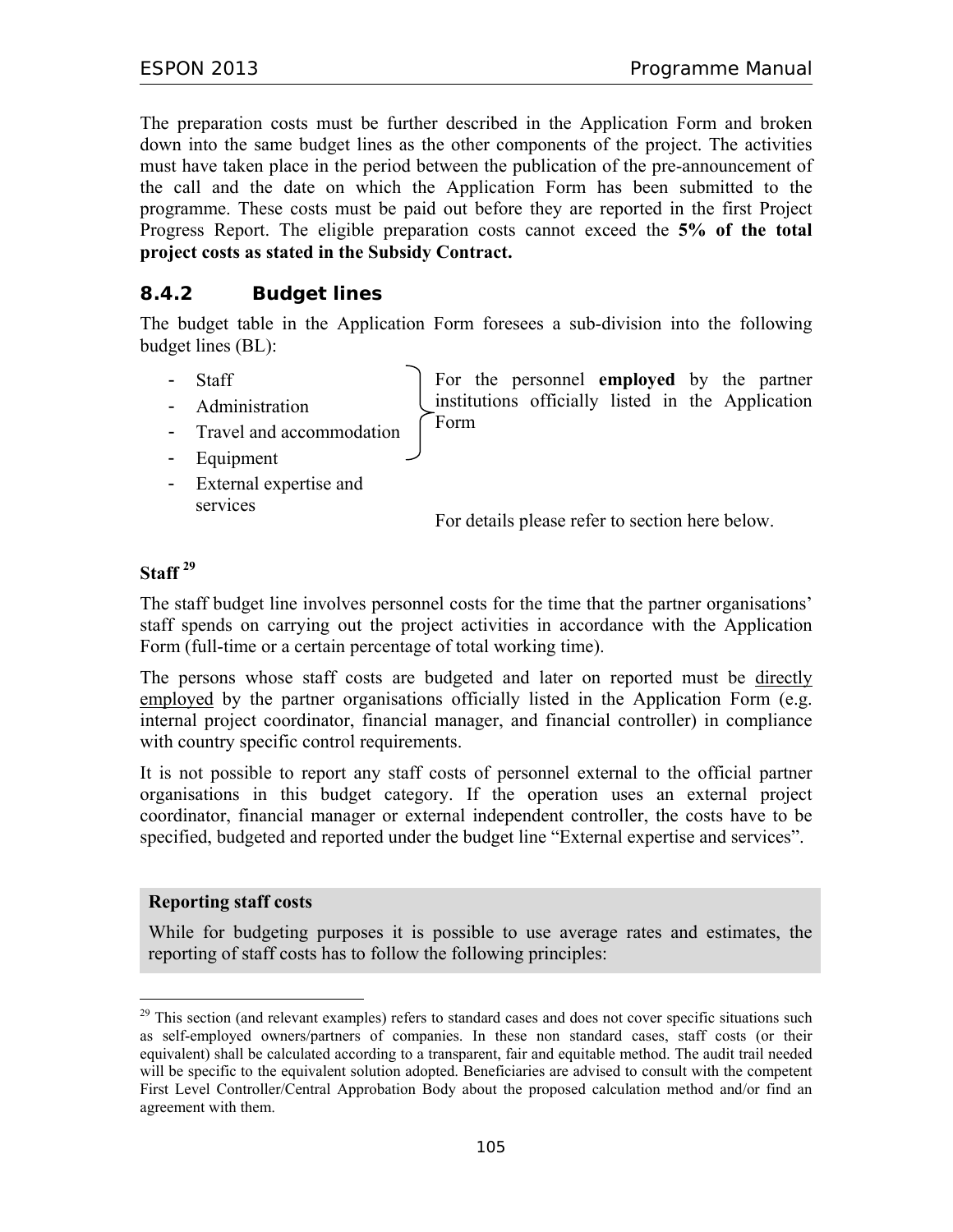The preparation costs must be further described in the Application Form and broken down into the same budget lines as the other components of the project. The activities must have taken place in the period between the publication of the pre-announcement of the call and the date on which the Application Form has been submitted to the programme. These costs must be paid out before they are reported in the first Project Progress Report. The eligible preparation costs cannot exceed the **5% of the total project costs as stated in the Subsidy Contract.** 

### **8.4.2 Budget lines**

The budget table in the Application Form foresees a sub-division into the following budget lines (BL):

- Staff

For the personnel **employed** by the partner institutions officially listed in the Application Form

- Travel and accommodation
- Equipment

- Administration

- External expertise and services

For details please refer to section here below.

#### **Staff 29**

The staff budget line involves personnel costs for the time that the partner organisations' staff spends on carrying out the project activities in accordance with the Application Form (full-time or a certain percentage of total working time).

The persons whose staff costs are budgeted and later on reported must be directly employed by the partner organisations officially listed in the Application Form (e.g. internal project coordinator, financial manager, and financial controller) in compliance with country specific control requirements.

It is not possible to report any staff costs of personnel external to the official partner organisations in this budget category. If the operation uses an external project coordinator, financial manager or external independent controller, the costs have to be specified, budgeted and reported under the budget line "External expertise and services".

#### **Reporting staff costs**

 $\overline{a}$ 

While for budgeting purposes it is possible to use average rates and estimates, the reporting of staff costs has to follow the following principles:

 $29$  This section (and relevant examples) refers to standard cases and does not cover specific situations such as self-employed owners/partners of companies. In these non standard cases, staff costs (or their equivalent) shall be calculated according to a transparent, fair and equitable method. The audit trail needed will be specific to the equivalent solution adopted. Beneficiaries are advised to consult with the competent First Level Controller/Central Approbation Body about the proposed calculation method and/or find an agreement with them.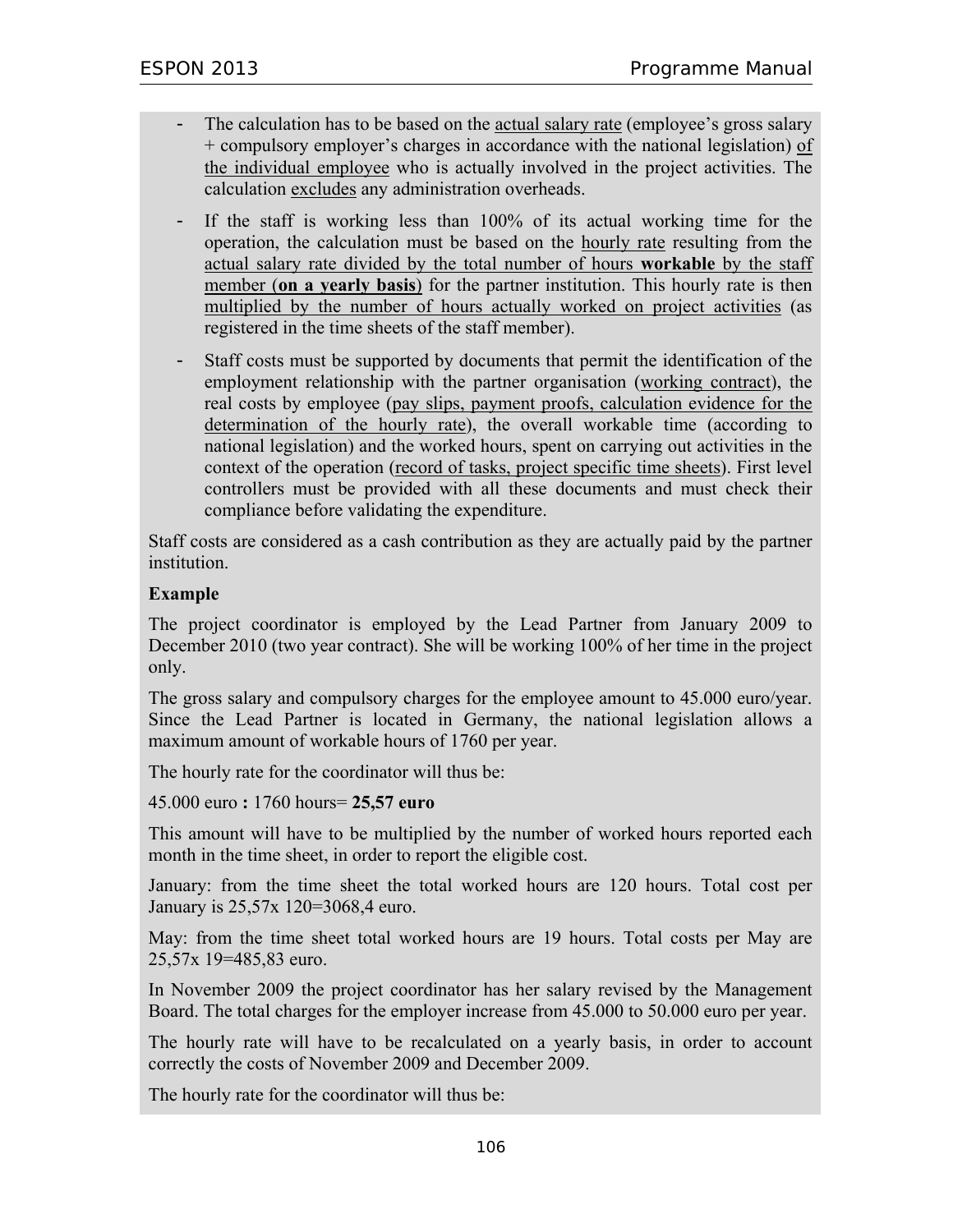- The calculation has to be based on the actual salary rate (employee's gross salary + compulsory employer's charges in accordance with the national legislation) of the individual employee who is actually involved in the project activities. The calculation excludes any administration overheads.
- If the staff is working less than  $100\%$  of its actual working time for the operation, the calculation must be based on the hourly rate resulting from the actual salary rate divided by the total number of hours **workable** by the staff member (**on a yearly basis**) for the partner institution. This hourly rate is then multiplied by the number of hours actually worked on project activities (as registered in the time sheets of the staff member).
- Staff costs must be supported by documents that permit the identification of the employment relationship with the partner organisation (working contract), the real costs by employee (pay slips, payment proofs, calculation evidence for the determination of the hourly rate), the overall workable time (according to national legislation) and the worked hours, spent on carrying out activities in the context of the operation (record of tasks, project specific time sheets). First level controllers must be provided with all these documents and must check their compliance before validating the expenditure.

Staff costs are considered as a cash contribution as they are actually paid by the partner institution.

#### **Example**

The project coordinator is employed by the Lead Partner from January 2009 to December 2010 (two year contract). She will be working 100% of her time in the project only.

The gross salary and compulsory charges for the employee amount to 45.000 euro/year. Since the Lead Partner is located in Germany, the national legislation allows a maximum amount of workable hours of 1760 per year.

The hourly rate for the coordinator will thus be:

45.000 euro **:** 1760 hours= **25,57 euro**

This amount will have to be multiplied by the number of worked hours reported each month in the time sheet, in order to report the eligible cost.

January: from the time sheet the total worked hours are 120 hours. Total cost per January is 25,57x 120=3068,4 euro.

May: from the time sheet total worked hours are 19 hours. Total costs per May are 25,57x 19=485,83 euro.

In November 2009 the project coordinator has her salary revised by the Management Board. The total charges for the employer increase from 45.000 to 50.000 euro per year.

The hourly rate will have to be recalculated on a yearly basis, in order to account correctly the costs of November 2009 and December 2009.

The hourly rate for the coordinator will thus be: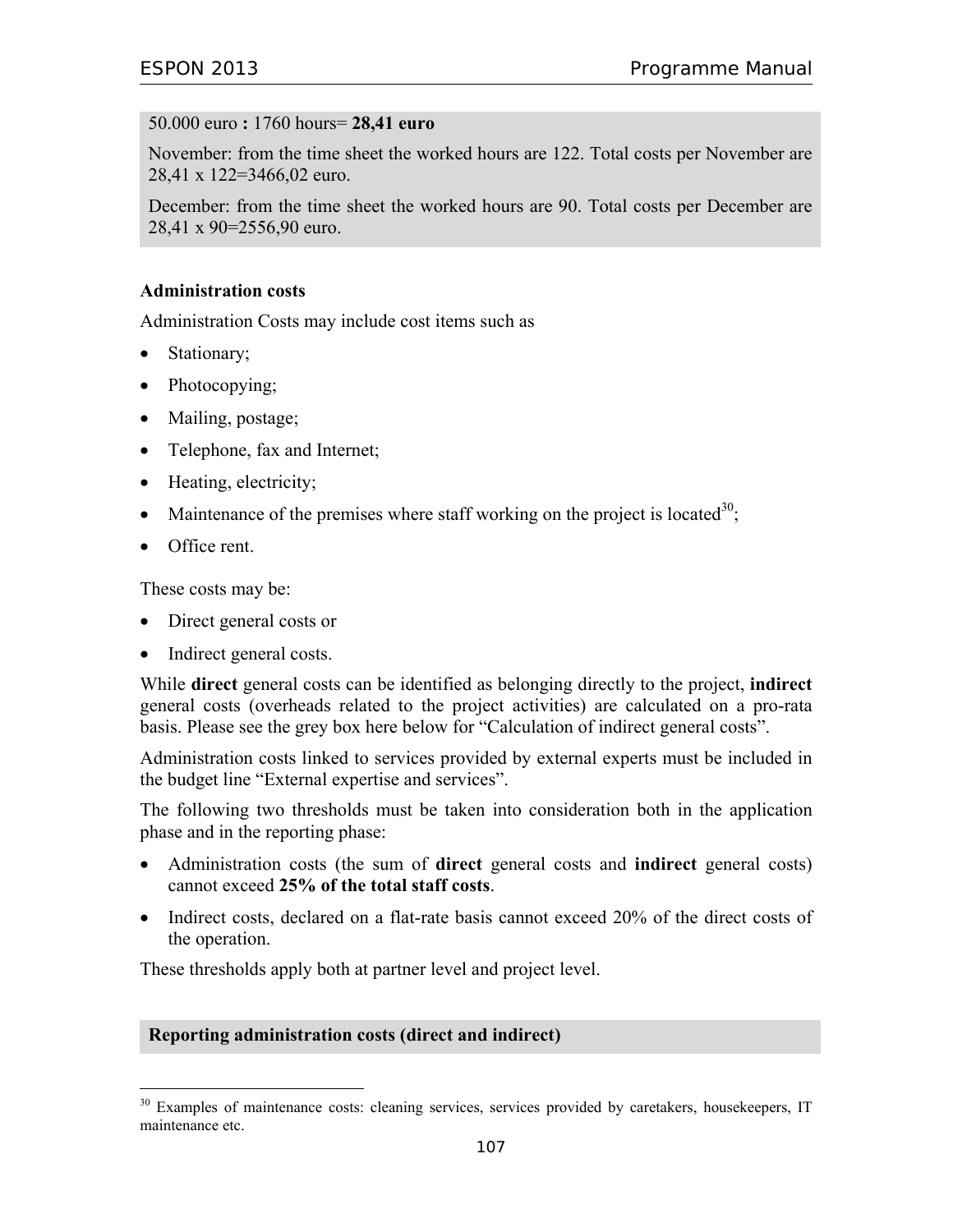#### 50.000 euro **:** 1760 hours= **28,41 euro**

November: from the time sheet the worked hours are 122. Total costs per November are 28,41 x 122=3466,02 euro.

December: from the time sheet the worked hours are 90. Total costs per December are 28,41 x 90=2556,90 euro.

#### **Administration costs**

Administration Costs may include cost items such as

- Stationary;
- Photocopying;
- Mailing, postage;
- Telephone, fax and Internet;
- Heating, electricity;
- Maintenance of the premises where staff working on the project is located<sup>30</sup>;
- Office rent.

 $\overline{a}$ 

These costs may be:

- Direct general costs or
- Indirect general costs.

While **direct** general costs can be identified as belonging directly to the project, **indirect** general costs (overheads related to the project activities) are calculated on a pro-rata basis. Please see the grey box here below for "Calculation of indirect general costs".

Administration costs linked to services provided by external experts must be included in the budget line "External expertise and services".

The following two thresholds must be taken into consideration both in the application phase and in the reporting phase:

- Administration costs (the sum of **direct** general costs and **indirect** general costs) cannot exceed **25% of the total staff costs**.
- Indirect costs, declared on a flat-rate basis cannot exceed 20% of the direct costs of the operation.

These thresholds apply both at partner level and project level.

#### **Reporting administration costs (direct and indirect)**

<sup>&</sup>lt;sup>30</sup> Examples of maintenance costs: cleaning services, services provided by caretakers, housekeepers, IT maintenance etc.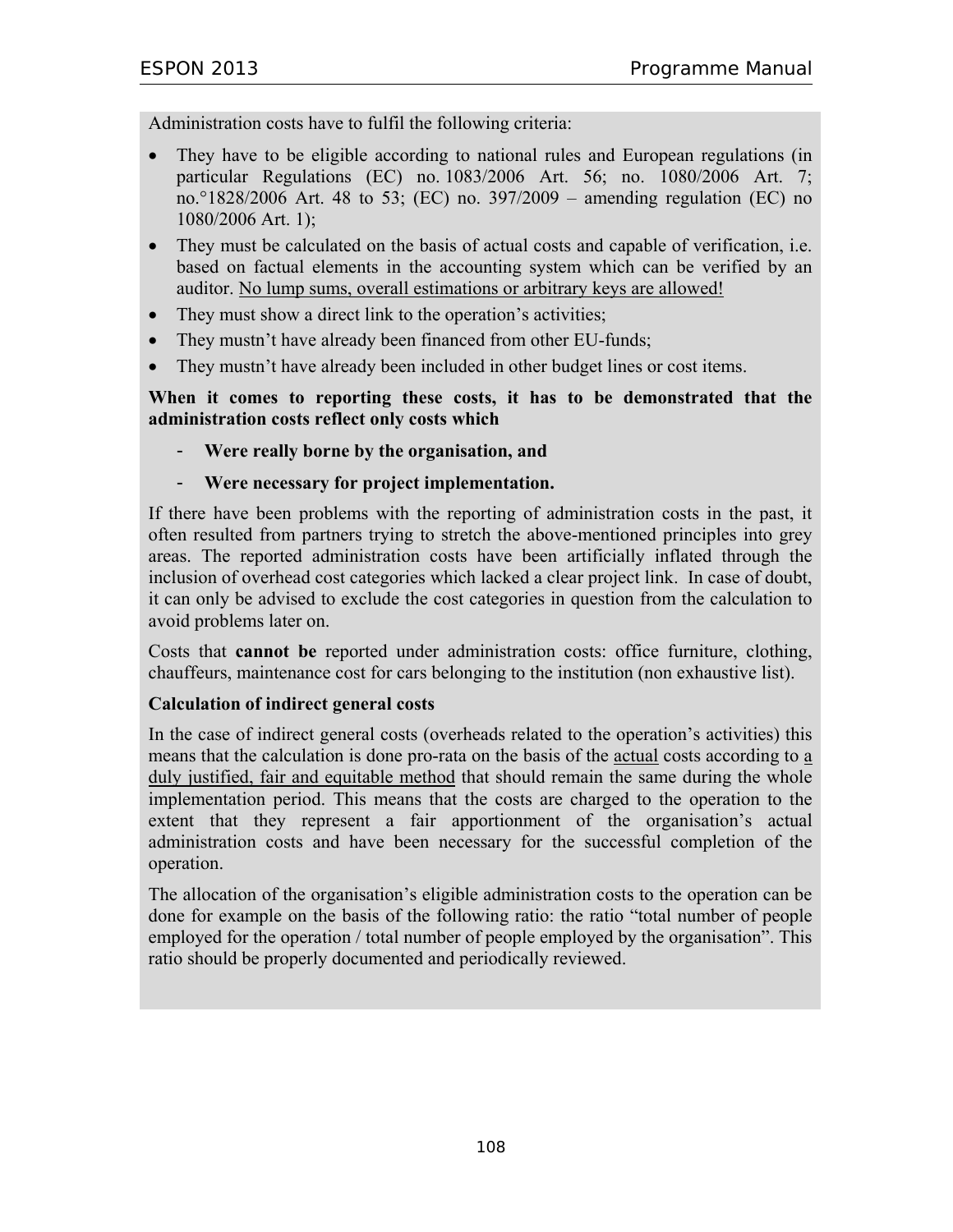Administration costs have to fulfil the following criteria:

- They have to be eligible according to national rules and European regulations (in particular Regulations (EC) no. 1083/2006 Art. 56; no. 1080/2006 Art. 7; no.°1828/2006 Art. 48 to 53; (EC) no. 397/2009 – amending regulation (EC) no 1080/2006 Art. 1);
- They must be calculated on the basis of actual costs and capable of verification, i.e. based on factual elements in the accounting system which can be verified by an auditor. No lump sums, overall estimations or arbitrary keys are allowed!
- They must show a direct link to the operation's activities;
- They mustn't have already been financed from other EU-funds;
- They mustn't have already been included in other budget lines or cost items.

**When it comes to reporting these costs, it has to be demonstrated that the administration costs reflect only costs which** 

- **Were really borne by the organisation, and**
- **Were necessary for project implementation.**

If there have been problems with the reporting of administration costs in the past, it often resulted from partners trying to stretch the above-mentioned principles into grey areas. The reported administration costs have been artificially inflated through the inclusion of overhead cost categories which lacked a clear project link. In case of doubt, it can only be advised to exclude the cost categories in question from the calculation to avoid problems later on.

Costs that **cannot be** reported under administration costs: office furniture, clothing, chauffeurs, maintenance cost for cars belonging to the institution (non exhaustive list).

#### **Calculation of indirect general costs**

In the case of indirect general costs (overheads related to the operation's activities) this means that the calculation is done pro-rata on the basis of the actual costs according to a duly justified, fair and equitable method that should remain the same during the whole implementation period. This means that the costs are charged to the operation to the extent that they represent a fair apportionment of the organisation's actual administration costs and have been necessary for the successful completion of the operation.

The allocation of the organisation's eligible administration costs to the operation can be done for example on the basis of the following ratio: the ratio "total number of people employed for the operation / total number of people employed by the organisation". This ratio should be properly documented and periodically reviewed.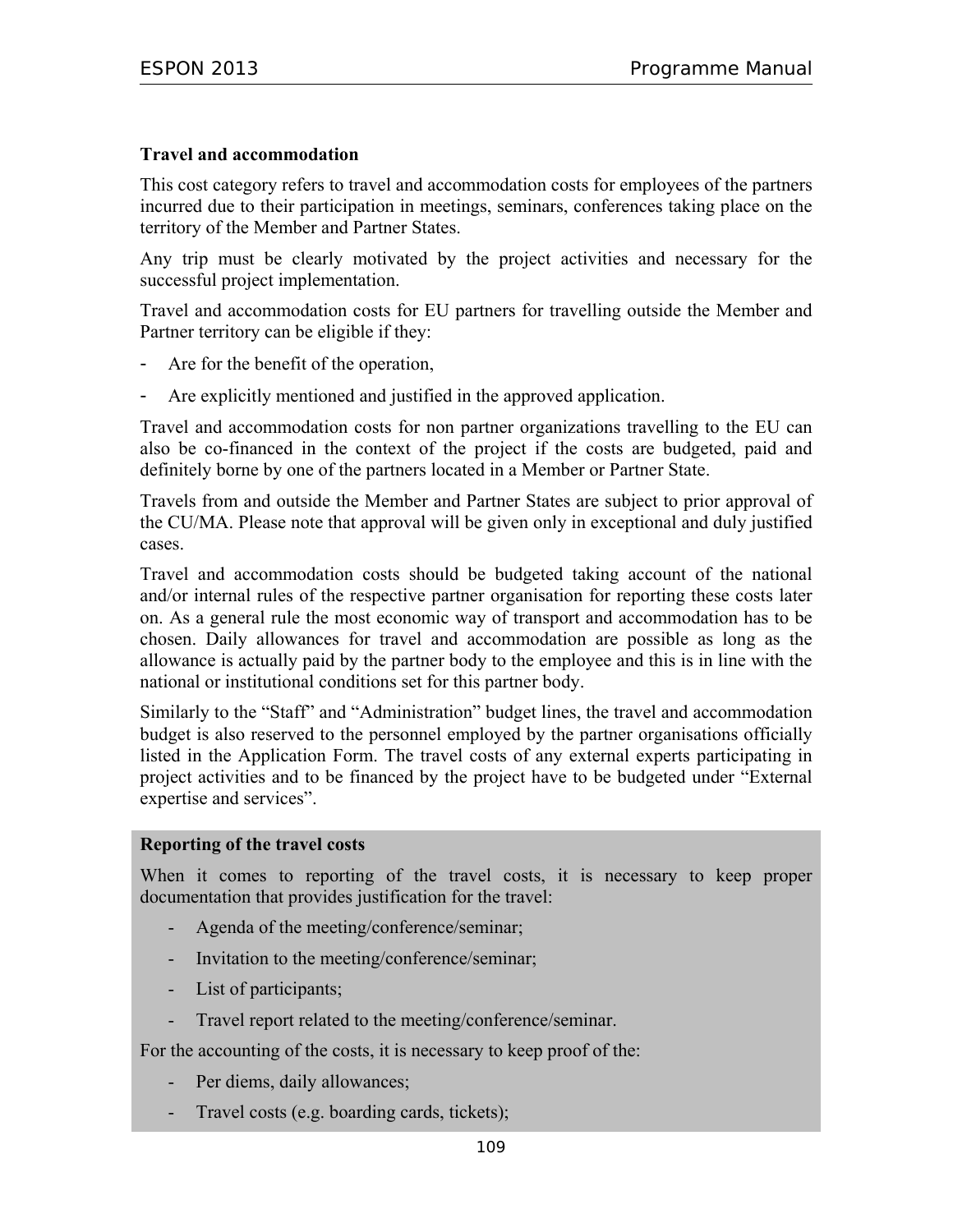#### **Travel and accommodation**

This cost category refers to travel and accommodation costs for employees of the partners incurred due to their participation in meetings, seminars, conferences taking place on the territory of the Member and Partner States.

Any trip must be clearly motivated by the project activities and necessary for the successful project implementation.

Travel and accommodation costs for EU partners for travelling outside the Member and Partner territory can be eligible if they:

- Are for the benefit of the operation,
- Are explicitly mentioned and justified in the approved application.

Travel and accommodation costs for non partner organizations travelling to the EU can also be co-financed in the context of the project if the costs are budgeted, paid and definitely borne by one of the partners located in a Member or Partner State.

Travels from and outside the Member and Partner States are subject to prior approval of the CU/MA. Please note that approval will be given only in exceptional and duly justified cases.

Travel and accommodation costs should be budgeted taking account of the national and/or internal rules of the respective partner organisation for reporting these costs later on. As a general rule the most economic way of transport and accommodation has to be chosen. Daily allowances for travel and accommodation are possible as long as the allowance is actually paid by the partner body to the employee and this is in line with the national or institutional conditions set for this partner body.

Similarly to the "Staff" and "Administration" budget lines, the travel and accommodation budget is also reserved to the personnel employed by the partner organisations officially listed in the Application Form. The travel costs of any external experts participating in project activities and to be financed by the project have to be budgeted under "External expertise and services".

#### **Reporting of the travel costs**

When it comes to reporting of the travel costs, it is necessary to keep proper documentation that provides justification for the travel:

- Agenda of the meeting/conference/seminar;
- Invitation to the meeting/conference/seminar;
- List of participants;
- Travel report related to the meeting/conference/seminar.

For the accounting of the costs, it is necessary to keep proof of the:

- Per diems, daily allowances;
- Travel costs (e.g. boarding cards, tickets);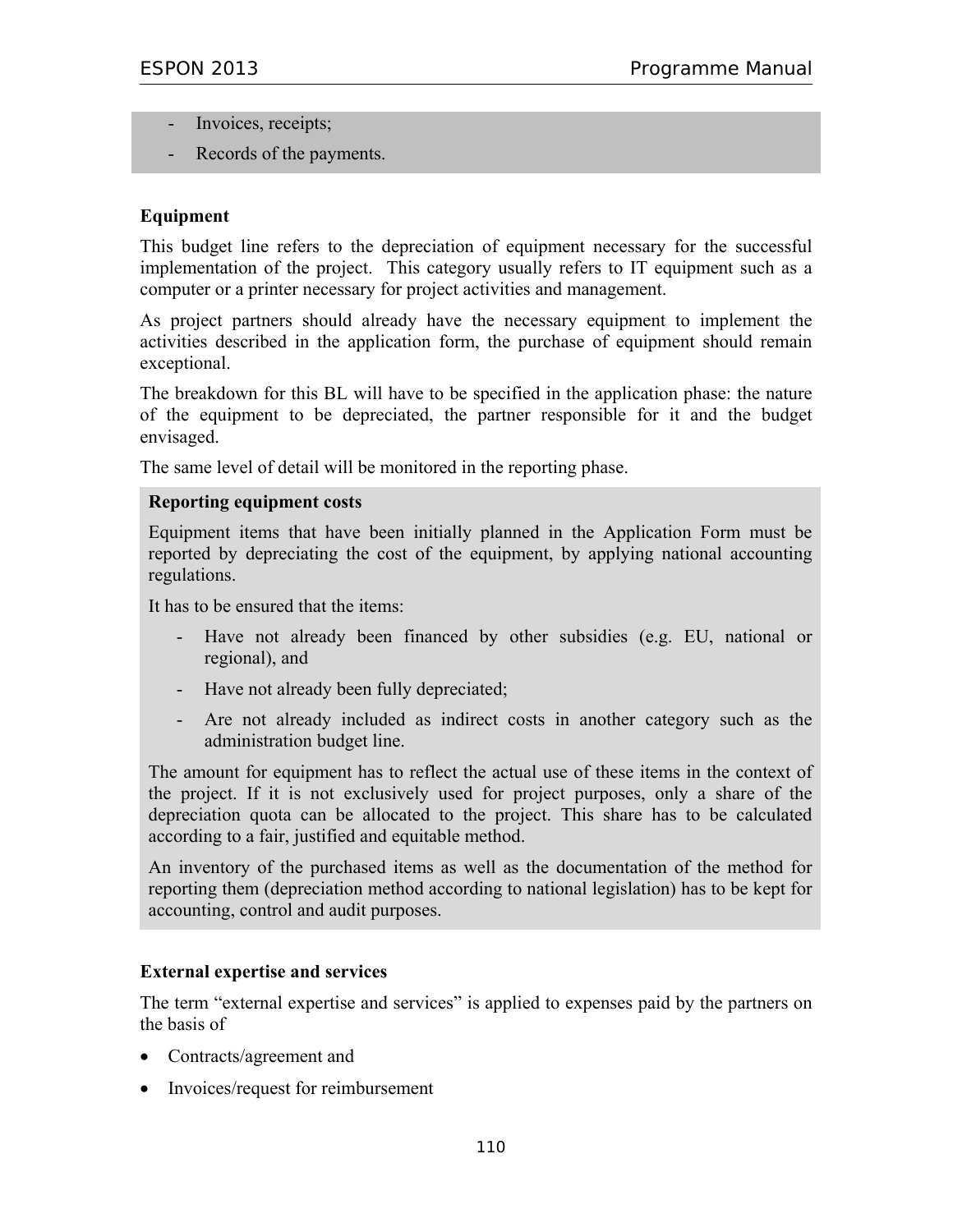- Invoices, receipts;
- Records of the payments.

#### **Equipment**

This budget line refers to the depreciation of equipment necessary for the successful implementation of the project. This category usually refers to IT equipment such as a computer or a printer necessary for project activities and management.

As project partners should already have the necessary equipment to implement the activities described in the application form, the purchase of equipment should remain exceptional.

The breakdown for this BL will have to be specified in the application phase: the nature of the equipment to be depreciated, the partner responsible for it and the budget envisaged.

The same level of detail will be monitored in the reporting phase.

#### **Reporting equipment costs**

Equipment items that have been initially planned in the Application Form must be reported by depreciating the cost of the equipment, by applying national accounting regulations.

It has to be ensured that the items:

- Have not already been financed by other subsidies (e.g. EU, national or regional), and
- Have not already been fully depreciated;
- Are not already included as indirect costs in another category such as the administration budget line.

The amount for equipment has to reflect the actual use of these items in the context of the project. If it is not exclusively used for project purposes, only a share of the depreciation quota can be allocated to the project. This share has to be calculated according to a fair, justified and equitable method.

An inventory of the purchased items as well as the documentation of the method for reporting them (depreciation method according to national legislation) has to be kept for accounting, control and audit purposes.

#### **External expertise and services**

The term "external expertise and services" is applied to expenses paid by the partners on the basis of

- Contracts/agreement and
- Invoices/request for reimbursement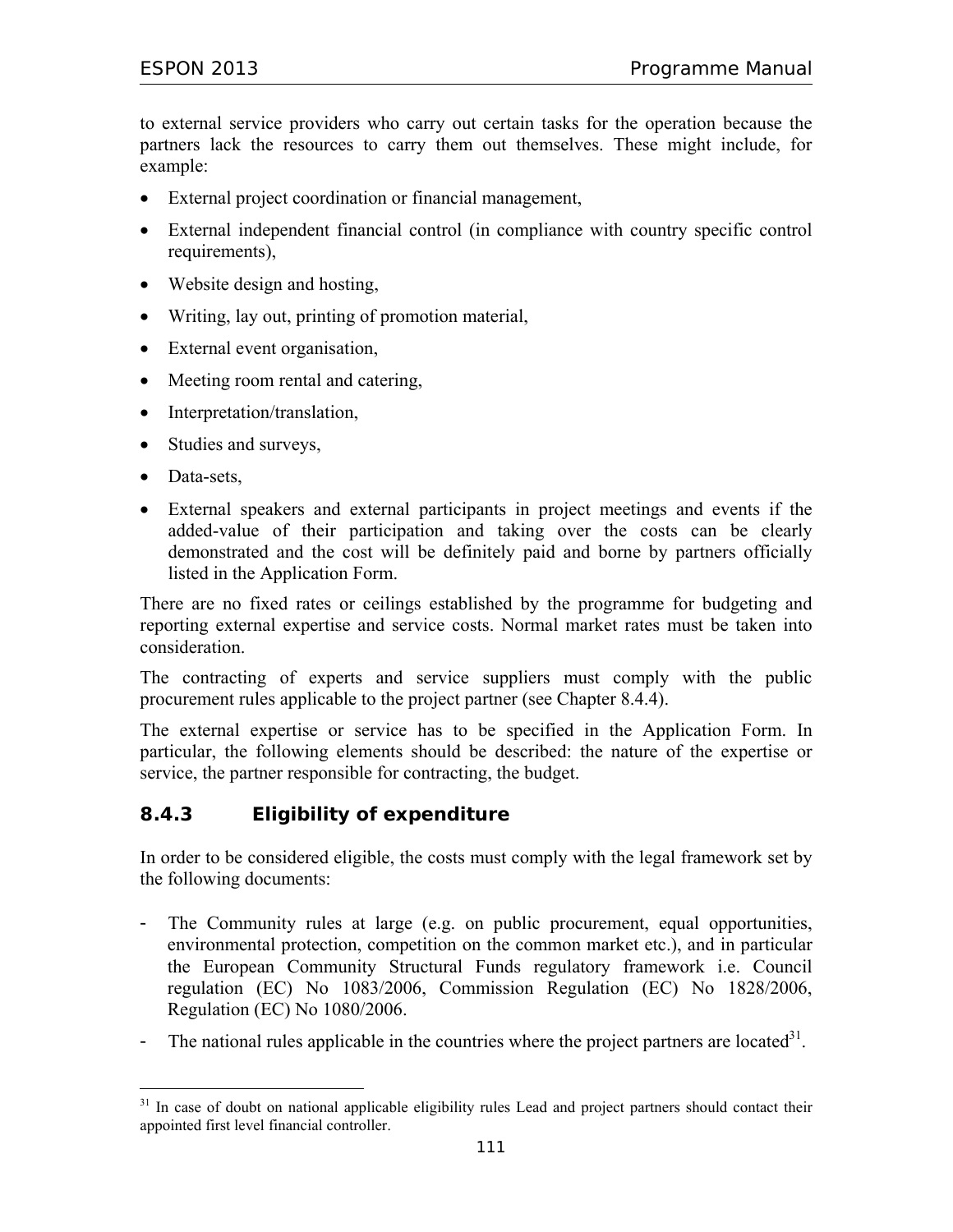to external service providers who carry out certain tasks for the operation because the partners lack the resources to carry them out themselves. These might include, for example:

- External project coordination or financial management,
- External independent financial control (in compliance with country specific control requirements),
- Website design and hosting,
- Writing, lay out, printing of promotion material,
- External event organisation,
- Meeting room rental and catering,
- Interpretation/translation,
- Studies and surveys,
- Data-sets,

-

• External speakers and external participants in project meetings and events if the added-value of their participation and taking over the costs can be clearly demonstrated and the cost will be definitely paid and borne by partners officially listed in the Application Form.

There are no fixed rates or ceilings established by the programme for budgeting and reporting external expertise and service costs. Normal market rates must be taken into consideration.

The contracting of experts and service suppliers must comply with the public procurement rules applicable to the project partner (see Chapter 8.4.4).

The external expertise or service has to be specified in the Application Form. In particular, the following elements should be described: the nature of the expertise or service, the partner responsible for contracting, the budget.

# **8.4.3 Eligibility of expenditure**

In order to be considered eligible, the costs must comply with the legal framework set by the following documents:

- The Community rules at large (e.g. on public procurement, equal opportunities, environmental protection, competition on the common market etc.), and in particular the European Community Structural Funds regulatory framework i.e. Council regulation (EC) No 1083/2006, Commission Regulation (EC) No 1828/2006, Regulation (EC) No 1080/2006.
- The national rules applicable in the countries where the project partners are located<sup>31</sup>.

<sup>&</sup>lt;sup>31</sup> In case of doubt on national applicable eligibility rules Lead and project partners should contact their appointed first level financial controller.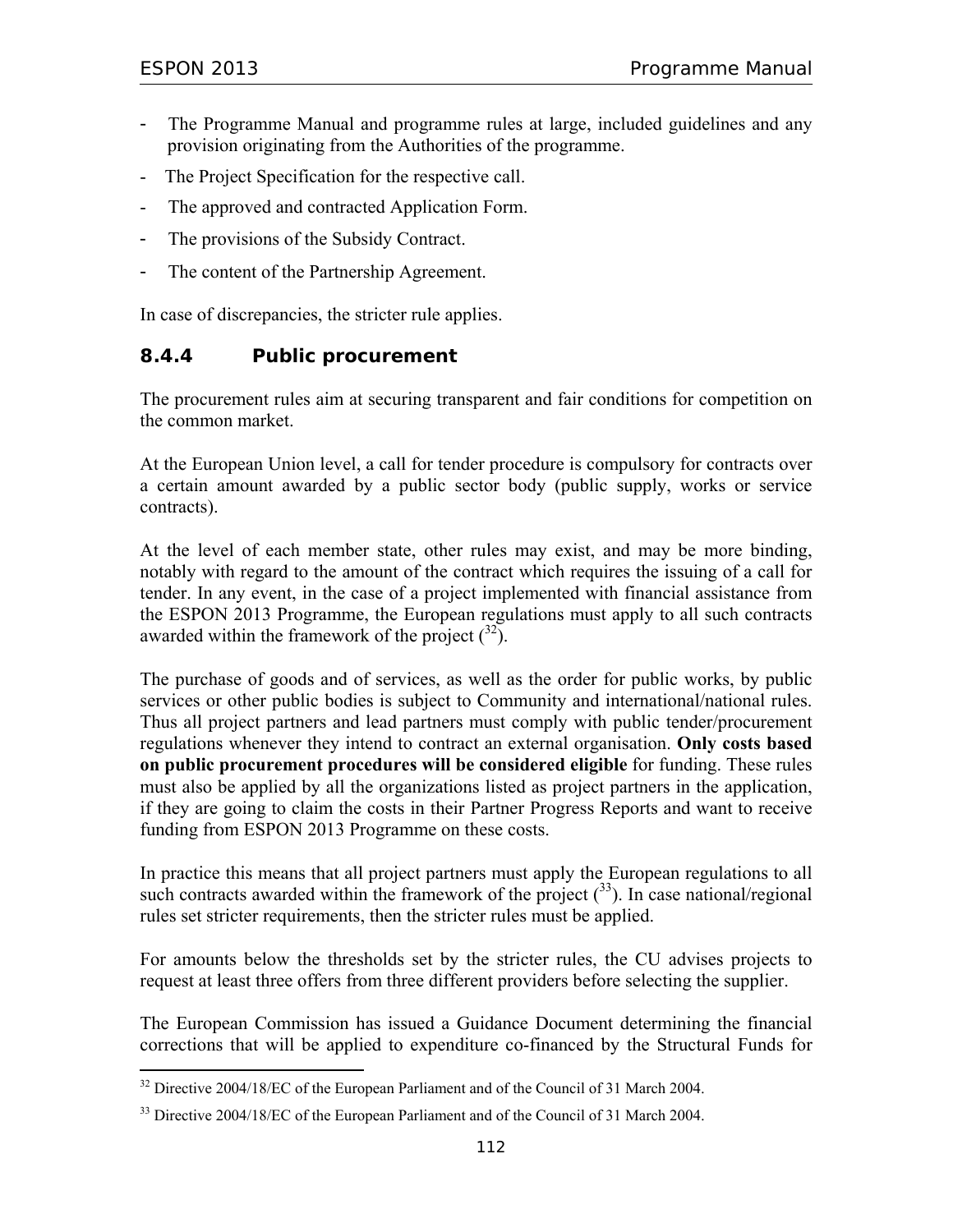$\overline{a}$ 

- The Programme Manual and programme rules at large, included guidelines and any provision originating from the Authorities of the programme.
- The Project Specification for the respective call.
- The approved and contracted Application Form.
- The provisions of the Subsidy Contract.
- The content of the Partnership Agreement.

In case of discrepancies, the stricter rule applies.

# **8.4.4 Public procurement**

The procurement rules aim at securing transparent and fair conditions for competition on the common market.

At the European Union level, a call for tender procedure is compulsory for contracts over a certain amount awarded by a public sector body (public supply, works or service contracts).

At the level of each member state, other rules may exist, and may be more binding, notably with regard to the amount of the contract which requires the issuing of a call for tender. In any event, in the case of a project implemented with financial assistance from the ESPON 2013 Programme, the European regulations must apply to all such contracts awarded within the framework of the project  $\binom{32}{2}$ .

The purchase of goods and of services, as well as the order for public works, by public services or other public bodies is subject to Community and international/national rules. Thus all project partners and lead partners must comply with public tender/procurement regulations whenever they intend to contract an external organisation. **Only costs based on public procurement procedures will be considered eligible** for funding. These rules must also be applied by all the organizations listed as project partners in the application, if they are going to claim the costs in their Partner Progress Reports and want to receive funding from ESPON 2013 Programme on these costs.

In practice this means that all project partners must apply the European regulations to all such contracts awarded within the framework of the project  $(3)$ . In case national/regional rules set stricter requirements, then the stricter rules must be applied.

For amounts below the thresholds set by the stricter rules, the CU advises projects to request at least three offers from three different providers before selecting the supplier.

The European Commission has issued a Guidance Document determining the financial corrections that will be applied to expenditure co-financed by the Structural Funds for

 $32$  Directive 2004/18/EC of the European Parliament and of the Council of 31 March 2004.

 $33$  Directive 2004/18/EC of the European Parliament and of the Council of 31 March 2004.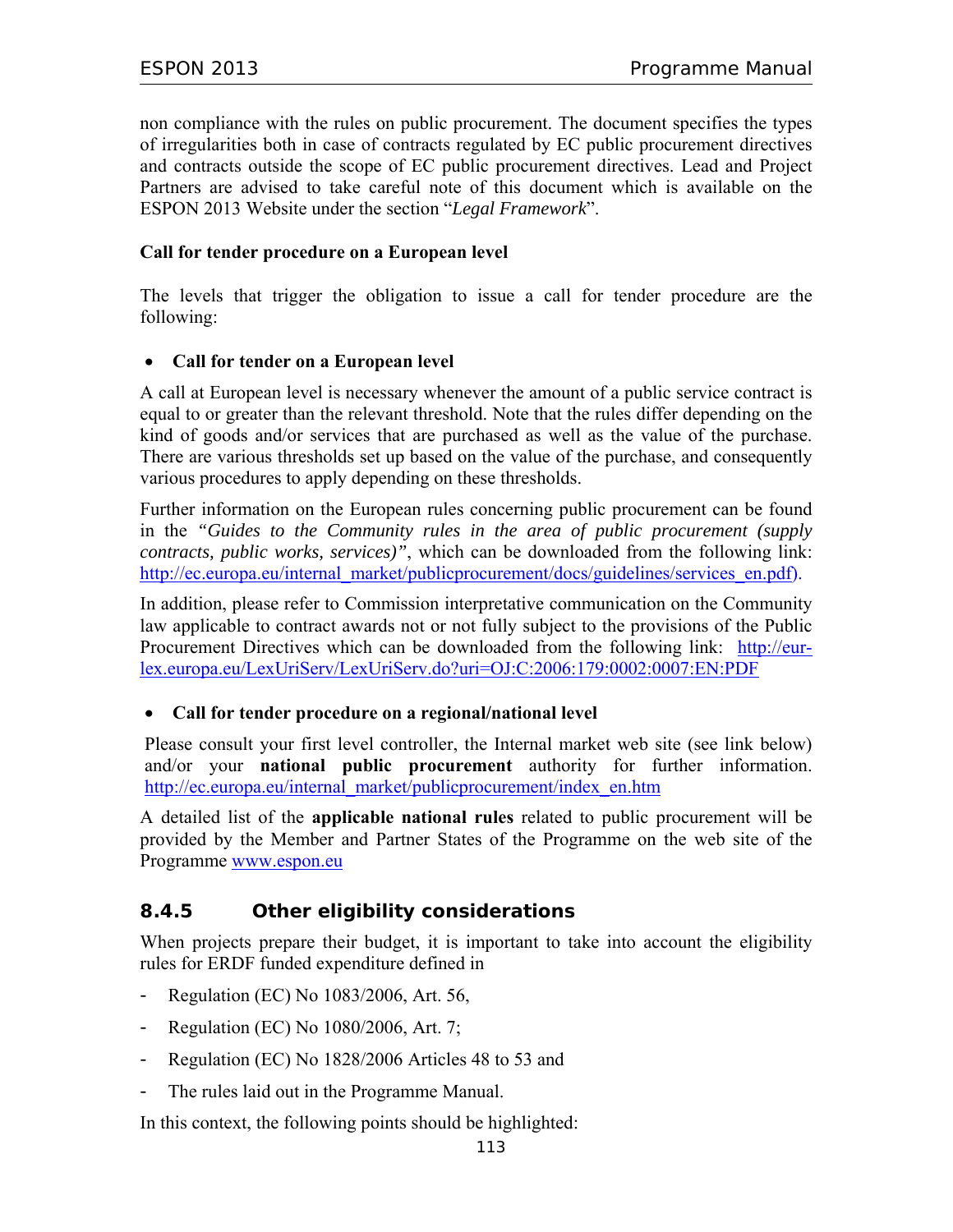non compliance with the rules on public procurement. The document specifies the types of irregularities both in case of contracts regulated by EC public procurement directives and contracts outside the scope of EC public procurement directives. Lead and Project Partners are advised to take careful note of this document which is available on the ESPON 2013 Website under the section "*Legal Framework*".

#### **Call for tender procedure on a European level**

The levels that trigger the obligation to issue a call for tender procedure are the following:

#### • **Call for tender on a European level**

A call at European level is necessary whenever the amount of a public service contract is equal to or greater than the relevant threshold. Note that the rules differ depending on the kind of goods and/or services that are purchased as well as the value of the purchase. There are various thresholds set up based on the value of the purchase, and consequently various procedures to apply depending on these thresholds.

Further information on the European rules concerning public procurement can be found in the *"Guides to the Community rules in the area of public procurement (supply contracts, public works, services)"*, which can be downloaded from the following link: http://ec.europa.eu/internal\_market/publicprocurement/docs/guidelines/services\_en.pdf).

In addition, please refer to Commission interpretative communication on the Community law applicable to contract awards not or not fully subject to the provisions of the Public Procurement Directives which can be downloaded from the following link: http://eurlex.europa.eu/LexUriServ/LexUriServ.do?uri=OJ:C:2006:179:0002:0007:EN:PDF

#### • **Call for tender procedure on a regional/national level**

Please consult your first level controller, the Internal market web site (see link below) and/or your **national public procurement** authority for further information. http://ec.europa.eu/internal\_market/publicprocurement/index\_en.htm

A detailed list of the **applicable national rules** related to public procurement will be provided by the Member and Partner States of the Programme on the web site of the Programme www.espon.eu

### **8.4.5 Other eligibility considerations**

When projects prepare their budget, it is important to take into account the eligibility rules for ERDF funded expenditure defined in

- Regulation (EC) No 1083/2006, Art. 56,
- Regulation (EC) No 1080/2006, Art. 7;
- Regulation (EC) No 1828/2006 Articles 48 to 53 and
- The rules laid out in the Programme Manual.

In this context, the following points should be highlighted: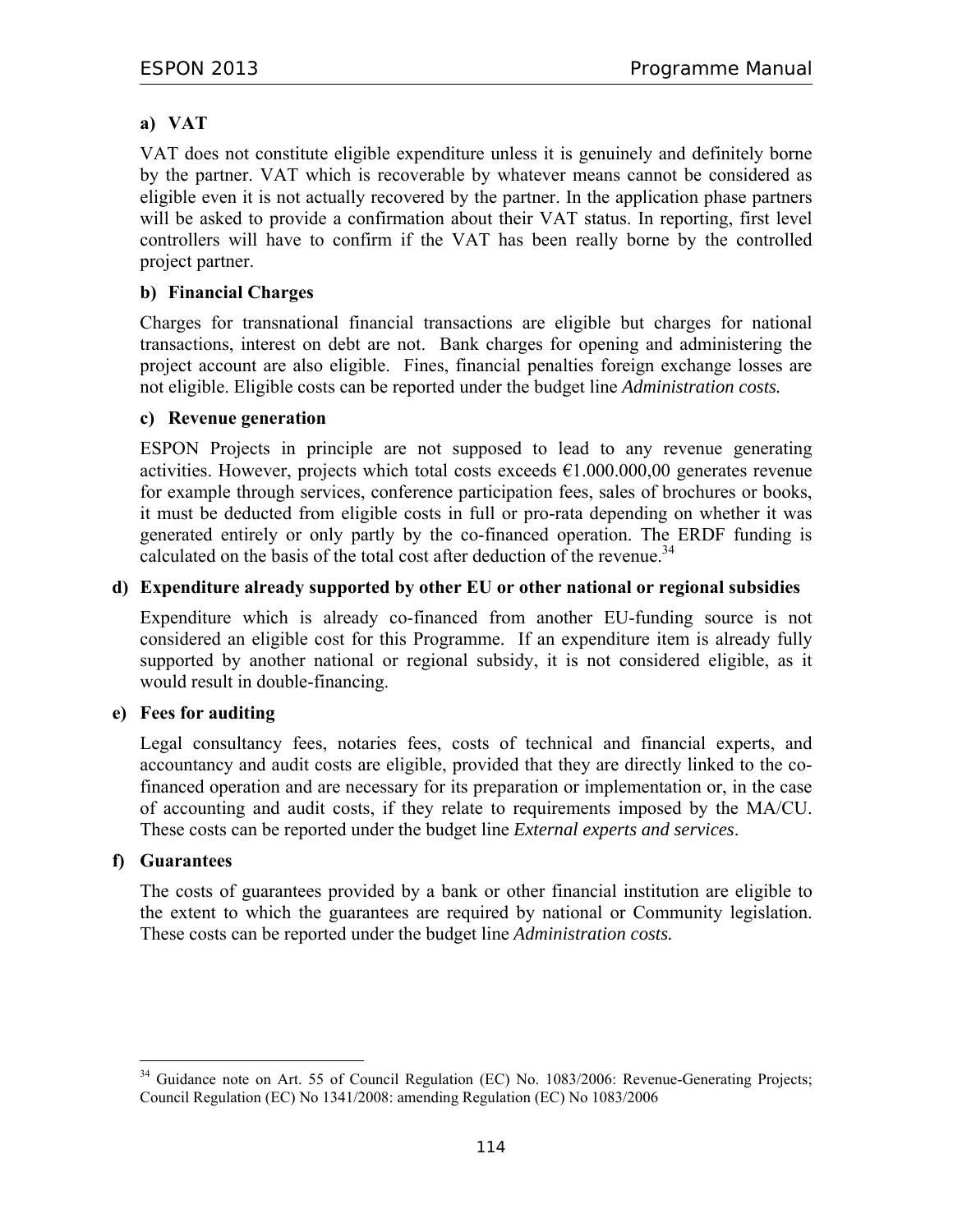# **a) VAT**

VAT does not constitute eligible expenditure unless it is genuinely and definitely borne by the partner. VAT which is recoverable by whatever means cannot be considered as eligible even it is not actually recovered by the partner. In the application phase partners will be asked to provide a confirmation about their VAT status. In reporting, first level controllers will have to confirm if the VAT has been really borne by the controlled project partner.

### **b) Financial Charges**

Charges for transnational financial transactions are eligible but charges for national transactions, interest on debt are not. Bank charges for opening and administering the project account are also eligible. Fines, financial penalties foreign exchange losses are not eligible. Eligible costs can be reported under the budget line *Administration costs.*

#### **c) Revenue generation**

ESPON Projects in principle are not supposed to lead to any revenue generating activities. However, projects which total costs exceeds  $\epsilon$ 1.000.000,00 generates revenue for example through services, conference participation fees, sales of brochures or books, it must be deducted from eligible costs in full or pro-rata depending on whether it was generated entirely or only partly by the co-financed operation. The ERDF funding is calculated on the basis of the total cost after deduction of the revenue.<sup>34</sup>

#### **d) Expenditure already supported by other EU or other national or regional subsidies**

Expenditure which is already co-financed from another EU-funding source is not considered an eligible cost for this Programme. If an expenditure item is already fully supported by another national or regional subsidy, it is not considered eligible, as it would result in double-financing.

#### **e) Fees for auditing**

Legal consultancy fees, notaries fees, costs of technical and financial experts, and accountancy and audit costs are eligible, provided that they are directly linked to the cofinanced operation and are necessary for its preparation or implementation or, in the case of accounting and audit costs, if they relate to requirements imposed by the MA/CU. These costs can be reported under the budget line *External experts and services*.

#### **f) Guarantees**

 $\overline{a}$ 

The costs of guarantees provided by a bank or other financial institution are eligible to the extent to which the guarantees are required by national or Community legislation. These costs can be reported under the budget line *Administration costs.*

<sup>&</sup>lt;sup>34</sup> Guidance note on Art. 55 of Council Regulation (EC) No. 1083/2006: Revenue-Generating Projects; Council Regulation (EC) No 1341/2008: amending Regulation (EC) No 1083/2006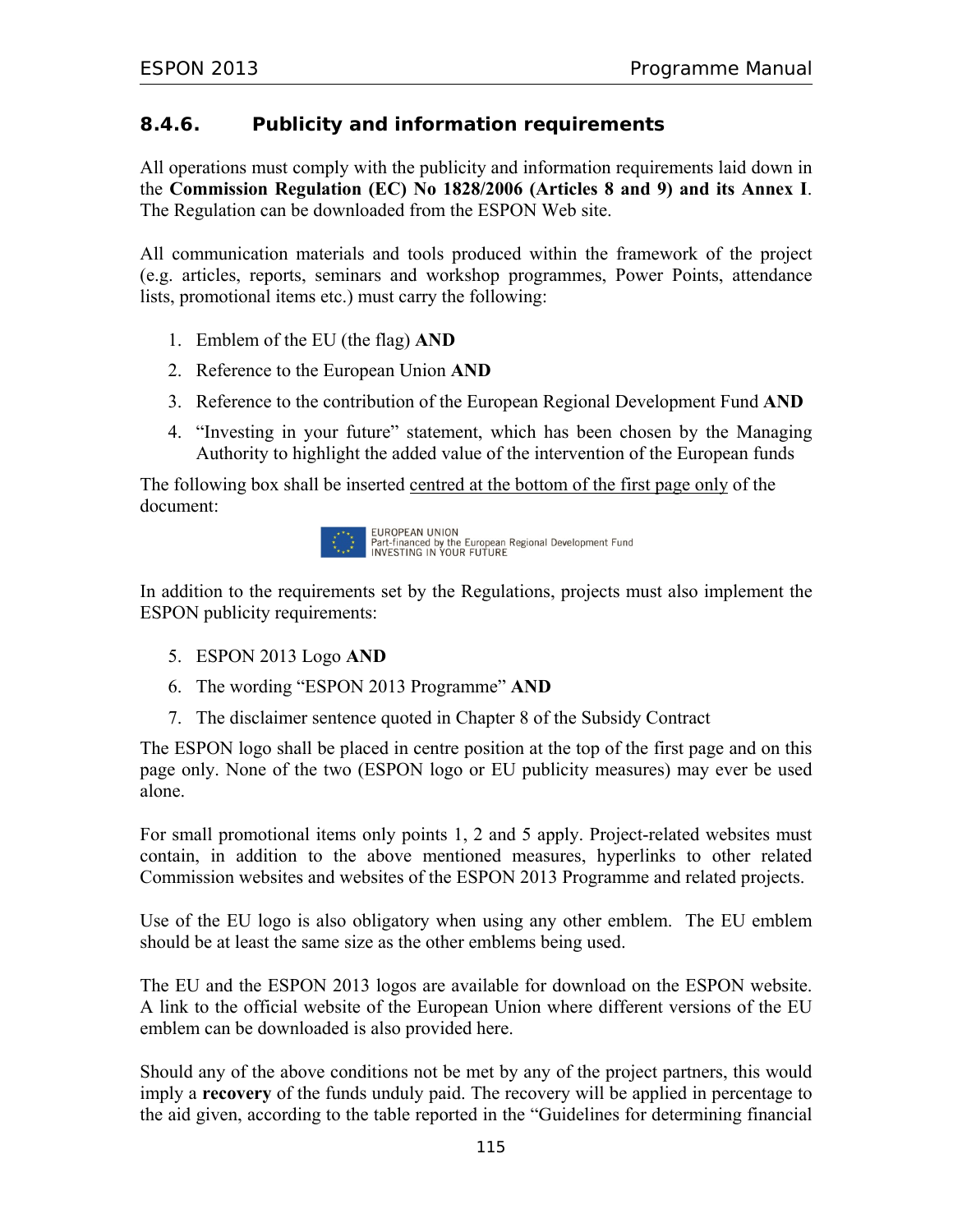# **8.4.6. Publicity and information requirements**

All operations must comply with the publicity and information requirements laid down in the **Commission Regulation (EC) No 1828/2006 (Articles 8 and 9) and its Annex I**. The Regulation can be downloaded from the ESPON Web site.

All communication materials and tools produced within the framework of the project (e.g. articles, reports, seminars and workshop programmes, Power Points, attendance lists, promotional items etc.) must carry the following:

- 1. Emblem of the EU (the flag) **AND**
- 2. Reference to the European Union **AND**
- 3. Reference to the contribution of the European Regional Development Fund **AND**
- 4. "Investing in your future" statement, which has been chosen by the Managing Authority to highlight the added value of the intervention of the European funds

The following box shall be inserted centred at the bottom of the first page only of the document:



In addition to the requirements set by the Regulations, projects must also implement the ESPON publicity requirements:

- 5. ESPON 2013 Logo **AND**
- 6. The wording "ESPON 2013 Programme" **AND**
- 7. The disclaimer sentence quoted in Chapter 8 of the Subsidy Contract

The ESPON logo shall be placed in centre position at the top of the first page and on this page only. None of the two (ESPON logo or EU publicity measures) may ever be used alone.

For small promotional items only points 1, 2 and 5 apply. Project-related websites must contain, in addition to the above mentioned measures, hyperlinks to other related Commission websites and websites of the ESPON 2013 Programme and related projects.

Use of the EU logo is also obligatory when using any other emblem. The EU emblem should be at least the same size as the other emblems being used.

The EU and the ESPON 2013 logos are available for download on the ESPON website. A link to the official website of the European Union where different versions of the EU emblem can be downloaded is also provided here.

Should any of the above conditions not be met by any of the project partners, this would imply a **recovery** of the funds unduly paid. The recovery will be applied in percentage to the aid given, according to the table reported in the "Guidelines for determining financial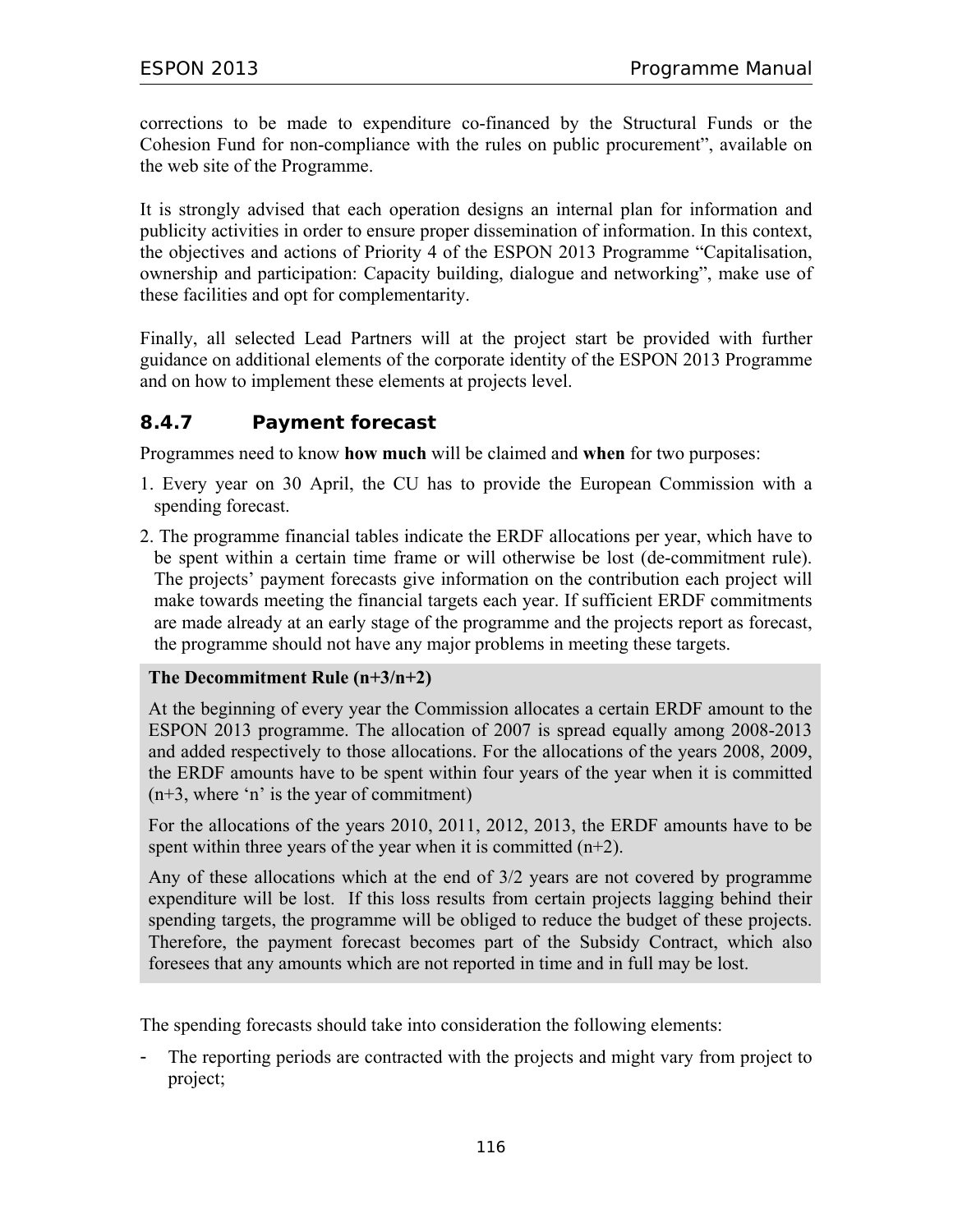corrections to be made to expenditure co-financed by the Structural Funds or the Cohesion Fund for non-compliance with the rules on public procurement", available on the web site of the Programme.

It is strongly advised that each operation designs an internal plan for information and publicity activities in order to ensure proper dissemination of information. In this context, the objectives and actions of Priority 4 of the ESPON 2013 Programme "Capitalisation, ownership and participation: Capacity building, dialogue and networking", make use of these facilities and opt for complementarity.

Finally, all selected Lead Partners will at the project start be provided with further guidance on additional elements of the corporate identity of the ESPON 2013 Programme and on how to implement these elements at projects level.

### **8.4.7 Payment forecast**

Programmes need to know **how much** will be claimed and **when** for two purposes:

- 1. Every year on 30 April, the CU has to provide the European Commission with a spending forecast.
- 2. The programme financial tables indicate the ERDF allocations per year, which have to be spent within a certain time frame or will otherwise be lost (de-commitment rule). The projects' payment forecasts give information on the contribution each project will make towards meeting the financial targets each year. If sufficient ERDF commitments are made already at an early stage of the programme and the projects report as forecast, the programme should not have any major problems in meeting these targets.

#### **The Decommitment Rule (n+3/n+2)**

At the beginning of every year the Commission allocates a certain ERDF amount to the ESPON 2013 programme. The allocation of 2007 is spread equally among 2008-2013 and added respectively to those allocations. For the allocations of the years 2008, 2009, the ERDF amounts have to be spent within four years of the year when it is committed (n+3, where 'n' is the year of commitment)

For the allocations of the years 2010, 2011, 2012, 2013, the ERDF amounts have to be spent within three years of the year when it is committed  $(n+2)$ .

Any of these allocations which at the end of 3/2 years are not covered by programme expenditure will be lost. If this loss results from certain projects lagging behind their spending targets, the programme will be obliged to reduce the budget of these projects. Therefore, the payment forecast becomes part of the Subsidy Contract, which also foresees that any amounts which are not reported in time and in full may be lost.

The spending forecasts should take into consideration the following elements:

The reporting periods are contracted with the projects and might vary from project to project;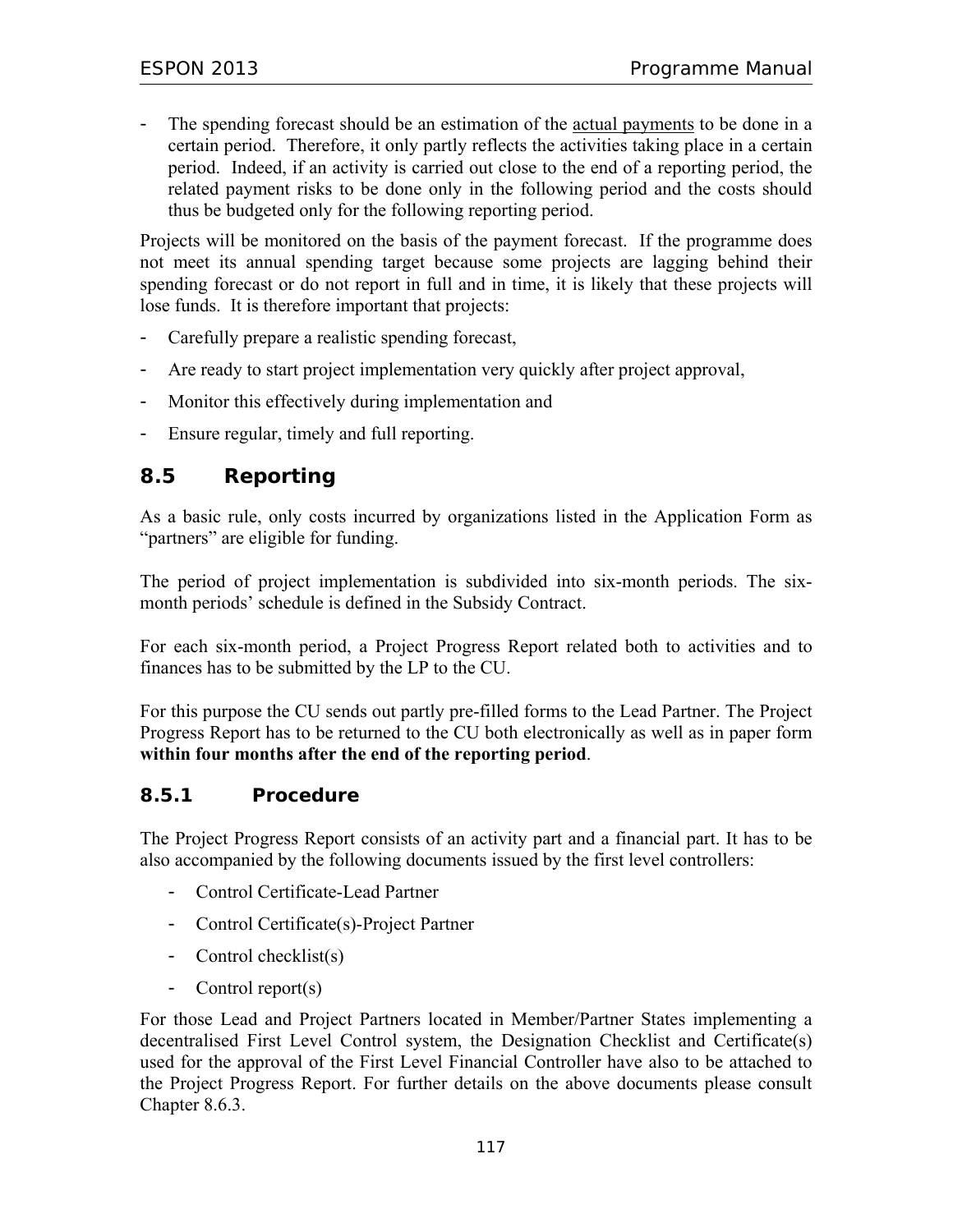The spending forecast should be an estimation of the actual payments to be done in a certain period. Therefore, it only partly reflects the activities taking place in a certain period. Indeed, if an activity is carried out close to the end of a reporting period, the related payment risks to be done only in the following period and the costs should thus be budgeted only for the following reporting period.

Projects will be monitored on the basis of the payment forecast. If the programme does not meet its annual spending target because some projects are lagging behind their spending forecast or do not report in full and in time, it is likely that these projects will lose funds. It is therefore important that projects:

- Carefully prepare a realistic spending forecast,
- Are ready to start project implementation very quickly after project approval,
- Monitor this effectively during implementation and
- Ensure regular, timely and full reporting.

# **8.5 Reporting**

As a basic rule, only costs incurred by organizations listed in the Application Form as "partners" are eligible for funding.

The period of project implementation is subdivided into six-month periods. The sixmonth periods' schedule is defined in the Subsidy Contract.

For each six-month period, a Project Progress Report related both to activities and to finances has to be submitted by the LP to the CU.

For this purpose the CU sends out partly pre-filled forms to the Lead Partner. The Project Progress Report has to be returned to the CU both electronically as well as in paper form **within four months after the end of the reporting period**.

#### **8.5.1 Procedure**

The Project Progress Report consists of an activity part and a financial part. It has to be also accompanied by the following documents issued by the first level controllers:

- Control Certificate-Lead Partner
- Control Certificate(s)-Project Partner
- Control checklist(s)
- Control report(s)

For those Lead and Project Partners located in Member/Partner States implementing a decentralised First Level Control system, the Designation Checklist and Certificate(s) used for the approval of the First Level Financial Controller have also to be attached to the Project Progress Report. For further details on the above documents please consult Chapter 8.6.3.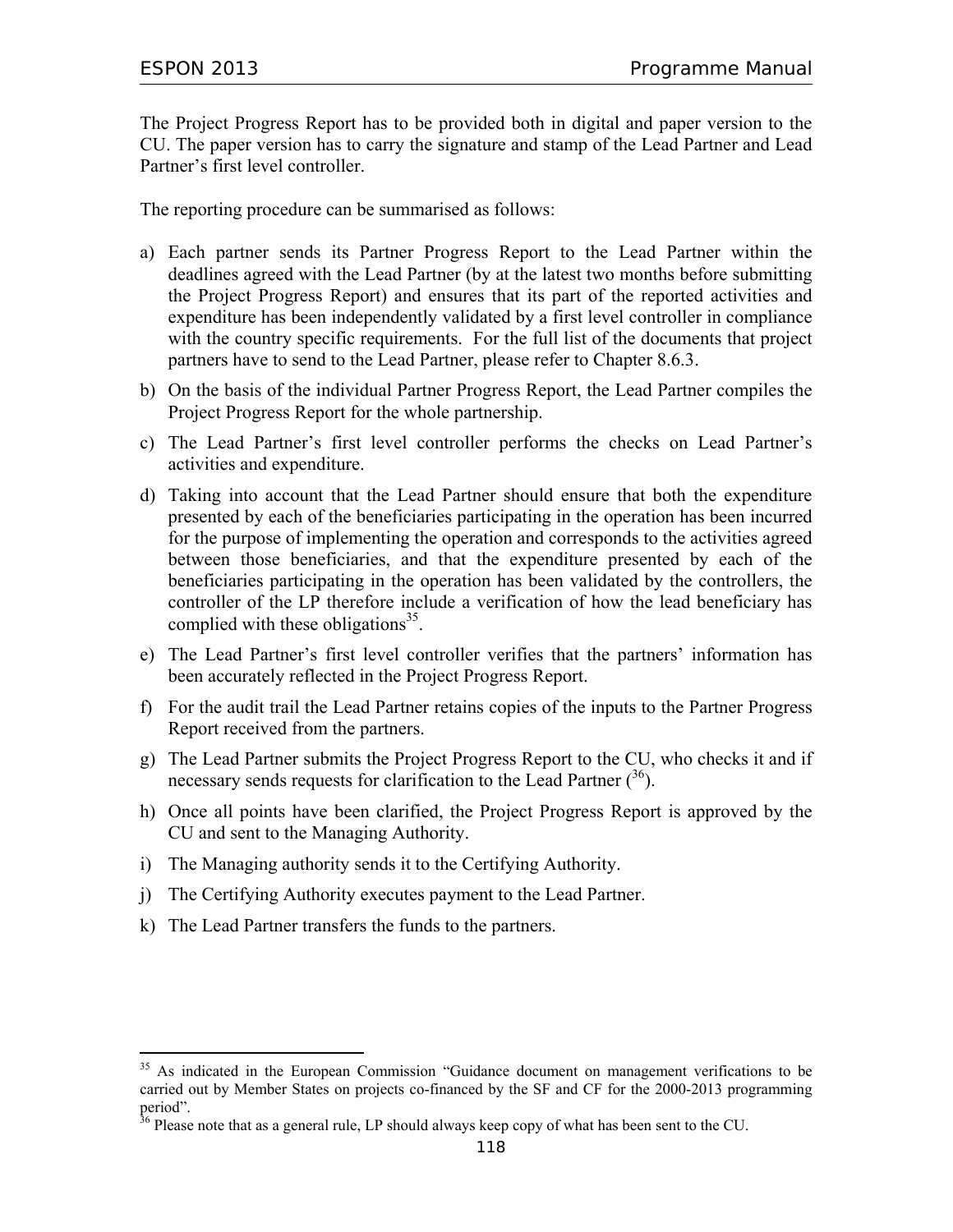The Project Progress Report has to be provided both in digital and paper version to the CU. The paper version has to carry the signature and stamp of the Lead Partner and Lead Partner's first level controller.

The reporting procedure can be summarised as follows:

- a) Each partner sends its Partner Progress Report to the Lead Partner within the deadlines agreed with the Lead Partner (by at the latest two months before submitting the Project Progress Report) and ensures that its part of the reported activities and expenditure has been independently validated by a first level controller in compliance with the country specific requirements. For the full list of the documents that project partners have to send to the Lead Partner, please refer to Chapter 8.6.3.
- b) On the basis of the individual Partner Progress Report, the Lead Partner compiles the Project Progress Report for the whole partnership.
- c) The Lead Partner's first level controller performs the checks on Lead Partner's activities and expenditure.
- d) Taking into account that the Lead Partner should ensure that both the expenditure presented by each of the beneficiaries participating in the operation has been incurred for the purpose of implementing the operation and corresponds to the activities agreed between those beneficiaries, and that the expenditure presented by each of the beneficiaries participating in the operation has been validated by the controllers, the controller of the LP therefore include a verification of how the lead beneficiary has complied with these obligations<sup>35</sup>.
- e) The Lead Partner's first level controller verifies that the partners' information has been accurately reflected in the Project Progress Report.
- f) For the audit trail the Lead Partner retains copies of the inputs to the Partner Progress Report received from the partners.
- g) The Lead Partner submits the Project Progress Report to the CU, who checks it and if necessary sends requests for clarification to the Lead Partner  $(36)$ .
- h) Once all points have been clarified, the Project Progress Report is approved by the CU and sent to the Managing Authority.
- i) The Managing authority sends it to the Certifying Authority.
- j) The Certifying Authority executes payment to the Lead Partner.
- k) The Lead Partner transfers the funds to the partners.

 $\overline{a}$ 

<sup>&</sup>lt;sup>35</sup> As indicated in the European Commission "Guidance document on management verifications to be carried out by Member States on projects co-financed by the SF and CF for the 2000-2013 programming period".

 $36$  Please note that as a general rule, LP should always keep copy of what has been sent to the CU.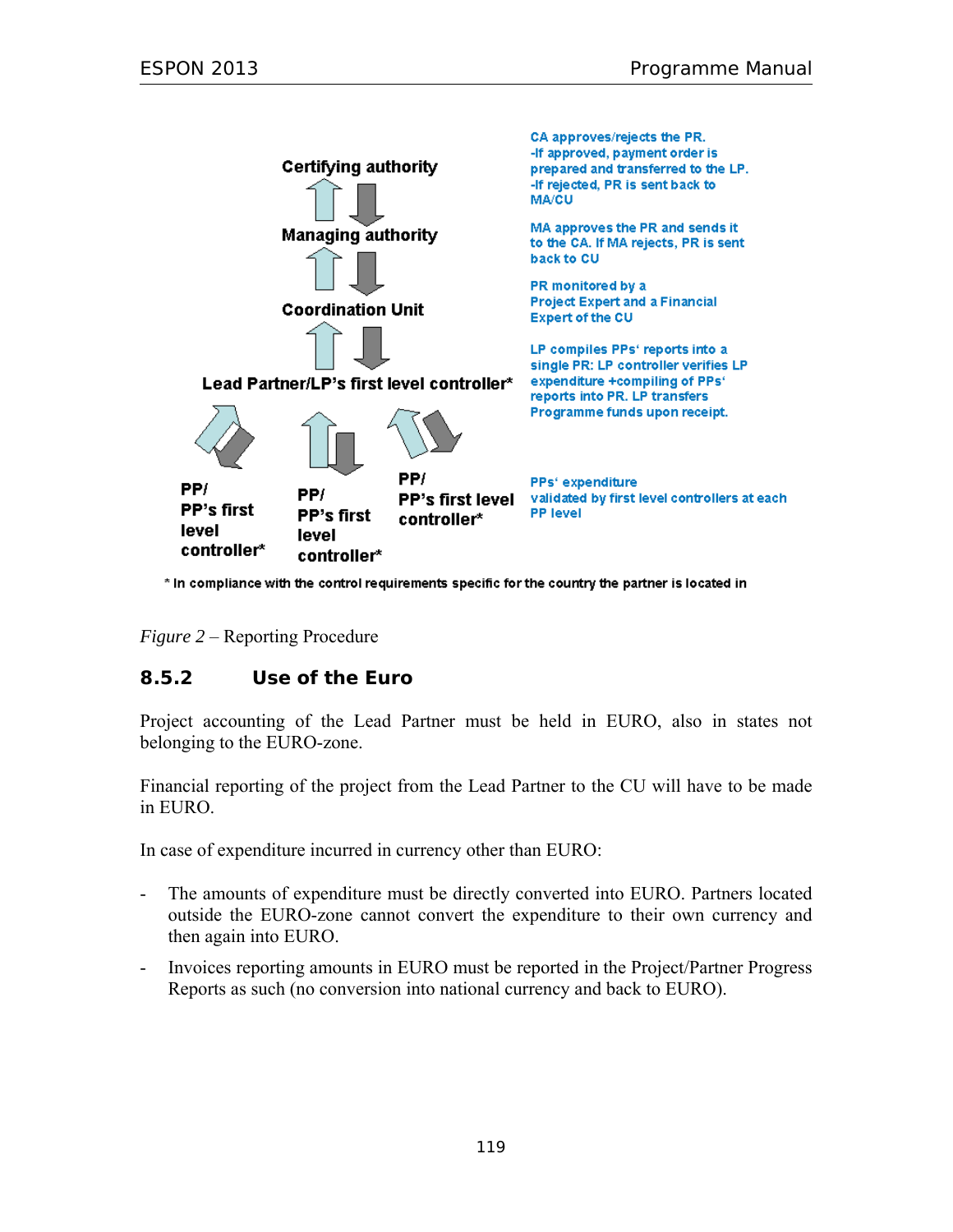

\* In compliance with the control requirements specific for the country the partner is located in

*Figure 2* – Reporting Procedure

### **8.5.2 Use of the Euro**

Project accounting of the Lead Partner must be held in EURO, also in states not belonging to the EURO-zone.

Financial reporting of the project from the Lead Partner to the CU will have to be made in EURO.

In case of expenditure incurred in currency other than EURO:

- The amounts of expenditure must be directly converted into EURO. Partners located outside the EURO-zone cannot convert the expenditure to their own currency and then again into EURO.
- Invoices reporting amounts in EURO must be reported in the Project/Partner Progress Reports as such (no conversion into national currency and back to EURO).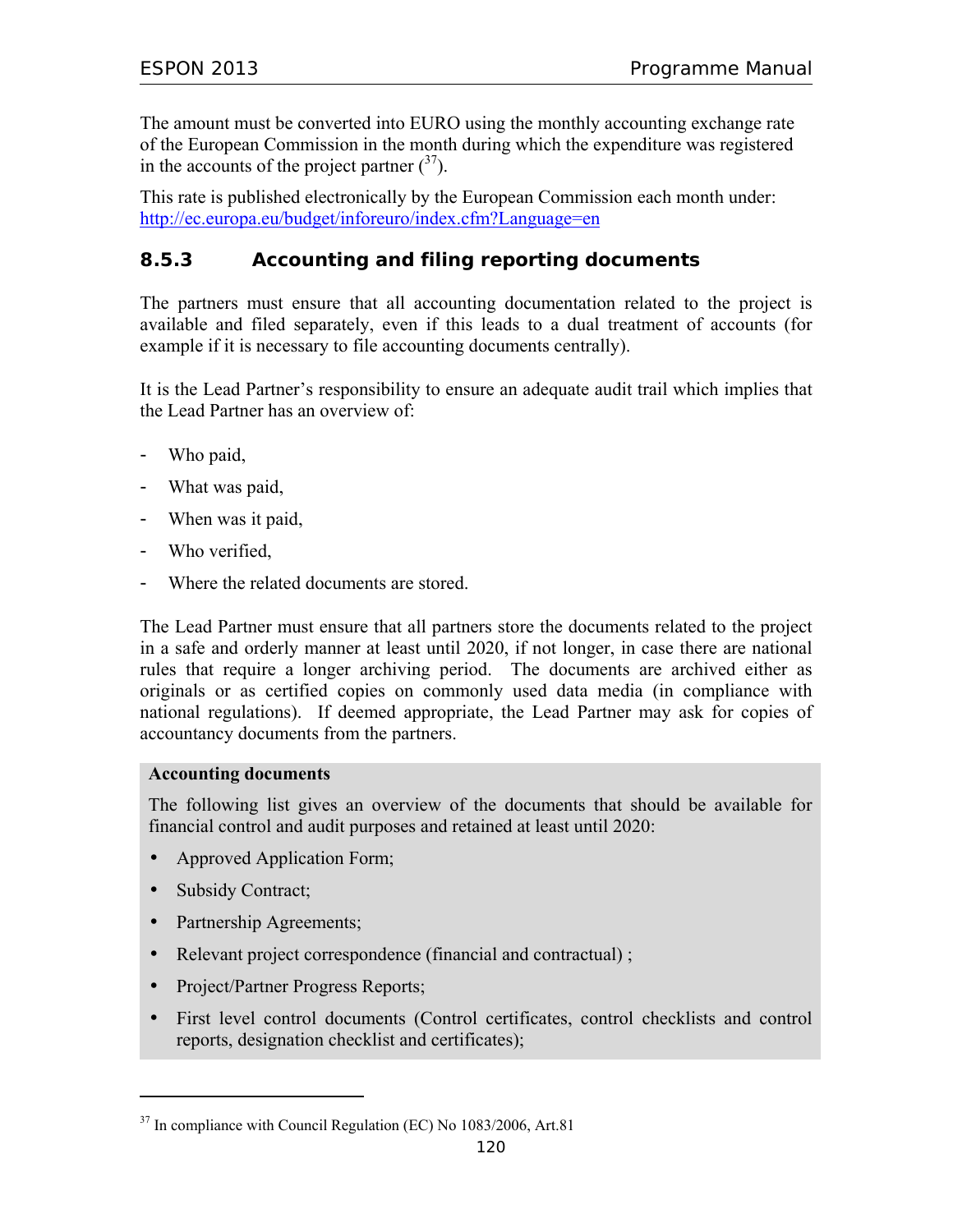The amount must be converted into EURO using the monthly accounting exchange rate of the European Commission in the month during which the expenditure was registered in the accounts of the project partner  $\binom{37}{1}$ .

This rate is published electronically by the European Commission each month under: http://ec.europa.eu/budget/inforeuro/index.cfm?Language=en

# **8.5.3 Accounting and filing reporting documents**

The partners must ensure that all accounting documentation related to the project is available and filed separately, even if this leads to a dual treatment of accounts (for example if it is necessary to file accounting documents centrally).

It is the Lead Partner's responsibility to ensure an adequate audit trail which implies that the Lead Partner has an overview of:

- Who paid,
- What was paid,
- When was it paid,
- Who verified,
- Where the related documents are stored.

The Lead Partner must ensure that all partners store the documents related to the project in a safe and orderly manner at least until 2020, if not longer, in case there are national rules that require a longer archiving period. The documents are archived either as originals or as certified copies on commonly used data media (in compliance with national regulations). If deemed appropriate, the Lead Partner may ask for copies of accountancy documents from the partners.

#### **Accounting documents**

The following list gives an overview of the documents that should be available for financial control and audit purposes and retained at least until 2020:

- Approved Application Form;
- Subsidy Contract;

 $\overline{a}$ 

- Partnership Agreements;
- Relevant project correspondence (financial and contractual) ;
- Project/Partner Progress Reports;
- First level control documents (Control certificates, control checklists and control reports, designation checklist and certificates);

<sup>&</sup>lt;sup>37</sup> In compliance with Council Regulation (EC) No 1083/2006, Art.81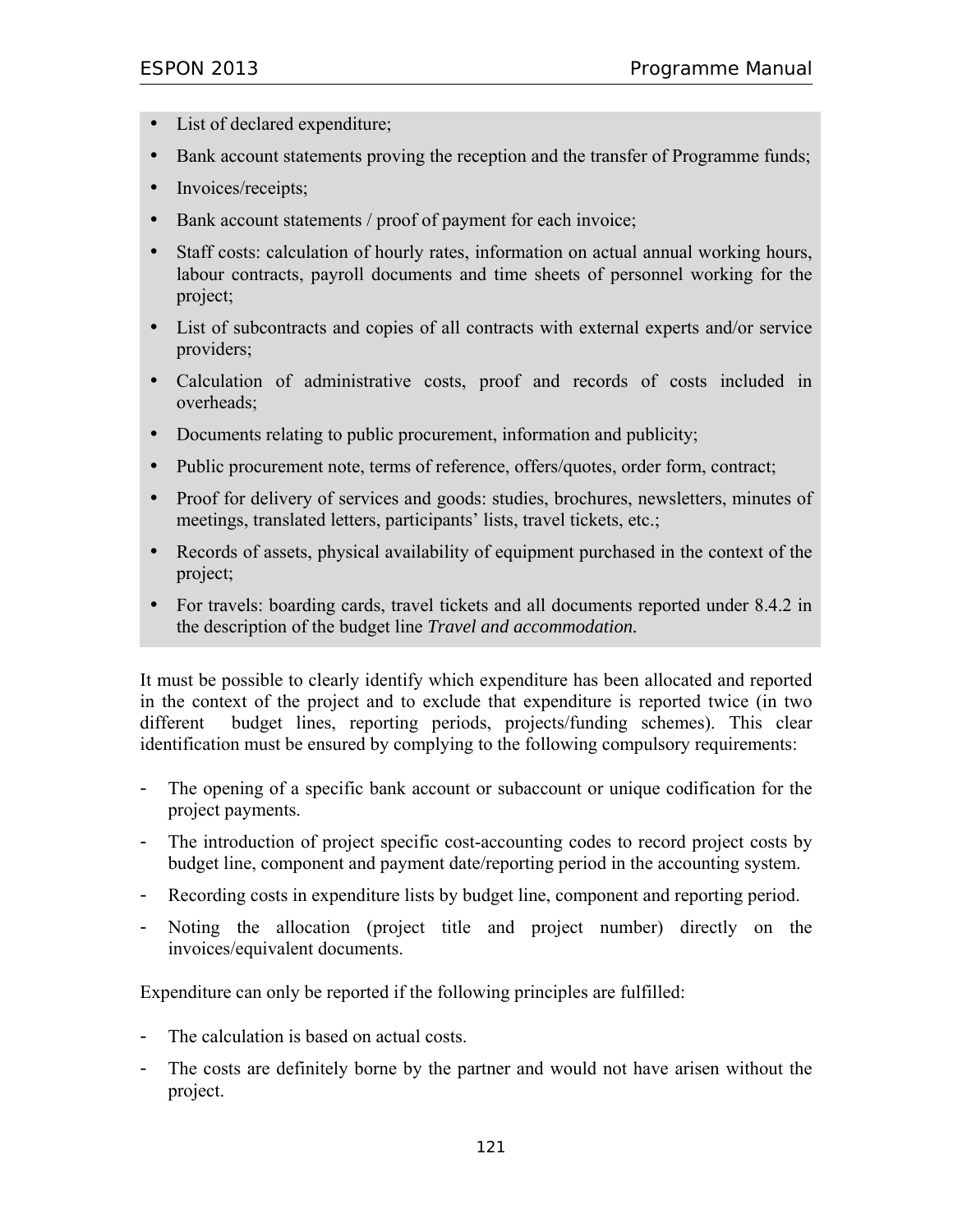- List of declared expenditure;
- Bank account statements proving the reception and the transfer of Programme funds;
- Invoices/receipts;
- Bank account statements / proof of payment for each invoice;
- Staff costs: calculation of hourly rates, information on actual annual working hours, labour contracts, payroll documents and time sheets of personnel working for the project;
- List of subcontracts and copies of all contracts with external experts and/or service providers;
- Calculation of administrative costs, proof and records of costs included in overheads;
- Documents relating to public procurement, information and publicity;
- Public procurement note, terms of reference, offers/quotes, order form, contract;
- Proof for delivery of services and goods: studies, brochures, newsletters, minutes of meetings, translated letters, participants' lists, travel tickets, etc.;
- Records of assets, physical availability of equipment purchased in the context of the project;
- For travels: boarding cards, travel tickets and all documents reported under 8.4.2 in the description of the budget line *Travel and accommodation.*

It must be possible to clearly identify which expenditure has been allocated and reported in the context of the project and to exclude that expenditure is reported twice (in two different budget lines, reporting periods, projects/funding schemes). This clear identification must be ensured by complying to the following compulsory requirements:

- The opening of a specific bank account or subaccount or unique codification for the project payments.
- The introduction of project specific cost-accounting codes to record project costs by budget line, component and payment date/reporting period in the accounting system.
- Recording costs in expenditure lists by budget line, component and reporting period.
- Noting the allocation (project title and project number) directly on the invoices/equivalent documents.

Expenditure can only be reported if the following principles are fulfilled:

- The calculation is based on actual costs.
- The costs are definitely borne by the partner and would not have arisen without the project.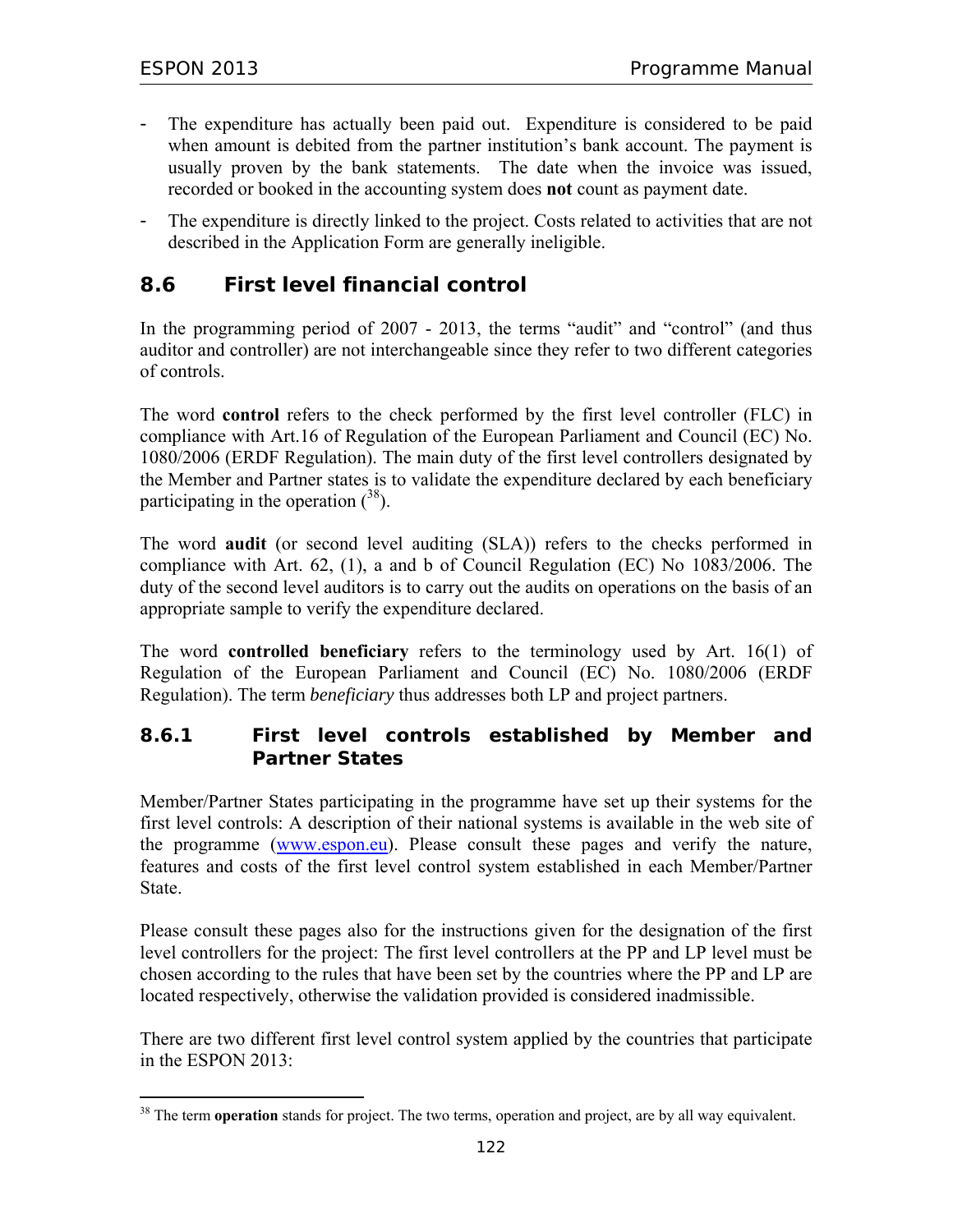$\overline{a}$ 

- The expenditure has actually been paid out. Expenditure is considered to be paid when amount is debited from the partner institution's bank account. The payment is usually proven by the bank statements. The date when the invoice was issued, recorded or booked in the accounting system does **not** count as payment date.
- The expenditure is directly linked to the project. Costs related to activities that are not described in the Application Form are generally ineligible.

# **8.6 First level financial control**

In the programming period of 2007 - 2013, the terms "audit" and "control" (and thus auditor and controller) are not interchangeable since they refer to two different categories of controls.

The word **control** refers to the check performed by the first level controller (FLC) in compliance with Art.16 of Regulation of the European Parliament and Council (EC) No. 1080/2006 (ERDF Regulation). The main duty of the first level controllers designated by the Member and Partner states is to validate the expenditure declared by each beneficiary participating in the operation  $(38)$ .

The word **audit** (or second level auditing (SLA)) refers to the checks performed in compliance with Art. 62, (1), a and b of Council Regulation (EC) No 1083/2006. The duty of the second level auditors is to carry out the audits on operations on the basis of an appropriate sample to verify the expenditure declared.

The word **controlled beneficiary** refers to the terminology used by Art. 16(1) of Regulation of the European Parliament and Council (EC) No. 1080/2006 (ERDF Regulation). The term *beneficiary* thus addresses both LP and project partners.

# **8.6.1 First level controls established by Member and Partner States**

Member/Partner States participating in the programme have set up their systems for the first level controls: A description of their national systems is available in the web site of the programme (www.espon.eu). Please consult these pages and verify the nature, features and costs of the first level control system established in each Member/Partner State.

Please consult these pages also for the instructions given for the designation of the first level controllers for the project: The first level controllers at the PP and LP level must be chosen according to the rules that have been set by the countries where the PP and LP are located respectively, otherwise the validation provided is considered inadmissible.

There are two different first level control system applied by the countries that participate in the ESPON 2013:

<sup>&</sup>lt;sup>38</sup> The term **operation** stands for project. The two terms, operation and project, are by all way equivalent.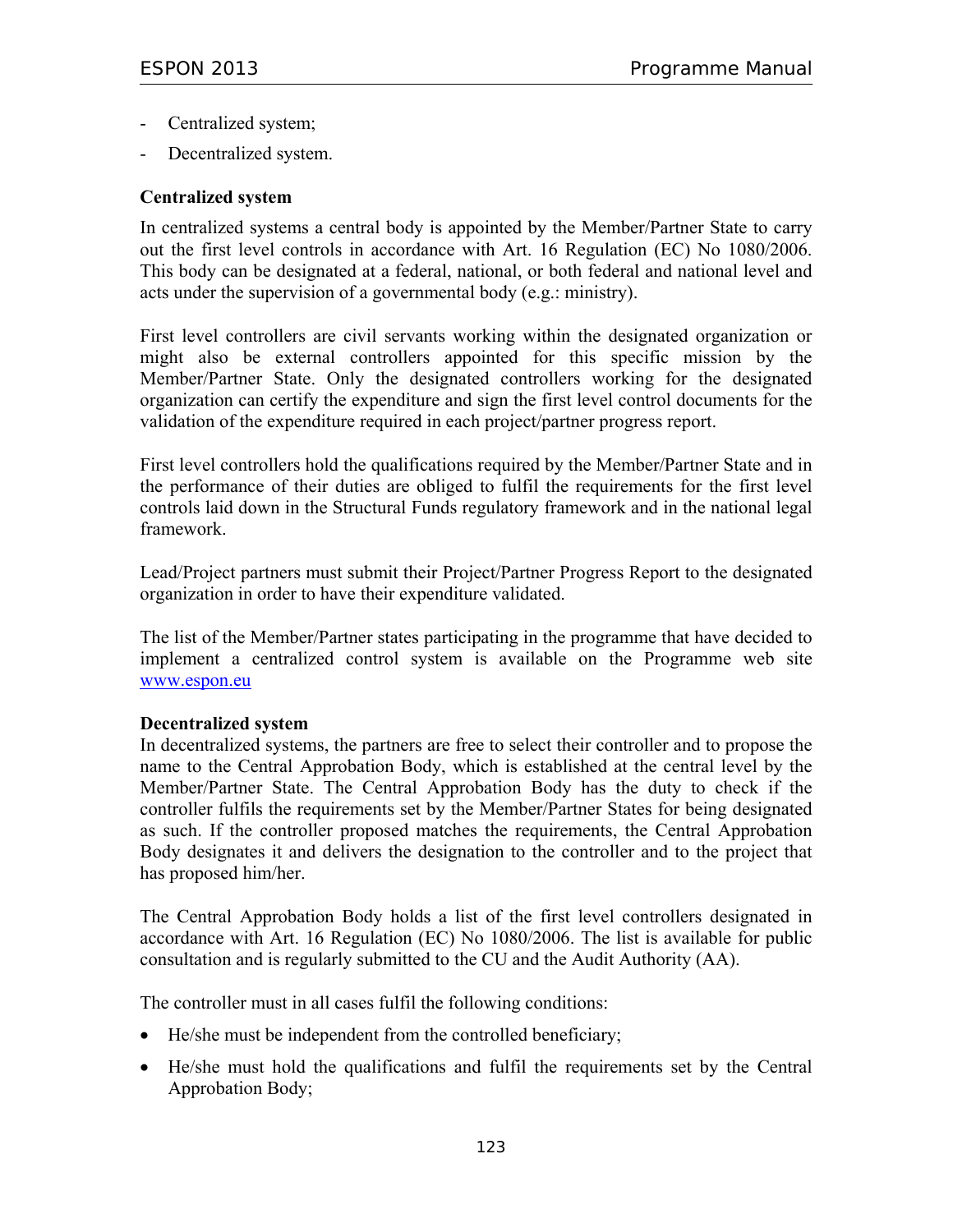- Centralized system;
- Decentralized system.

#### **Centralized system**

In centralized systems a central body is appointed by the Member/Partner State to carry out the first level controls in accordance with Art. 16 Regulation (EC) No 1080/2006. This body can be designated at a federal, national, or both federal and national level and acts under the supervision of a governmental body (e.g.: ministry).

First level controllers are civil servants working within the designated organization or might also be external controllers appointed for this specific mission by the Member/Partner State. Only the designated controllers working for the designated organization can certify the expenditure and sign the first level control documents for the validation of the expenditure required in each project/partner progress report.

First level controllers hold the qualifications required by the Member/Partner State and in the performance of their duties are obliged to fulfil the requirements for the first level controls laid down in the Structural Funds regulatory framework and in the national legal framework.

Lead/Project partners must submit their Project/Partner Progress Report to the designated organization in order to have their expenditure validated.

The list of the Member/Partner states participating in the programme that have decided to implement a centralized control system is available on the Programme web site www.espon.eu

#### **Decentralized system**

In decentralized systems, the partners are free to select their controller and to propose the name to the Central Approbation Body, which is established at the central level by the Member/Partner State. The Central Approbation Body has the duty to check if the controller fulfils the requirements set by the Member/Partner States for being designated as such. If the controller proposed matches the requirements, the Central Approbation Body designates it and delivers the designation to the controller and to the project that has proposed him/her.

The Central Approbation Body holds a list of the first level controllers designated in accordance with Art. 16 Regulation (EC) No 1080/2006. The list is available for public consultation and is regularly submitted to the CU and the Audit Authority (AA).

The controller must in all cases fulfil the following conditions:

- He/she must be independent from the controlled beneficiary;
- He/she must hold the qualifications and fulfil the requirements set by the Central Approbation Body;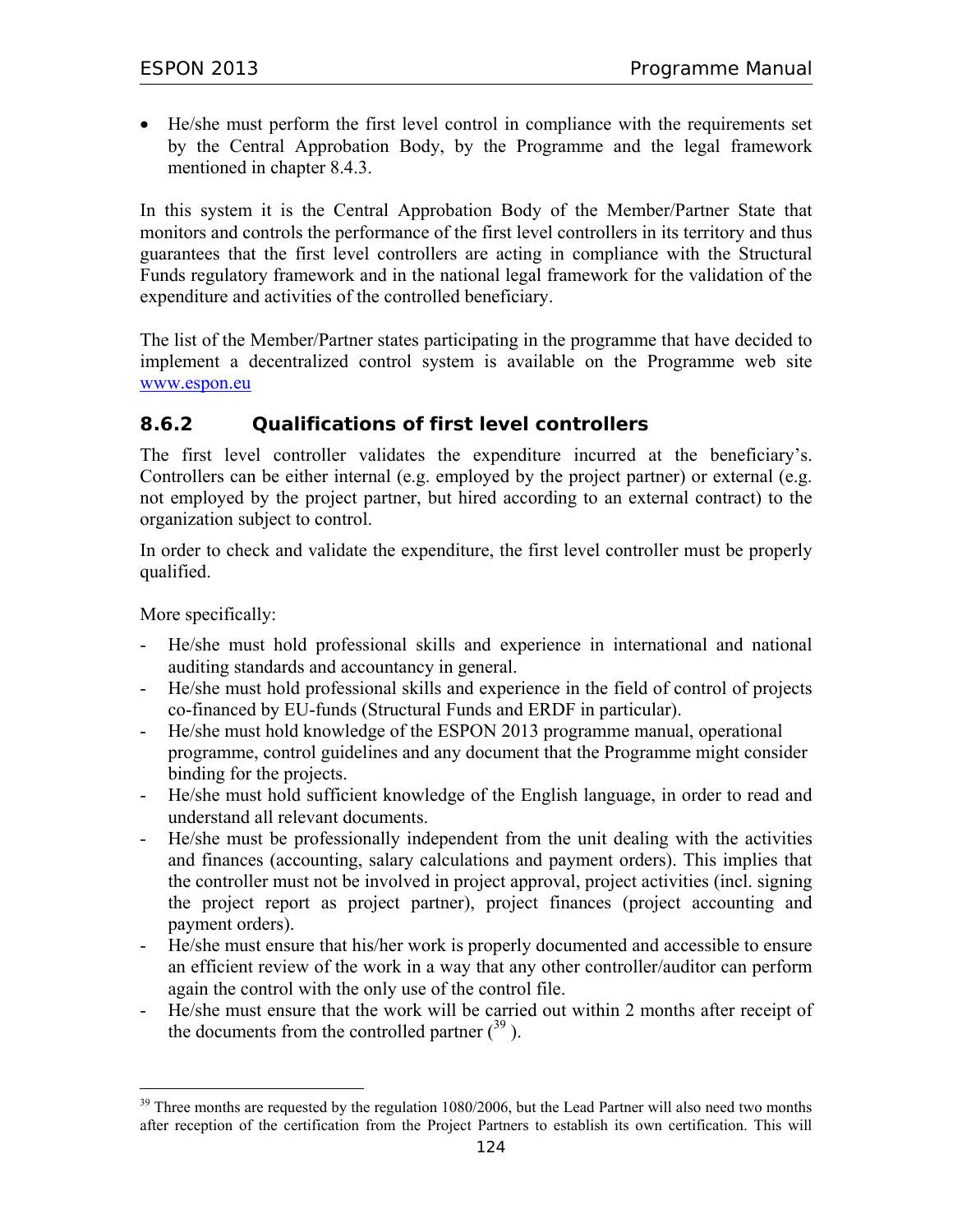• He/she must perform the first level control in compliance with the requirements set by the Central Approbation Body, by the Programme and the legal framework mentioned in chapter 8.4.3.

In this system it is the Central Approbation Body of the Member/Partner State that monitors and controls the performance of the first level controllers in its territory and thus guarantees that the first level controllers are acting in compliance with the Structural Funds regulatory framework and in the national legal framework for the validation of the expenditure and activities of the controlled beneficiary.

The list of the Member/Partner states participating in the programme that have decided to implement a decentralized control system is available on the Programme web site www.espon.eu

# **8.6.2 Qualifications of first level controllers**

The first level controller validates the expenditure incurred at the beneficiary's. Controllers can be either internal (e.g. employed by the project partner) or external (e.g. not employed by the project partner, but hired according to an external contract) to the organization subject to control.

In order to check and validate the expenditure, the first level controller must be properly qualified.

More specifically:

 $\overline{a}$ 

- He/she must hold professional skills and experience in international and national auditing standards and accountancy in general.
- He/she must hold professional skills and experience in the field of control of projects co-financed by EU-funds (Structural Funds and ERDF in particular).
- He/she must hold knowledge of the ESPON 2013 programme manual, operational programme, control guidelines and any document that the Programme might consider binding for the projects.
- He/she must hold sufficient knowledge of the English language, in order to read and understand all relevant documents.
- He/she must be professionally independent from the unit dealing with the activities and finances (accounting, salary calculations and payment orders). This implies that the controller must not be involved in project approval, project activities (incl. signing the project report as project partner), project finances (project accounting and payment orders).
- He/she must ensure that his/her work is properly documented and accessible to ensure an efficient review of the work in a way that any other controller/auditor can perform again the control with the only use of the control file.
- He/she must ensure that the work will be carried out within 2 months after receipt of the documents from the controlled partner  $(39)$ .

 $39$  Three months are requested by the regulation 1080/2006, but the Lead Partner will also need two months after reception of the certification from the Project Partners to establish its own certification. This will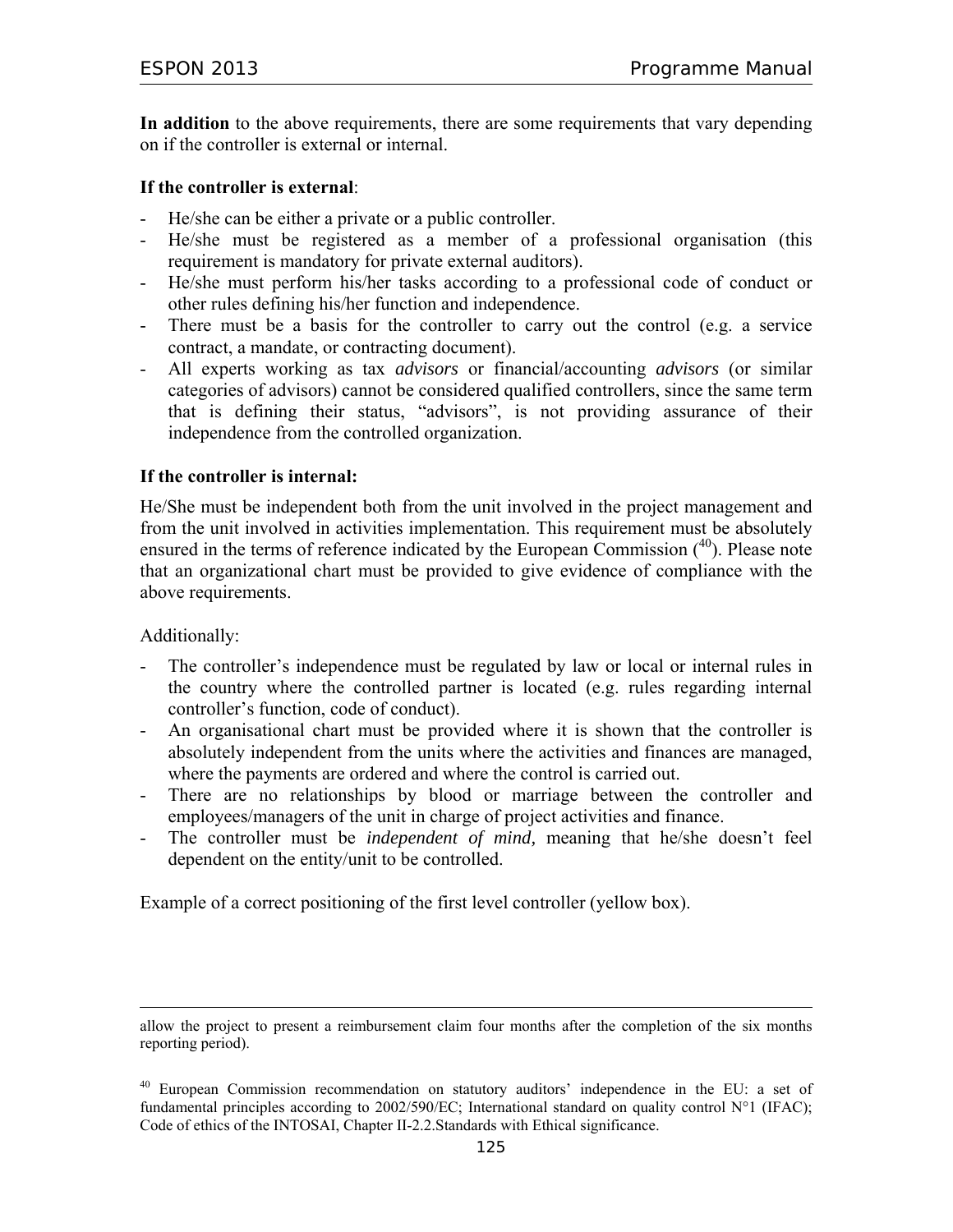**In addition** to the above requirements, there are some requirements that vary depending on if the controller is external or internal.

#### **If the controller is external**:

- He/she can be either a private or a public controller.
- He/she must be registered as a member of a professional organisation (this requirement is mandatory for private external auditors).
- He/she must perform his/her tasks according to a professional code of conduct or other rules defining his/her function and independence.
- There must be a basis for the controller to carry out the control (e.g. a service contract, a mandate, or contracting document).
- All experts working as tax *advisors* or financial/accounting *advisors* (or similar categories of advisors) cannot be considered qualified controllers, since the same term that is defining their status, "advisors", is not providing assurance of their independence from the controlled organization.

#### **If the controller is internal:**

He/She must be independent both from the unit involved in the project management and from the unit involved in activities implementation. This requirement must be absolutely ensured in the terms of reference indicated by the European Commission  $(40)$ . Please note that an organizational chart must be provided to give evidence of compliance with the above requirements.

Additionally:

 $\overline{a}$ 

- The controller's independence must be regulated by law or local or internal rules in the country where the controlled partner is located (e.g. rules regarding internal controller's function, code of conduct).
- An organisational chart must be provided where it is shown that the controller is absolutely independent from the units where the activities and finances are managed, where the payments are ordered and where the control is carried out.
- There are no relationships by blood or marriage between the controller and employees/managers of the unit in charge of project activities and finance.
- The controller must be *independent of mind,* meaning that he/she doesn't feel dependent on the entity/unit to be controlled.

Example of a correct positioning of the first level controller (yellow box).

allow the project to present a reimbursement claim four months after the completion of the six months reporting period).

<sup>&</sup>lt;sup>40</sup> European Commission recommendation on statutory auditors' independence in the EU: a set of fundamental principles according to 2002/590/EC; International standard on quality control N°1 (IFAC); Code of ethics of the INTOSAI, Chapter II-2.2.Standards with Ethical significance.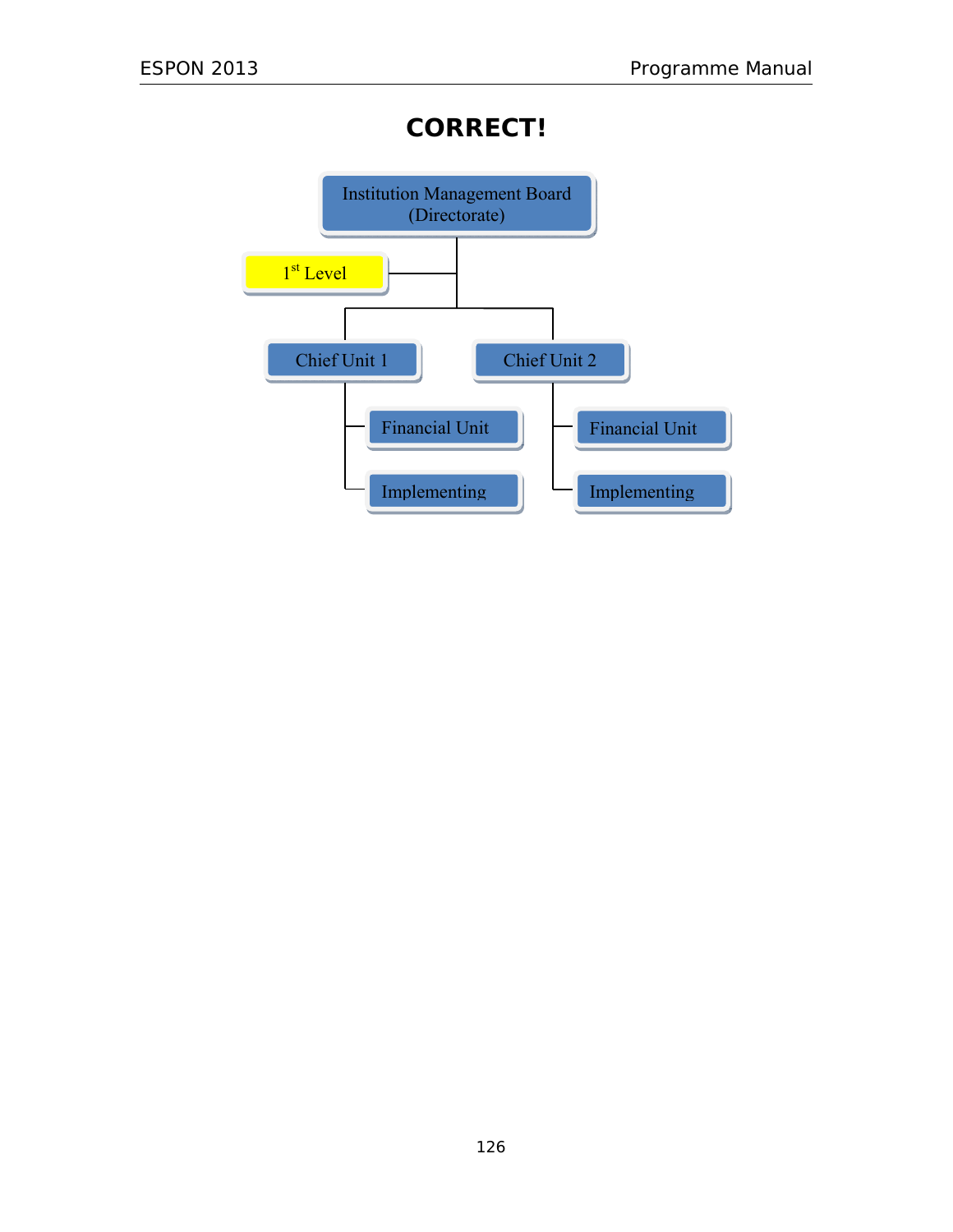# **CORRECT!**

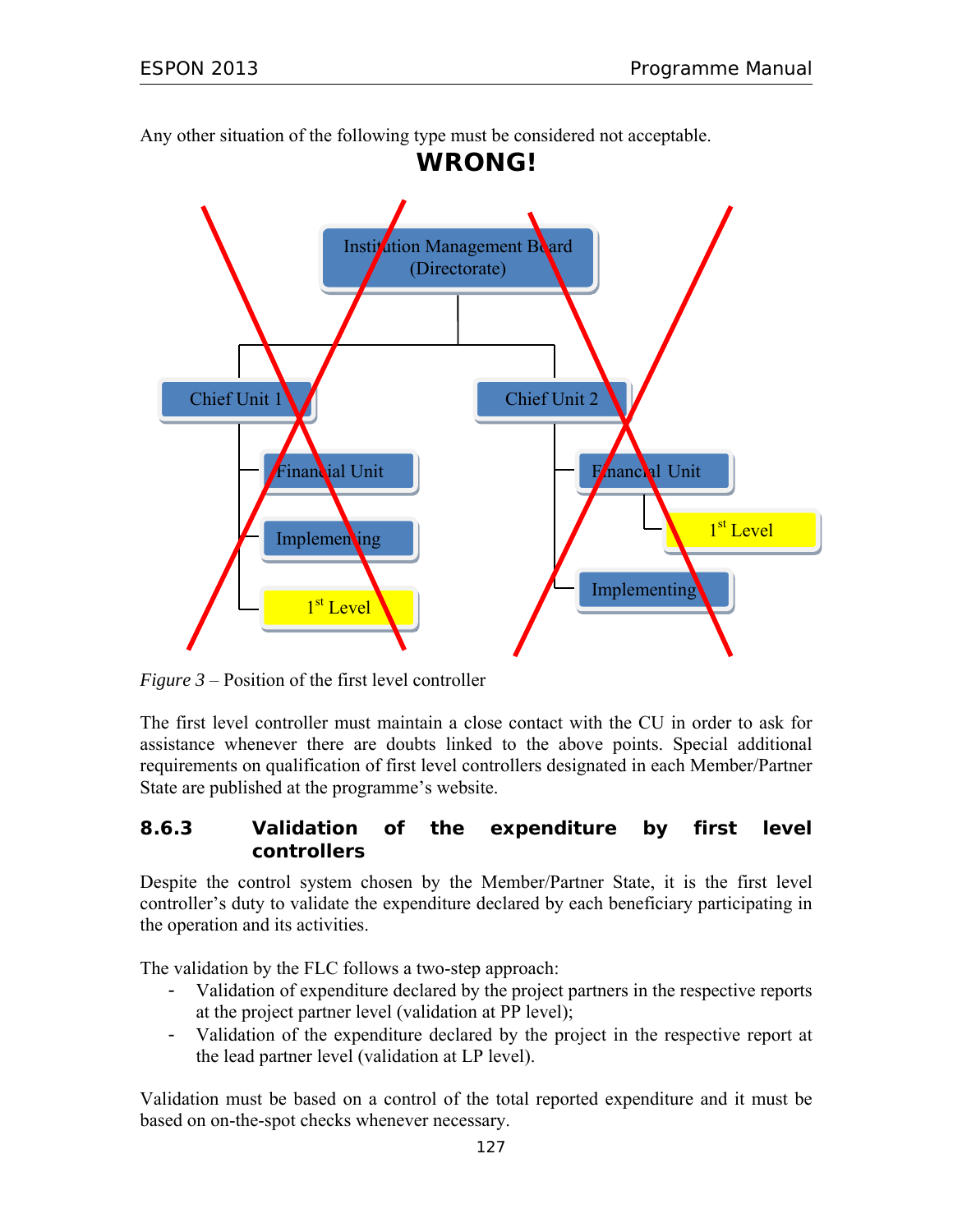Any other situation of the following type must be considered not acceptable.



*Figure 3* – Position of the first level controller

The first level controller must maintain a close contact with the CU in order to ask for assistance whenever there are doubts linked to the above points. Special additional requirements on qualification of first level controllers designated in each Member/Partner State are published at the programme's website.

### **8.6.3 Validation of the expenditure by first level controllers**

Despite the control system chosen by the Member/Partner State, it is the first level controller's duty to validate the expenditure declared by each beneficiary participating in the operation and its activities.

The validation by the FLC follows a two-step approach:

- Validation of expenditure declared by the project partners in the respective reports at the project partner level (validation at PP level);
- Validation of the expenditure declared by the project in the respective report at the lead partner level (validation at LP level).

Validation must be based on a control of the total reported expenditure and it must be based on on-the-spot checks whenever necessary.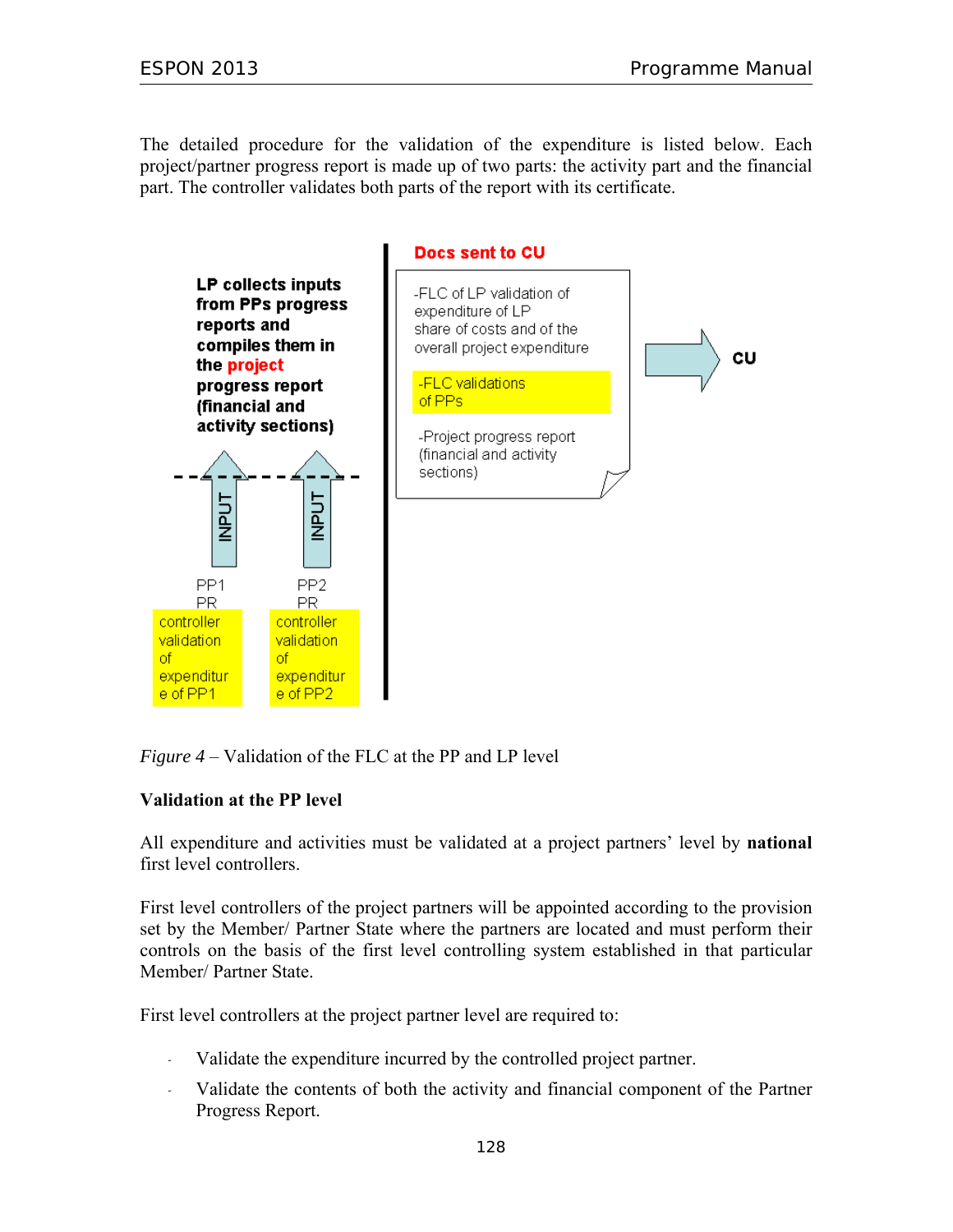The detailed procedure for the validation of the expenditure is listed below. Each project/partner progress report is made up of two parts: the activity part and the financial part. The controller validates both parts of the report with its certificate.



*Figure 4* – Validation of the FLC at the PP and LP level

#### **Validation at the PP level**

All expenditure and activities must be validated at a project partners' level by **national** first level controllers.

First level controllers of the project partners will be appointed according to the provision set by the Member/ Partner State where the partners are located and must perform their controls on the basis of the first level controlling system established in that particular Member/ Partner State.

First level controllers at the project partner level are required to:

- *-* Validate the expenditure incurred by the controlled project partner.
- *-* Validate the contents of both the activity and financial component of the Partner Progress Report.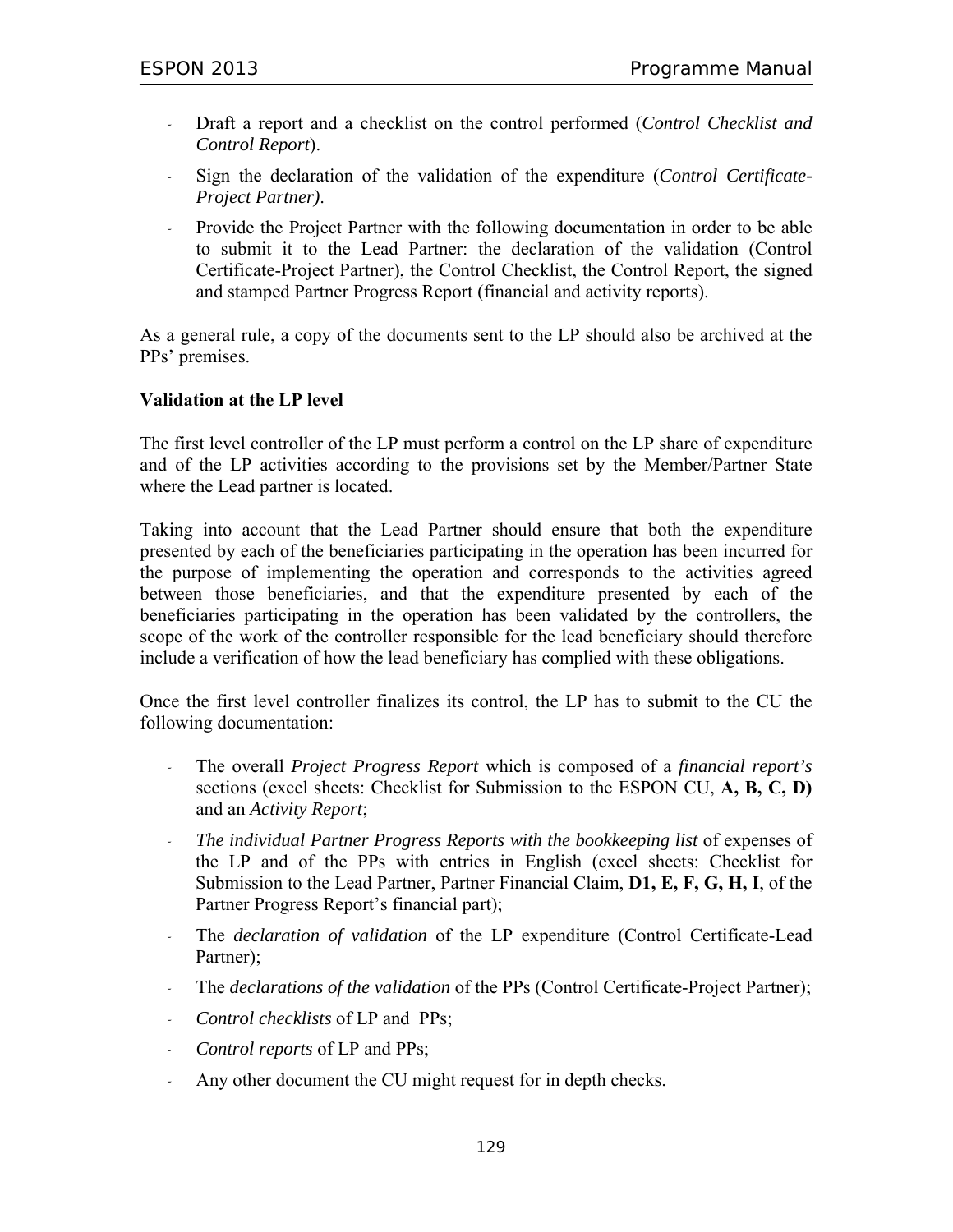- *-* Draft a report and a checklist on the control performed (*Control Checklist and Control Report*).
- *-* Sign the declaration of the validation of the expenditure (*Control Certificate-Project Partner)*.
- *-* Provide the Project Partner with the following documentation in order to be able to submit it to the Lead Partner: the declaration of the validation (Control Certificate-Project Partner), the Control Checklist, the Control Report, the signed and stamped Partner Progress Report (financial and activity reports).

As a general rule, a copy of the documents sent to the LP should also be archived at the PPs' premises.

#### **Validation at the LP level**

The first level controller of the LP must perform a control on the LP share of expenditure and of the LP activities according to the provisions set by the Member/Partner State where the Lead partner is located.

Taking into account that the Lead Partner should ensure that both the expenditure presented by each of the beneficiaries participating in the operation has been incurred for the purpose of implementing the operation and corresponds to the activities agreed between those beneficiaries, and that the expenditure presented by each of the beneficiaries participating in the operation has been validated by the controllers, the scope of the work of the controller responsible for the lead beneficiary should therefore include a verification of how the lead beneficiary has complied with these obligations.

Once the first level controller finalizes its control, the LP has to submit to the CU the following documentation:

- *-* The overall *Project Progress Report* which is composed of a *financial report's* sections (excel sheets: Checklist for Submission to the ESPON CU, **A, B, C, D)** and an *Activity Report*;
- *- The individual Partner Progress Reports with the bookkeeping list* of expenses of the LP and of the PPs with entries in English (excel sheets: Checklist for Submission to the Lead Partner, Partner Financial Claim, **D1, E, F, G, H, I**, of the Partner Progress Report's financial part);
- *-* The *declaration of validation* of the LP expenditure (Control Certificate-Lead Partner);
- *-* The *declarations of the validation* of the PPs (Control Certificate-Project Partner);
- *- Control checklists* of LP and PPs;
- *- Control reports* of LP and PPs;
- *-* Any other document the CU might request for in depth checks.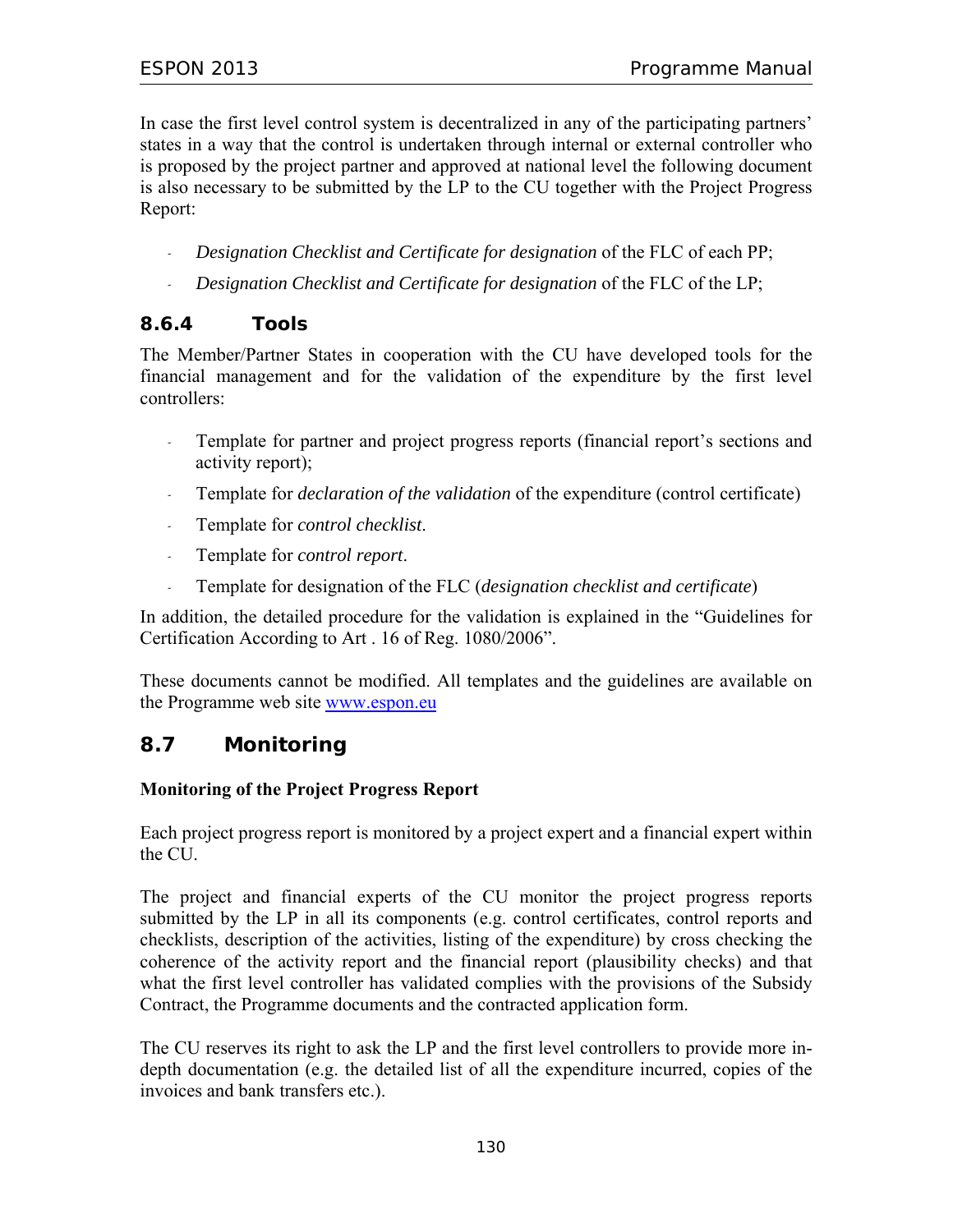In case the first level control system is decentralized in any of the participating partners' states in a way that the control is undertaken through internal or external controller who is proposed by the project partner and approved at national level the following document is also necessary to be submitted by the LP to the CU together with the Project Progress Report:

- *- Designation Checklist and Certificate for designation* of the FLC of each PP;
- *- Designation Checklist and Certificate for designation* of the FLC of the LP;

# **8.6.4 Tools**

The Member/Partner States in cooperation with the CU have developed tools for the financial management and for the validation of the expenditure by the first level controllers:

- *-* Template for partner and project progress reports (financial report's sections and activity report);
- *-* Template for *declaration of the validation* of the expenditure (control certificate)
- *-* Template for *control checklist*.
- *-* Template for *control report*.
- *-* Template for designation of the FLC (*designation checklist and certificate*)

In addition, the detailed procedure for the validation is explained in the "Guidelines for Certification According to Art . 16 of Reg. 1080/2006".

These documents cannot be modified. All templates and the guidelines are available on the Programme web site www.espon.eu

# **8.7 Monitoring**

### **Monitoring of the Project Progress Report**

Each project progress report is monitored by a project expert and a financial expert within the CU.

The project and financial experts of the CU monitor the project progress reports submitted by the LP in all its components (e.g. control certificates, control reports and checklists, description of the activities, listing of the expenditure) by cross checking the coherence of the activity report and the financial report (plausibility checks) and that what the first level controller has validated complies with the provisions of the Subsidy Contract, the Programme documents and the contracted application form.

The CU reserves its right to ask the LP and the first level controllers to provide more indepth documentation (e.g. the detailed list of all the expenditure incurred, copies of the invoices and bank transfers etc.).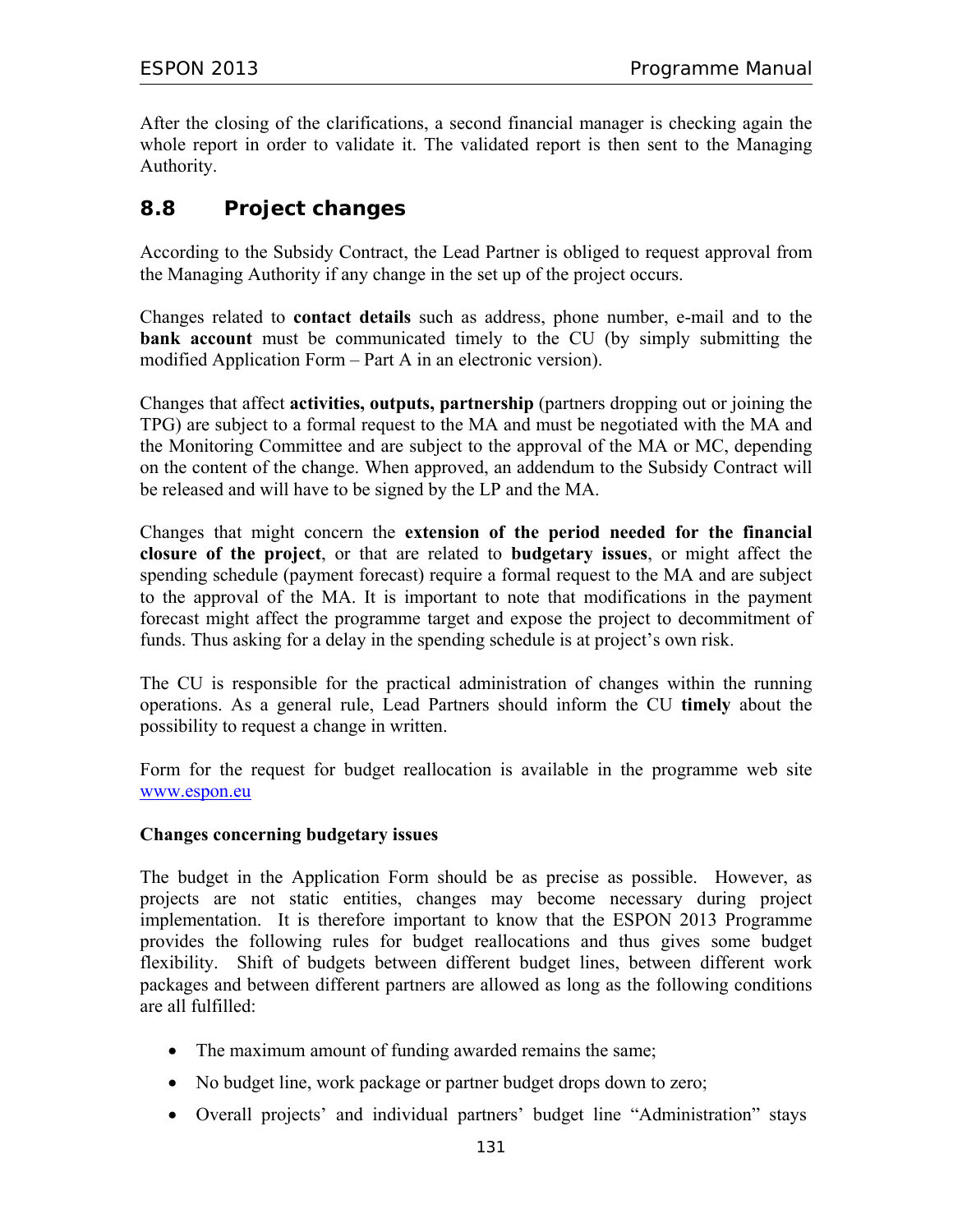After the closing of the clarifications, a second financial manager is checking again the whole report in order to validate it. The validated report is then sent to the Managing Authority.

# **8.8 Project changes**

According to the Subsidy Contract, the Lead Partner is obliged to request approval from the Managing Authority if any change in the set up of the project occurs.

Changes related to **contact details** such as address, phone number, e-mail and to the **bank account** must be communicated timely to the CU (by simply submitting the modified Application Form – Part A in an electronic version).

Changes that affect **activities, outputs, partnership** (partners dropping out or joining the TPG) are subject to a formal request to the MA and must be negotiated with the MA and the Monitoring Committee and are subject to the approval of the MA or MC, depending on the content of the change. When approved, an addendum to the Subsidy Contract will be released and will have to be signed by the LP and the MA.

Changes that might concern the **extension of the period needed for the financial closure of the project**, or that are related to **budgetary issues**, or might affect the spending schedule (payment forecast) require a formal request to the MA and are subject to the approval of the MA. It is important to note that modifications in the payment forecast might affect the programme target and expose the project to decommitment of funds. Thus asking for a delay in the spending schedule is at project's own risk.

The CU is responsible for the practical administration of changes within the running operations. As a general rule, Lead Partners should inform the CU **timely** about the possibility to request a change in written.

Form for the request for budget reallocation is available in the programme web site www.espon.eu

#### **Changes concerning budgetary issues**

The budget in the Application Form should be as precise as possible. However, as projects are not static entities, changes may become necessary during project implementation. It is therefore important to know that the ESPON 2013 Programme provides the following rules for budget reallocations and thus gives some budget flexibility. Shift of budgets between different budget lines, between different work packages and between different partners are allowed as long as the following conditions are all fulfilled:

- The maximum amount of funding awarded remains the same;
- No budget line, work package or partner budget drops down to zero;
- Overall projects' and individual partners' budget line "Administration" stays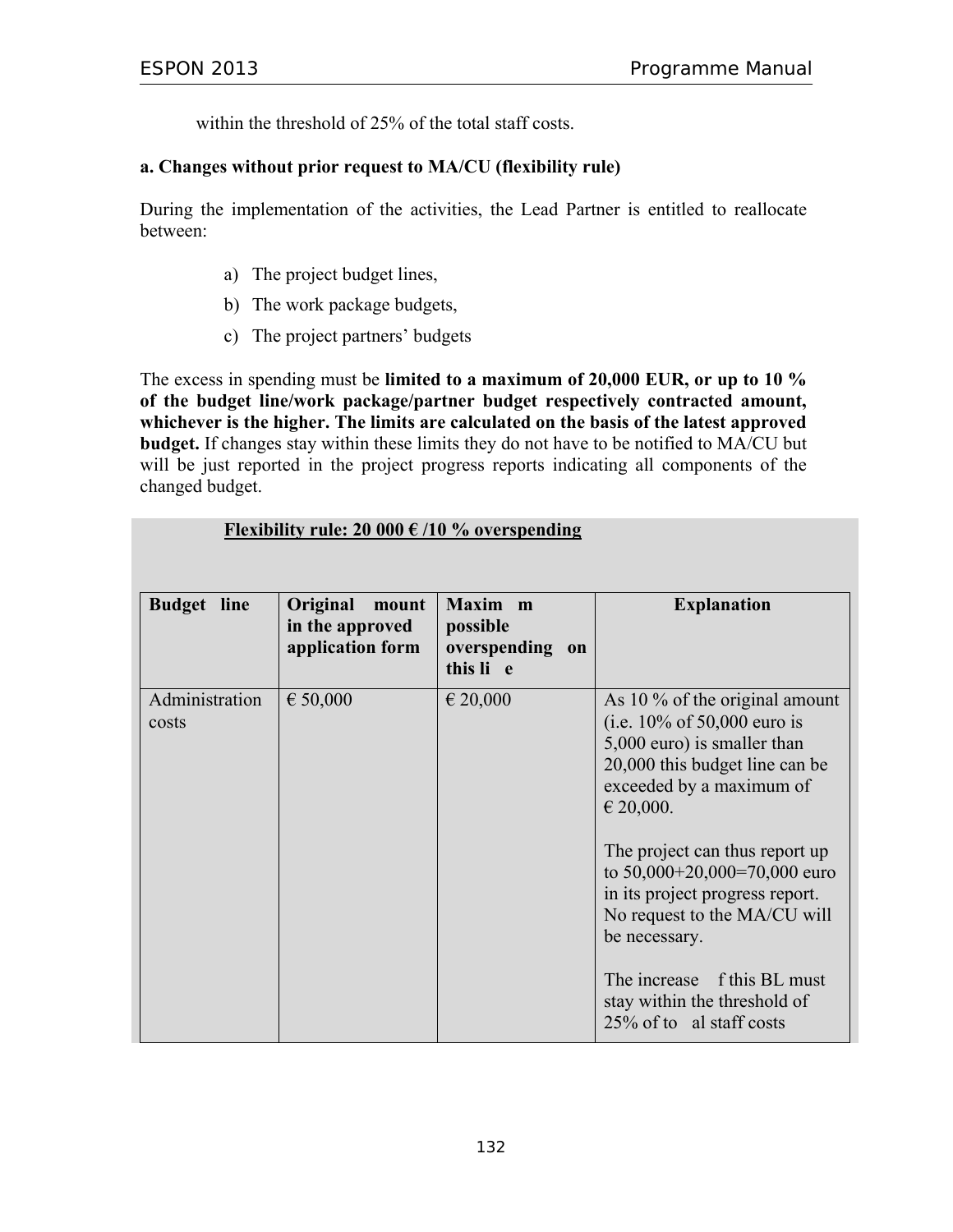within the threshold of 25% of the total staff costs.

#### **a. Changes without prior request to MA/CU (flexibility rule)**

During the implementation of the activities, the Lead Partner is entitled to reallocate between:

- a) The project budget lines,
- b) The work package budgets,
- c) The project partners' budgets

The excess in spending must be **limited to a maximum of 20,000 EUR, or up to 10 % of the budget line/work package/partner budget respectively contracted amount, whichever is the higher. The limits are calculated on the basis of the latest approved budget.** If changes stay within these limits they do not have to be notified to MA/CU but will be just reported in the project progress reports indicating all components of the changed budget.

| <b>Budget</b> line      | Original<br>mount<br>in the approved<br>application form | Maxim m<br>possible<br>overspending on<br>this li e | <b>Explanation</b>                                                                                                                                                                |
|-------------------------|----------------------------------------------------------|-----------------------------------------------------|-----------------------------------------------------------------------------------------------------------------------------------------------------------------------------------|
| Administration<br>costs | € 50,000                                                 | € 20,000                                            | As 10 $\%$ of the original amount<br>(i.e. $10\%$ of 50,000 euro is<br>5,000 euro) is smaller than<br>20,000 this budget line can be<br>exceeded by a maximum of<br>$\in$ 20,000. |
|                         |                                                          |                                                     | The project can thus report up<br>to $50,000+20,000=70,000$ euro<br>in its project progress report.<br>No request to the MA/CU will<br>be necessary.                              |
|                         |                                                          |                                                     | The increase f this BL must<br>stay within the threshold of<br>25% of to al staff costs                                                                                           |

#### **Flexibility rule: 20 000 € /10 % overspending**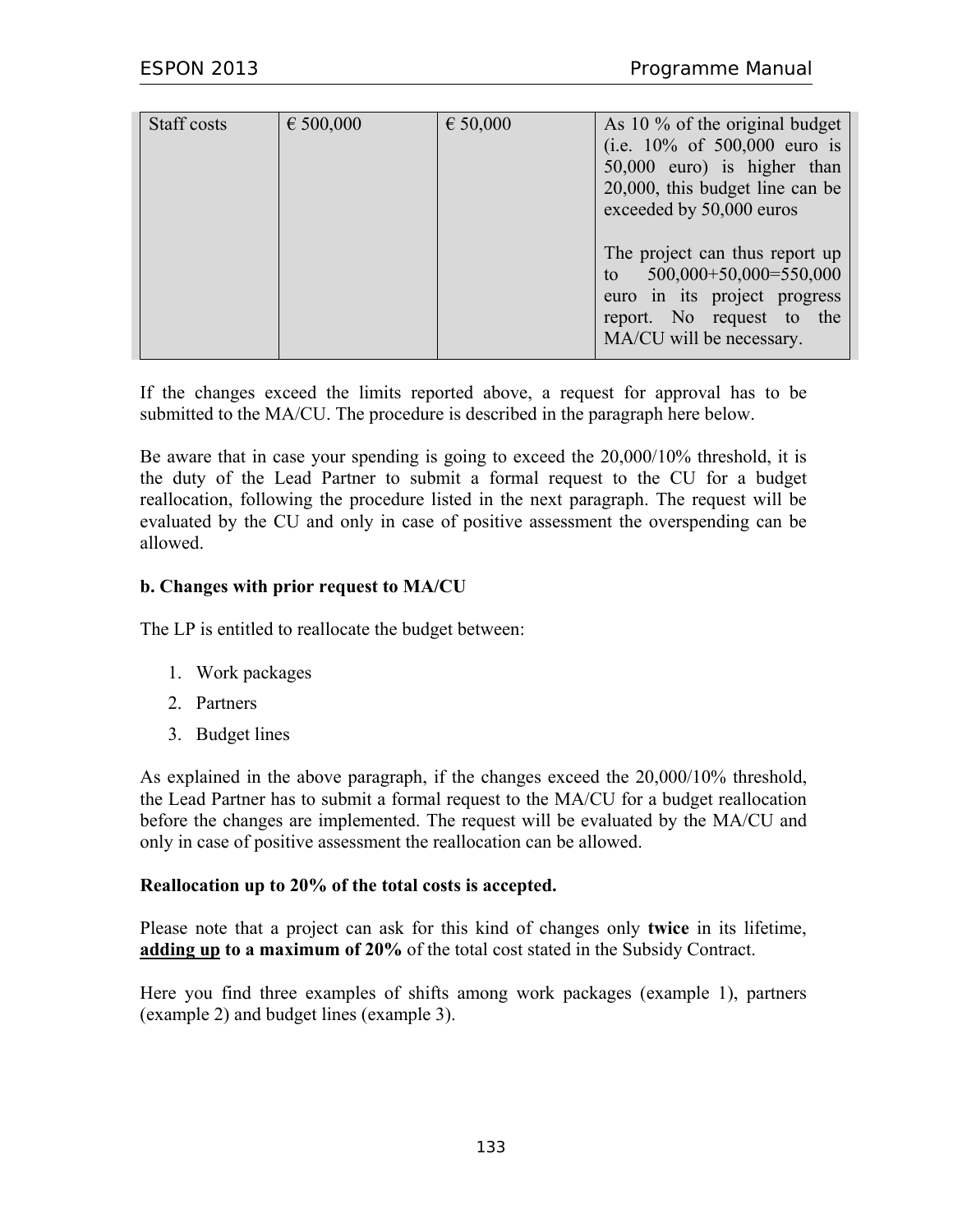| Staff costs | € 500,000 | € 50,000 | As 10 % of the original budget<br>(i.e. $10\%$ of 500,000 euro is<br>50,000 euro) is higher than<br>20,000, this budget line can be<br>exceeded by 50,000 euros |
|-------------|-----------|----------|-----------------------------------------------------------------------------------------------------------------------------------------------------------------|
|             |           |          | The project can thus report up<br>$500,000+50,000=550,000$<br>to<br>euro in its project progress<br>report. No request to the<br>MA/CU will be necessary.       |

If the changes exceed the limits reported above, a request for approval has to be submitted to the MA/CU. The procedure is described in the paragraph here below.

Be aware that in case your spending is going to exceed the 20,000/10% threshold, it is the duty of the Lead Partner to submit a formal request to the CU for a budget reallocation, following the procedure listed in the next paragraph. The request will be evaluated by the CU and only in case of positive assessment the overspending can be allowed.

#### **b. Changes with prior request to MA/CU**

The LP is entitled to reallocate the budget between:

- 1. Work packages
- 2. Partners
- 3. Budget lines

As explained in the above paragraph, if the changes exceed the 20,000/10% threshold, the Lead Partner has to submit a formal request to the MA/CU for a budget reallocation before the changes are implemented. The request will be evaluated by the MA/CU and only in case of positive assessment the reallocation can be allowed.

#### **Reallocation up to 20% of the total costs is accepted.**

Please note that a project can ask for this kind of changes only **twice** in its lifetime, **adding up to a maximum of 20%** of the total cost stated in the Subsidy Contract.

Here you find three examples of shifts among work packages (example 1), partners (example 2) and budget lines (example 3).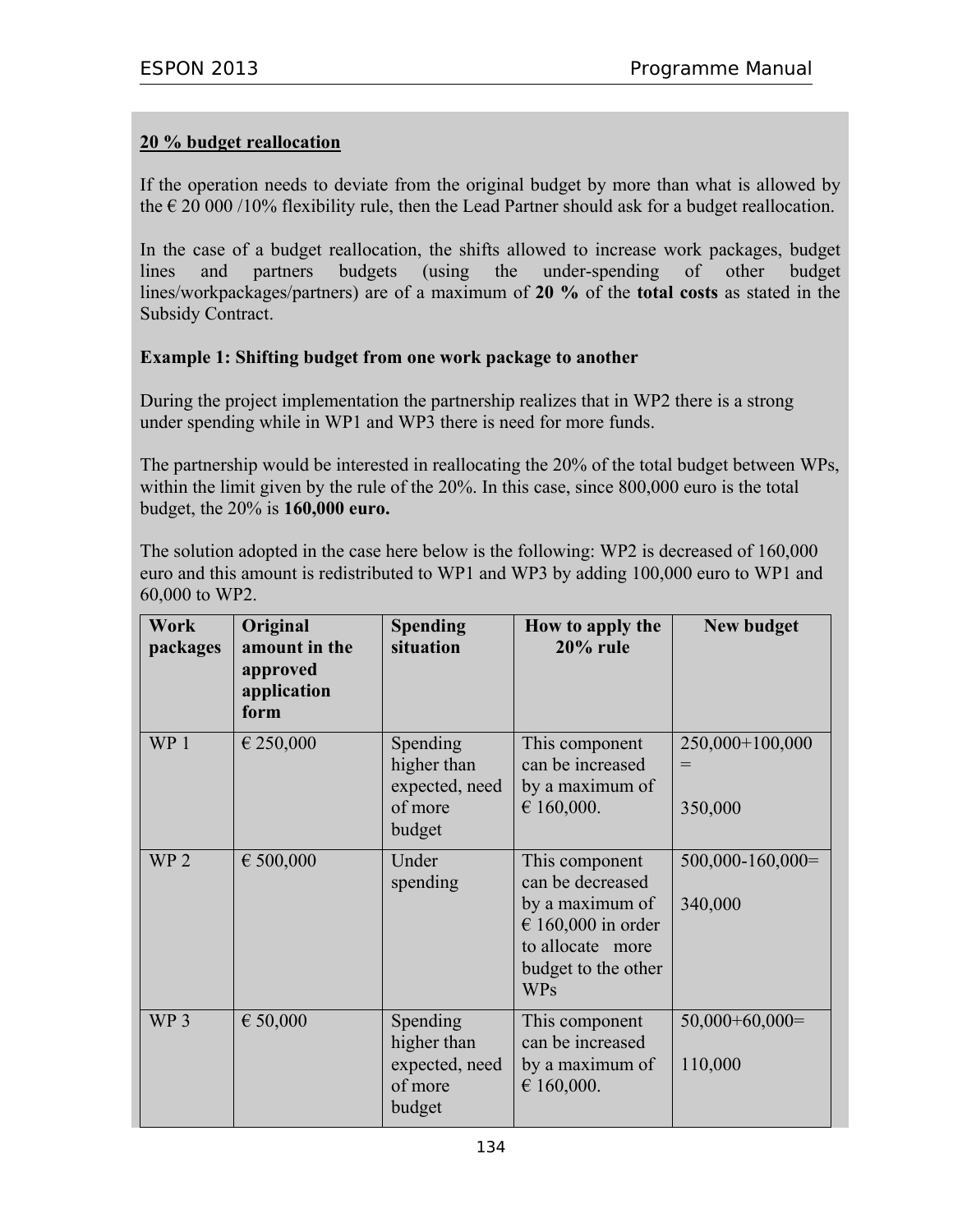#### **20 % budget reallocation**

If the operation needs to deviate from the original budget by more than what is allowed by the  $\epsilon$  20 000/10% flexibility rule, then the Lead Partner should ask for a budget reallocation.

In the case of a budget reallocation, the shifts allowed to increase work packages, budget lines and partners budgets (using the under-spending of other budget lines/workpackages/partners) are of a maximum of **20 %** of the **total costs** as stated in the Subsidy Contract.

#### **Example 1: Shifting budget from one work package to another**

During the project implementation the partnership realizes that in WP2 there is a strong under spending while in WP1 and WP3 there is need for more funds.

The partnership would be interested in reallocating the 20% of the total budget between WPs, within the limit given by the rule of the 20%. In this case, since 800,000 euro is the total budget, the 20% is **160,000 euro.** 

The solution adopted in the case here below is the following: WP2 is decreased of 160,000 euro and this amount is redistributed to WP1 and WP3 by adding 100,000 euro to WP1 and 60,000 to WP2.

| Work<br>packages | Original<br>amount in the<br>approved<br>application<br>form | <b>Spending</b><br>situation                                   | How to apply the<br>$20\%$ rule                                                                                                      | <b>New budget</b>                 |
|------------------|--------------------------------------------------------------|----------------------------------------------------------------|--------------------------------------------------------------------------------------------------------------------------------------|-----------------------------------|
| WP <sub>1</sub>  | € 250,000                                                    | Spending<br>higher than<br>expected, need<br>of more<br>budget | This component<br>can be increased<br>by a maximum of<br>€ 160,000.                                                                  | 250,000+100,000<br>$=$<br>350,000 |
| WP <sub>2</sub>  | € 500,000                                                    | Under<br>spending                                              | This component<br>can be decreased<br>by a maximum of<br>€ 160,000 in order<br>to allocate more<br>budget to the other<br><b>WPs</b> | $500,000 - 160,000 =$<br>340,000  |
| WP <sub>3</sub>  | € 50,000                                                     | Spending<br>higher than<br>expected, need<br>of more<br>budget | This component<br>can be increased<br>by a maximum of<br>€ 160,000.                                                                  | $50,000+60,000=$<br>110,000       |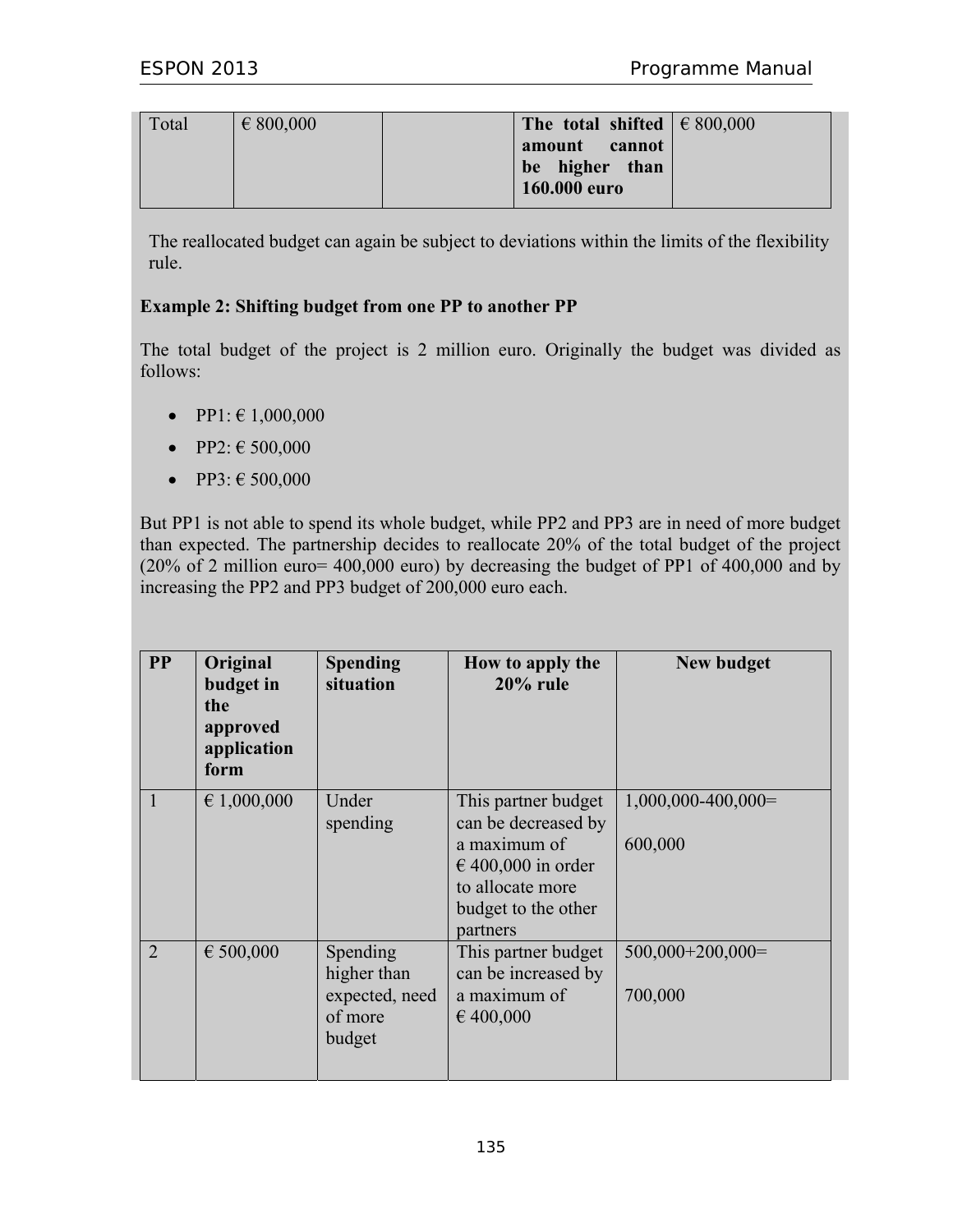| Total | $\epsilon$ 800,000 | The total shifted $\in$ 800,000                 |  |
|-------|--------------------|-------------------------------------------------|--|
|       |                    | amount cannot<br>be higher than<br>160.000 euro |  |

The reallocated budget can again be subject to deviations within the limits of the flexibility rule.

#### **Example 2: Shifting budget from one PP to another PP**

The total budget of the project is 2 million euro. Originally the budget was divided as follows:

- PP1:  $\in$  1,000,000
- PP2:  $\in$  500,000
- PP3:  $\in$  500,000

But PP1 is not able to spend its whole budget, while PP2 and PP3 are in need of more budget than expected. The partnership decides to reallocate 20% of the total budget of the project (20% of 2 million euro= 400,000 euro) by decreasing the budget of PP1 of 400,000 and by increasing the PP2 and PP3 budget of 200,000 euro each.

| $\mathbf{PP}$  | Original<br>budget in<br>the<br>approved<br>application<br>form | <b>Spending</b><br>situation                                   | How to apply the<br>$20\%$ rule                                                                                                             | <b>New budget</b>               |
|----------------|-----------------------------------------------------------------|----------------------------------------------------------------|---------------------------------------------------------------------------------------------------------------------------------------------|---------------------------------|
| 1              | € 1,000,000                                                     | Under<br>spending                                              | This partner budget<br>can be decreased by<br>a maximum of<br>$\in$ 400,000 in order<br>to allocate more<br>budget to the other<br>partners | $1,000,000-400,000=$<br>600,000 |
| $\overline{2}$ | € $500,000$                                                     | Spending<br>higher than<br>expected, need<br>of more<br>budget | This partner budget<br>can be increased by<br>a maximum of<br>€ 400,000                                                                     | $500,000+200,000=$<br>700,000   |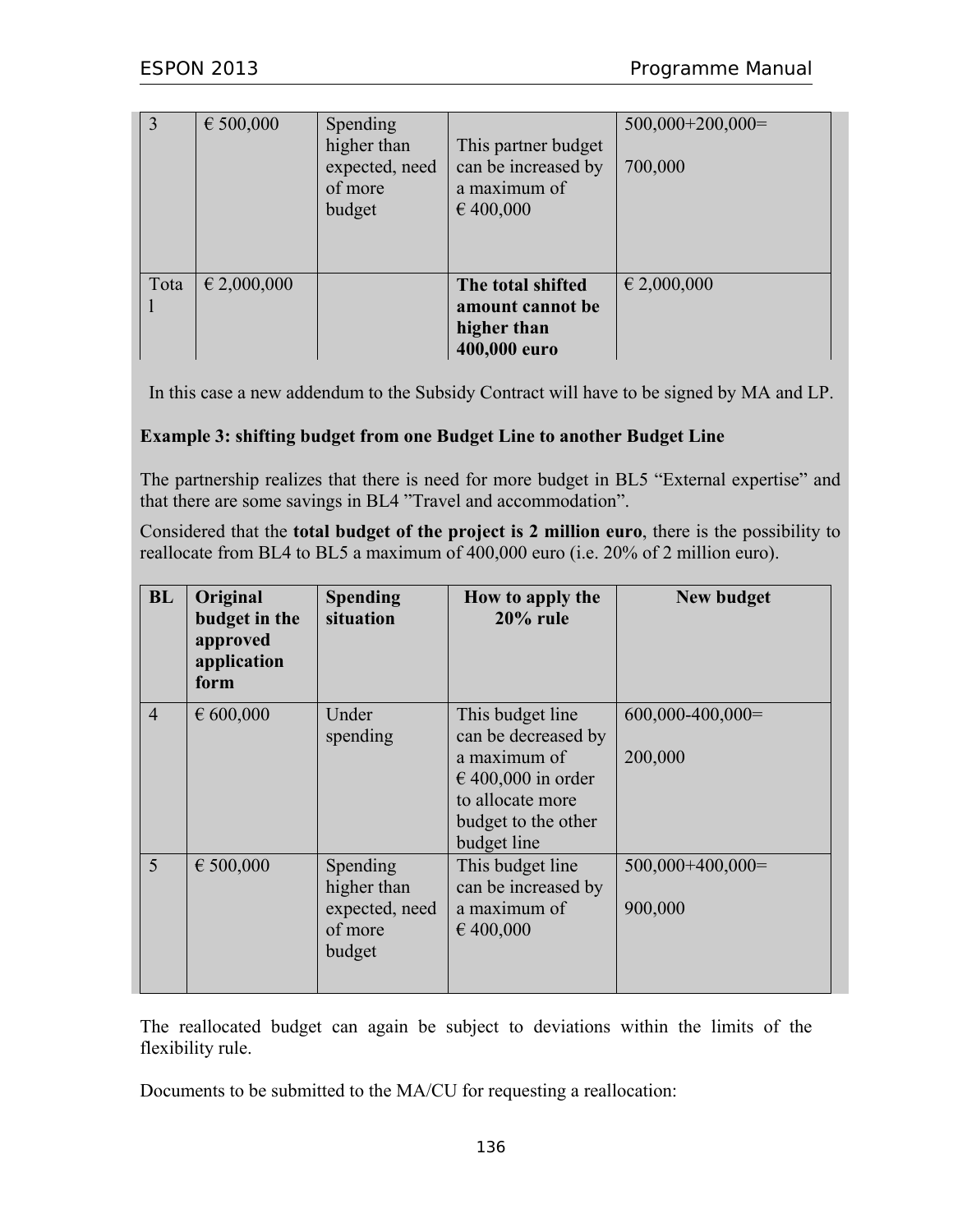| 3    | € 500,000       | Spending<br>higher than<br>expected, need<br>of more<br>budget | This partner budget<br>can be increased by<br>a maximum of<br>€400,000 | $500,000+200,000=$<br>700,000 |
|------|-----------------|----------------------------------------------------------------|------------------------------------------------------------------------|-------------------------------|
| Tota | $\in$ 2,000,000 |                                                                | The total shifted<br>amount cannot be<br>higher than<br>400,000 euro   | $\epsilon$ 2,000,000          |

In this case a new addendum to the Subsidy Contract will have to be signed by MA and LP.

#### **Example 3: shifting budget from one Budget Line to another Budget Line**

The partnership realizes that there is need for more budget in BL5 "External expertise" and that there are some savings in BL4 "Travel and accommodation".

Considered that the **total budget of the project is 2 million euro**, there is the possibility to reallocate from BL4 to BL5 a maximum of 400,000 euro (i.e. 20% of 2 million euro).

| <b>BL</b>      | Original<br>budget in the<br>approved<br>application<br>form | <b>Spending</b><br>situation                                   | How to apply the<br>$20\%$ rule                                                                                                             | <b>New budget</b>             |
|----------------|--------------------------------------------------------------|----------------------------------------------------------------|---------------------------------------------------------------------------------------------------------------------------------------------|-------------------------------|
| $\overline{4}$ | € 600,000                                                    | Under<br>spending                                              | This budget line<br>can be decreased by<br>a maximum of<br>$\in$ 400,000 in order<br>to allocate more<br>budget to the other<br>budget line | $600,000-400,000=$<br>200,000 |
| 5              | € 500,000                                                    | Spending<br>higher than<br>expected, need<br>of more<br>budget | This budget line<br>can be increased by<br>a maximum of<br>€ 400,000                                                                        | $500,000+400,000=$<br>900,000 |

The reallocated budget can again be subject to deviations within the limits of the flexibility rule.

Documents to be submitted to the MA/CU for requesting a reallocation: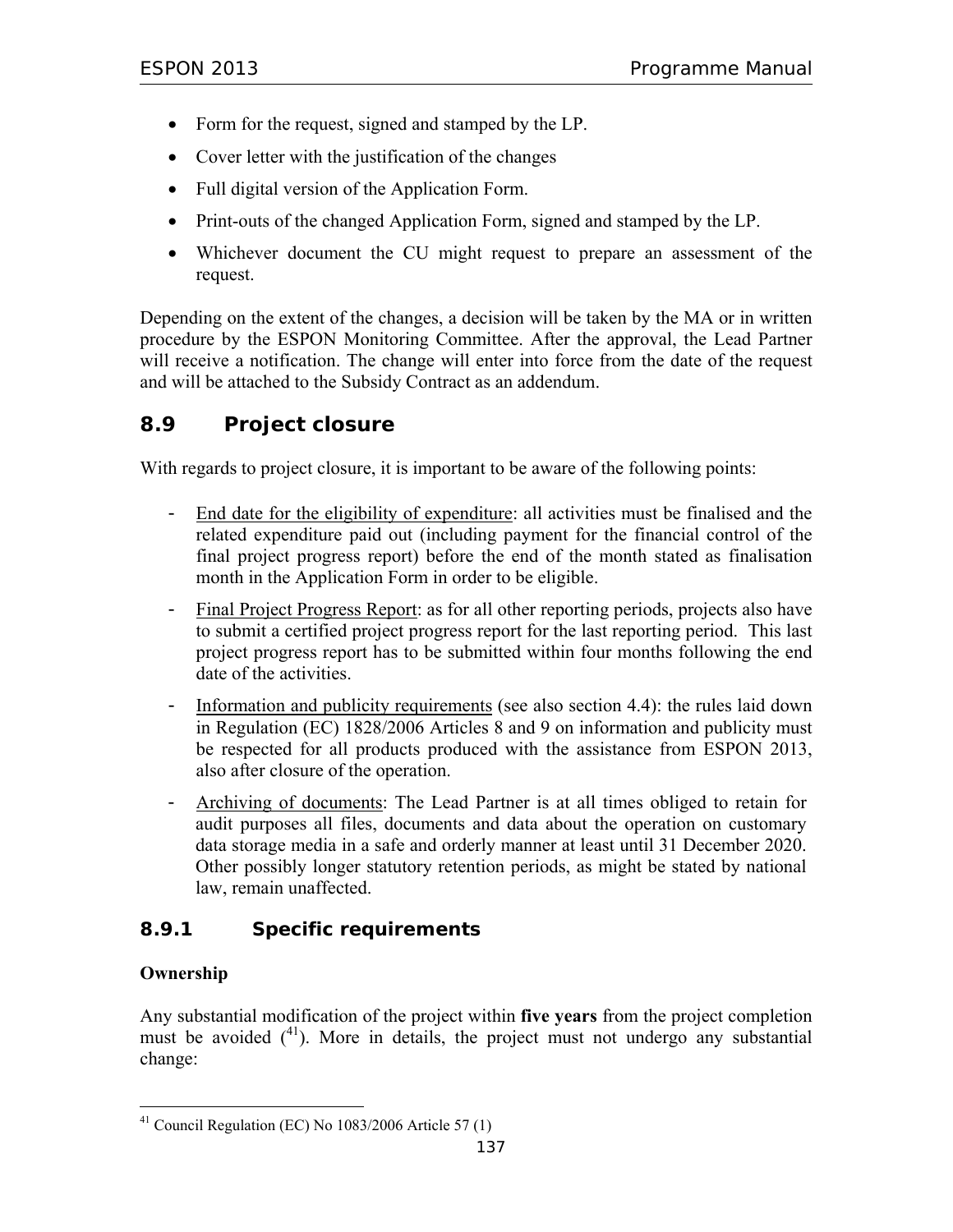- Form for the request, signed and stamped by the LP.
- Cover letter with the justification of the changes
- Full digital version of the Application Form.
- Print-outs of the changed Application Form, signed and stamped by the LP.
- Whichever document the CU might request to prepare an assessment of the request.

Depending on the extent of the changes, a decision will be taken by the MA or in written procedure by the ESPON Monitoring Committee. After the approval, the Lead Partner will receive a notification. The change will enter into force from the date of the request and will be attached to the Subsidy Contract as an addendum.

# **8.9 Project closure**

With regards to project closure, it is important to be aware of the following points:

- End date for the eligibility of expenditure: all activities must be finalised and the related expenditure paid out (including payment for the financial control of the final project progress report) before the end of the month stated as finalisation month in the Application Form in order to be eligible.
- Final Project Progress Report: as for all other reporting periods, projects also have to submit a certified project progress report for the last reporting period. This last project progress report has to be submitted within four months following the end date of the activities.
- Information and publicity requirements (see also section 4.4): the rules laid down in Regulation (EC) 1828/2006 Articles 8 and 9 on information and publicity must be respected for all products produced with the assistance from ESPON 2013, also after closure of the operation.
- Archiving of documents: The Lead Partner is at all times obliged to retain for audit purposes all files, documents and data about the operation on customary data storage media in a safe and orderly manner at least until 31 December 2020. Other possibly longer statutory retention periods, as might be stated by national law, remain unaffected.

### **8.9.1 Specific requirements**

#### **Ownership**

Any substantial modification of the project within **five years** from the project completion must be avoided  $(^{41})$ . More in details, the project must not undergo any substantial change:

 $\overline{a}$  $41$  Council Regulation (EC) No 1083/2006 Article 57 (1)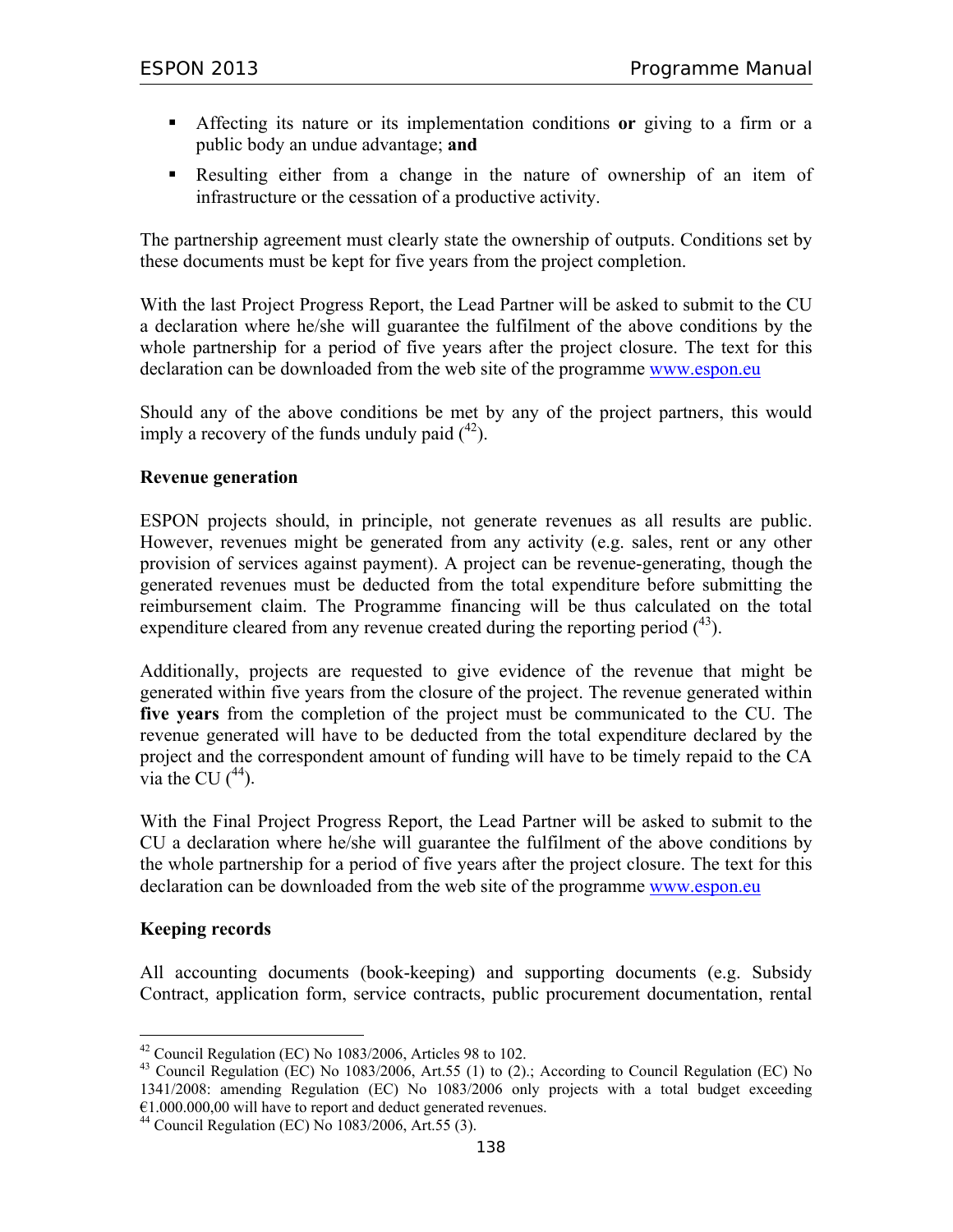- Affecting its nature or its implementation conditions **or** giving to a firm or a public body an undue advantage; **and**
- Resulting either from a change in the nature of ownership of an item of infrastructure or the cessation of a productive activity.

The partnership agreement must clearly state the ownership of outputs. Conditions set by these documents must be kept for five years from the project completion.

With the last Project Progress Report, the Lead Partner will be asked to submit to the CU a declaration where he/she will guarantee the fulfilment of the above conditions by the whole partnership for a period of five years after the project closure. The text for this declaration can be downloaded from the web site of the programme www.espon.eu

Should any of the above conditions be met by any of the project partners, this would imply a recovery of the funds unduly paid  $(^{42})$ .

#### **Revenue generation**

ESPON projects should, in principle, not generate revenues as all results are public. However, revenues might be generated from any activity (e.g. sales, rent or any other provision of services against payment). A project can be revenue-generating, though the generated revenues must be deducted from the total expenditure before submitting the reimbursement claim. The Programme financing will be thus calculated on the total expenditure cleared from any revenue created during the reporting period  $(^{43})$ .

Additionally, projects are requested to give evidence of the revenue that might be generated within five years from the closure of the project. The revenue generated within **five years** from the completion of the project must be communicated to the CU. The revenue generated will have to be deducted from the total expenditure declared by the project and the correspondent amount of funding will have to be timely repaid to the CA via the CU  $(44)$ .

With the Final Project Progress Report, the Lead Partner will be asked to submit to the CU a declaration where he/she will guarantee the fulfilment of the above conditions by the whole partnership for a period of five years after the project closure. The text for this declaration can be downloaded from the web site of the programme www.espon.eu

#### **Keeping records**

 $\overline{a}$ 

All accounting documents (book-keeping) and supporting documents (e.g. Subsidy Contract, application form, service contracts, public procurement documentation, rental

 $42$  Council Regulation (EC) No 1083/2006, Articles 98 to 102.

<sup>&</sup>lt;sup>43</sup> Council Regulation (EC) No 1083/2006, Art.55 (1) to (2).; According to Council Regulation (EC) No 1341/2008: amending Regulation (EC) No 1083/2006 only projects with a total budget exceeding  $E1.000.000,00$  will have to report and deduct generated revenues.

<sup>44</sup> Council Regulation (EC) No 1083/2006, Art.55 (3).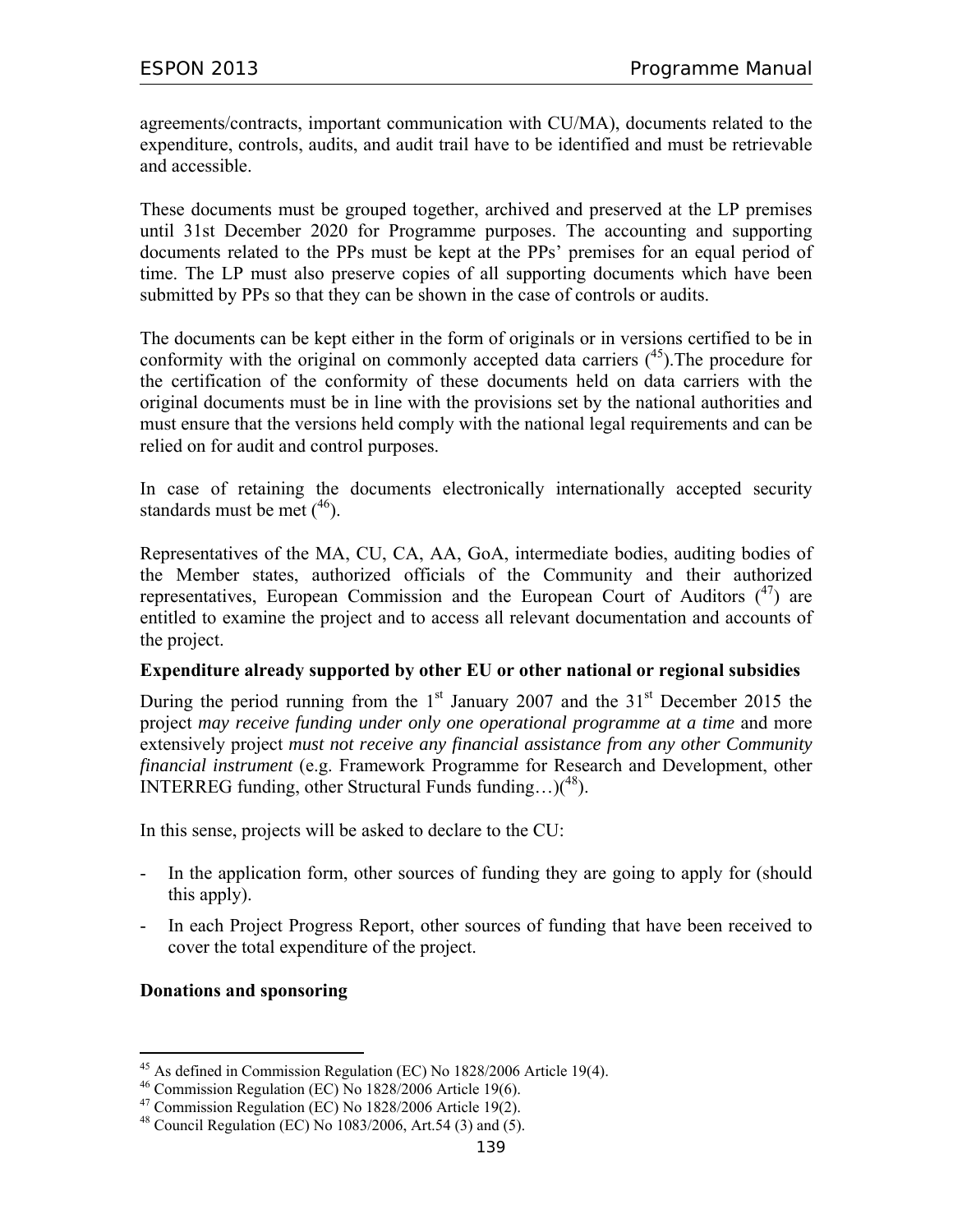agreements/contracts, important communication with CU/MA), documents related to the expenditure, controls, audits, and audit trail have to be identified and must be retrievable and accessible.

These documents must be grouped together, archived and preserved at the LP premises until 31st December 2020 for Programme purposes. The accounting and supporting documents related to the PPs must be kept at the PPs' premises for an equal period of time. The LP must also preserve copies of all supporting documents which have been submitted by PPs so that they can be shown in the case of controls or audits.

The documents can be kept either in the form of originals or in versions certified to be in conformity with the original on commonly accepted data carriers  $(^{45})$ . The procedure for the certification of the conformity of these documents held on data carriers with the original documents must be in line with the provisions set by the national authorities and must ensure that the versions held comply with the national legal requirements and can be relied on for audit and control purposes.

In case of retaining the documents electronically internationally accepted security standards must be met  $(46)$ .

Representatives of the MA, CU, CA, AA, GoA, intermediate bodies, auditing bodies of the Member states, authorized officials of the Community and their authorized representatives, European Commission and the European Court of Auditors  $(4)$  are entitled to examine the project and to access all relevant documentation and accounts of the project.

#### **Expenditure already supported by other EU or other national or regional subsidies**

During the period running from the  $1<sup>st</sup>$  January 2007 and the  $31<sup>st</sup>$  December 2015 the project *may receive funding under only one operational programme at a time* and more extensively project *must not receive any financial assistance from any other Community financial instrument* (e.g. Framework Programme for Research and Development, other INTERREG funding, other Structural Funds funding... $)(48)$ .

In this sense, projects will be asked to declare to the CU:

- In the application form, other sources of funding they are going to apply for (should this apply).
- In each Project Progress Report, other sources of funding that have been received to cover the total expenditure of the project.

#### **Donations and sponsoring**

<sup>-</sup>45 As defined in Commission Regulation (EC) No 1828/2006 Article 19(4).

 $46$  Commission Regulation (EC) No 1828/2006 Article 19(6).

 $47$  Commission Regulation (EC) No 1828/2006 Article 19(2).

<sup>&</sup>lt;sup>48</sup> Council Regulation (EC) No 1083/2006, Art.54 (3) and (5).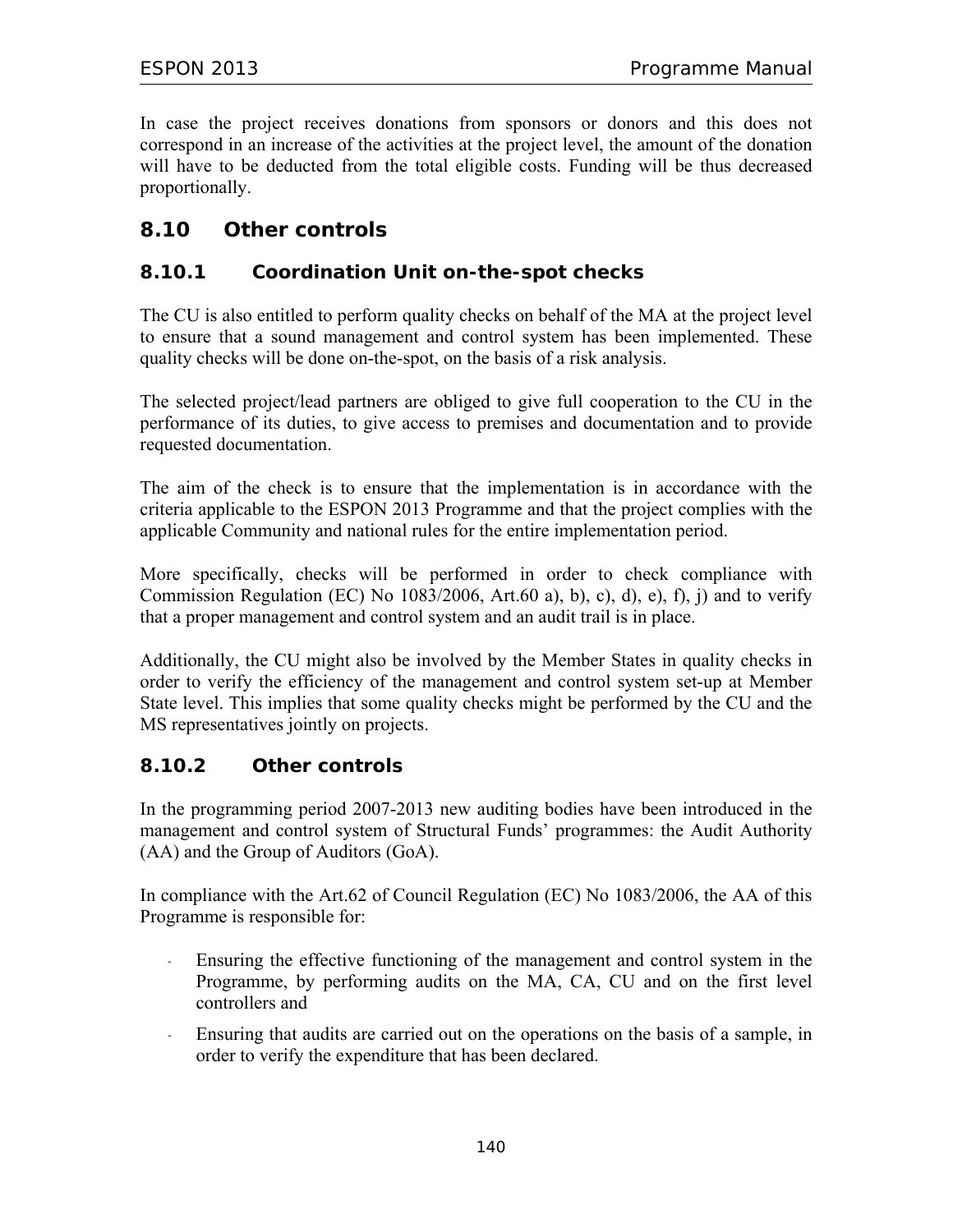In case the project receives donations from sponsors or donors and this does not correspond in an increase of the activities at the project level, the amount of the donation will have to be deducted from the total eligible costs. Funding will be thus decreased proportionally.

# **8.10 Other controls**

# **8.10.1 Coordination Unit on-the-spot checks**

The CU is also entitled to perform quality checks on behalf of the MA at the project level to ensure that a sound management and control system has been implemented. These quality checks will be done on-the-spot, on the basis of a risk analysis.

The selected project/lead partners are obliged to give full cooperation to the CU in the performance of its duties, to give access to premises and documentation and to provide requested documentation.

The aim of the check is to ensure that the implementation is in accordance with the criteria applicable to the ESPON 2013 Programme and that the project complies with the applicable Community and national rules for the entire implementation period.

More specifically, checks will be performed in order to check compliance with Commission Regulation (EC) No  $1083/2006$ , Art.  $60$  a), b), c), d), e), f), j) and to verify that a proper management and control system and an audit trail is in place.

Additionally, the CU might also be involved by the Member States in quality checks in order to verify the efficiency of the management and control system set-up at Member State level. This implies that some quality checks might be performed by the CU and the MS representatives jointly on projects.

# **8.10.2 Other controls**

In the programming period 2007-2013 new auditing bodies have been introduced in the management and control system of Structural Funds' programmes: the Audit Authority (AA) and the Group of Auditors (GoA).

In compliance with the Art.62 of Council Regulation (EC) No 1083/2006, the AA of this Programme is responsible for:

- *-* Ensuring the effective functioning of the management and control system in the Programme, by performing audits on the MA, CA, CU and on the first level controllers and
- *-* Ensuring that audits are carried out on the operations on the basis of a sample, in order to verify the expenditure that has been declared.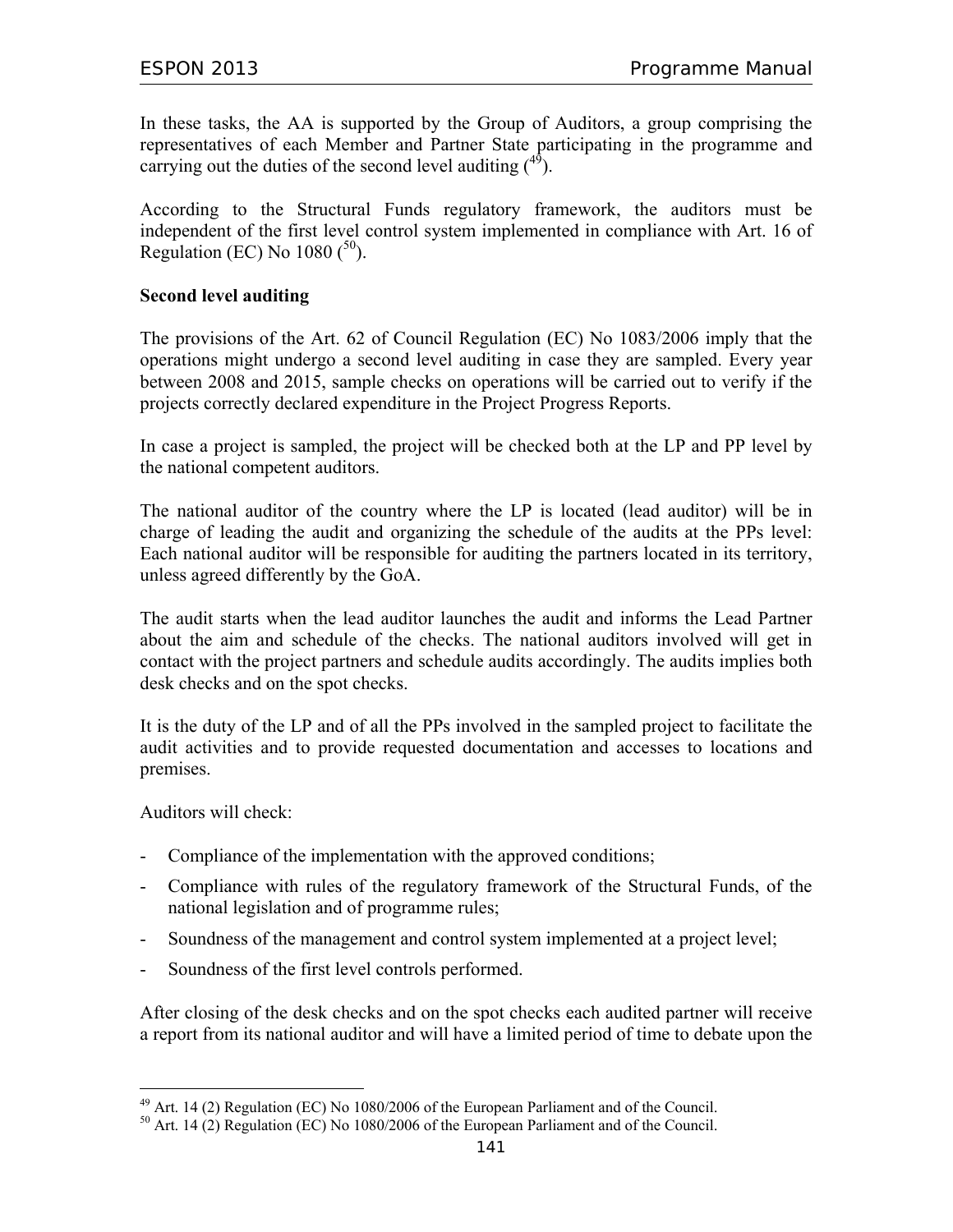In these tasks, the AA is supported by the Group of Auditors, a group comprising the representatives of each Member and Partner State participating in the programme and carrying out the duties of the second level auditing  $(^{49})$ .

According to the Structural Funds regulatory framework, the auditors must be independent of the first level control system implemented in compliance with Art. 16 of Regulation (EC) No  $1080(^{50})$ .

#### **Second level auditing**

The provisions of the Art. 62 of Council Regulation (EC) No 1083/2006 imply that the operations might undergo a second level auditing in case they are sampled. Every year between 2008 and 2015, sample checks on operations will be carried out to verify if the projects correctly declared expenditure in the Project Progress Reports.

In case a project is sampled, the project will be checked both at the LP and PP level by the national competent auditors.

The national auditor of the country where the LP is located (lead auditor) will be in charge of leading the audit and organizing the schedule of the audits at the PPs level: Each national auditor will be responsible for auditing the partners located in its territory, unless agreed differently by the GoA.

The audit starts when the lead auditor launches the audit and informs the Lead Partner about the aim and schedule of the checks. The national auditors involved will get in contact with the project partners and schedule audits accordingly. The audits implies both desk checks and on the spot checks.

It is the duty of the LP and of all the PPs involved in the sampled project to facilitate the audit activities and to provide requested documentation and accesses to locations and premises.

Auditors will check:

-

- Compliance of the implementation with the approved conditions;
- Compliance with rules of the regulatory framework of the Structural Funds, of the national legislation and of programme rules;
- Soundness of the management and control system implemented at a project level;
- Soundness of the first level controls performed.

After closing of the desk checks and on the spot checks each audited partner will receive a report from its national auditor and will have a limited period of time to debate upon the

 $^{49}$  Art. 14 (2) Regulation (EC) No 1080/2006 of the European Parliament and of the Council.

 $50$  Art. 14 (2) Regulation (EC) No 1080/2006 of the European Parliament and of the Council.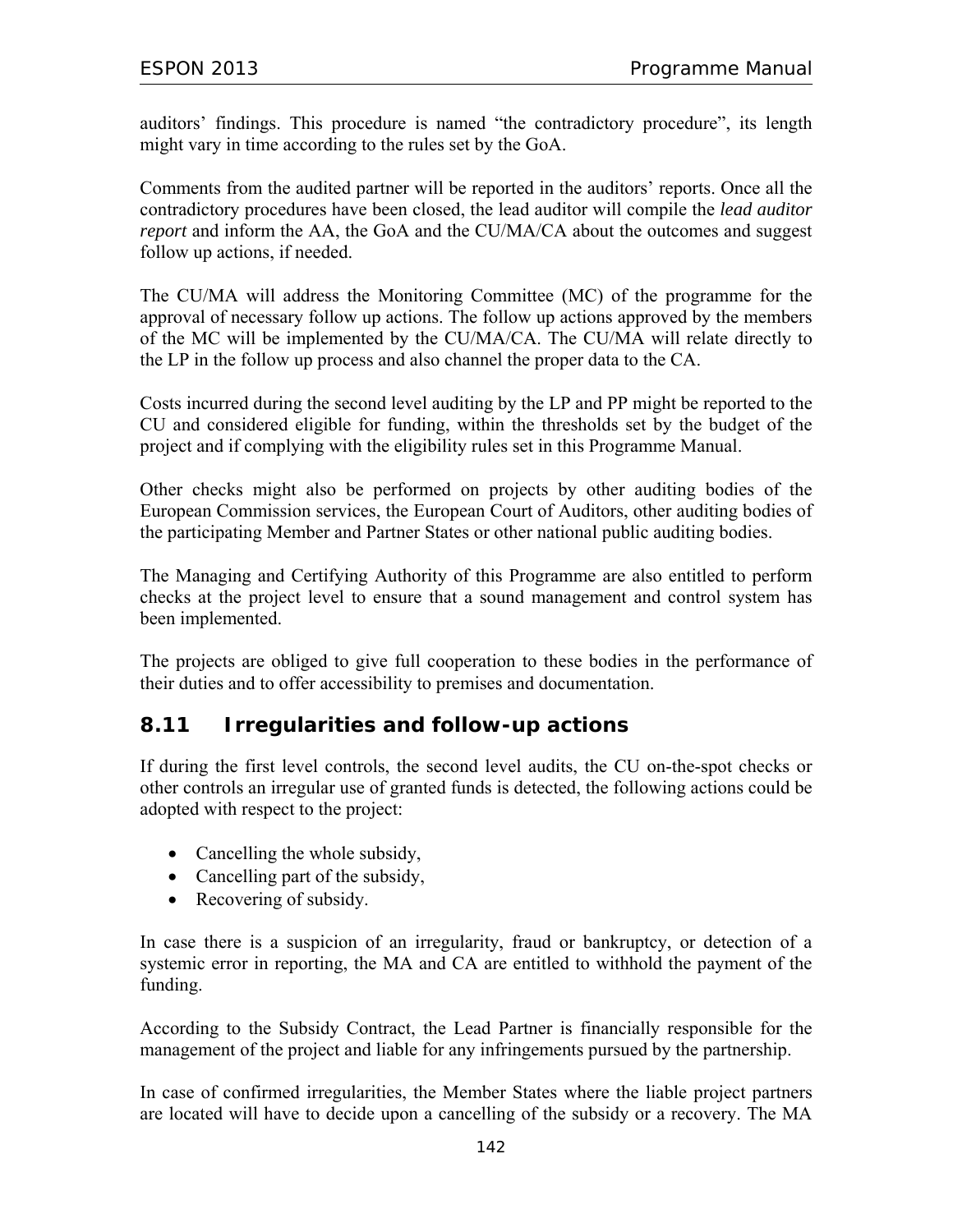auditors' findings. This procedure is named "the contradictory procedure", its length might vary in time according to the rules set by the GoA.

Comments from the audited partner will be reported in the auditors' reports. Once all the contradictory procedures have been closed, the lead auditor will compile the *lead auditor report* and inform the AA, the GoA and the CU/MA/CA about the outcomes and suggest follow up actions, if needed.

The CU/MA will address the Monitoring Committee (MC) of the programme for the approval of necessary follow up actions. The follow up actions approved by the members of the MC will be implemented by the CU/MA/CA. The CU/MA will relate directly to the LP in the follow up process and also channel the proper data to the CA.

Costs incurred during the second level auditing by the LP and PP might be reported to the CU and considered eligible for funding, within the thresholds set by the budget of the project and if complying with the eligibility rules set in this Programme Manual.

Other checks might also be performed on projects by other auditing bodies of the European Commission services, the European Court of Auditors, other auditing bodies of the participating Member and Partner States or other national public auditing bodies.

The Managing and Certifying Authority of this Programme are also entitled to perform checks at the project level to ensure that a sound management and control system has been implemented.

The projects are obliged to give full cooperation to these bodies in the performance of their duties and to offer accessibility to premises and documentation.

# **8.11 Irregularities and follow-up actions**

If during the first level controls, the second level audits, the CU on-the-spot checks or other controls an irregular use of granted funds is detected, the following actions could be adopted with respect to the project:

- Cancelling the whole subsidy,
- Cancelling part of the subsidy,
- Recovering of subsidy.

In case there is a suspicion of an irregularity, fraud or bankruptcy, or detection of a systemic error in reporting, the MA and CA are entitled to withhold the payment of the funding.

According to the Subsidy Contract, the Lead Partner is financially responsible for the management of the project and liable for any infringements pursued by the partnership.

In case of confirmed irregularities, the Member States where the liable project partners are located will have to decide upon a cancelling of the subsidy or a recovery. The MA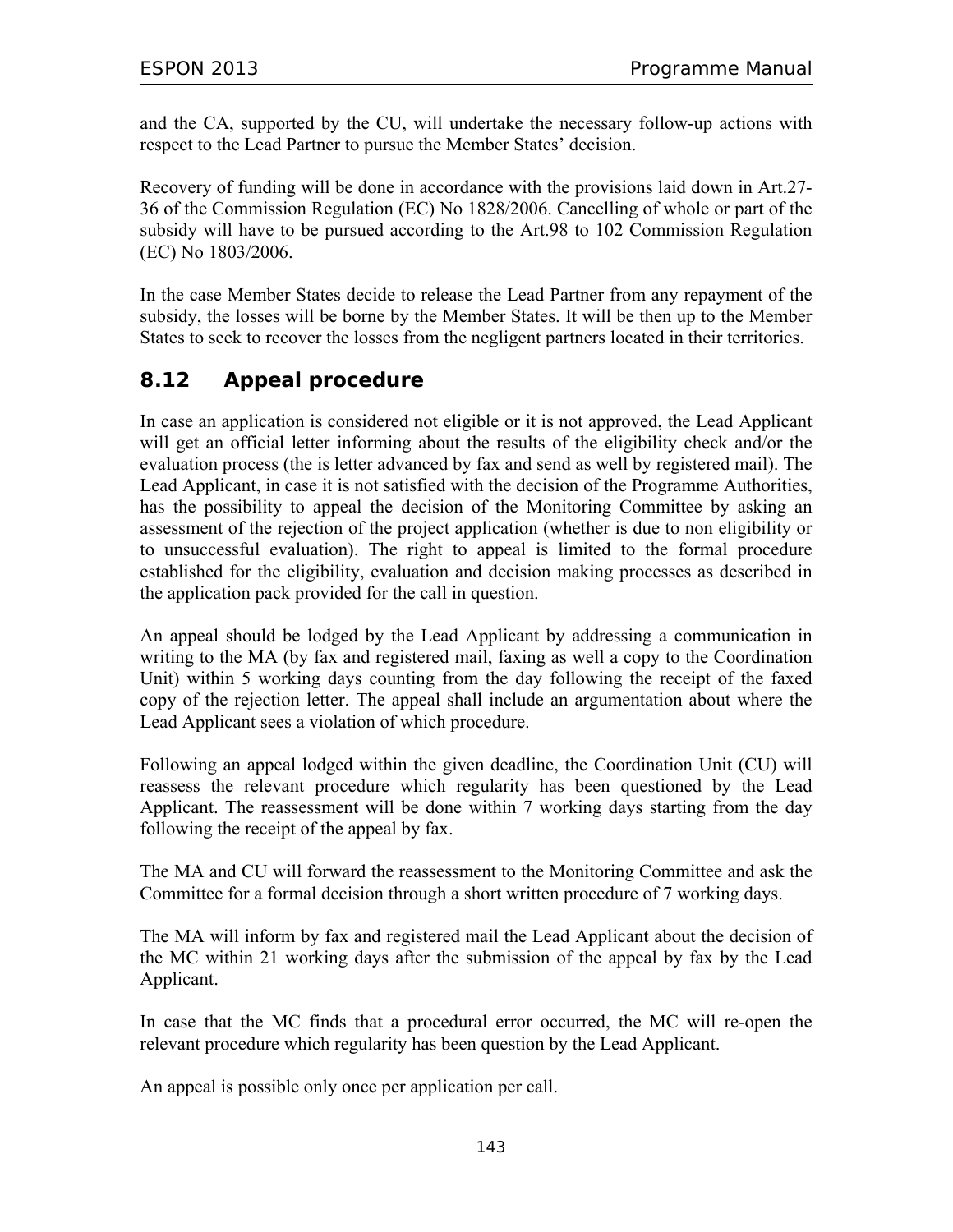and the CA, supported by the CU, will undertake the necessary follow-up actions with respect to the Lead Partner to pursue the Member States' decision.

Recovery of funding will be done in accordance with the provisions laid down in Art.27- 36 of the Commission Regulation (EC) No 1828/2006. Cancelling of whole or part of the subsidy will have to be pursued according to the Art.98 to 102 Commission Regulation (EC) No 1803/2006.

In the case Member States decide to release the Lead Partner from any repayment of the subsidy, the losses will be borne by the Member States. It will be then up to the Member States to seek to recover the losses from the negligent partners located in their territories.

# **8.12 Appeal procedure**

In case an application is considered not eligible or it is not approved, the Lead Applicant will get an official letter informing about the results of the eligibility check and/or the evaluation process (the is letter advanced by fax and send as well by registered mail). The Lead Applicant, in case it is not satisfied with the decision of the Programme Authorities, has the possibility to appeal the decision of the Monitoring Committee by asking an assessment of the rejection of the project application (whether is due to non eligibility or to unsuccessful evaluation). The right to appeal is limited to the formal procedure established for the eligibility, evaluation and decision making processes as described in the application pack provided for the call in question.

An appeal should be lodged by the Lead Applicant by addressing a communication in writing to the MA (by fax and registered mail, faxing as well a copy to the Coordination Unit) within 5 working days counting from the day following the receipt of the faxed copy of the rejection letter. The appeal shall include an argumentation about where the Lead Applicant sees a violation of which procedure.

Following an appeal lodged within the given deadline, the Coordination Unit (CU) will reassess the relevant procedure which regularity has been questioned by the Lead Applicant. The reassessment will be done within 7 working days starting from the day following the receipt of the appeal by fax.

The MA and CU will forward the reassessment to the Monitoring Committee and ask the Committee for a formal decision through a short written procedure of 7 working days.

The MA will inform by fax and registered mail the Lead Applicant about the decision of the MC within 21 working days after the submission of the appeal by fax by the Lead Applicant.

In case that the MC finds that a procedural error occurred, the MC will re-open the relevant procedure which regularity has been question by the Lead Applicant.

An appeal is possible only once per application per call.